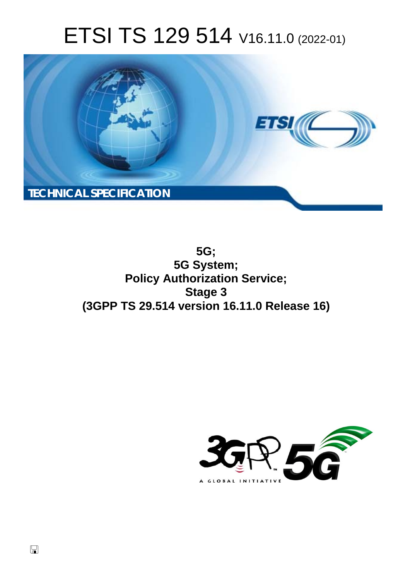# ETSI TS 129 514 V16.11.0 (2022-01)



**5G; 5G System; Policy Authorization Service; Stage 3 (3GPP TS 29.514 version 16.11.0 Release 16)** 

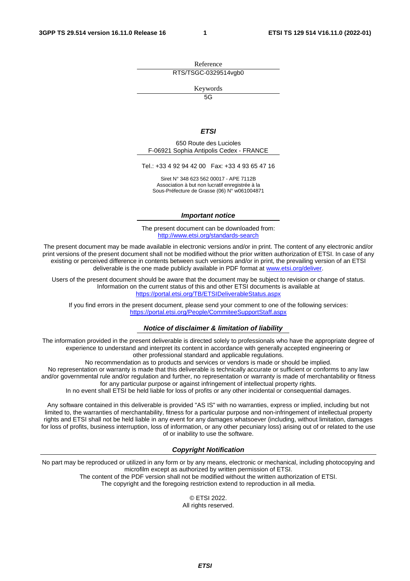Reference RTS/TSGC-0329514vgb0

Keywords

 $\overline{5G}$ 

#### *ETSI*

650 Route des Lucioles F-06921 Sophia Antipolis Cedex - FRANCE

Tel.: +33 4 92 94 42 00 Fax: +33 4 93 65 47 16

Siret N° 348 623 562 00017 - APE 7112B Association à but non lucratif enregistrée à la Sous-Préfecture de Grasse (06) N° w061004871

#### *Important notice*

The present document can be downloaded from: <http://www.etsi.org/standards-search>

The present document may be made available in electronic versions and/or in print. The content of any electronic and/or print versions of the present document shall not be modified without the prior written authorization of ETSI. In case of any existing or perceived difference in contents between such versions and/or in print, the prevailing version of an ETSI deliverable is the one made publicly available in PDF format at [www.etsi.org/deliver](http://www.etsi.org/deliver).

Users of the present document should be aware that the document may be subject to revision or change of status. Information on the current status of this and other ETSI documents is available at <https://portal.etsi.org/TB/ETSIDeliverableStatus.aspx>

If you find errors in the present document, please send your comment to one of the following services: <https://portal.etsi.org/People/CommiteeSupportStaff.aspx>

#### *Notice of disclaimer & limitation of liability*

The information provided in the present deliverable is directed solely to professionals who have the appropriate degree of experience to understand and interpret its content in accordance with generally accepted engineering or other professional standard and applicable regulations.

No recommendation as to products and services or vendors is made or should be implied.

No representation or warranty is made that this deliverable is technically accurate or sufficient or conforms to any law and/or governmental rule and/or regulation and further, no representation or warranty is made of merchantability or fitness for any particular purpose or against infringement of intellectual property rights.

In no event shall ETSI be held liable for loss of profits or any other incidental or consequential damages.

Any software contained in this deliverable is provided "AS IS" with no warranties, express or implied, including but not limited to, the warranties of merchantability, fitness for a particular purpose and non-infringement of intellectual property rights and ETSI shall not be held liable in any event for any damages whatsoever (including, without limitation, damages for loss of profits, business interruption, loss of information, or any other pecuniary loss) arising out of or related to the use of or inability to use the software.

#### *Copyright Notification*

No part may be reproduced or utilized in any form or by any means, electronic or mechanical, including photocopying and microfilm except as authorized by written permission of ETSI. The content of the PDF version shall not be modified without the written authorization of ETSI.

The copyright and the foregoing restriction extend to reproduction in all media.

© ETSI 2022. All rights reserved.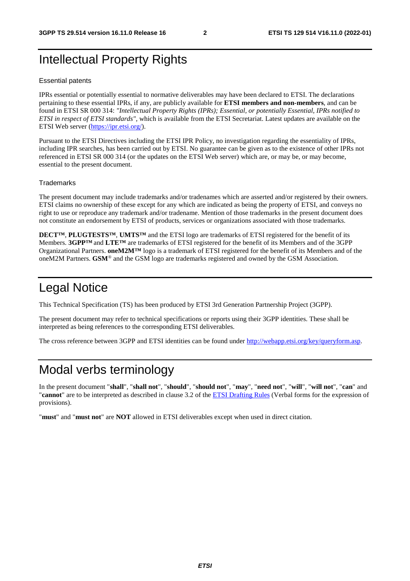# Intellectual Property Rights

#### Essential patents

IPRs essential or potentially essential to normative deliverables may have been declared to ETSI. The declarations pertaining to these essential IPRs, if any, are publicly available for **ETSI members and non-members**, and can be found in ETSI SR 000 314: *"Intellectual Property Rights (IPRs); Essential, or potentially Essential, IPRs notified to ETSI in respect of ETSI standards"*, which is available from the ETSI Secretariat. Latest updates are available on the ETSI Web server ([https://ipr.etsi.org/\)](https://ipr.etsi.org/).

Pursuant to the ETSI Directives including the ETSI IPR Policy, no investigation regarding the essentiality of IPRs, including IPR searches, has been carried out by ETSI. No guarantee can be given as to the existence of other IPRs not referenced in ETSI SR 000 314 (or the updates on the ETSI Web server) which are, or may be, or may become, essential to the present document.

#### **Trademarks**

The present document may include trademarks and/or tradenames which are asserted and/or registered by their owners. ETSI claims no ownership of these except for any which are indicated as being the property of ETSI, and conveys no right to use or reproduce any trademark and/or tradename. Mention of those trademarks in the present document does not constitute an endorsement by ETSI of products, services or organizations associated with those trademarks.

**DECT™**, **PLUGTESTS™**, **UMTS™** and the ETSI logo are trademarks of ETSI registered for the benefit of its Members. **3GPP™** and **LTE™** are trademarks of ETSI registered for the benefit of its Members and of the 3GPP Organizational Partners. **oneM2M™** logo is a trademark of ETSI registered for the benefit of its Members and of the oneM2M Partners. **GSM**® and the GSM logo are trademarks registered and owned by the GSM Association.

# Legal Notice

This Technical Specification (TS) has been produced by ETSI 3rd Generation Partnership Project (3GPP).

The present document may refer to technical specifications or reports using their 3GPP identities. These shall be interpreted as being references to the corresponding ETSI deliverables.

The cross reference between 3GPP and ETSI identities can be found under<http://webapp.etsi.org/key/queryform.asp>.

# Modal verbs terminology

In the present document "**shall**", "**shall not**", "**should**", "**should not**", "**may**", "**need not**", "**will**", "**will not**", "**can**" and "**cannot**" are to be interpreted as described in clause 3.2 of the [ETSI Drafting Rules](https://portal.etsi.org/Services/editHelp!/Howtostart/ETSIDraftingRules.aspx) (Verbal forms for the expression of provisions).

"**must**" and "**must not**" are **NOT** allowed in ETSI deliverables except when used in direct citation.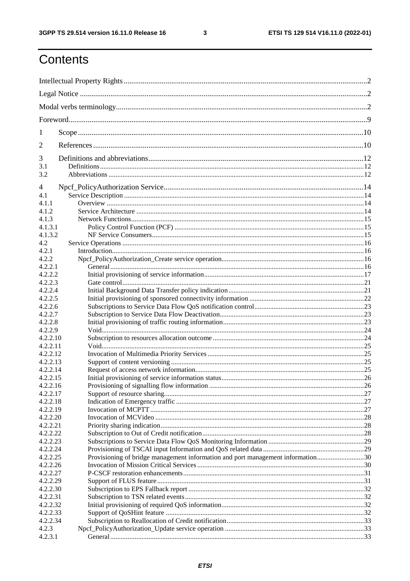$\mathbf{3}$ 

# Contents

| 1        |                                                                                 |  |
|----------|---------------------------------------------------------------------------------|--|
| 2        |                                                                                 |  |
| 3        |                                                                                 |  |
| 3.1      |                                                                                 |  |
| 3.2      |                                                                                 |  |
| 4        |                                                                                 |  |
| 4.1      |                                                                                 |  |
| 4.1.1    |                                                                                 |  |
| 4.1.2    |                                                                                 |  |
| 4.1.3    |                                                                                 |  |
| 4.1.3.1  |                                                                                 |  |
| 4.1.3.2  |                                                                                 |  |
| 4.2      |                                                                                 |  |
| 4.2.1    |                                                                                 |  |
| 4.2.2    |                                                                                 |  |
| 4.2.2.1  |                                                                                 |  |
| 4.2.2.2  |                                                                                 |  |
| 4.2.2.3  |                                                                                 |  |
| 4.2.2.4  |                                                                                 |  |
| 4.2.2.5  |                                                                                 |  |
| 4.2.2.6  |                                                                                 |  |
| 4.2.2.7  |                                                                                 |  |
| 4.2.2.8  |                                                                                 |  |
| 4.2.2.9  |                                                                                 |  |
| 4.2.2.10 |                                                                                 |  |
| 4.2.2.11 |                                                                                 |  |
| 4.2.2.12 |                                                                                 |  |
| 4.2.2.13 |                                                                                 |  |
| 4.2.2.14 |                                                                                 |  |
| 4.2.2.15 |                                                                                 |  |
| 4.2.2.16 |                                                                                 |  |
| 4.2.2.17 |                                                                                 |  |
| 4.2.2.18 |                                                                                 |  |
| 4.2.2.19 |                                                                                 |  |
| 4.2.2.20 |                                                                                 |  |
|          |                                                                                 |  |
| 4.2.2.21 |                                                                                 |  |
| 4.2.2.22 |                                                                                 |  |
| 4.2.2.23 |                                                                                 |  |
| 4.2.2.24 |                                                                                 |  |
| 4.2.2.25 | Provisioning of bridge management information and port management information30 |  |
| 4.2.2.26 |                                                                                 |  |
| 4.2.2.27 |                                                                                 |  |
| 4.2.2.29 |                                                                                 |  |
| 4.2.2.30 |                                                                                 |  |
| 4.2.2.31 |                                                                                 |  |
| 4.2.2.32 |                                                                                 |  |
| 4.2.2.33 |                                                                                 |  |
| 4.2.2.34 |                                                                                 |  |
| 4.2.3    |                                                                                 |  |
| 4.2.3.1  |                                                                                 |  |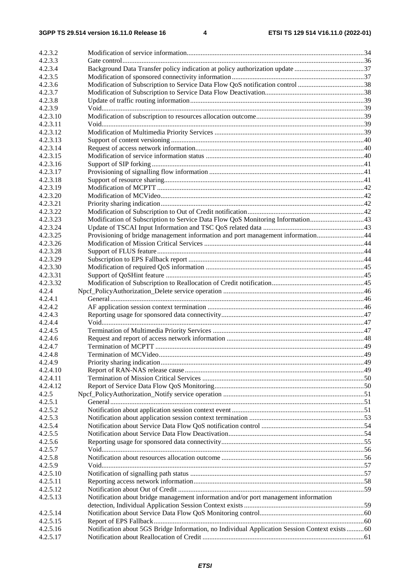| 4.2.3.2            |                                                                                                |  |
|--------------------|------------------------------------------------------------------------------------------------|--|
| 4.2.3.3            |                                                                                                |  |
| 4.2.3.4            |                                                                                                |  |
| 4.2.3.5            |                                                                                                |  |
| 4.2.3.6            | Modification of Subscription to Service Data Flow QoS notification control 38                  |  |
| 4.2.3.7            |                                                                                                |  |
| 4.2.3.8            |                                                                                                |  |
| 4.2.3.9            |                                                                                                |  |
| 4.2.3.10           |                                                                                                |  |
| 4.2.3.11           |                                                                                                |  |
| 4.2.3.12           |                                                                                                |  |
| 4.2.3.13           |                                                                                                |  |
| 4.2.3.14           |                                                                                                |  |
| 4.2.3.15           |                                                                                                |  |
| 4.2.3.16           |                                                                                                |  |
| 4.2.3.17           |                                                                                                |  |
| 4.2.3.18           |                                                                                                |  |
| 4.2.3.19           |                                                                                                |  |
| 4.2.3.20           |                                                                                                |  |
| 4.2.3.21           |                                                                                                |  |
| 4.2.3.22           |                                                                                                |  |
| 4.2.3.23           | Modification of Subscription to Service Data Flow QoS Monitoring Information43                 |  |
| 4.2.3.24           |                                                                                                |  |
| 4.2.3.25           | Provisioning of bridge management information and port management information44                |  |
| 4.2.3.26           |                                                                                                |  |
| 4.2.3.28           |                                                                                                |  |
| 4.2.3.29           |                                                                                                |  |
| 4.2.3.30           |                                                                                                |  |
| 4.2.3.31           |                                                                                                |  |
| 4.2.3.32           |                                                                                                |  |
| 4.2.4              |                                                                                                |  |
| 4.2.4.1            |                                                                                                |  |
| 4.2.4.2            |                                                                                                |  |
| 4.2.4.3            |                                                                                                |  |
| 4.2.4.4            |                                                                                                |  |
| 4.2.4.5            |                                                                                                |  |
| 4.2.4.6            |                                                                                                |  |
| 4.2.4.7            |                                                                                                |  |
|                    |                                                                                                |  |
| 4.2.4.8<br>4.2.4.9 |                                                                                                |  |
|                    |                                                                                                |  |
| 4.2.4.10           |                                                                                                |  |
| 4.2.4.11           |                                                                                                |  |
| 4.2.4.12           |                                                                                                |  |
| 4.2.5              |                                                                                                |  |
| 4.2.5.1            |                                                                                                |  |
| 4.2.5.2            |                                                                                                |  |
| 4.2.5.3            |                                                                                                |  |
| 4.2.5.4            |                                                                                                |  |
| 4.2.5.5            |                                                                                                |  |
| 4.2.5.6            |                                                                                                |  |
| 4.2.5.7            |                                                                                                |  |
| 4.2.5.8            |                                                                                                |  |
| 4.2.5.9            |                                                                                                |  |
| 4.2.5.10           |                                                                                                |  |
| 4.2.5.11           |                                                                                                |  |
| 4.2.5.12           |                                                                                                |  |
| 4.2.5.13           | Notification about bridge management information and/or port management information            |  |
|                    |                                                                                                |  |
| 4.2.5.14           |                                                                                                |  |
| 4.2.5.15           |                                                                                                |  |
| 4.2.5.16           | Notification about 5GS Bridge Information, no Individual Application Session Context exists 60 |  |
| 4.2.5.17           |                                                                                                |  |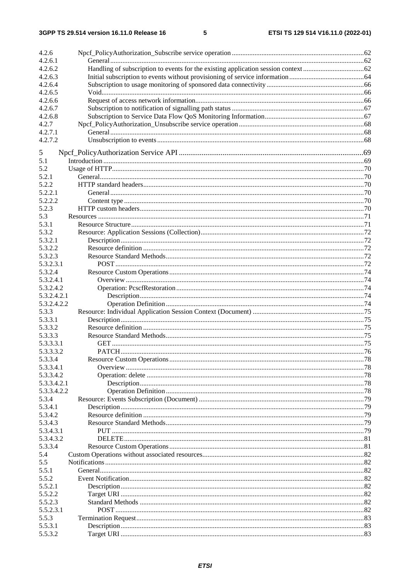$5\phantom{a}$ 

| 4.2.6       |  |
|-------------|--|
| 4.2.6.1     |  |
| 4.2.6.2     |  |
| 4.2.6.3     |  |
| 4.2.6.4     |  |
| 4.2.6.5     |  |
| 4.2.6.6     |  |
| 4.2.6.7     |  |
| 4.2.6.8     |  |
| 4.2.7       |  |
| 4.2.7.1     |  |
| 4.2.7.2     |  |
|             |  |
| 5           |  |
| 5.1         |  |
| 5.2         |  |
| 5.2.1       |  |
| 5.2.2       |  |
| 5.2.2.1     |  |
| 5.2.2.2     |  |
| 5.2.3       |  |
| 5.3         |  |
| 5.3.1       |  |
| 5.3.2       |  |
| 5.3.2.1     |  |
| 5.3.2.2     |  |
| 5.3.2.3     |  |
| 5.3.2.3.1   |  |
| 5.3.2.4     |  |
| 5.3.2.4.1   |  |
| 5.3.2.4.2   |  |
| 5.3.2.4.2.1 |  |
| 5.3.2.4.2.2 |  |
| 5.3.3       |  |
| 5.3.3.1     |  |
| 5.3.3.2     |  |
| 5.3.3.3     |  |
| 5.3.3.3.1   |  |
| 5.3.3.3.2   |  |
| 5.3.3.4     |  |
| 5.3.3.4.1   |  |
| 5.3.3.4.2   |  |
| 5.3.3.4.2.1 |  |
| 5.3.3.4.2.2 |  |
| 5.3.4       |  |
| 5.3.4.1     |  |
| 5.3.4.2     |  |
| 5.3.4.3     |  |
| 5.3.4.3.1   |  |
| 5.3.4.3.2   |  |
| 5.3.3.4     |  |
| 5.4         |  |
| 5.5         |  |
| 5.5.1       |  |
| 5.5.2       |  |
| 5.5.2.1     |  |
| 5.5.2.2     |  |
| 5.5.2.3     |  |
| 5.5.2.3.1   |  |
| 5.5.3       |  |
| 5.5.3.1     |  |
| 5.5.3.2     |  |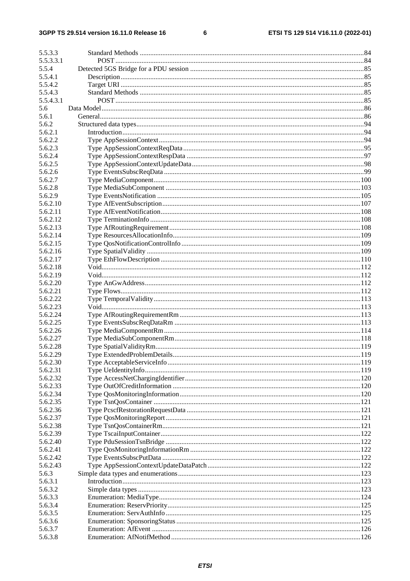#### $\bf 6$

| 5.5.3.3   |  |
|-----------|--|
| 5.5.3.3.1 |  |
| 5.5.4     |  |
| 5.5.4.1   |  |
| 5.5.4.2   |  |
| 5.5.4.3   |  |
| 5.5.4.3.1 |  |
| 5.6       |  |
| 5.6.1     |  |
| 5.6.2     |  |
| 5.6.2.1   |  |
| 5.6.2.2   |  |
| 5.6.2.3   |  |
| 5.6.2.4   |  |
| 5.6.2.5   |  |
| 5.6.2.6   |  |
| 5.6.2.7   |  |
|           |  |
| 5.6.2.8   |  |
| 5.6.2.9   |  |
| 5.6.2.10  |  |
| 5.6.2.11  |  |
| 5.6.2.12  |  |
| 5.6.2.13  |  |
| 5.6.2.14  |  |
| 5.6.2.15  |  |
| 5.6.2.16  |  |
| 5.6.2.17  |  |
| 5.6.2.18  |  |
| 5.6.2.19  |  |
| 5.6.2.20  |  |
| 5.6.2.21  |  |
| 5.6.2.22  |  |
| 5.6.2.23  |  |
| 5.6.2.24  |  |
| 5.6.2.25  |  |
| 5.6.2.26  |  |
| 5.6.2.27  |  |
| 5.6.2.28  |  |
| 5.6.2.29  |  |
| 5.6.2.30  |  |
| 5.6.2.31  |  |
| 5.6.2.32  |  |
| 5.6.2.33  |  |
| 5.6.2.34  |  |
| 5.6.2.35  |  |
| 5.6.2.36  |  |
| 5.6.2.37  |  |
| 5.6.2.38  |  |
| 5.6.2.39  |  |
| 5.6.2.40  |  |
| 5.6.2.41  |  |
| 5.6.2.42  |  |
| 5.6.2.43  |  |
| 5.6.3     |  |
| 5.6.3.1   |  |
| 5.6.3.2   |  |
| 5.6.3.3   |  |
| 5.6.3.4   |  |
|           |  |
| 5.6.3.5   |  |
| 5.6.3.6   |  |
| 5.6.3.7   |  |
| 5.6.3.8   |  |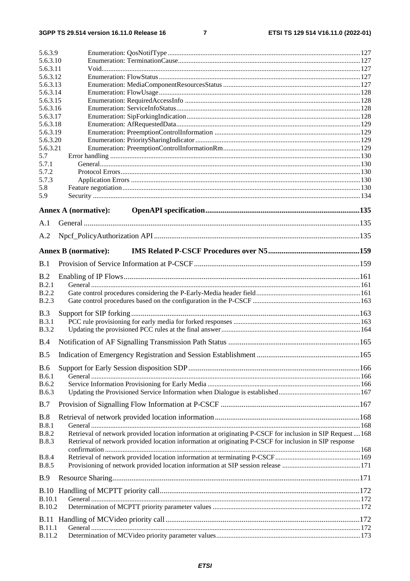#### $\overline{7}$

| 5.6.3.9                        |                                                                                                                                                                                                                      |  |
|--------------------------------|----------------------------------------------------------------------------------------------------------------------------------------------------------------------------------------------------------------------|--|
| 5.6.3.10                       |                                                                                                                                                                                                                      |  |
| 5.6.3.11                       |                                                                                                                                                                                                                      |  |
| 5.6.3.12                       |                                                                                                                                                                                                                      |  |
| 5.6.3.13                       |                                                                                                                                                                                                                      |  |
| 5.6.3.14                       |                                                                                                                                                                                                                      |  |
| 5.6.3.15<br>5.6.3.16           |                                                                                                                                                                                                                      |  |
| 5.6.3.17                       |                                                                                                                                                                                                                      |  |
| 5.6.3.18                       |                                                                                                                                                                                                                      |  |
| 5.6.3.19                       |                                                                                                                                                                                                                      |  |
| 5.6.3.20                       |                                                                                                                                                                                                                      |  |
| 5.6.3.21                       |                                                                                                                                                                                                                      |  |
| 5.7                            |                                                                                                                                                                                                                      |  |
| 5.7.1                          |                                                                                                                                                                                                                      |  |
| 5.7.2                          |                                                                                                                                                                                                                      |  |
| 5.7.3                          |                                                                                                                                                                                                                      |  |
| 5.8<br>5.9                     |                                                                                                                                                                                                                      |  |
|                                |                                                                                                                                                                                                                      |  |
|                                | Annex A (normative):                                                                                                                                                                                                 |  |
| A.1                            |                                                                                                                                                                                                                      |  |
|                                |                                                                                                                                                                                                                      |  |
| A.2                            |                                                                                                                                                                                                                      |  |
|                                | <b>Annex B</b> (normative):                                                                                                                                                                                          |  |
| B.1                            |                                                                                                                                                                                                                      |  |
| B.2                            |                                                                                                                                                                                                                      |  |
| B.2.1                          |                                                                                                                                                                                                                      |  |
| <b>B.2.2</b>                   |                                                                                                                                                                                                                      |  |
| B.2.3                          |                                                                                                                                                                                                                      |  |
| B.3                            |                                                                                                                                                                                                                      |  |
| B.3.1                          |                                                                                                                                                                                                                      |  |
| <b>B.3.2</b>                   |                                                                                                                                                                                                                      |  |
| B.4                            |                                                                                                                                                                                                                      |  |
|                                |                                                                                                                                                                                                                      |  |
| B.5                            |                                                                                                                                                                                                                      |  |
| <b>B.6</b>                     |                                                                                                                                                                                                                      |  |
| B.6.1                          |                                                                                                                                                                                                                      |  |
| <b>B.6.2</b>                   |                                                                                                                                                                                                                      |  |
| <b>B.6.3</b>                   |                                                                                                                                                                                                                      |  |
| B.7                            |                                                                                                                                                                                                                      |  |
| <b>B.8</b>                     |                                                                                                                                                                                                                      |  |
| <b>B.8.1</b>                   |                                                                                                                                                                                                                      |  |
| <b>B.8.2</b><br><b>B.8.3</b>   | Retrieval of network provided location information at originating P-CSCF for inclusion in SIP Request  168<br>Retrieval of network provided location information at originating P-CSCF for inclusion in SIP response |  |
|                                |                                                                                                                                                                                                                      |  |
| <b>B.8.4</b>                   |                                                                                                                                                                                                                      |  |
| <b>B.8.5</b><br><b>B.9</b>     |                                                                                                                                                                                                                      |  |
|                                |                                                                                                                                                                                                                      |  |
|                                |                                                                                                                                                                                                                      |  |
| <b>B.10.1</b><br><b>B.10.2</b> |                                                                                                                                                                                                                      |  |
|                                |                                                                                                                                                                                                                      |  |
|                                |                                                                                                                                                                                                                      |  |
| <b>B.11.1</b>                  |                                                                                                                                                                                                                      |  |
| B.11.2                         |                                                                                                                                                                                                                      |  |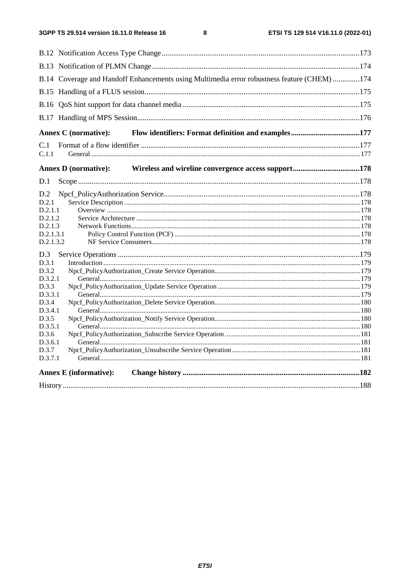$\bf{8}$ 

| B.14 Coverage and Handoff Enhancements using Multimedia error robustness feature (CHEM) 174 |  |  |
|---------------------------------------------------------------------------------------------|--|--|
|                                                                                             |  |  |
|                                                                                             |  |  |
|                                                                                             |  |  |
| <b>Annex C</b> (normative):                                                                 |  |  |
| C.1                                                                                         |  |  |
| C.1.1                                                                                       |  |  |
| <b>Annex D</b> (normative):                                                                 |  |  |
| D.1                                                                                         |  |  |
| D.2                                                                                         |  |  |
| D.2.1                                                                                       |  |  |
| D.2.1.1                                                                                     |  |  |
| D.2.1.2                                                                                     |  |  |
| D.2.1.3                                                                                     |  |  |
| D.2.1.3.1                                                                                   |  |  |
| D.2.1.3.2                                                                                   |  |  |
| D.3                                                                                         |  |  |
| D.3.1                                                                                       |  |  |
| D.3.2                                                                                       |  |  |
| D.3.2.1                                                                                     |  |  |
| D.3.3                                                                                       |  |  |
| D.3.3.1                                                                                     |  |  |
| D.3.4                                                                                       |  |  |
| D.3.4.1                                                                                     |  |  |
| D.3.5                                                                                       |  |  |
| D.3.5.1                                                                                     |  |  |
| D.3.6                                                                                       |  |  |
| D.3.6.1<br>D.3.7                                                                            |  |  |
| D.3.7.1                                                                                     |  |  |
|                                                                                             |  |  |
| <b>Annex E</b> (informative):                                                               |  |  |
|                                                                                             |  |  |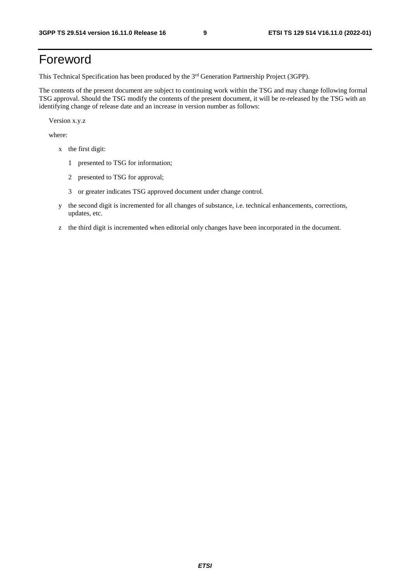# Foreword

This Technical Specification has been produced by the 3<sup>rd</sup> Generation Partnership Project (3GPP).

The contents of the present document are subject to continuing work within the TSG and may change following formal TSG approval. Should the TSG modify the contents of the present document, it will be re-released by the TSG with an identifying change of release date and an increase in version number as follows:

Version x.y.z

where:

- x the first digit:
	- 1 presented to TSG for information;
	- 2 presented to TSG for approval;
	- 3 or greater indicates TSG approved document under change control.
- y the second digit is incremented for all changes of substance, i.e. technical enhancements, corrections, updates, etc.
- z the third digit is incremented when editorial only changes have been incorporated in the document.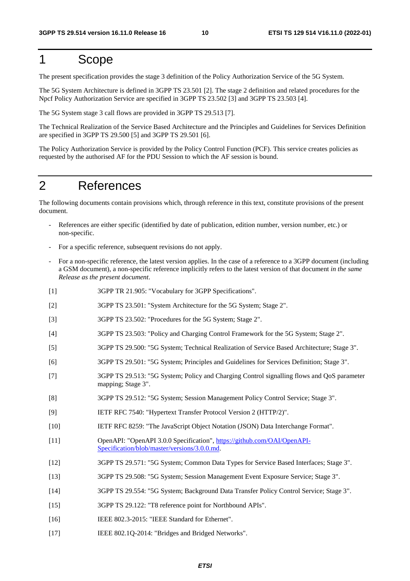# 1 Scope

The present specification provides the stage 3 definition of the Policy Authorization Service of the 5G System.

The 5G System Architecture is defined in 3GPP TS 23.501 [2]. The stage 2 definition and related procedures for the Npcf Policy Authorization Service are specified in 3GPP TS 23.502 [3] and 3GPP TS 23.503 [4].

The 5G System stage 3 call flows are provided in 3GPP TS 29.513 [7].

The Technical Realization of the Service Based Architecture and the Principles and Guidelines for Services Definition are specified in 3GPP TS 29.500 [5] and 3GPP TS 29.501 [6].

The Policy Authorization Service is provided by the Policy Control Function (PCF). This service creates policies as requested by the authorised AF for the PDU Session to which the AF session is bound.

# 2 References

The following documents contain provisions which, through reference in this text, constitute provisions of the present document.

- References are either specific (identified by date of publication, edition number, version number, etc.) or non-specific.
- For a specific reference, subsequent revisions do not apply.
- For a non-specific reference, the latest version applies. In the case of a reference to a 3GPP document (including a GSM document), a non-specific reference implicitly refers to the latest version of that document *in the same Release as the present document*.
- [1] 3GPP TR 21.905: "Vocabulary for 3GPP Specifications".
- [2] 3GPP TS 23.501: "System Architecture for the 5G System; Stage 2".
- [3] 3GPP TS 23.502: "Procedures for the 5G System; Stage 2".
- [4] 3GPP TS 23.503: "Policy and Charging Control Framework for the 5G System; Stage 2".
- [5] 3GPP TS 29.500: "5G System; Technical Realization of Service Based Architecture; Stage 3".
- [6] 3GPP TS 29.501: "5G System; Principles and Guidelines for Services Definition; Stage 3".
- [7] 3GPP TS 29.513: "5G System; Policy and Charging Control signalling flows and QoS parameter mapping; Stage 3".
- [8] 3GPP TS 29.512: "5G System; Session Management Policy Control Service; Stage 3".
- [9] IETF RFC 7540: "Hypertext Transfer Protocol Version 2 (HTTP/2)".
- [10] IETF RFC 8259: "The JavaScript Object Notation (JSON) Data Interchange Format".
- [11] OpenAPI: "OpenAPI 3.0.0 Specification", [https://github.com/OAI/OpenAPI](https://github.com/OAI/OpenAPI-Specification/blob/master/versions/3.0.0.md)-[Specification/blob/master/versions/3.0.0.md](https://github.com/OAI/OpenAPI-Specification/blob/master/versions/3.0.0.md).
- [12] 3GPP TS 29.571: "5G System; Common Data Types for Service Based Interfaces; Stage 3".
- [13] 3GPP TS 29.508: "5G System; Session Management Event Exposure Service; Stage 3".
- [14] 3GPP TS 29.554: "5G System; Background Data Transfer Policy Control Service; Stage 3".
- [15] 3GPP TS 29.122: "T8 reference point for Northbound APIs".
- [16] IEEE 802.3-2015: "IEEE Standard for Ethernet".
- [17] IEEE 802.1Q-2014: "Bridges and Bridged Networks".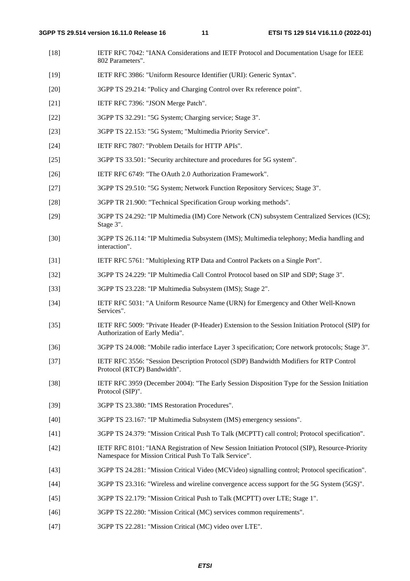- [18] IETF RFC 7042: "IANA Considerations and IETF Protocol and Documentation Usage for IEEE 802 Parameters".
- [19] IETF RFC 3986: "Uniform Resource Identifier (URI): Generic Syntax".
- [20] 3GPP TS 29.214: "Policy and Charging Control over Rx reference point".
- [21] **IETF RFC 7396: "JSON Merge Patch".**
- [22] 3GPP TS 32.291: "5G System; Charging service; Stage 3".
- [23] 3GPP TS 22.153: "5G System; "Multimedia Priority Service".
- [24] IETF RFC 7807: "Problem Details for HTTP APIs".
- [25] 3GPP TS 33.501: "Security architecture and procedures for 5G system".
- [26] IETF RFC 6749: "The OAuth 2.0 Authorization Framework".
- [27] 3GPP TS 29.510: "5G System; Network Function Repository Services; Stage 3".
- [28] 3GPP TR 21.900: "Technical Specification Group working methods".
- [29] 3GPP TS 24.292: "IP Multimedia (IM) Core Network (CN) subsystem Centralized Services (ICS); Stage 3".
- [30] 3GPP TS 26.114: "IP Multimedia Subsystem (IMS); Multimedia telephony; Media handling and interaction".
- [31] IETF RFC 5761: "Multiplexing RTP Data and Control Packets on a Single Port".
- [32] 3GPP TS 24.229: "IP Multimedia Call Control Protocol based on SIP and SDP; Stage 3".
- [33] 3GPP TS 23.228: "IP Multimedia Subsystem (IMS); Stage 2".
- [34] IETF RFC 5031: "A Uniform Resource Name (URN) for Emergency and Other Well-Known Services".
- [35] IETF RFC 5009: "Private Header (P-Header) Extension to the Session Initiation Protocol (SIP) for Authorization of Early Media".
- [36] 3GPP TS 24.008: "Mobile radio interface Layer 3 specification; Core network protocols; Stage 3".
- [37] IETF RFC 3556: "Session Description Protocol (SDP) Bandwidth Modifiers for RTP Control Protocol (RTCP) Bandwidth".
- [38] IETF RFC 3959 (December 2004): "The Early Session Disposition Type for the Session Initiation Protocol (SIP)".
- [39] 3GPP TS 23.380: "IMS Restoration Procedures".
- [40] 3GPP TS 23.167: "IP Multimedia Subsystem (IMS) emergency sessions".
- [41] 3GPP TS 24.379: "Mission Critical Push To Talk (MCPTT) call control; Protocol specification".
- [42] IETF RFC 8101: "IANA Registration of New Session Initiation Protocol (SIP), Resource-Priority Namespace for Mission Critical Push To Talk Service".
- [43] 3GPP TS 24.281: "Mission Critical Video (MCVideo) signalling control; Protocol specification".
- [44] 3GPP TS 23.316: "Wireless and wireline convergence access support for the 5G System (5GS)".
- [45] 3GPP TS 22.179: "Mission Critical Push to Talk (MCPTT) over LTE; Stage 1".
- [46] 3GPP TS 22.280: "Mission Critical (MC) services common requirements".
- [47] 3GPP TS 22.281: "Mission Critical (MC) video over LTE".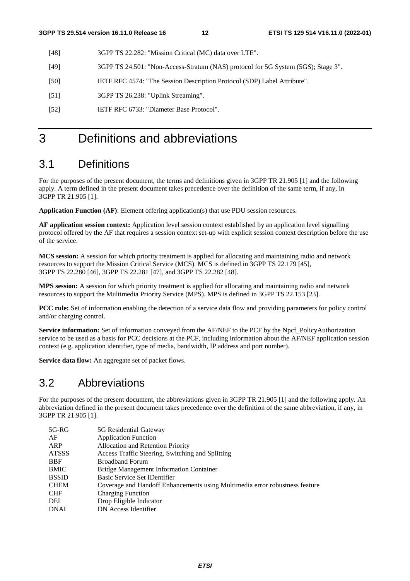- [48] 3GPP TS 22.282: "Mission Critical (MC) data over LTE".
- [49] 3GPP TS 24.501: "Non-Access-Stratum (NAS) protocol for 5G System (5GS); Stage 3".
- [50] IETF RFC 4574: "The Session Description Protocol (SDP) Label Attribute".
- [51] 3GPP TS 26.238: "Uplink Streaming".
- [52] IETF RFC 6733: "Diameter Base Protocol".

# 3 Definitions and abbreviations

### 3.1 Definitions

For the purposes of the present document, the terms and definitions given in 3GPP TR 21.905 [1] and the following apply. A term defined in the present document takes precedence over the definition of the same term, if any, in 3GPP TR 21.905 [1].

**Application Function (AF)**: Element offering application(s) that use PDU session resources.

**AF application session context:** Application level session context established by an application level signalling protocol offered by the AF that requires a session context set-up with explicit session context description before the use of the service.

**MCS session:** A session for which priority treatment is applied for allocating and maintaining radio and network resources to support the Mission Critical Service (MCS). MCS is defined in 3GPP TS 22.179 [45], 3GPP TS 22.280 [46], 3GPP TS 22.281 [47], and 3GPP TS 22.282 [48].

**MPS session:** A session for which priority treatment is applied for allocating and maintaining radio and network resources to support the Multimedia Priority Service (MPS). MPS is defined in 3GPP TS 22.153 [23].

**PCC rule:** Set of information enabling the detection of a service data flow and providing parameters for policy control and/or charging control.

**Service information:** Set of information conveyed from the AF/NEF to the PCF by the Npcf\_PolicyAuthorization service to be used as a basis for PCC decisions at the PCF, including information about the AF/NEF application session context (e.g. application identifier, type of media, bandwidth, IP address and port number).

**Service data flow:** An aggregate set of packet flows.

### 3.2 Abbreviations

For the purposes of the present document, the abbreviations given in 3GPP TR 21.905 [1] and the following apply. An abbreviation defined in the present document takes precedence over the definition of the same abbreviation, if any, in 3GPP TR 21.905 [1].

| 5G-RG        | 5G Residential Gateway                                                      |
|--------------|-----------------------------------------------------------------------------|
| AF           | <b>Application Function</b>                                                 |
| ARP          | Allocation and Retention Priority                                           |
| <b>ATSSS</b> | Access Traffic Steering, Switching and Splitting                            |
| <b>BBF</b>   | <b>Broadband Forum</b>                                                      |
| <b>BMIC</b>  | <b>Bridge Management Information Container</b>                              |
| <b>BSSID</b> | Basic Service Set IDentifier                                                |
| <b>CHEM</b>  | Coverage and Handoff Enhancements using Multimedia error robustness feature |
| <b>CHF</b>   | <b>Charging Function</b>                                                    |
| DEI          | Drop Eligible Indicator                                                     |
| <b>DNAI</b>  | DN Access Identifier                                                        |
|              |                                                                             |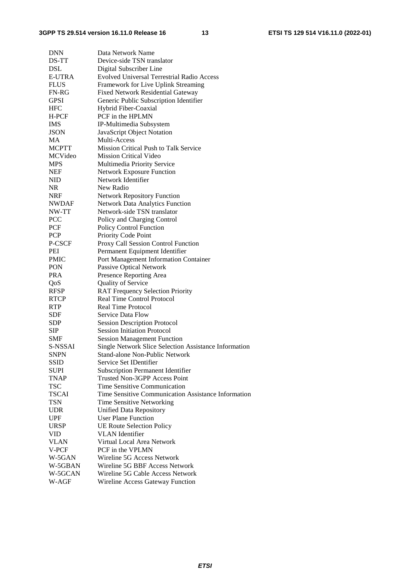| <b>DNN</b>    | Data Network Name                                     |
|---------------|-------------------------------------------------------|
| DS-TT         | Device-side TSN translator                            |
| <b>DSL</b>    | Digital Subscriber Line                               |
| <b>E-UTRA</b> | Evolved Universal Terrestrial Radio Access            |
| <b>FLUS</b>   | Framework for Live Uplink Streaming                   |
| $FN-RG$       | <b>Fixed Network Residential Gateway</b>              |
| <b>GPSI</b>   | Generic Public Subscription Identifier                |
| <b>HFC</b>    | Hybrid Fiber-Coaxial                                  |
| H-PCF         | PCF in the HPLMN                                      |
| <b>IMS</b>    | IP-Multimedia Subsystem                               |
| <b>JSON</b>   | JavaScript Object Notation                            |
| МA            | Multi-Access                                          |
| <b>MCPTT</b>  | Mission Critical Push to Talk Service                 |
| MCVideo       | <b>Mission Critical Video</b>                         |
| <b>MPS</b>    | Multimedia Priority Service                           |
| <b>NEF</b>    | <b>Network Exposure Function</b>                      |
| NID           | Network Identifier                                    |
| <b>NR</b>     | New Radio                                             |
| <b>NRF</b>    | <b>Network Repository Function</b>                    |
| <b>NWDAF</b>  | <b>Network Data Analytics Function</b>                |
| NW-TT         | Network-side TSN translator                           |
|               |                                                       |
| <b>PCC</b>    | Policy and Charging Control                           |
| PCF           | Policy Control Function                               |
| <b>PCP</b>    | Priority Code Point                                   |
| P-CSCF        | Proxy Call Session Control Function                   |
| PEI           | Permanent Equipment Identifier                        |
| <b>PMIC</b>   | Port Management Information Container                 |
| <b>PON</b>    | <b>Passive Optical Network</b>                        |
| <b>PRA</b>    | Presence Reporting Area                               |
| QoS           | Quality of Service                                    |
| <b>RFSP</b>   | <b>RAT Frequency Selection Priority</b>               |
| <b>RTCP</b>   | Real Time Control Protocol                            |
| <b>RTP</b>    | <b>Real Time Protocol</b>                             |
| <b>SDF</b>    | Service Data Flow                                     |
| <b>SDP</b>    | <b>Session Description Protocol</b>                   |
| <b>SIP</b>    | <b>Session Initiation Protocol</b>                    |
| <b>SMF</b>    | <b>Session Management Function</b>                    |
| S-NSSAI       | Single Network Slice Selection Assistance Information |
| SNPN          | <b>Stand-alone Non-Public Network</b>                 |
| <b>SSID</b>   | Service Set IDentifier                                |
| <b>SUPI</b>   | <b>Subscription Permanent Identifier</b>              |
| <b>TNAP</b>   | Trusted Non-3GPP Access Point                         |
| <b>TSC</b>    | Time Sensitive Communication                          |
| <b>TSCAI</b>  | Time Sensitive Communication Assistance Information   |
| <b>TSN</b>    | Time Sensitive Networking                             |
| <b>UDR</b>    | <b>Unified Data Repository</b>                        |
| <b>UPF</b>    | User Plane Function                                   |
| <b>URSP</b>   | <b>UE Route Selection Policy</b>                      |
| VID           | <b>VLAN</b> Identifier                                |
| <b>VLAN</b>   | Virtual Local Area Network                            |
| V-PCF         | PCF in the VPLMN                                      |
| W-5GAN        | Wireline 5G Access Network                            |
| W-5GBAN       | Wireline 5G BBF Access Network                        |
| W-5GCAN       | Wireline 5G Cable Access Network                      |
| W-AGF         | Wireline Access Gateway Function                      |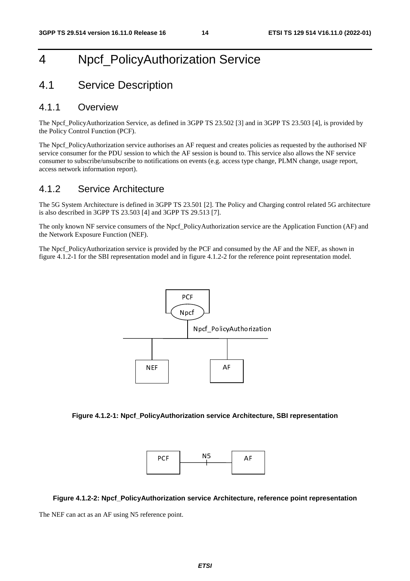# 4 Npcf\_PolicyAuthorization Service

# 4.1 Service Description

### 4.1.1 Overview

The Npcf\_PolicyAuthorization Service, as defined in 3GPP TS 23.502 [3] and in 3GPP TS 23.503 [4], is provided by the Policy Control Function (PCF).

The Npcf. PolicyAuthorization service authorises an AF request and creates policies as requested by the authorised NF service consumer for the PDU session to which the AF session is bound to. This service also allows the NF service consumer to subscribe/unsubscribe to notifications on events (e.g. access type change, PLMN change, usage report, access network information report).

## 4.1.2 Service Architecture

The 5G System Architecture is defined in 3GPP TS 23.501 [2]. The Policy and Charging control related 5G architecture is also described in 3GPP TS 23.503 [4] and 3GPP TS 29.513 [7].

The only known NF service consumers of the Npcf\_PolicyAuthorization service are the Application Function (AF) and the Network Exposure Function (NEF).

The Npcf\_PolicyAuthorization service is provided by the PCF and consumed by the AF and the NEF, as shown in figure 4.1.2-1 for the SBI representation model and in figure 4.1.2-2 for the reference point representation model.







**Figure 4.1.2-2: Npcf\_PolicyAuthorization service Architecture, reference point representation** 

The NEF can act as an AF using N5 reference point.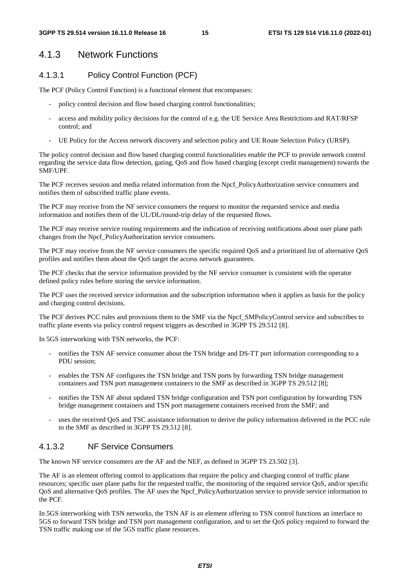### 4.1.3 Network Functions

#### 4.1.3.1 Policy Control Function (PCF)

The PCF (Policy Control Function) is a functional element that encompasses:

- policy control decision and flow based charging control functionalities;
- access and mobility policy decisions for the control of e.g. the UE Service Area Restrictions and RAT/RFSP control; and
- UE Policy for the Access network discovery and selection policy and UE Route Selection Policy (URSP).

The policy control decision and flow based charging control functionalities enable the PCF to provide network control regarding the service data flow detection, gating, QoS and flow based charging (except credit management) towards the SMF/UPF.

The PCF receives session and media related information from the Npcf\_PolicyAuthorization service consumers and notifies them of subscribed traffic plane events.

The PCF may receive from the NF service consumers the request to monitor the requested service and media information and notifies them of the UL/DL/round-trip delay of the requested flows.

The PCF may receive service routing requirements and the indication of receiving notifications about user plane path changes from the Npcf\_PolicyAuthorization service consumers.

The PCF may receive from the NF service consumers the specific required QoS and a prioritized list of alternative QoS profiles and notifies them about the QoS target the access network guarantees.

The PCF checks that the service information provided by the NF service consumer is consistent with the operator defined policy rules before storing the service information.

The PCF uses the received service information and the subscription information when it applies as basis for the policy and charging control decisions.

The PCF derives PCC rules and provisions them to the SMF via the Npcf\_SMPolicyControl service and subscribes to traffic plane events via policy control request triggers as described in 3GPP TS 29.512 [8].

In 5GS interworking with TSN networks, the PCF:

- notifies the TSN AF service consumer about the TSN bridge and DS-TT port information corresponding to a PDU session;
- enables the TSN AF configures the TSN bridge and TSN ports by forwarding TSN bridge management containers and TSN port management containers to the SMF as described in 3GPP TS 29.512 [8];
- notifies the TSN AF about updated TSN bridge configuration and TSN port configuration by forwarding TSN bridge management containers and TSN port management containers received from the SMF; and
- uses the received QoS and TSC assistance information to derive the policy information delivered in the PCC rule to the SMF as described in 3GPP TS 29.512 [8].

#### 4.1.3.2 NF Service Consumers

The known NF service consumers are the AF and the NEF, as defined in 3GPP TS 23.502 [3].

The AF is an element offering control to applications that require the policy and charging control of traffic plane resources; specific user plane paths for the requested traffic, the monitoring of the required service QoS, and/or specific QoS and alternative QoS profiles. The AF uses the Npcf\_PolicyAuthorization service to provide service information to the PCF.

In 5GS interworking with TSN networks, the TSN AF is an element offering to TSN control functions an interface to 5GS to forward TSN bridge and TSN port management configuration, and to set the QoS policy required to forward the TSN traffic making use of the 5GS traffic plane resources.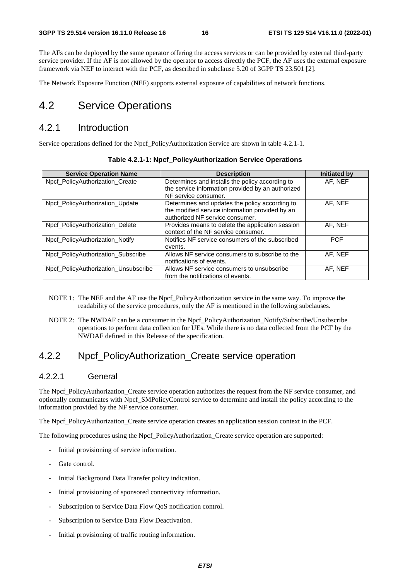The AFs can be deployed by the same operator offering the access services or can be provided by external third-party service provider. If the AF is not allowed by the operator to access directly the PCF, the AF uses the external exposure framework via NEF to interact with the PCF, as described in subclause 5.20 of 3GPP TS 23.501 [2].

The Network Exposure Function (NEF) supports external exposure of capabilities of network functions.

## 4.2 Service Operations

### 4.2.1 Introduction

Service operations defined for the Npcf\_PolicyAuthorization Service are shown in table 4.2.1-1.

| <b>Service Operation Name</b>        | <b>Description</b>                                                                                                                   | Initiated by |
|--------------------------------------|--------------------------------------------------------------------------------------------------------------------------------------|--------------|
| Npcf_PolicyAuthorization_Create      | Determines and installs the policy according to                                                                                      | AF. NEF      |
|                                      | the service information provided by an authorized                                                                                    |              |
|                                      | NF service consumer.                                                                                                                 |              |
| Npcf_PolicyAuthorization_Update      | Determines and updates the policy according to<br>the modified service information provided by an<br>authorized NF service consumer. | AF, NEF      |
| Npcf PolicyAuthorization Delete      | Provides means to delete the application session<br>context of the NF service consumer.                                              | AF. NEF      |
| Npcf_PolicyAuthorization_Notify      | Notifies NF service consumers of the subscribed<br>events.                                                                           | <b>PCF</b>   |
| Npcf PolicyAuthorization Subscribe   | Allows NF service consumers to subscribe to the<br>notifications of events.                                                          | AF. NEF      |
| Npcf PolicyAuthorization Unsubscribe | Allows NF service consumers to unsubscribe<br>from the notifications of events.                                                      | AF, NEF      |

|  | Table 4.2.1-1: Npcf_PolicyAuthorization Service Operations |  |
|--|------------------------------------------------------------|--|
|--|------------------------------------------------------------|--|

- NOTE 1: The NEF and the AF use the Npcf\_PolicyAuthorization service in the same way. To improve the readability of the service procedures, only the AF is mentioned in the following subclauses.
- NOTE 2: The NWDAF can be a consumer in the Npcf\_PolicyAuthorization\_Notify/Subscribe/Unsubscribe operations to perform data collection for UEs. While there is no data collected from the PCF by the NWDAF defined in this Release of the specification.

### 4.2.2 Npcf\_PolicyAuthorization\_Create service operation

#### 4.2.2.1 General

The Npcf PolicyAuthorization Create service operation authorizes the request from the NF service consumer, and optionally communicates with Npcf\_SMPolicyControl service to determine and install the policy according to the information provided by the NF service consumer.

The Npcf\_PolicyAuthorization\_Create service operation creates an application session context in the PCF.

The following procedures using the Npcf\_PolicyAuthorization\_Create service operation are supported:

- Initial provisioning of service information.
- Gate control
- Initial Background Data Transfer policy indication.
- Initial provisioning of sponsored connectivity information.
- Subscription to Service Data Flow QoS notification control.
- Subscription to Service Data Flow Deactivation.
- Initial provisioning of traffic routing information.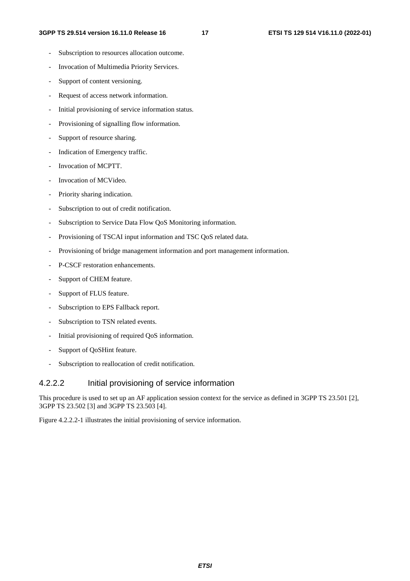- Subscription to resources allocation outcome.
- Invocation of Multimedia Priority Services.
- Support of content versioning.
- Request of access network information.
- Initial provisioning of service information status.
- Provisioning of signalling flow information.
- Support of resource sharing.
- Indication of Emergency traffic.
- Invocation of MCPTT.
- Invocation of MCVideo.
- Priority sharing indication.
- Subscription to out of credit notification.
- Subscription to Service Data Flow QoS Monitoring information.
- Provisioning of TSCAI input information and TSC QoS related data.
- Provisioning of bridge management information and port management information.
- P-CSCF restoration enhancements.
- Support of CHEM feature.
- Support of FLUS feature.
- Subscription to EPS Fallback report.
- Subscription to TSN related events.
- Initial provisioning of required QoS information.
- Support of QoSHint feature.
- Subscription to reallocation of credit notification.

#### 4.2.2.2 Initial provisioning of service information

This procedure is used to set up an AF application session context for the service as defined in 3GPP TS 23.501 [2], 3GPP TS 23.502 [3] and 3GPP TS 23.503 [4].

Figure 4.2.2.2-1 illustrates the initial provisioning of service information.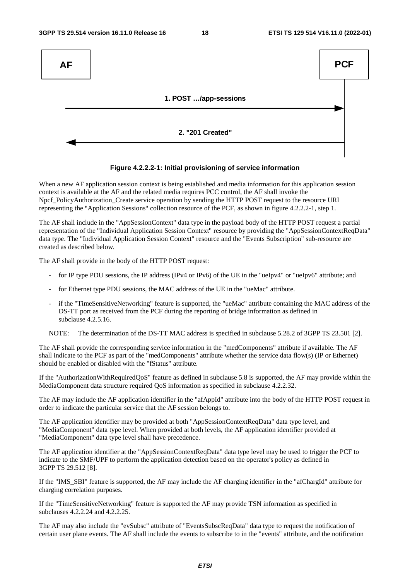



When a new AF application session context is being established and media information for this application session context is available at the AF and the related media requires PCC control, the AF shall invoke the Npcf\_PolicyAuthorization\_Create service operation by sending the HTTP POST request to the resource URI representing the "Application Sessions" collection resource of the PCF, as shown in figure 4.2.2.2-1, step 1.

The AF shall include in the "AppSessionContext" data type in the payload body of the HTTP POST request a partial representation of the "Individual Application Session Context" resource by providing the "AppSessionContextReqData" data type. The "Individual Application Session Context" resource and the "Events Subscription" sub-resource are created as described below.

The AF shall provide in the body of the HTTP POST request:

- for IP type PDU sessions, the IP address (IPv4 or IPv6) of the UE in the "ueIpv4" or "ueIpv6" attribute; and
- for Ethernet type PDU sessions, the MAC address of the UE in the "ueMac" attribute.
- if the "TimeSensitiveNetworking" feature is supported, the "ueMac" attribute containing the MAC address of the DS-TT port as received from the PCF during the reporting of bridge information as defined in subclause 4.2.5.16.

NOTE: The determination of the DS-TT MAC address is specified in subclause 5.28.2 of 3GPP TS 23.501 [2].

The AF shall provide the corresponding service information in the "medComponents" attribute if available. The AF shall indicate to the PCF as part of the "medComponents" attribute whether the service data flow(s) (IP or Ethernet) should be enabled or disabled with the "fStatus" attribute.

If the "AuthorizationWithRequiredQoS" feature as defined in subclause 5.8 is supported, the AF may provide within the MediaComponent data structure required QoS information as specified in subclause 4.2.2.32.

The AF may include the AF application identifier in the "afAppId" attribute into the body of the HTTP POST request in order to indicate the particular service that the AF session belongs to.

The AF application identifier may be provided at both "AppSessionContextReqData" data type level, and "MediaComponent" data type level. When provided at both levels, the AF application identifier provided at "MediaComponent" data type level shall have precedence.

The AF application identifier at the "AppSessionContextReqData" data type level may be used to trigger the PCF to indicate to the SMF/UPF to perform the application detection based on the operator's policy as defined in 3GPP TS 29.512 [8].

If the "IMS\_SBI" feature is supported, the AF may include the AF charging identifier in the "afChargId" attribute for charging correlation purposes.

If the "TimeSensitiveNetworking" feature is supported the AF may provide TSN information as specified in subclauses 4.2.2.24 and 4.2.2.25.

The AF may also include the "evSubsc" attribute of "EventsSubscReqData" data type to request the notification of certain user plane events. The AF shall include the events to subscribe to in the "events" attribute, and the notification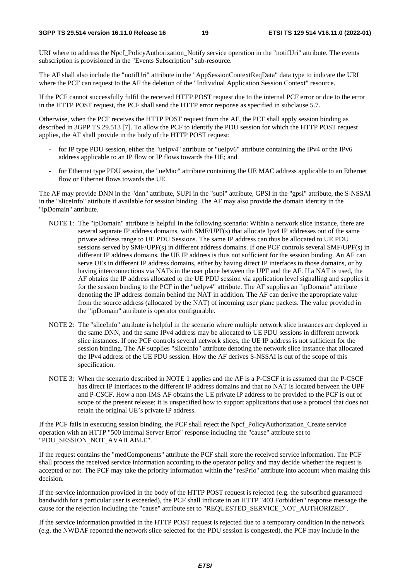URI where to address the Npcf\_PolicyAuthorization\_Notify service operation in the "notifUri" attribute. The events subscription is provisioned in the "Events Subscription" sub-resource.

The AF shall also include the "notifUri" attribute in the "AppSessionContextReqData" data type to indicate the URI where the PCF can request to the AF the deletion of the "Individual Application Session Context" resource.

If the PCF cannot successfully fulfil the received HTTP POST request due to the internal PCF error or due to the error in the HTTP POST request, the PCF shall send the HTTP error response as specified in subclause 5.7.

Otherwise, when the PCF receives the HTTP POST request from the AF, the PCF shall apply session binding as described in 3GPP TS 29.513 [7]. To allow the PCF to identify the PDU session for which the HTTP POST request applies, the AF shall provide in the body of the HTTP POST request:

- for IP type PDU session, either the "ueIpv4" attribute or "ueIpv6" attribute containing the IPv4 or the IPv6 address applicable to an IP flow or IP flows towards the UE; and
- for Ethernet type PDU session, the "ueMac" attribute containing the UE MAC address applicable to an Ethernet flow or Ethernet flows towards the UE.

The AF may provide DNN in the "dnn" attribute, SUPI in the "supi" attribute, GPSI in the "gpsi" attribute, the S-NSSAI in the "sliceInfo" attribute if available for session binding. The AF may also provide the domain identity in the "ipDomain" attribute.

- NOTE 1: The "ipDomain" attribute is helpful in the following scenario: Within a network slice instance, there are several separate IP address domains, with SMF/UPF(s) that allocate Ipv4 IP addresses out of the same private address range to UE PDU Sessions. The same IP address can thus be allocated to UE PDU sessions served by SMF/UPF(s) in different address domains. If one PCF controls several SMF/UPF(s) in different IP address domains, the UE IP address is thus not sufficient for the session binding. An AF can serve UEs in different IP address domains, either by having direct IP interfaces to those domains, or by having interconnections via NATs in the user plane between the UPF and the AF. If a NAT is used, the AF obtains the IP address allocated to the UE PDU session via application level signalling and supplies it for the session binding to the PCF in the "ueIpv4" attribute. The AF supplies an "ipDomain" attribute denoting the IP address domain behind the NAT in addition. The AF can derive the appropriate value from the source address (allocated by the NAT) of incoming user plane packets. The value provided in the "ipDomain" attribute is operator configurable.
- NOTE 2: The "sliceInfo" attribute is helpful in the scenario where multiple network slice instances are deployed in the same DNN, and the same IPv4 address may be allocated to UE PDU sessions in different network slice instances. If one PCF controls several network slices, the UE IP address is not sufficient for the session binding. The AF supplies "sliceInfo" attribute denoting the network slice instance that allocated the IPv4 address of the UE PDU session. How the AF derives S-NSSAI is out of the scope of this specification.
- NOTE 3: When the scenario described in NOTE 1 applies and the AF is a P-CSCF it is assumed that the P-CSCF has direct IP interfaces to the different IP address domains and that no NAT is located between the UPF and P-CSCF. How a non-IMS AF obtains the UE private IP address to be provided to the PCF is out of scope of the present release; it is unspecified how to support applications that use a protocol that does not retain the original UE's private IP address.

If the PCF fails in executing session binding, the PCF shall reject the Npcf\_PolicyAuthorization\_Create service operation with an HTTP "500 Internal Server Error" response including the "cause" attribute set to "PDU\_SESSION\_NOT\_AVAILABLE".

If the request contains the "medComponents" attribute the PCF shall store the received service information. The PCF shall process the received service information according to the operator policy and may decide whether the request is accepted or not. The PCF may take the priority information within the "resPrio" attribute into account when making this decision.

If the service information provided in the body of the HTTP POST request is rejected (e.g. the subscribed guaranteed bandwidth for a particular user is exceeded), the PCF shall indicate in an HTTP "403 Forbidden" response message the cause for the rejection including the "cause" attribute set to "REQUESTED\_SERVICE\_NOT\_AUTHORIZED".

If the service information provided in the HTTP POST request is rejected due to a temporary condition in the network (e.g. the NWDAF reported the network slice selected for the PDU session is congested), the PCF may include in the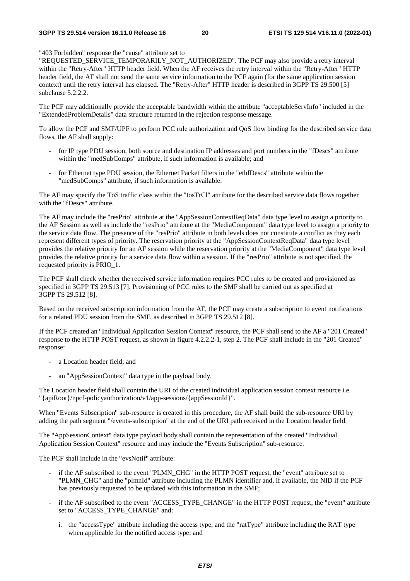"403 Forbidden" response the "cause" attribute set to

"REQUESTED\_SERVICE\_TEMPORARILY\_NOT\_AUTHORIZED". The PCF may also provide a retry interval within the "Retry-After" HTTP header field. When the AF receives the retry interval within the "Retry-After" HTTP header field, the AF shall not send the same service information to the PCF again (for the same application session context) until the retry interval has elapsed. The "Retry-After" HTTP header is described in 3GPP TS 29.500 [5] subclause 5.2.2.2.

The PCF may additionally provide the acceptable bandwidth within the attribute "acceptableServInfo" included in the "ExtendedProblemDetails" data structure returned in the rejection response message.

To allow the PCF and SMF/UPF to perform PCC rule authorization and QoS flow binding for the described service data flows, the AF shall supply:

- for IP type PDU session, both source and destination IP addresses and port numbers in the "fDescs" attribute within the "medSubComps" attribute, if such information is available; and
- for Ethernet type PDU session, the Ethernet Packet filters in the "ethfDescs" attribute within the "medSubComps" attribute, if such information is available.

The AF may specify the ToS traffic class within the "tosTrCl" attribute for the described service data flows together with the "fDescs" attribute.

The AF may include the "resPrio" attribute at the "AppSessionContextReqData" data type level to assign a priority to the AF Session as well as include the "resPrio" attribute at the "MediaComponent" data type level to assign a priority to the service data flow. The presence of the "resPrio" attribute in both levels does not constitute a conflict as they each represent different types of priority. The reservation priority at the "AppSessionContextReqData" data type level provides the relative priority for an AF session while the reservation priority at the "MediaComponent" data type level provides the relative priority for a service data flow within a session. If the "resPrio" attribute is not specified, the requested priority is PRIO\_1.

The PCF shall check whether the received service information requires PCC rules to be created and provisioned as specified in 3GPP TS 29.513 [7]. Provisioning of PCC rules to the SMF shall be carried out as specified at 3GPP TS 29.512 [8].

Based on the received subscription information from the AF, the PCF may create a subscription to event notifications for a related PDU session from the SMF, as described in 3GPP TS 29.512 [8].

If the PCF created an "Individual Application Session Context" resource, the PCF shall send to the AF a "201 Created" response to the HTTP POST request, as shown in figure 4.2.2.2-1, step 2. The PCF shall include in the "201 Created" response:

- a Location header field; and
- an "AppSessionContext" data type in the payload body.

The Location header field shall contain the URI of the created individual application session context resource i.e. "{apiRoot}/npcf-policyauthorization/v1/app-sessions/{appSessionId}".

When "Events Subscription" sub-resource is created in this procedure, the AF shall build the sub-resource URI by adding the path segment "/events-subscription" at the end of the URI path received in the Location header field.

The "AppSessionContext" data type payload body shall contain the representation of the created "Individual Application Session Context" resource and may include the "Events Subscription" sub-resource.

The PCF shall include in the "evsNotif" attribute:

- if the AF subscribed to the event "PLMN\_CHG" in the HTTP POST request, the "event" attribute set to "PLMN\_CHG" and the "plmnId" attribute including the PLMN identifier and, if available, the NID if the PCF has previously requested to be updated with this information in the SMF;
- if the AF subscribed to the event "ACCESS\_TYPE\_CHANGE" in the HTTP POST request, the "event" attribute set to "ACCESS\_TYPE\_CHANGE" and:
	- i. the "accessType" attribute including the access type, and the "ratType" attribute including the RAT type when applicable for the notified access type; and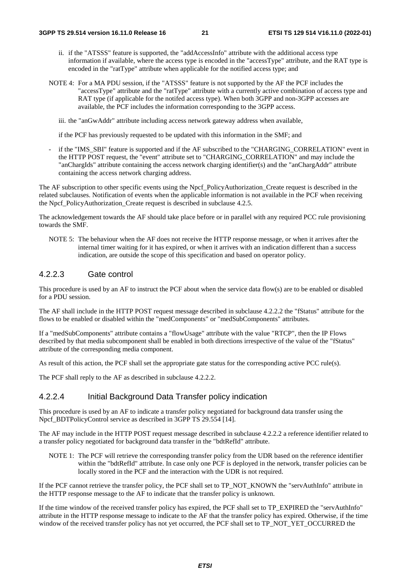- ii. if the "ATSSS" feature is supported, the "addAccessInfo" attribute with the additional access type information if available, where the access type is encoded in the "accessType" attribute, and the RAT type is encoded in the "ratType" attribute when applicable for the notified access type; and
- NOTE 4: For a MA PDU session, if the "ATSSS" feature is not supported by the AF the PCF includes the "accessType" attribute and the "ratType" attribute with a currently active combination of access type and RAT type (if applicable for the notifed access type). When both 3GPP and non-3GPP accesses are available, the PCF includes the information corresponding to the 3GPP access.

iii. the "anGwAddr" attribute including access network gateway address when available,

if the PCF has previously requested to be updated with this information in the SMF; and

if the "IMS SBI" feature is supported and if the AF subscribed to the "CHARGING CORRELATION" event in the HTTP POST request, the "event" attribute set to "CHARGING\_CORRELATION" and may include the "anChargIds" attribute containing the access network charging identifier(s) and the "anChargAddr" attribute containing the access network charging address.

The AF subscription to other specific events using the Npcf\_PolicyAuthorization\_Create request is described in the related subclauses. Notification of events when the applicable information is not available in the PCF when receiving the Npcf\_PolicyAuthorization\_Create request is described in subclause 4.2.5.

The acknowledgement towards the AF should take place before or in parallel with any required PCC rule provisioning towards the SMF.

NOTE 5: The behaviour when the AF does not receive the HTTP response message, or when it arrives after the internal timer waiting for it has expired, or when it arrives with an indication different than a success indication, are outside the scope of this specification and based on operator policy.

#### 4.2.2.3 Gate control

This procedure is used by an AF to instruct the PCF about when the service data flow(s) are to be enabled or disabled for a PDU session.

The AF shall include in the HTTP POST request message described in subclause 4.2.2.2 the "fStatus" attribute for the flows to be enabled or disabled within the "medComponents" or "medSubComponents" attributes.

If a "medSubComponents" attribute contains a "flowUsage" attribute with the value "RTCP", then the IP Flows described by that media subcomponent shall be enabled in both directions irrespective of the value of the "fStatus" attribute of the corresponding media component.

As result of this action, the PCF shall set the appropriate gate status for the corresponding active PCC rule(s).

The PCF shall reply to the AF as described in subclause 4.2.2.2.

#### 4.2.2.4 Initial Background Data Transfer policy indication

This procedure is used by an AF to indicate a transfer policy negotiated for background data transfer using the Npcf BDTPolicyControl service as described in 3GPP TS 29.554 [14].

The AF may include in the HTTP POST request message described in subclause 4.2.2.2 a reference identifier related to a transfer policy negotiated for background data transfer in the "bdtRefId" attribute.

NOTE 1: The PCF will retrieve the corresponding transfer policy from the UDR based on the reference identifier within the "bdtRefId" attribute. In case only one PCF is deployed in the network, transfer policies can be locally stored in the PCF and the interaction with the UDR is not required.

If the PCF cannot retrieve the transfer policy, the PCF shall set to TP\_NOT\_KNOWN the "servAuthInfo" attribute in the HTTP response message to the AF to indicate that the transfer policy is unknown.

If the time window of the received transfer policy has expired, the PCF shall set to TP\_EXPIRED the "servAuthInfo" attribute in the HTTP response message to indicate to the AF that the transfer policy has expired. Otherwise, if the time window of the received transfer policy has not yet occurred, the PCF shall set to TP\_NOT\_YET\_OCCURRED the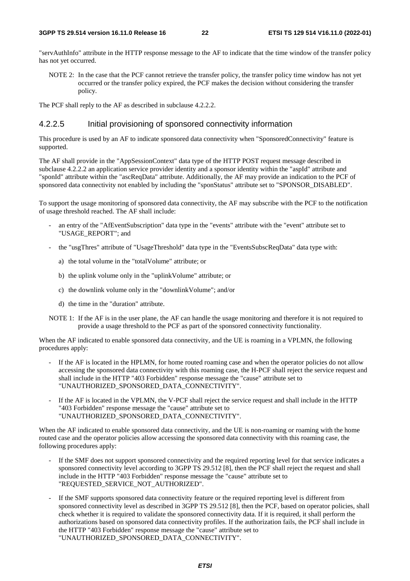"servAuthInfo" attribute in the HTTP response message to the AF to indicate that the time window of the transfer policy has not yet occurred.

NOTE 2: In the case that the PCF cannot retrieve the transfer policy, the transfer policy time window has not yet occurred or the transfer policy expired, the PCF makes the decision without considering the transfer policy.

The PCF shall reply to the AF as described in subclause 4.2.2.2.

#### 4.2.2.5 Initial provisioning of sponsored connectivity information

This procedure is used by an AF to indicate sponsored data connectivity when "SponsoredConnectivity" feature is supported.

The AF shall provide in the "AppSessionContext" data type of the HTTP POST request message described in subclause 4.2.2.2 an application service provider identity and a sponsor identity within the "aspId" attribute and "sponId" attribute within the "ascReqData" attribute. Additionally, the AF may provide an indication to the PCF of sponsored data connectivity not enabled by including the "sponStatus" attribute set to "SPONSOR\_DISABLED".

To support the usage monitoring of sponsored data connectivity, the AF may subscribe with the PCF to the notification of usage threshold reached. The AF shall include:

- an entry of the "AfEventSubscription" data type in the "events" attribute with the "event" attribute set to "USAGE\_REPORT"; and
- the "usgThres" attribute of "UsageThreshold" data type in the "EventsSubscReqData" data type with:
	- a) the total volume in the "totalVolume" attribute; or
	- b) the uplink volume only in the "uplinkVolume" attribute; or
	- c) the downlink volume only in the "downlinkVolume"; and/or
	- d) the time in the "duration" attribute.
- NOTE 1: If the AF is in the user plane, the AF can handle the usage monitoring and therefore it is not required to provide a usage threshold to the PCF as part of the sponsored connectivity functionality.

When the AF indicated to enable sponsored data connectivity, and the UE is roaming in a VPLMN, the following procedures apply:

- If the AF is located in the HPLMN, for home routed roaming case and when the operator policies do not allow accessing the sponsored data connectivity with this roaming case, the H-PCF shall reject the service request and shall include in the HTTP "403 Forbidden" response message the "cause" attribute set to "UNAUTHORIZED\_SPONSORED\_DATA\_CONNECTIVITY".
- If the AF is located in the VPLMN, the V-PCF shall reject the service request and shall include in the HTTP "403 Forbidden" response message the "cause" attribute set to "UNAUTHORIZED\_SPONSORED\_DATA\_CONNECTIVITY".

When the AF indicated to enable sponsored data connectivity, and the UE is non-roaming or roaming with the home routed case and the operator policies allow accessing the sponsored data connectivity with this roaming case, the following procedures apply:

- If the SMF does not support sponsored connectivity and the required reporting level for that service indicates a sponsored connectivity level according to 3GPP TS 29.512 [8], then the PCF shall reject the request and shall include in the HTTP "403 Forbidden" response message the "cause" attribute set to "REQUESTED\_SERVICE\_NOT\_AUTHORIZED".
- If the SMF supports sponsored data connectivity feature or the required reporting level is different from sponsored connectivity level as described in 3GPP TS 29.512 [8], then the PCF, based on operator policies, shall check whether it is required to validate the sponsored connectivity data. If it is required, it shall perform the authorizations based on sponsored data connectivity profiles. If the authorization fails, the PCF shall include in the HTTP "403 Forbidden" response message the "cause" attribute set to "UNAUTHORIZED\_SPONSORED\_DATA\_CONNECTIVITY".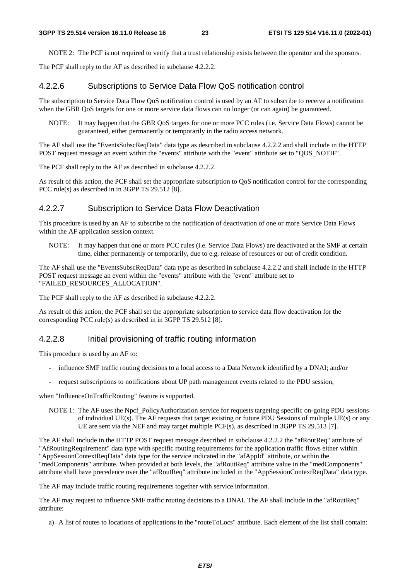NOTE 2: The PCF is not required to verify that a trust relationship exists between the operator and the sponsors.

The PCF shall reply to the AF as described in subclause 4.2.2.2.

#### 4.2.2.6 Subscriptions to Service Data Flow QoS notification control

The subscription to Service Data Flow QoS notification control is used by an AF to subscribe to receive a notification when the GBR QoS targets for one or more service data flows can no longer (or can again) be guaranteed.

NOTE: It may happen that the GBR QoS targets for one or more PCC rules (i.e. Service Data Flows) cannot be guaranteed, either permanently or temporarily in the radio access network.

The AF shall use the "EventsSubscReqData" data type as described in subclause 4.2.2.2 and shall include in the HTTP POST request message an event within the "events" attribute with the "event" attribute set to "QOS\_NOTIF".

The PCF shall reply to the AF as described in subclause 4.2.2.2.

As result of this action, the PCF shall set the appropriate subscription to QoS notification control for the corresponding PCC rule(s) as described in in 3GPP TS 29.512 [8].

#### 4.2.2.7 Subscription to Service Data Flow Deactivation

This procedure is used by an AF to subscribe to the notification of deactivation of one or more Service Data Flows within the AF application session context.

NOTE: It may happen that one or more PCC rules (i.e. Service Data Flows) are deactivated at the SMF at certain time, either permanently or temporarily, due to e.g. release of resources or out of credit condition.

The AF shall use the "EventsSubscReqData" data type as described in subclause 4.2.2.2 and shall include in the HTTP POST request message an event within the "events" attribute with the "event" attribute set to "FAILED\_RESOURCES\_ALLOCATION".

The PCF shall reply to the AF as described in subclause 4.2.2.2.

As result of this action, the PCF shall set the appropriate subscription to service data flow deactivation for the corresponding PCC rule(s) as described in in 3GPP TS 29.512 [8].

#### 4.2.2.8 Initial provisioning of traffic routing information

This procedure is used by an AF to:

- influence SMF traffic routing decisions to a local access to a Data Network identified by a DNAI; and/or
- request subscriptions to notifications about UP path management events related to the PDU session,

when "InfluenceOnTrafficRouting" feature is supported.

NOTE 1: The AF uses the Npcf\_PolicyAuthorization service for requests targeting specific on-going PDU sessions of individual UE(s). The AF requests that target existing or future PDU Sessions of multiple UE(s) or any UE are sent via the NEF and may target multiple PCF(s), as described in 3GPP TS 29.513 [7].

The AF shall include in the HTTP POST request message described in subclause 4.2.2.2 the "afRoutReq" attribute of "AfRoutingRequirement" data type with specific routing requirements for the application traffic flows either within "AppSessionContextReqData" data type for the service indicated in the "afAppId" attribute, or within the "medComponents" attribute. When provided at both levels, the "afRoutReq" attribute value in the "medComponents" attribute shall have precedence over the "afRoutReq" attribute included in the "AppSessionContextReqData" data type.

The AF may include traffic routing requirements together with service information.

The AF may request to influence SMF traffic routing decisions to a DNAI. The AF shall include in the "afRoutReq" attribute:

a) A list of routes to locations of applications in the "routeToLocs" attribute. Each element of the list shall contain: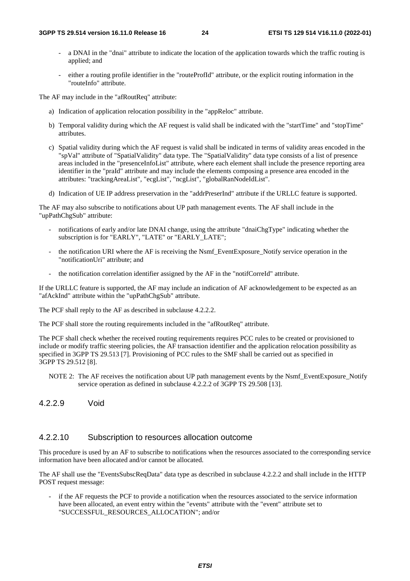- a DNAI in the "dnai" attribute to indicate the location of the application towards which the traffic routing is applied; and
- either a routing profile identifier in the "routeProfId" attribute, or the explicit routing information in the "routeInfo" attribute.

The AF may include in the "afRoutReq" attribute:

- a) Indication of application relocation possibility in the "appReloc" attribute.
- b) Temporal validity during which the AF request is valid shall be indicated with the "startTime" and "stopTime" attributes.
- c) Spatial validity during which the AF request is valid shall be indicated in terms of validity areas encoded in the "spVal" attribute of "SpatialValidity" data type. The "SpatialValidity" data type consists of a list of presence areas included in the "presenceInfoList" attribute, where each element shall include the presence reporting area identifier in the "praId" attribute and may include the elements composing a presence area encoded in the attributes: "trackingAreaList", "ecgList", "ncgList", "globalRanNodeIdList".
- d) Indication of UE IP address preservation in the "addrPreserInd" attribute if the URLLC feature is supported.

The AF may also subscribe to notifications about UP path management events. The AF shall include in the "upPathChgSub" attribute:

- notifications of early and/or late DNAI change, using the attribute "dnaiChgType" indicating whether the subscription is for "EARLY", "LATE" or "EARLY\_LATE";
- the notification URI where the AF is receiving the Nsmf\_EventExposure\_Notify service operation in the "notificationUri" attribute; and
- the notification correlation identifier assigned by the AF in the "notifCorreId" attribute.

If the URLLC feature is supported, the AF may include an indication of AF acknowledgement to be expected as an "afAckInd" attribute within the "upPathChgSub" attribute.

The PCF shall reply to the AF as described in subclause 4.2.2.2.

The PCF shall store the routing requirements included in the "afRoutReq" attribute.

The PCF shall check whether the received routing requirements requires PCC rules to be created or provisioned to include or modify traffic steering policies, the AF transaction identifier and the application relocation possibility as specified in 3GPP TS 29.513 [7]. Provisioning of PCC rules to the SMF shall be carried out as specified in 3GPP TS 29.512 [8].

- NOTE 2: The AF receives the notification about UP path management events by the Nsmf\_EventExposure\_Notify service operation as defined in subclause 4.2.2.2 of 3GPP TS 29.508 [13].
- 4.2.2.9 Void

#### 4.2.2.10 Subscription to resources allocation outcome

This procedure is used by an AF to subscribe to notifications when the resources associated to the corresponding service information have been allocated and/or cannot be allocated.

The AF shall use the "EventsSubscReqData" data type as described in subclause 4.2.2.2 and shall include in the HTTP POST request message:

if the AF requests the PCF to provide a notification when the resources associated to the service information have been allocated, an event entry within the "events" attribute with the "event" attribute set to "SUCCESSFUL\_RESOURCES\_ALLOCATION"; and/or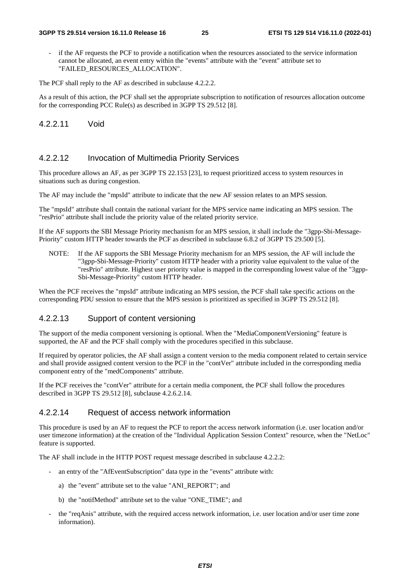if the AF requests the PCF to provide a notification when the resources associated to the service information cannot be allocated, an event entry within the "events" attribute with the "event" attribute set to "FAILED\_RESOURCES\_ALLOCATION".

The PCF shall reply to the AF as described in subclause 4.2.2.2.

As a result of this action, the PCF shall set the appropriate subscription to notification of resources allocation outcome for the corresponding PCC Rule(s) as described in 3GPP TS 29.512 [8].

4.2.2.11 Void

#### 4.2.2.12 Invocation of Multimedia Priority Services

This procedure allows an AF, as per 3GPP TS 22.153 [23], to request prioritized access to system resources in situations such as during congestion.

The AF may include the "mpsId" attribute to indicate that the new AF session relates to an MPS session.

The "mpsId" attribute shall contain the national variant for the MPS service name indicating an MPS session. The "resPrio" attribute shall include the priority value of the related priority service.

If the AF supports the SBI Message Priority mechanism for an MPS session, it shall include the "3gpp-Sbi-Message-Priority" custom HTTP header towards the PCF as described in subclause 6.8.2 of 3GPP TS 29.500 [5].

NOTE: If the AF supports the SBI Message Priority mechanism for an MPS session, the AF will include the "3gpp-Sbi-Message-Priority" custom HTTP header with a priority value equivalent to the value of the "resPrio" attribute. Highest user priority value is mapped in the corresponding lowest value of the "3gpp-Sbi-Message-Priority" custom HTTP header.

When the PCF receives the "mpsId" attribute indicating an MPS session, the PCF shall take specific actions on the corresponding PDU session to ensure that the MPS session is prioritized as specified in 3GPP TS 29.512 [8].

#### 4.2.2.13 Support of content versioning

The support of the media component versioning is optional. When the "MediaComponentVersioning" feature is supported, the AF and the PCF shall comply with the procedures specified in this subclause.

If required by operator policies, the AF shall assign a content version to the media component related to certain service and shall provide assigned content version to the PCF in the "contVer" attribute included in the corresponding media component entry of the "medComponents" attribute.

If the PCF receives the "contVer" attribute for a certain media component, the PCF shall follow the procedures described in 3GPP TS 29.512 [8], subclause 4.2.6.2.14.

#### 4.2.2.14 Request of access network information

This procedure is used by an AF to request the PCF to report the access network information (i.e. user location and/or user timezone information) at the creation of the "Individual Application Session Context" resource, when the "NetLoc" feature is supported.

The AF shall include in the HTTP POST request message described in subclause 4.2.2.2:

- an entry of the "AfEventSubscription" data type in the "events" attribute with:
	- a) the "event" attribute set to the value "ANI\_REPORT"; and
	- b) the "notifMethod" attribute set to the value "ONE\_TIME"; and
- the "reqAnis" attribute, with the required access network information, i.e. user location and/or user time zone information).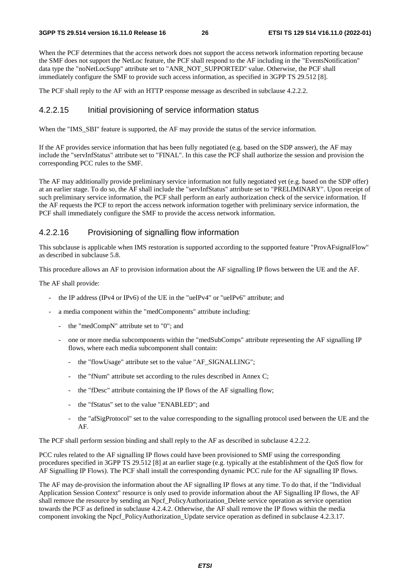When the PCF determines that the access network does not support the access network information reporting because the SMF does not support the NetLoc feature, the PCF shall respond to the AF including in the "EventsNotification" data type the "noNetLocSupp" attribute set to "ANR\_NOT\_SUPPORTED" value. Otherwise, the PCF shall immediately configure the SMF to provide such access information, as specified in 3GPP TS 29.512 [8].

The PCF shall reply to the AF with an HTTP response message as described in subclause 4.2.2.2.

#### 4.2.2.15 Initial provisioning of service information status

When the "IMS\_SBI" feature is supported, the AF may provide the status of the service information.

If the AF provides service information that has been fully negotiated (e.g. based on the SDP answer), the AF may include the "servInfStatus" attribute set to "FINAL". In this case the PCF shall authorize the session and provision the corresponding PCC rules to the SMF.

The AF may additionally provide preliminary service information not fully negotiated yet (e.g. based on the SDP offer) at an earlier stage. To do so, the AF shall include the "servInfStatus" attribute set to "PRELIMINARY". Upon receipt of such preliminary service information, the PCF shall perform an early authorization check of the service information. If the AF requests the PCF to report the access network information together with preliminary service information, the PCF shall immediately configure the SMF to provide the access network information.

#### 4.2.2.16 Provisioning of signalling flow information

This subclause is applicable when IMS restoration is supported according to the supported feature "ProvAFsignalFlow" as described in subclause 5.8.

This procedure allows an AF to provision information about the AF signalling IP flows between the UE and the AF.

The AF shall provide:

- the IP address (IPv4 or IPv6) of the UE in the "ueIPv4" or "ueIPv6" attribute; and
- a media component within the "medComponents" attribute including:
	- the "medCompN" attribute set to "0"; and
	- one or more media subcomponents within the "medSubComps" attribute representing the AF signalling IP flows, where each media subcomponent shall contain:
		- the "flowUsage" attribute set to the value "AF\_SIGNALLING";
		- the "fNum" attribute set according to the rules described in Annex C;
		- the "fDesc" attribute containing the IP flows of the AF signalling flow;
		- the "fStatus" set to the value "ENABLED"; and
		- the "afSigProtocol" set to the value corresponding to the signalling protocol used between the UE and the AF.

The PCF shall perform session binding and shall reply to the AF as described in subclause 4.2.2.2.

PCC rules related to the AF signalling IP flows could have been provisioned to SMF using the corresponding procedures specified in 3GPP TS 29.512 [8] at an earlier stage (e.g. typically at the establishment of the QoS flow for AF Signalling IP Flows). The PCF shall install the corresponding dynamic PCC rule for the AF signalling IP flows.

The AF may de-provision the information about the AF signalling IP flows at any time. To do that, if the "Individual Application Session Context" resource is only used to provide information about the AF Signalling IP flows, the AF shall remove the resource by sending an Npcf. PolicyAuthorization. Delete service operation as service operation towards the PCF as defined in subclause 4.2.4.2. Otherwise, the AF shall remove the IP flows within the media component invoking the Npcf\_PolicyAuthorization\_Update service operation as defined in subclause 4.2.3.17.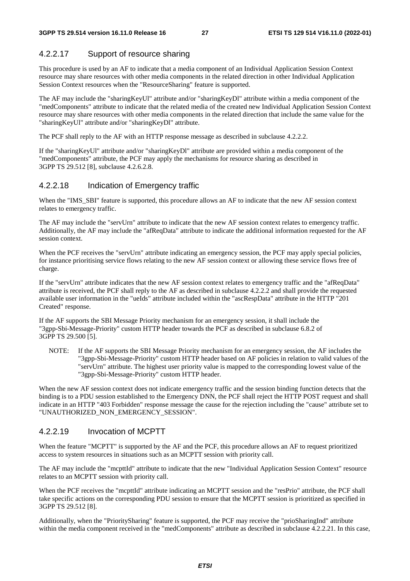### 4.2.2.17 Support of resource sharing

This procedure is used by an AF to indicate that a media component of an Individual Application Session Context resource may share resources with other media components in the related direction in other Individual Application Session Context resources when the "ResourceSharing" feature is supported.

The AF may include the "sharingKeyUl" attribute and/or "sharingKeyDl" attribute within a media component of the "medComponents" attribute to indicate that the related media of the created new Individual Application Session Context resource may share resources with other media components in the related direction that include the same value for the "sharingKeyUl" attribute and/or "sharingKeyDl" attribute.

The PCF shall reply to the AF with an HTTP response message as described in subclause 4.2.2.2.

If the "sharingKeyUl" attribute and/or "sharingKeyDl" attribute are provided within a media component of the "medComponents" attribute, the PCF may apply the mechanisms for resource sharing as described in 3GPP TS 29.512 [8], subclause 4.2.6.2.8.

#### 4.2.2.18 Indication of Emergency traffic

When the "IMS\_SBI" feature is supported, this procedure allows an AF to indicate that the new AF session context relates to emergency traffic.

The AF may include the "servUrn" attribute to indicate that the new AF session context relates to emergency traffic. Additionally, the AF may include the "afReqData" attribute to indicate the additional information requested for the AF session context.

When the PCF receives the "servUrn" attribute indicating an emergency session, the PCF may apply special policies, for instance prioritising service flows relating to the new AF session context or allowing these service flows free of charge.

If the "servUrn" attribute indicates that the new AF session context relates to emergency traffic and the "afReqData" attribute is received, the PCF shall reply to the AF as described in subclause 4.2.2.2 and shall provide the requested available user information in the "ueIds" attribute included within the "ascRespData" attribute in the HTTP "201 Created" response.

If the AF supports the SBI Message Priority mechanism for an emergency session, it shall include the "3gpp-Sbi-Message-Priority" custom HTTP header towards the PCF as described in subclause 6.8.2 of 3GPP TS 29.500 [5].

NOTE: If the AF supports the SBI Message Priority mechanism for an emergency session, the AF includes the "3gpp-Sbi-Message-Priority" custom HTTP header based on AF policies in relation to valid values of the "servUrn" attribute. The highest user priority value is mapped to the corresponding lowest value of the "3gpp-Sbi-Message-Priority" custom HTTP header.

When the new AF session context does not indicate emergency traffic and the session binding function detects that the binding is to a PDU session established to the Emergency DNN, the PCF shall reject the HTTP POST request and shall indicate in an HTTP "403 Forbidden" response message the cause for the rejection including the "cause" attribute set to "UNAUTHORIZED\_NON\_EMERGENCY\_SESSION".

#### 4.2.2.19 Invocation of MCPTT

When the feature "MCPTT" is supported by the AF and the PCF, this procedure allows an AF to request prioritized access to system resources in situations such as an MCPTT session with priority call.

The AF may include the "mcpttId" attribute to indicate that the new "Individual Application Session Context" resource relates to an MCPTT session with priority call.

When the PCF receives the "mcpttId" attribute indicating an MCPTT session and the "resPrio" attribute, the PCF shall take specific actions on the corresponding PDU session to ensure that the MCPTT session is prioritized as specified in 3GPP TS 29.512 [8].

Additionally, when the "PrioritySharing" feature is supported, the PCF may receive the "prioSharingInd" attribute within the media component received in the "medComponents" attribute as described in subclause 4.2.2.21. In this case,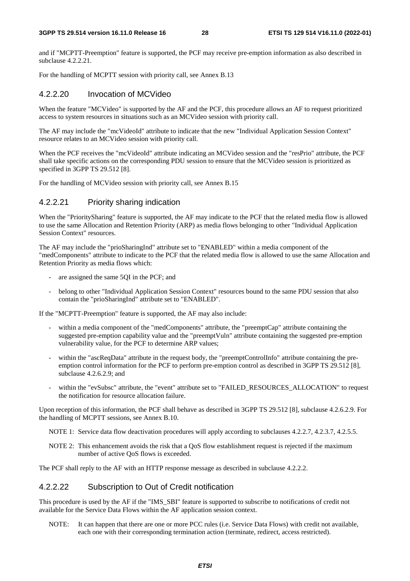and if "MCPTT-Preemption" feature is supported, the PCF may receive pre-emption information as also described in subclause 4.2.2.21.

For the handling of MCPTT session with priority call, see Annex B.13

#### 4.2.2.20 Invocation of MCVideo

When the feature "MCVideo" is supported by the AF and the PCF, this procedure allows an AF to request prioritized access to system resources in situations such as an MCVideo session with priority call.

The AF may include the "mcVideoId" attribute to indicate that the new "Individual Application Session Context" resource relates to an MCVideo session with priority call.

When the PCF receives the "mcVideoId" attribute indicating an MCVideo session and the "resPrio" attribute, the PCF shall take specific actions on the corresponding PDU session to ensure that the MCVideo session is prioritized as specified in 3GPP TS 29.512 [8].

For the handling of MCVideo session with priority call, see Annex B.15

#### 4.2.2.21 Priority sharing indication

When the "PrioritySharing" feature is supported, the AF may indicate to the PCF that the related media flow is allowed to use the same Allocation and Retention Priority (ARP) as media flows belonging to other "Individual Application Session Context" resources.

The AF may include the "prioSharingInd" attribute set to "ENABLED" within a media component of the "medComponents" attribute to indicate to the PCF that the related media flow is allowed to use the same Allocation and Retention Priority as media flows which:

- are assigned the same 5QI in the PCF; and
- belong to other "Individual Application Session Context" resources bound to the same PDU session that also contain the "prioSharingInd" attribute set to "ENABLED".

If the "MCPTT-Preemption" feature is supported, the AF may also include:

- within a media component of the "medComponents" attribute, the "preemptCap" attribute containing the suggested pre-emption capability value and the "preemptVuln" attribute containing the suggested pre-emption vulnerability value, for the PCF to determine ARP values;
- within the "ascReqData" attribute in the request body, the "preemptControlInfo" attribute containing the preemption control information for the PCF to perform pre-emption control as described in 3GPP TS 29.512 [8], subclause 4.2.6.2.9; and
- within the "evSubsc" attribute, the "event" attribute set to "FAILED\_RESOURCES\_ALLOCATION" to request the notification for resource allocation failure.

Upon reception of this information, the PCF shall behave as described in 3GPP TS 29.512 [8], subclause 4.2.6.2.9. For the handling of MCPTT sessions, see Annex B.10.

- NOTE 1: Service data flow deactivation procedures will apply according to subclauses 4.2.2.7, 4.2.3.7, 4.2.5.5.
- NOTE 2: This enhancement avoids the risk that a QoS flow establishment request is rejected if the maximum number of active QoS flows is exceeded.

The PCF shall reply to the AF with an HTTP response message as described in subclause 4.2.2.2.

#### 4.2.2.22 Subscription to Out of Credit notification

This procedure is used by the AF if the "IMS\_SBI" feature is supported to subscribe to notifications of credit not available for the Service Data Flows within the AF application session context.

NOTE: It can happen that there are one or more PCC rules (i.e. Service Data Flows) with credit not available, each one with their corresponding termination action (terminate, redirect, access restricted).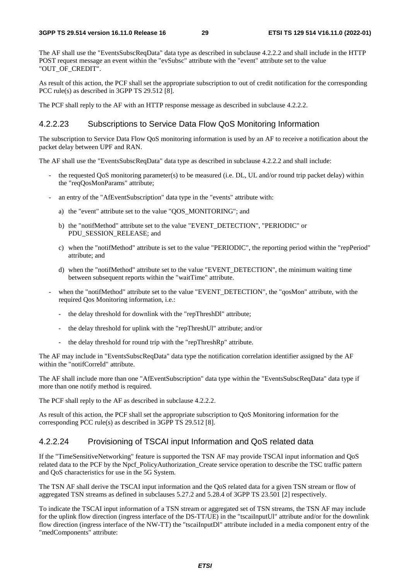The AF shall use the "EventsSubscReqData" data type as described in subclause 4.2.2.2 and shall include in the HTTP POST request message an event within the "evSubsc" attribute with the "event" attribute set to the value "OUT\_OF\_CREDIT".

As result of this action, the PCF shall set the appropriate subscription to out of credit notification for the corresponding PCC rule(s) as described in 3GPP TS 29.512 [8].

The PCF shall reply to the AF with an HTTP response message as described in subclause 4.2.2.2.

#### 4.2.2.23 Subscriptions to Service Data Flow QoS Monitoring Information

The subscription to Service Data Flow QoS monitoring information is used by an AF to receive a notification about the packet delay between UPF and RAN.

The AF shall use the "EventsSubscReqData" data type as described in subclause 4.2.2.2 and shall include:

- the requested QoS monitoring parameter(s) to be measured (i.e. DL, UL and/or round trip packet delay) within the "reqQosMonParams" attribute;
- an entry of the "AfEventSubscription" data type in the "events" attribute with:
	- a) the "event" attribute set to the value "QOS\_MONITORING"; and
	- b) the "notifMethod" attribute set to the value "EVENT\_DETECTION", "PERIODIC" or PDU\_SESSION\_RELEASE; and
	- c) when the "notifMethod" attribute is set to the value "PERIODIC", the reporting period within the "repPeriod" attribute; and
	- d) when the "notifMethod" attribute set to the value "EVENT\_DETECTION", the minimum waiting time between subsequent reports within the "waitTime" attribute.
- when the "notifMethod" attribute set to the value "EVENT\_DETECTION", the "qosMon" attribute, with the required Qos Monitoring information, i.e.:
	- the delay threshold for downlink with the "repThreshDl" attribute:
	- the delay threshold for uplink with the "repThreshUl" attribute; and/or
	- the delay threshold for round trip with the "repThreshRp" attribute.

The AF may include in "EventsSubscReqData" data type the notification correlation identifier assigned by the AF within the "notifCorreId" attribute.

The AF shall include more than one "AfEventSubscription" data type within the "EventsSubscReqData" data type if more than one notify method is required.

The PCF shall reply to the AF as described in subclause 4.2.2.2.

As result of this action, the PCF shall set the appropriate subscription to QoS Monitoring information for the corresponding PCC rule(s) as described in 3GPP TS 29.512 [8].

#### 4.2.2.24 Provisioning of TSCAI input Information and QoS related data

If the "TimeSensitiveNetworking" feature is supported the TSN AF may provide TSCAI input information and QoS related data to the PCF by the Npcf\_PolicyAuthorization\_Create service operation to describe the TSC traffic pattern and QoS characteristics for use in the 5G System.

The TSN AF shall derive the TSCAI input information and the QoS related data for a given TSN stream or flow of aggregated TSN streams as defined in subclauses 5.27.2 and 5.28.4 of 3GPP TS 23.501 [2] respectively.

To indicate the TSCAI input information of a TSN stream or aggregated set of TSN streams, the TSN AF may include for the uplink flow direction (ingress interface of the DS-TT/UE) in the "tscaiInputUl" attribute and/or for the downlink flow direction (ingress interface of the NW-TT) the "tscaiInputDl" attribute included in a media component entry of the "medComponents" attribute: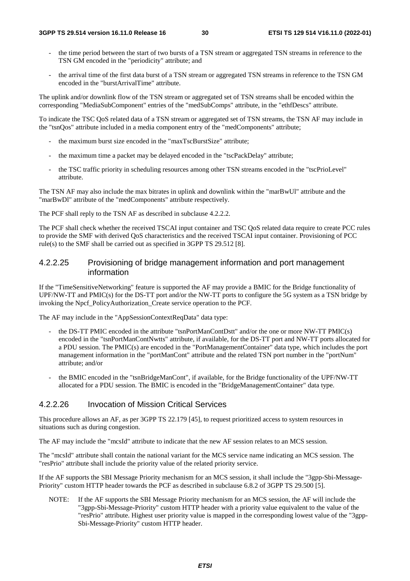- the time period between the start of two bursts of a TSN stream or aggregated TSN streams in reference to the TSN GM encoded in the "periodicity" attribute; and
- the arrival time of the first data burst of a TSN stream or aggregated TSN streams in reference to the TSN GM encoded in the "burstArrivalTime" attribute.

The uplink and/or downlink flow of the TSN stream or aggregated set of TSN streams shall be encoded within the corresponding "MediaSubComponent" entries of the "medSubComps" attribute, in the "ethfDescs" attribute.

To indicate the TSC QoS related data of a TSN stream or aggregated set of TSN streams, the TSN AF may include in the "tsnQos" attribute included in a media component entry of the "medComponents" attribute;

- the maximum burst size encoded in the "maxTscBurstSize" attribute:
- the maximum time a packet may be delayed encoded in the "tscPackDelay" attribute;
- the TSC traffic priority in scheduling resources among other TSN streams encoded in the "tscPrioLevel" attribute.

The TSN AF may also include the max bitrates in uplink and downlink within the "marBwUl" attribute and the "marBwDl" attribute of the "medComponents" attribute respectively.

The PCF shall reply to the TSN AF as described in subclause 4.2.2.2.

The PCF shall check whether the received TSCAI input container and TSC QoS related data require to create PCC rules to provide the SMF with derived QoS characteristics and the received TSCAI input container. Provisioning of PCC rule(s) to the SMF shall be carried out as specified in 3GPP TS 29.512 [8].

#### 4.2.2.25 Provisioning of bridge management information and port management information

If the "TimeSensitiveNetworking" feature is supported the AF may provide a BMIC for the Bridge functionality of UPF/NW-TT and PMIC(s) for the DS-TT port and/or the NW-TT ports to configure the 5G system as a TSN bridge by invoking the Npcf\_PolicyAuthorization\_Create service operation to the PCF.

The AF may include in the "AppSessionContextReqData" data type:

- the DS-TT PMIC encoded in the attribute "tsnPortManContDstt" and/or the one or more NW-TT PMIC(s) encoded in the "tsnPortManContNwtts" attribute, if available, for the DS-TT port and NW-TT ports allocated for a PDU session. The PMIC(s) are encoded in the "PortManagementContainer" data type, which includes the port management information in the "portManCont" attribute and the related TSN port number in the "portNum" attribute; and/or
- the BMIC encoded in the "tsnBridgeManCont", if available, for the Bridge functionality of the UPF/NW-TT allocated for a PDU session. The BMIC is encoded in the "BridgeManagementContainer" data type.

#### 4.2.2.26 Invocation of Mission Critical Services

This procedure allows an AF, as per 3GPP TS 22.179 [45], to request prioritized access to system resources in situations such as during congestion.

The AF may include the "mcsId" attribute to indicate that the new AF session relates to an MCS session.

The "mcsId" attribute shall contain the national variant for the MCS service name indicating an MCS session. The "resPrio" attribute shall include the priority value of the related priority service.

If the AF supports the SBI Message Priority mechanism for an MCS session, it shall include the "3gpp-Sbi-Message-Priority" custom HTTP header towards the PCF as described in subclause 6.8.2 of 3GPP TS 29.500 [5].

NOTE: If the AF supports the SBI Message Priority mechanism for an MCS session, the AF will include the "3gpp-Sbi-Message-Priority" custom HTTP header with a priority value equivalent to the value of the "resPrio" attribute. Highest user priority value is mapped in the corresponding lowest value of the "3gpp-Sbi-Message-Priority" custom HTTP header.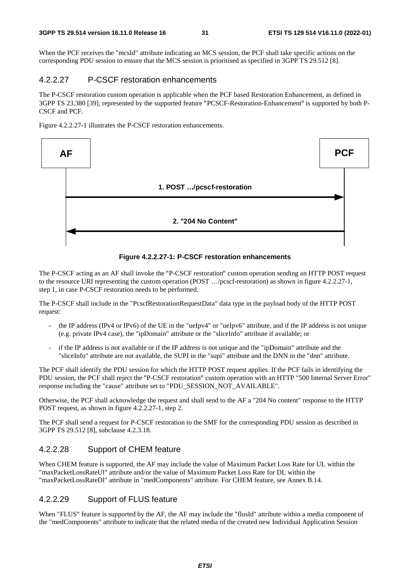When the PCF receives the "mcsId" attribute indicating an MCS session, the PCF shall take specific actions on the corresponding PDU session to ensure that the MCS session is prioritised as specified in 3GPP TS 29.512 [8].

#### 4.2.2.27 P-CSCF restoration enhancements

The P-CSCF restoration custom operation is applicable when the PCF based Restoration Enhancement, as defined in 3GPP TS 23.380 [39], represented by the supported feature "PCSCF-Restoration-Enhancement" is supported by both P-CSCF and PCF.

Figure 4.2.2.27-1 illustrates the P-CSCF restoration enhancements.



#### **Figure 4.2.2.27-1: P-CSCF restoration enhancements**

The P-CSCF acting as an AF shall invoke the "P-CSCF restoration" custom operation sending an HTTP POST request to the resource URI representing the custom operation (POST …/pcscf-restoration) as shown in figure 4.2.2.27-1, step 1, in case P-CSCF restoration needs to be performed.

The P-CSCF shall include in the "PcscfRestorationRequestData" data type in the payload body of the HTTP POST request:

- the IP address (IPv4 or IPv6) of the UE in the "ueIpv4" or "ueIpv6" attribute, and if the IP address is not unique (e.g. private IPv4 case), the "ipDomain" attribute or the "sliceInfo" attribute if available; or
- if the IP address is not available or if the IP address is not unique and the "ipDomain" attribute and the "sliceInfo" attribute are not available, the SUPI in the "supi" attribute and the DNN in the "dnn" attribute.

The PCF shall identify the PDU session for which the HTTP POST request applies. If the PCF fails in identifying the PDU session, the PCF shall reject the "P-CSCF restoration" custom operation with an HTTP "500 Internal Server Error" response including the "cause" attribute set to "PDU\_SESSION\_NOT\_AVAILABLE".

Otherwise, the PCF shall acknowledge the request and shall send to the AF a "204 No content" response to the HTTP POST request, as shown in figure 4.2.2.27-1, step 2.

The PCF shall send a request for P-CSCF restoration to the SMF for the corresponding PDU session as described in 3GPP TS 29.512 [8], subclause 4.2.3.18.

#### 4.2.2.28 Support of CHEM feature

When CHEM feature is supported, the AF may include the value of Maximum Packet Loss Rate for UL within the "maxPacketLossRateUl" attribute and/or the value of Maximum Packet Loss Rate for DL within the "maxPacketLossRateDl" attribute in "medComponents" attribute. For CHEM feature, see Annex B.14.

#### 4.2.2.29 Support of FLUS feature

When "FLUS" feature is supported by the AF, the AF may include the "flusId" attribute within a media component of the "medComponents" attribute to indicate that the related media of the created new Individual Application Session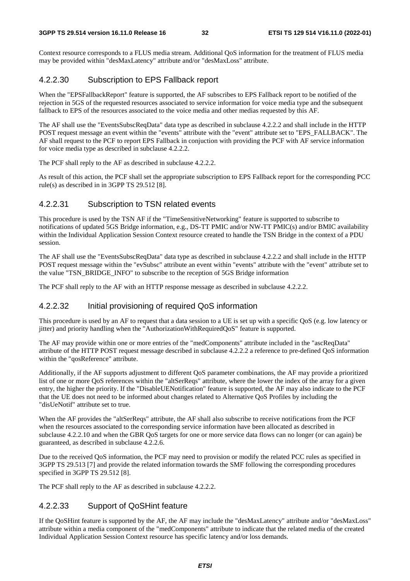Context resource corresponds to a FLUS media stream. Additional QoS information for the treatment of FLUS media may be provided within "desMaxLatency" attribute and/or "desMaxLoss" attribute.

#### 4.2.2.30 Subscription to EPS Fallback report

When the "EPSFallbackReport" feature is supported, the AF subscribes to EPS Fallback report to be notified of the rejection in 5GS of the requested resources associated to service information for voice media type and the subsequent fallback to EPS of the resources associated to the voice media and other medias requested by this AF.

The AF shall use the "EventsSubscReqData" data type as described in subclause 4.2.2.2 and shall include in the HTTP POST request message an event within the "events" attribute with the "event" attribute set to "EPS\_FALLBACK". The AF shall request to the PCF to report EPS Fallback in conjuction with providing the PCF with AF service information for voice media type as described in subclause 4.2.2.2.

The PCF shall reply to the AF as described in subclause 4.2.2.2.

As result of this action, the PCF shall set the appropriate subscription to EPS Fallback report for the corresponding PCC rule(s) as described in in 3GPP TS 29.512 [8].

#### 4.2.2.31 Subscription to TSN related events

This procedure is used by the TSN AF if the "TimeSensitiveNetworking" feature is supported to subscribe to notifications of updated 5GS Bridge information, e.g., DS-TT PMIC and/or NW-TT PMIC(s) and/or BMIC availability within the Individual Application Session Context resource created to handle the TSN Bridge in the context of a PDU session.

The AF shall use the "EventsSubscReqData" data type as described in subclause 4.2.2.2 and shall include in the HTTP POST request message within the "evSubsc" attribute an event within "events" attribute with the "event" attribute set to the value "TSN\_BRIDGE\_INFO" to subscribe to the reception of 5GS Bridge information

The PCF shall reply to the AF with an HTTP response message as described in subclause 4.2.2.2.

#### 4.2.2.32 Initial provisioning of required QoS information

This procedure is used by an AF to request that a data session to a UE is set up with a specific QoS (e.g. low latency or jitter) and priority handling when the "AuthorizationWithRequiredQoS" feature is supported.

The AF may provide within one or more entries of the "medComponents" attribute included in the "ascReqData" attribute of the HTTP POST request message described in subclause 4.2.2.2 a reference to pre-defined QoS information within the "qosReference" attribute.

Additionally, if the AF supports adjustment to different QoS parameter combinations, the AF may provide a prioritized list of one or more QoS references within the "altSerReqs" attribute, where the lower the index of the array for a given entry, the higher the priority. If the "DisableUENotification" feature is supported, the AF may also indicate to the PCF that the UE does not need to be informed about changes related to Alternative QoS Profiles by including the "disUeNotif" attribute set to true.

When the AF provides the "altSerReqs" attribute, the AF shall also subscribe to receive notifications from the PCF when the resources associated to the corresponding service information have been allocated as described in subclause 4.2.2.10 and when the GBR QoS targets for one or more service data flows can no longer (or can again) be guaranteed, as described in subclause 4.2.2.6.

Due to the received QoS information, the PCF may need to provision or modify the related PCC rules as specified in 3GPP TS 29.513 [7] and provide the related information towards the SMF following the corresponding procedures specified in 3GPP TS 29.512 [8].

The PCF shall reply to the AF as described in subclause 4.2.2.2.

#### 4.2.2.33 Support of QoSHint feature

If the QoSHint feature is supported by the AF, the AF may include the "desMaxLatency" attribute and/or "desMaxLoss" attribute within a media component of the "medComponents" attribute to indicate that the related media of the created Individual Application Session Context resource has specific latency and/or loss demands.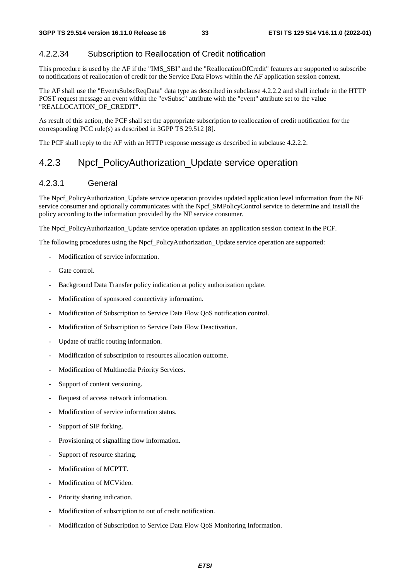#### 4.2.2.34 Subscription to Reallocation of Credit notification

This procedure is used by the AF if the "IMS\_SBI" and the "ReallocationOfCredit" features are supported to subscribe to notifications of reallocation of credit for the Service Data Flows within the AF application session context.

The AF shall use the "EventsSubscReqData" data type as described in subclause 4.2.2.2 and shall include in the HTTP POST request message an event within the "evSubsc" attribute with the "event" attribute set to the value "REALLOCATION\_OF\_CREDIT".

As result of this action, the PCF shall set the appropriate subscription to reallocation of credit notification for the corresponding PCC rule(s) as described in 3GPP TS 29.512 [8].

The PCF shall reply to the AF with an HTTP response message as described in subclause 4.2.2.2.

### 4.2.3 Npcf\_PolicyAuthorization\_Update service operation

#### 4.2.3.1 General

The Npcf\_PolicyAuthorization\_Update service operation provides updated application level information from the NF service consumer and optionally communicates with the Npcf\_SMPolicyControl service to determine and install the policy according to the information provided by the NF service consumer.

The Npcf\_PolicyAuthorization\_Update service operation updates an application session context in the PCF.

The following procedures using the Npcf\_PolicyAuthorization\_Update service operation are supported:

- Modification of service information.
- Gate control.
- Background Data Transfer policy indication at policy authorization update.
- Modification of sponsored connectivity information.
- Modification of Subscription to Service Data Flow QoS notification control.
- Modification of Subscription to Service Data Flow Deactivation.
- Update of traffic routing information.
- Modification of subscription to resources allocation outcome.
- Modification of Multimedia Priority Services.
- Support of content versioning.
- Request of access network information.
- Modification of service information status.
- Support of SIP forking.
- Provisioning of signalling flow information.
- Support of resource sharing.
- Modification of MCPTT.
- Modification of MCVideo.
- Priority sharing indication.
- Modification of subscription to out of credit notification.
- Modification of Subscription to Service Data Flow QoS Monitoring Information.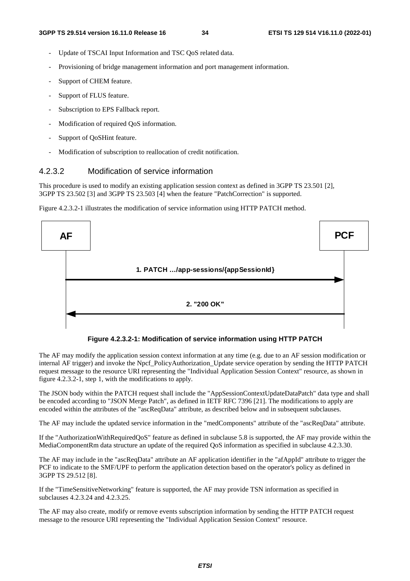- Update of TSCAI Input Information and TSC QoS related data.
- Provisioning of bridge management information and port management information.
- Support of CHEM feature.
- Support of FLUS feature.
- Subscription to EPS Fallback report.
- Modification of required QoS information.
- Support of QoSHint feature.
- Modification of subscription to reallocation of credit notification.

#### 4.2.3.2 Modification of service information

This procedure is used to modify an existing application session context as defined in 3GPP TS 23.501 [2], 3GPP TS 23.502 [3] and 3GPP TS 23.503 [4] when the feature "PatchCorrection" is supported.

Figure 4.2.3.2-1 illustrates the modification of service information using HTTP PATCH method.



**Figure 4.2.3.2-1: Modification of service information using HTTP PATCH** 

The AF may modify the application session context information at any time (e.g. due to an AF session modification or internal AF trigger) and invoke the Npcf\_PolicyAuthorization\_Update service operation by sending the HTTP PATCH request message to the resource URI representing the "Individual Application Session Context" resource, as shown in figure 4.2.3.2-1, step 1, with the modifications to apply.

The JSON body within the PATCH request shall include the "AppSessionContextUpdateDataPatch" data type and shall be encoded according to "JSON Merge Patch", as defined in IETF RFC 7396 [21]. The modifications to apply are encoded within the attributes of the "ascReqData" attribute, as described below and in subsequent subclauses.

The AF may include the updated service information in the "medComponents" attribute of the "ascReqData" attribute.

If the "AuthorizationWithRequiredQoS" feature as defined in subclause 5.8 is supported, the AF may provide within the MediaComponentRm data structure an update of the required QoS information as specified in subclause 4.2.3.30.

The AF may include in the "ascReqData" attribute an AF application identifier in the "afAppId" attribute to trigger the PCF to indicate to the SMF/UPF to perform the application detection based on the operator's policy as defined in 3GPP TS 29.512 [8].

If the "TimeSensitiveNetworking" feature is supported, the AF may provide TSN information as specified in subclauses 4.2.3.24 and 4.2.3.25.

The AF may also create, modify or remove events subscription information by sending the HTTP PATCH request message to the resource URI representing the "Individual Application Session Context" resource.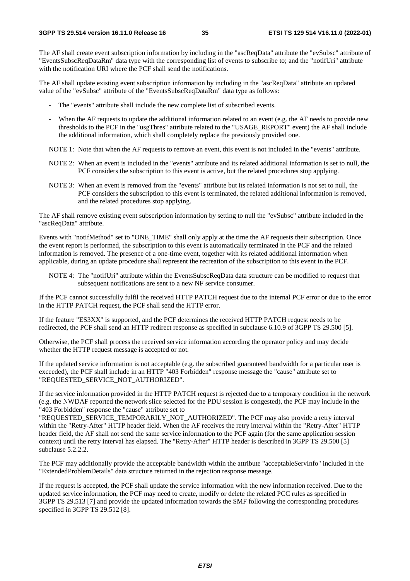The AF shall create event subscription information by including in the "ascReqData" attribute the "evSubsc" attribute of "EventsSubscReqDataRm" data type with the corresponding list of events to subscribe to; and the "notifUri" attribute with the notification URI where the PCF shall send the notifications.

The AF shall update existing event subscription information by including in the "ascReqData" attribute an updated value of the "evSubsc" attribute of the "EventsSubscReqDataRm" data type as follows:

- The "events" attribute shall include the new complete list of subscribed events.
- When the AF requests to update the additional information related to an event (e.g. the AF needs to provide new thresholds to the PCF in the "usgThres" attribute related to the "USAGE\_REPORT" event) the AF shall include the additional information, which shall completely replace the previously provided one.

NOTE 1: Note that when the AF requests to remove an event, this event is not included in the "events" attribute.

- NOTE 2: When an event is included in the "events" attribute and its related additional information is set to null, the PCF considers the subscription to this event is active, but the related procedures stop applying.
- NOTE 3: When an event is removed from the "events" attribute but its related information is not set to null, the PCF considers the subscription to this event is terminated, the related additional information is removed, and the related procedures stop applying.

The AF shall remove existing event subscription information by setting to null the "evSubsc" attribute included in the "ascReqData" attribute.

Events with "notifMethod" set to "ONE\_TIME" shall only apply at the time the AF requests their subscription. Once the event report is performed, the subscription to this event is automatically terminated in the PCF and the related information is removed. The presence of a one-time event, together with its related additional information when applicable, during an update procedure shall represent the recreation of the subscription to this event in the PCF.

NOTE 4: The "notifUri" attribute within the EventsSubscReqData data structure can be modified to request that subsequent notifications are sent to a new NF service consumer.

If the PCF cannot successfully fulfil the received HTTP PATCH request due to the internal PCF error or due to the error in the HTTP PATCH request, the PCF shall send the HTTP error.

If the feature "ES3XX" is supported, and the PCF determines the received HTTP PATCH request needs to be redirected, the PCF shall send an HTTP redirect response as specified in subclause 6.10.9 of 3GPP TS 29.500 [5].

Otherwise, the PCF shall process the received service information according the operator policy and may decide whether the HTTP request message is accepted or not.

If the updated service information is not acceptable (e.g. the subscribed guaranteed bandwidth for a particular user is exceeded), the PCF shall include in an HTTP "403 Forbidden" response message the "cause" attribute set to "REQUESTED\_SERVICE\_NOT\_AUTHORIZED".

If the service information provided in the HTTP PATCH request is rejected due to a temporary condition in the network (e.g. the NWDAF reported the network slice selected for the PDU session is congested), the PCF may include in the "403 Forbidden" response the "cause" attribute set to

"REQUESTED\_SERVICE\_TEMPORARILY\_NOT\_AUTHORIZED". The PCF may also provide a retry interval within the "Retry-After" HTTP header field. When the AF receives the retry interval within the "Retry-After" HTTP header field, the AF shall not send the same service information to the PCF again (for the same application session context) until the retry interval has elapsed. The "Retry-After" HTTP header is described in 3GPP TS 29.500 [5] subclause 5.2.2.2.

The PCF may additionally provide the acceptable bandwidth within the attribute "acceptableServInfo" included in the "ExtendedProblemDetails" data structure returned in the rejection response message.

If the request is accepted, the PCF shall update the service information with the new information received. Due to the updated service information, the PCF may need to create, modify or delete the related PCC rules as specified in 3GPP TS 29.513 [7] and provide the updated information towards the SMF following the corresponding procedures specified in 3GPP TS 29.512 [8].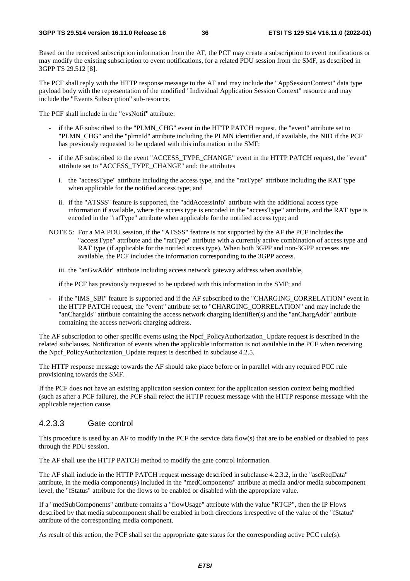Based on the received subscription information from the AF, the PCF may create a subscription to event notifications or may modify the existing subscription to event notifications, for a related PDU session from the SMF, as described in 3GPP TS 29.512 [8].

The PCF shall reply with the HTTP response message to the AF and may include the "AppSessionContext" data type payload body with the representation of the modified "Individual Application Session Context" resource and may include the "Events Subscription" sub-resource.

The PCF shall include in the "evsNotif" attribute:

- if the AF subscribed to the "PLMN\_CHG" event in the HTTP PATCH request, the "event" attribute set to "PLMN\_CHG" and the "plmnId" attribute including the PLMN identifier and, if available, the NID if the PCF has previously requested to be updated with this information in the SMF;
- if the AF subscribed to the event "ACCESS\_TYPE\_CHANGE" event in the HTTP PATCH request, the "event" attribute set to "ACCESS\_TYPE\_CHANGE" and: the attributes
	- i. the "accessType" attribute including the access type, and the "ratType" attribute including the RAT type when applicable for the notified access type; and
	- ii. if the "ATSSS" feature is supported, the "addAccessInfo" attribute with the additional access type information if available, where the access type is encoded in the "accessType" attribute, and the RAT type is encoded in the "ratType" attribute when applicable for the notified access type; and
- NOTE 5: For a MA PDU session, if the "ATSSS" feature is not supported by the AF the PCF includes the "accessType" attribute and the "ratType" attribute with a currently active combination of access type and RAT type (if applicable for the notifed access type). When both 3GPP and non-3GPP accesses are available, the PCF includes the information corresponding to the 3GPP access.

iii. the "anGwAddr" attribute including access network gateway address when available,

if the PCF has previously requested to be updated with this information in the SMF; and

if the "IMS\_SBI" feature is supported and if the AF subscribed to the "CHARGING\_CORRELATION" event in the HTTP PATCH request, the "event" attribute set to "CHARGING CORRELATION" and may include the "anChargIds" attribute containing the access network charging identifier(s) and the "anChargAddr" attribute containing the access network charging address.

The AF subscription to other specific events using the Npcf\_PolicyAuthorization\_Update request is described in the related subclauses. Notification of events when the applicable information is not available in the PCF when receiving the Npcf PolicyAuthorization Update request is described in subclause 4.2.5.

The HTTP response message towards the AF should take place before or in parallel with any required PCC rule provisioning towards the SMF.

If the PCF does not have an existing application session context for the application session context being modified (such as after a PCF failure), the PCF shall reject the HTTP request message with the HTTP response message with the applicable rejection cause.

## 4.2.3.3 Gate control

This procedure is used by an AF to modify in the PCF the service data flow(s) that are to be enabled or disabled to pass through the PDU session.

The AF shall use the HTTP PATCH method to modify the gate control information.

The AF shall include in the HTTP PATCH request message described in subclause 4.2.3.2, in the "ascReqData" attribute, in the media component(s) included in the "medComponents" attribute at media and/or media subcomponent level, the "fStatus" attribute for the flows to be enabled or disabled with the appropriate value.

If a "medSubComponents" attribute contains a "flowUsage" attribute with the value "RTCP", then the IP Flows described by that media subcomponent shall be enabled in both directions irrespective of the value of the "fStatus" attribute of the corresponding media component.

As result of this action, the PCF shall set the appropriate gate status for the corresponding active PCC rule(s).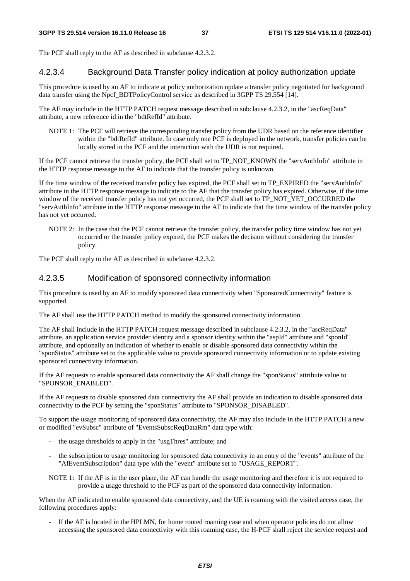The PCF shall reply to the AF as described in subclause 4.2.3.2.

#### 4.2.3.4 Background Data Transfer policy indication at policy authorization update

This procedure is used by an AF to indicate at policy authorization update a transfer policy negotiated for background data transfer using the Npcf\_BDTPolicyControl service as described in 3GPP TS 29.554 [14].

The AF may include in the HTTP PATCH request message described in subclause 4.2.3.2, in the "ascReqData" attribute, a new reference id in the "bdtRefId" attribute.

NOTE 1: The PCF will retrieve the corresponding transfer policy from the UDR based on the reference identifier within the "bdtRefId" attribute. In case only one PCF is deployed in the network, transfer policies can be locally stored in the PCF and the interaction with the UDR is not required.

If the PCF cannot retrieve the transfer policy, the PCF shall set to TP\_NOT\_KNOWN the "servAuthInfo" attribute in the HTTP response message to the AF to indicate that the transfer policy is unknown.

If the time window of the received transfer policy has expired, the PCF shall set to TP\_EXPIRED the "servAuthInfo" attribute in the HTTP response message to indicate to the AF that the transfer policy has expired. Otherwise, if the time window of the received transfer policy has not yet occurred, the PCF shall set to TP\_NOT\_YET\_OCCURRED the "servAuthInfo" attribute in the HTTP response message to the AF to indicate that the time window of the transfer policy has not yet occurred.

NOTE 2: In the case that the PCF cannot retrieve the transfer policy, the transfer policy time window has not yet occurred or the transfer policy expired, the PCF makes the decision without considering the transfer policy.

The PCF shall reply to the AF as described in subclause 4.2.3.2.

#### 4.2.3.5 Modification of sponsored connectivity information

This procedure is used by an AF to modify sponsored data connectivity when "SponsoredConnectivity" feature is supported.

The AF shall use the HTTP PATCH method to modify the sponsored connectivity information.

The AF shall include in the HTTP PATCH request message described in subclause 4.2.3.2, in the "ascReqData" attribute, an application service provider identity and a sponsor identity within the "aspId" attribute and "sponId" attribute, and optionally an indication of whether to enable or disable sponsored data connectivity within the "sponStatus" attribute set to the applicable value to provide sponsored connectivity information or to update existing sponsored connectivity information.

If the AF requests to enable sponsored data connectivity the AF shall change the "sponStatus" attribute value to "SPONSOR\_ENABLED".

If the AF requests to disable sponsored data connectivity the AF shall provide an indication to disable sponsored data connectivity to the PCF by setting the "sponStatus" attribute to "SPONSOR\_DISABLED".

To support the usage monitoring of sponsored data connectivity, the AF may also include in the HTTP PATCH a new or modified "evSubsc" attribute of "EventsSubscReqDataRm" data type with:

- the usage thresholds to apply in the "usgThres" attribute; and
- the subscription to usage monitoring for sponsored data connectivity in an entry of the "events" attribute of the "AfEventSubscription" data type with the "event" attribute set to "USAGE\_REPORT".
- NOTE 1: If the AF is in the user plane, the AF can handle the usage monitoring and therefore it is not required to provide a usage threshold to the PCF as part of the sponsored data connectivity information.

When the AF indicated to enable sponsored data connectivity, and the UE is roaming with the visited access case, the following procedures apply:

If the AF is located in the HPLMN, for home routed roaming case and when operator policies do not allow accessing the sponsored data connectivity with this roaming case, the H-PCF shall reject the service request and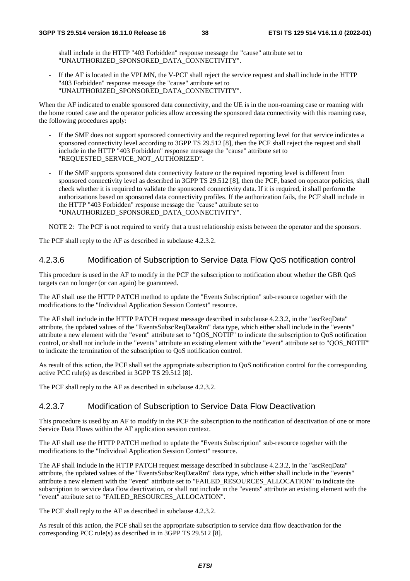shall include in the HTTP "403 Forbidden" response message the "cause" attribute set to "UNAUTHORIZED\_SPONSORED\_DATA\_CONNECTIVITY".

If the AF is located in the VPLMN, the V-PCF shall reject the service request and shall include in the HTTP "403 Forbidden" response message the "cause" attribute set to "UNAUTHORIZED\_SPONSORED\_DATA\_CONNECTIVITY".

When the AF indicated to enable sponsored data connectivity, and the UE is in the non-roaming case or roaming with the home routed case and the operator policies allow accessing the sponsored data connectivity with this roaming case, the following procedures apply:

- If the SMF does not support sponsored connectivity and the required reporting level for that service indicates a sponsored connectivity level according to 3GPP TS 29.512 [8], then the PCF shall reject the request and shall include in the HTTP "403 Forbidden" response message the "cause" attribute set to "REQUESTED\_SERVICE\_NOT\_AUTHORIZED".
- If the SMF supports sponsored data connectivity feature or the required reporting level is different from sponsored connectivity level as described in 3GPP TS 29.512 [8], then the PCF, based on operator policies, shall check whether it is required to validate the sponsored connectivity data. If it is required, it shall perform the authorizations based on sponsored data connectivity profiles. If the authorization fails, the PCF shall include in the HTTP "403 Forbidden" response message the "cause" attribute set to "UNAUTHORIZED\_SPONSORED\_DATA\_CONNECTIVITY".

NOTE 2: The PCF is not required to verify that a trust relationship exists between the operator and the sponsors.

The PCF shall reply to the AF as described in subclause 4.2.3.2.

### 4.2.3.6 Modification of Subscription to Service Data Flow QoS notification control

This procedure is used in the AF to modify in the PCF the subscription to notification about whether the GBR QoS targets can no longer (or can again) be guaranteed.

The AF shall use the HTTP PATCH method to update the "Events Subscription" sub-resource together with the modifications to the "Individual Application Session Context" resource.

The AF shall include in the HTTP PATCH request message described in subclause 4.2.3.2, in the "ascReqData" attribute, the updated values of the "EventsSubscReqDataRm" data type, which either shall include in the "events" attribute a new element with the "event" attribute set to "QOS\_NOTIF" to indicate the subscription to QoS notification control, or shall not include in the "events" attribute an existing element with the "event" attribute set to "QOS\_NOTIF" to indicate the termination of the subscription to QoS notification control.

As result of this action, the PCF shall set the appropriate subscription to QoS notification control for the corresponding active PCC rule(s) as described in 3GPP TS 29.512 [8].

The PCF shall reply to the AF as described in subclause 4.2.3.2.

## 4.2.3.7 Modification of Subscription to Service Data Flow Deactivation

This procedure is used by an AF to modify in the PCF the subscription to the notification of deactivation of one or more Service Data Flows within the AF application session context.

The AF shall use the HTTP PATCH method to update the "Events Subscription" sub-resource together with the modifications to the "Individual Application Session Context" resource.

The AF shall include in the HTTP PATCH request message described in subclause 4.2.3.2, in the "ascReqData" attribute, the updated values of the "EventsSubscReqDataRm" data type, which either shall include in the "events" attribute a new element with the "event" attribute set to "FAILED\_RESOURCES\_ALLOCATION" to indicate the subscription to service data flow deactivation, or shall not include in the "events" attribute an existing element with the "event" attribute set to "FAILED\_RESOURCES\_ALLOCATION".

The PCF shall reply to the AF as described in subclause 4.2.3.2.

As result of this action, the PCF shall set the appropriate subscription to service data flow deactivation for the corresponding PCC rule(s) as described in in 3GPP TS 29.512 [8].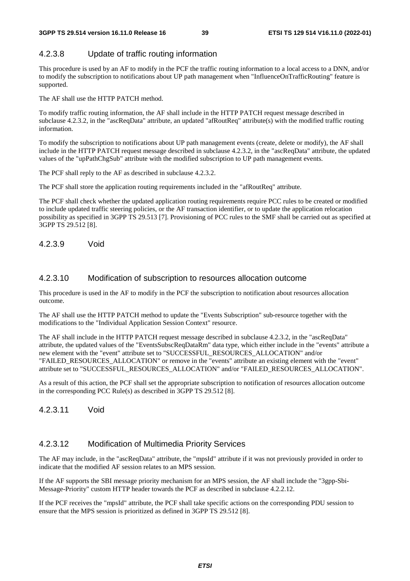## 4.2.3.8 Update of traffic routing information

This procedure is used by an AF to modify in the PCF the traffic routing information to a local access to a DNN, and/or to modify the subscription to notifications about UP path management when "InfluenceOnTrafficRouting" feature is supported.

The AF shall use the HTTP PATCH method.

To modify traffic routing information, the AF shall include in the HTTP PATCH request message described in subclause 4.2.3.2, in the "ascReqData" attribute, an updated "afRoutReq" attribute(s) with the modified traffic routing information.

To modify the subscription to notifications about UP path management events (create, delete or modify), the AF shall include in the HTTP PATCH request message described in subclause 4.2.3.2, in the "ascReqData" attribute, the updated values of the "upPathChgSub" attribute with the modified subscription to UP path management events.

The PCF shall reply to the AF as described in subclause 4.2.3.2.

The PCF shall store the application routing requirements included in the "afRoutReq" attribute.

The PCF shall check whether the updated application routing requirements require PCC rules to be created or modified to include updated traffic steering policies, or the AF transaction identifier, or to update the application relocation possibility as specified in 3GPP TS 29.513 [7]. Provisioning of PCC rules to the SMF shall be carried out as specified at 3GPP TS 29.512 [8].

4.2.3.9 Void

#### 4.2.3.10 Modification of subscription to resources allocation outcome

This procedure is used in the AF to modify in the PCF the subscription to notification about resources allocation outcome.

The AF shall use the HTTP PATCH method to update the "Events Subscription" sub-resource together with the modifications to the "Individual Application Session Context" resource.

The AF shall include in the HTTP PATCH request message described in subclause 4.2.3.2, in the "ascReqData" attribute, the updated values of the "EventsSubscReqDataRm" data type, which either include in the "events" attribute a new element with the "event" attribute set to "SUCCESSFUL\_RESOURCES\_ALLOCATION" and/or "FAILED\_RESOURCES\_ALLOCATION" or remove in the "events" attribute an existing element with the "event" attribute set to "SUCCESSFUL\_RESOURCES\_ALLOCATION" and/or "FAILED\_RESOURCES\_ALLOCATION".

As a result of this action, the PCF shall set the appropriate subscription to notification of resources allocation outcome in the corresponding PCC Rule(s) as described in 3GPP TS 29.512 [8].

4.2.3.11 Void

#### 4.2.3.12 Modification of Multimedia Priority Services

The AF may include, in the "ascReqData" attribute, the "mpsId" attribute if it was not previously provided in order to indicate that the modified AF session relates to an MPS session.

If the AF supports the SBI message priority mechanism for an MPS session, the AF shall include the "3gpp-Sbi-Message-Priority" custom HTTP header towards the PCF as described in subclause 4.2.2.12.

If the PCF receives the "mpsId" attribute, the PCF shall take specific actions on the corresponding PDU session to ensure that the MPS session is prioritized as defined in 3GPP TS 29.512 [8].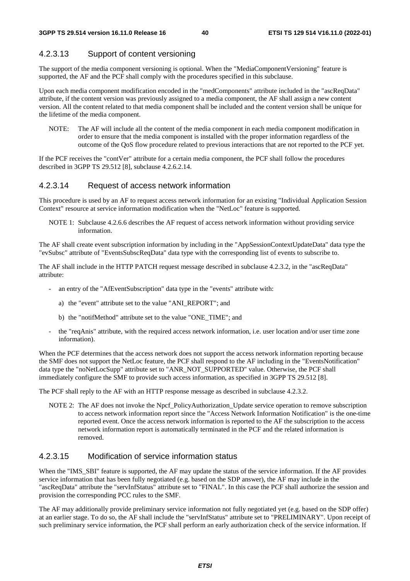## 4.2.3.13 Support of content versioning

The support of the media component versioning is optional. When the "MediaComponentVersioning" feature is supported, the AF and the PCF shall comply with the procedures specified in this subclause.

Upon each media component modification encoded in the "medComponents" attribute included in the "ascReqData" attribute, if the content version was previously assigned to a media component, the AF shall assign a new content version. All the content related to that media component shall be included and the content version shall be unique for the lifetime of the media component.

NOTE: The AF will include all the content of the media component in each media component modification in order to ensure that the media component is installed with the proper information regardless of the outcome of the QoS flow procedure related to previous interactions that are not reported to the PCF yet.

If the PCF receives the "contVer" attribute for a certain media component, the PCF shall follow the procedures described in 3GPP TS 29.512 [8], subclause 4.2.6.2.14.

#### 4.2.3.14 Request of access network information

This procedure is used by an AF to request access network information for an existing "Individual Application Session Context" resource at service information modification when the "NetLoc" feature is supported.

NOTE 1: Subclause 4.2.6.6 describes the AF request of access network information without providing service information.

The AF shall create event subscription information by including in the "AppSessionContextUpdateData" data type the "evSubsc" attribute of "EventsSubscReqData" data type with the corresponding list of events to subscribe to.

The AF shall include in the HTTP PATCH request message described in subclause 4.2.3.2, in the "ascReqData" attribute:

- an entry of the "AfEventSubscription" data type in the "events" attribute with:
	- a) the "event" attribute set to the value "ANI\_REPORT"; and
	- b) the "notifMethod" attribute set to the value "ONE\_TIME"; and
- the "reqAnis" attribute, with the required access network information, i.e. user location and/or user time zone information).

When the PCF determines that the access network does not support the access network information reporting because the SMF does not support the NetLoc feature, the PCF shall respond to the AF including in the "EventsNotification" data type the "noNetLocSupp" attribute set to "ANR\_NOT\_SUPPORTED" value. Otherwise, the PCF shall immediately configure the SMF to provide such access information, as specified in 3GPP TS 29.512 [8].

The PCF shall reply to the AF with an HTTP response message as described in subclause 4.2.3.2.

NOTE 2: The AF does not invoke the Npcf. PolicyAuthorization. Update service operation to remove subscription to access network information report since the "Access Network Information Notification" is the one-time reported event. Once the access network information is reported to the AF the subscription to the access network information report is automatically terminated in the PCF and the related information is removed.

### 4.2.3.15 Modification of service information status

When the "IMS\_SBI" feature is supported, the AF may update the status of the service information. If the AF provides service information that has been fully negotiated (e.g. based on the SDP answer), the AF may include in the "ascReqData" attribute the "servInfStatus" attribute set to "FINAL". In this case the PCF shall authorize the session and provision the corresponding PCC rules to the SMF.

The AF may additionally provide preliminary service information not fully negotiated yet (e.g. based on the SDP offer) at an earlier stage. To do so, the AF shall include the "servInfStatus" attribute set to "PRELIMINARY". Upon receipt of such preliminary service information, the PCF shall perform an early authorization check of the service information. If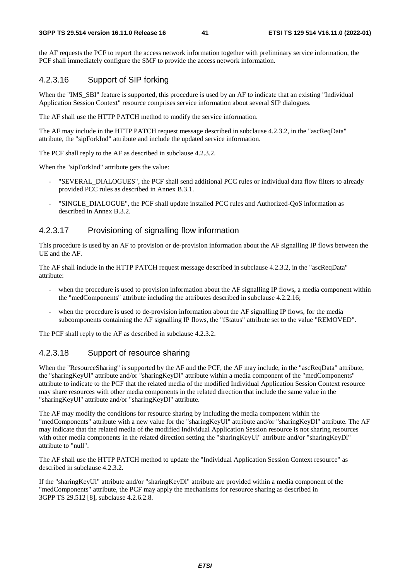the AF requests the PCF to report the access network information together with preliminary service information, the PCF shall immediately configure the SMF to provide the access network information.

## 4.2.3.16 Support of SIP forking

When the "IMS\_SBI" feature is supported, this procedure is used by an AF to indicate that an existing "Individual Application Session Context" resource comprises service information about several SIP dialogues.

The AF shall use the HTTP PATCH method to modify the service information.

The AF may include in the HTTP PATCH request message described in subclause 4.2.3.2, in the "ascReqData" attribute, the "sipForkInd" attribute and include the updated service information.

The PCF shall reply to the AF as described in subclause 4.2.3.2.

When the "sipForkInd" attribute gets the value:

- "SEVERAL\_DIALOGUES", the PCF shall send additional PCC rules or individual data flow filters to already provided PCC rules as described in Annex B.3.1.
- "SINGLE\_DIALOGUE", the PCF shall update installed PCC rules and Authorized-OoS information as described in Annex B.3.2.

### 4.2.3.17 Provisioning of signalling flow information

This procedure is used by an AF to provision or de-provision information about the AF signalling IP flows between the UE and the AF.

The AF shall include in the HTTP PATCH request message described in subclause 4.2.3.2, in the "ascReqData" attribute:

- when the procedure is used to provision information about the AF signalling IP flows, a media component within the "medComponents" attribute including the attributes described in subclause 4.2.2.16;
- when the procedure is used to de-provision information about the AF signalling IP flows, for the media subcomponents containing the AF signalling IP flows, the "fStatus" attribute set to the value "REMOVED".

The PCF shall reply to the AF as described in subclause 4.2.3.2.

## 4.2.3.18 Support of resource sharing

When the "ResourceSharing" is supported by the AF and the PCF, the AF may include, in the "ascReqData" attribute, the "sharingKeyUl" attribute and/or "sharingKeyDl" attribute within a media component of the "medComponents" attribute to indicate to the PCF that the related media of the modified Individual Application Session Context resource may share resources with other media components in the related direction that include the same value in the "sharingKeyUl" attribute and/or "sharingKeyDl" attribute.

The AF may modify the conditions for resource sharing by including the media component within the "medComponents" attribute with a new value for the "sharingKeyUl" attribute and/or "sharingKeyDl" attribute. The AF may indicate that the related media of the modified Individual Application Session resource is not sharing resources with other media components in the related direction setting the "sharingKeyUl" attribute and/or "sharingKeyDl" attribute to "null".

The AF shall use the HTTP PATCH method to update the "Individual Application Session Context resource" as described in subclause 4.2.3.2.

If the "sharingKeyUl" attribute and/or "sharingKeyDl" attribute are provided within a media component of the "medComponents" attribute, the PCF may apply the mechanisms for resource sharing as described in 3GPP TS 29.512 [8], subclause 4.2.6.2.8.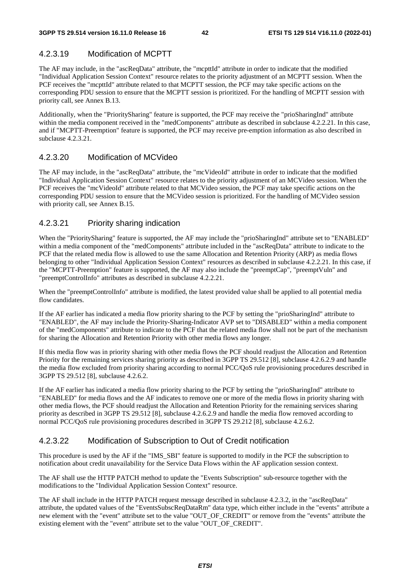## 4.2.3.19 Modification of MCPTT

The AF may include, in the "ascReqData" attribute, the "mcpttId" attribute in order to indicate that the modified "Individual Application Session Context" resource relates to the priority adjustment of an MCPTT session. When the PCF receives the "mcpttId" attribute related to that MCPTT session, the PCF may take specific actions on the corresponding PDU session to ensure that the MCPTT session is prioritized. For the handling of MCPTT session with priority call, see Annex B.13.

Additionally, when the "PrioritySharing" feature is supported, the PCF may receive the "prioSharingInd" attribute within the media component received in the "medComponents" attribute as described in subclause 4.2.2.21. In this case, and if "MCPTT-Preemption" feature is supported, the PCF may receive pre-emption information as also described in subclause 4.2.3.21.

### 4.2.3.20 Modification of MCVideo

The AF may include, in the "ascReqData" attribute, the "mcVideoId" attribute in order to indicate that the modified "Individual Application Session Context" resource relates to the priority adjustment of an MCVideo session. When the PCF receives the "mcVideoId" attribute related to that MCVideo session, the PCF may take specific actions on the corresponding PDU session to ensure that the MCVideo session is prioritized. For the handling of MCVideo session with priority call, see Annex B.15.

## 4.2.3.21 Priority sharing indication

When the "PrioritySharing" feature is supported, the AF may include the "prioSharingInd" attribute set to "ENABLED" within a media component of the "medComponents" attribute included in the "ascReqData" attribute to indicate to the PCF that the related media flow is allowed to use the same Allocation and Retention Priority (ARP) as media flows belonging to other "Individual Application Session Context" resources as described in subclause 4.2.2.21. In this case, if the "MCPTT-Preemption" feature is supported, the AF may also include the "preemptCap", "preemptVuln" and "preemptControlInfo" attributes as described in subclause 4.2.2.21.

When the "preemptControlInfo" attribute is modified, the latest provided value shall be applied to all potential media flow candidates.

If the AF earlier has indicated a media flow priority sharing to the PCF by setting the "prioSharingInd" attribute to "ENABLED", the AF may include the Priority-Sharing-Indicator AVP set to "DISABLED" within a media component of the "medComponents" attribute to indicate to the PCF that the related media flow shall not be part of the mechanism for sharing the Allocation and Retention Priority with other media flows any longer.

If this media flow was in priority sharing with other media flows the PCF should readjust the Allocation and Retention Priority for the remaining services sharing priority as described in 3GPP TS 29.512 [8], subclause 4.2.6.2.9 and handle the media flow excluded from priority sharing according to normal PCC/QoS rule provisioning procedures described in 3GPP TS 29.512 [8], subclause 4.2.6.2.

If the AF earlier has indicated a media flow priority sharing to the PCF by setting the "prioSharingInd" attribute to "ENABLED" for media flows and the AF indicates to remove one or more of the media flows in priority sharing with other media flows, the PCF should readjust the Allocation and Retention Priority for the remaining services sharing priority as described in 3GPP TS 29.512 [8], subclause 4.2.6.2.9 and handle the media flow removed according to normal PCC/QoS rule provisioning procedures described in 3GPP TS 29.212 [8], subclause 4.2.6.2.

## 4.2.3.22 Modification of Subscription to Out of Credit notification

This procedure is used by the AF if the "IMS\_SBI" feature is supported to modify in the PCF the subscription to notification about credit unavailability for the Service Data Flows within the AF application session context.

The AF shall use the HTTP PATCH method to update the "Events Subscription" sub-resource together with the modifications to the "Individual Application Session Context" resource.

The AF shall include in the HTTP PATCH request message described in subclause 4.2.3.2, in the "ascReqData" attribute, the updated values of the "EventsSubscReqDataRm" data type, which either include in the "events" attribute a new element with the "event" attribute set to the value "OUT\_OF\_CREDIT" or remove from the "events" attribute the existing element with the "event" attribute set to the value "OUT\_OF\_CREDIT".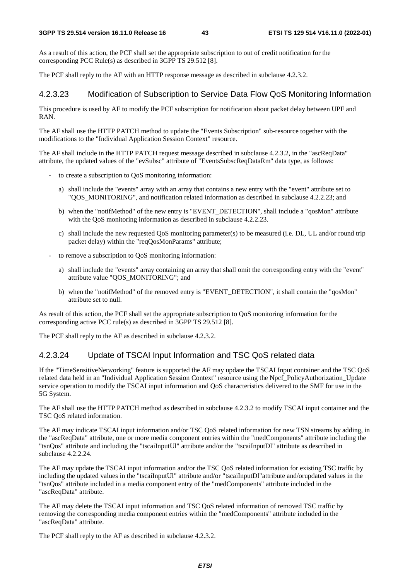As a result of this action, the PCF shall set the appropriate subscription to out of credit notification for the corresponding PCC Rule(s) as described in 3GPP TS 29.512 [8].

The PCF shall reply to the AF with an HTTP response message as described in subclause 4.2.3.2.

## 4.2.3.23 Modification of Subscription to Service Data Flow QoS Monitoring Information

This procedure is used by AF to modify the PCF subscription for notification about packet delay between UPF and RAN.

The AF shall use the HTTP PATCH method to update the "Events Subscription" sub-resource together with the modifications to the "Individual Application Session Context" resource.

The AF shall include in the HTTP PATCH request message described in subclause 4.2.3.2, in the "ascReqData" attribute, the updated values of the "evSubsc" attribute of "EventsSubscReqDataRm" data type, as follows:

- to create a subscription to QoS monitoring information:
	- a) shall include the "events" array with an array that contains a new entry with the "event" attribute set to "QOS\_MONITORING", and notification related information as described in subclause 4.2.2.23; and
	- b) when the "notifMethod" of the new entry is "EVENT\_DETECTION", shall include a "qosMon" attribute with the QoS monitoring information as described in subclause 4.2.2.23.
	- c) shall include the new requested QoS monitoring parameter(s) to be measured (i.e. DL, UL and/or round trip packet delay) within the "reqQosMonParams" attribute;
- to remove a subscription to QoS monitoring information:
	- a) shall include the "events" array containing an array that shall omit the corresponding entry with the "event" attribute value "QOS\_MONITORING"; and
	- b) when the "notifMethod" of the removed entry is "EVENT\_DETECTION", it shall contain the "qosMon" attribute set to null.

As result of this action, the PCF shall set the appropriate subscription to QoS monitoring information for the corresponding active PCC rule(s) as described in 3GPP TS 29.512 [8].

The PCF shall reply to the AF as described in subclause 4.2.3.2.

#### 4.2.3.24 Update of TSCAI Input Information and TSC QoS related data

If the "TimeSensitiveNetworking" feature is supported the AF may update the TSCAI Input container and the TSC QoS related data held in an "Individual Application Session Context" resource using the Npcf\_PolicyAuthorization\_Update service operation to modify the TSCAI input information and QoS characteristics delivered to the SMF for use in the 5G System.

The AF shall use the HTTP PATCH method as described in subclause 4.2.3.2 to modify TSCAI input container and the TSC QoS related information.

The AF may indicate TSCAI input information and/or TSC QoS related information for new TSN streams by adding, in the "ascReqData" attribute, one or more media component entries within the "medComponents" attribute including the "tsnQos" attribute and including the "tscaiInputUl" attribute and/or the "tscaiInputDl" attribute as described in subclause 4.2.2.24.

The AF may update the TSCAI input information and/or the TSC QoS related information for existing TSC traffic by including the updated values in the "tscaiInputUl" attribute and/or "tscaiInputDl"attribute and/orupdated values in the "tsnQos" attribute included in a media component entry of the "medComponents" attribute included in the "ascReqData" attribute.

The AF may delete the TSCAI input information and TSC QoS related information of removed TSC traffic by removing the corresponding media component entries within the "medComponents" attribute included in the "ascReqData" attribute.

The PCF shall reply to the AF as described in subclause 4.2.3.2.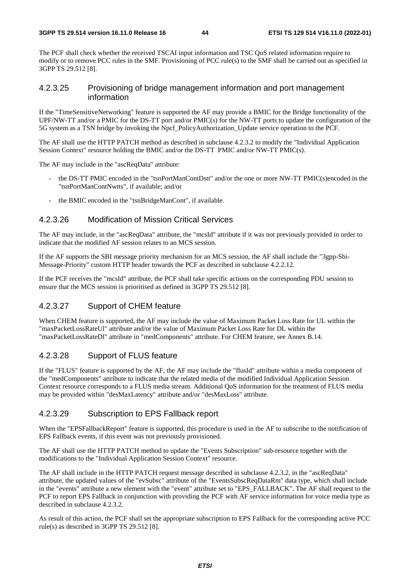The PCF shall check whether the received TSCAI input information and TSC QoS related information require to modify or to remove PCC rules in the SMF. Provisioning of PCC rule(s) to the SMF shall be carried out as specified in 3GPP TS 29.512 [8].

## 4.2.3.25 Provisioning of bridge management information and port management information

If the "TimeSensitiveNetworking" feature is supported the AF may provide a BMIC for the Bridge functionality of the UPF/NW-TT and/or a PMIC for the DS-TT port and/or  $PMIC(s)$  for the NW-TT ports to update the configuration of the 5G system as a TSN bridge by invoking the Npcf\_PolicyAuthorization\_Update service operation to the PCF.

The AF shall use the HTTP PATCH method as described in subclause 4.2.3.2 to modify the "Individual Application Session Context" resource holding the BMIC and/or the DS-TT PMIC and/or NW-TT PMIC(s).

The AF may include in the "ascReqData" attribute:

- the DS-TT PMIC encoded in the "tsnPortManContDstt" and/or the one or more NW-TT PMIC(s)encoded in the "tsnPortManContNwtts", if available; and/or
- the BMIC encoded in the "tsnBridgeManCont", if available.

#### 4.2.3.26 Modification of Mission Critical Services

The AF may include, in the "ascReqData" attribute, the "mcsId" attribute if it was not previously provided in order to indicate that the modified AF session relates to an MCS session.

If the AF supports the SBI message priority mechanism for an MCS session, the AF shall include the "3gpp-Sbi-Message-Priority" custom HTTP header towards the PCF as described in subclause 4.2.2.12.

If the PCF receives the "mcsId" attribute, the PCF shall take specific actions on the corresponding PDU session to ensure that the MCS session is prioritised as defined in 3GPP TS 29.512 [8].

## 4.2.3.27 Support of CHEM feature

When CHEM feature is supported, the AF may include the value of Maximum Packet Loss Rate for UL within the "maxPacketLossRateUl" attribute and/or the value of Maximum Packet Loss Rate for DL within the "maxPacketLossRateDl" attribute in "medComponents" attribute. For CHEM feature, see Annex B.14.

## 4.2.3.28 Support of FLUS feature

If the "FLUS" feature is supported by the AF, the AF may include the "flusId" attribute within a media component of the "medComponents" attribute to indicate that the related media of the modified Individual Application Session Context resource corresponds to a FLUS media stream. Additional QoS information for the treatment of FLUS media may be provided within "desMaxLatency" attribute and/or "desMaxLoss" attribute.

## 4.2.3.29 Subscription to EPS Fallback report

When the "EPSFallbackReport" feature is supported, this procedure is used in the AF to subscribe to the notification of EPS Fallback events, if this event was not previously provisioned.

The AF shall use the HTTP PATCH method to update the "Events Subscription" sub-resource together with the modifications to the "Individual Application Session Context" resource.

The AF shall include in the HTTP PATCH request message described in subclause 4.2.3.2, in the "ascReqData" attribute, the updated values of the "evSubsc" attribute of the "EventsSubscReqDataRm" data type, which shall include in the "events" attribute a new element with the "event" attribute set to "EPS\_FALLBACK". The AF shall request to the PCF to report EPS Fallback in conjunction with providing the PCF with AF service information for voice media type as described in subclause 4.2.3.2.

As result of this action, the PCF shall set the appropriate subscription to EPS Fallback for the corresponding active PCC rule(s) as described in 3GPP TS 29.512 [8].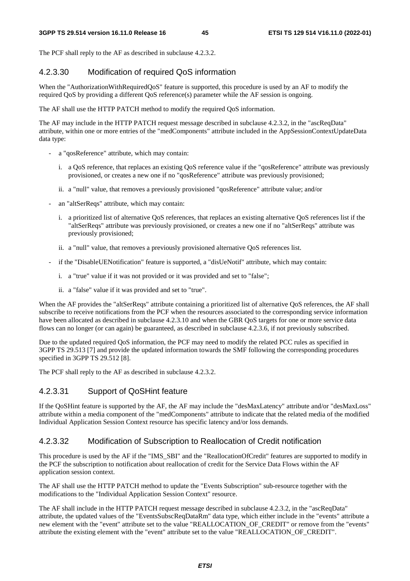The PCF shall reply to the AF as described in subclause 4.2.3.2.

## 4.2.3.30 Modification of required QoS information

When the "AuthorizationWithRequiredQoS" feature is supported, this procedure is used by an AF to modify the required QoS by providing a different QoS reference(s) parameter while the AF session is ongoing.

The AF shall use the HTTP PATCH method to modify the required QoS information.

The AF may include in the HTTP PATCH request message described in subclause 4.2.3.2, in the "ascReqData" attribute, within one or more entries of the "medComponents" attribute included in the AppSessionContextUpdateData data type:

- a "qosReference" attribute, which may contain:
	- i. a QoS reference, that replaces an existing QoS reference value if the "qosReference" attribute was previously provisioned, or creates a new one if no "qosReference" attribute was previously provisioned;
	- ii. a "null" value, that removes a previously provisioned "qosReference" attribute value; and/or
- an "altSerReqs" attribute, which may contain:
	- i. a prioritized list of alternative QoS references, that replaces an existing alternative QoS references list if the "altSerReqs" attribute was previously provisioned, or creates a new one if no "altSerReqs" attribute was previously provisioned;
	- ii. a "null" value, that removes a previously provisioned alternative QoS references list.
- if the "DisableUENotification" feature is supported, a "disUeNotif" attribute, which may contain:
	- i. a "true" value if it was not provided or it was provided and set to "false";
	- ii. a "false" value if it was provided and set to "true".

When the AF provides the "altSerReqs" attribute containing a prioritized list of alternative QoS references, the AF shall subscribe to receive notifications from the PCF when the resources associated to the corresponding service information have been allocated as described in subclause 4.2.3.10 and when the GBR QoS targets for one or more service data flows can no longer (or can again) be guaranteed, as described in subclause 4.2.3.6, if not previously subscribed.

Due to the updated required QoS information, the PCF may need to modify the related PCC rules as specified in 3GPP TS 29.513 [7] and provide the updated information towards the SMF following the corresponding procedures specified in 3GPP TS 29.512 [8].

The PCF shall reply to the AF as described in subclause 4.2.3.2.

## 4.2.3.31 Support of QoSHint feature

If the QoSHint feature is supported by the AF, the AF may include the "desMaxLatency" attribute and/or "desMaxLoss" attribute within a media component of the "medComponents" attribute to indicate that the related media of the modified Individual Application Session Context resource has specific latency and/or loss demands.

## 4.2.3.32 Modification of Subscription to Reallocation of Credit notification

This procedure is used by the AF if the "IMS\_SBI" and the "ReallocationOfCredit" features are supported to modify in the PCF the subscription to notification about reallocation of credit for the Service Data Flows within the AF application session context.

The AF shall use the HTTP PATCH method to update the "Events Subscription" sub-resource together with the modifications to the "Individual Application Session Context" resource.

The AF shall include in the HTTP PATCH request message described in subclause 4.2.3.2, in the "ascReqData" attribute, the updated values of the "EventsSubscReqDataRm" data type, which either include in the "events" attribute a new element with the "event" attribute set to the value "REALLOCATION\_OF\_CREDIT" or remove from the "events" attribute the existing element with the "event" attribute set to the value "REALLOCATION\_OF\_CREDIT".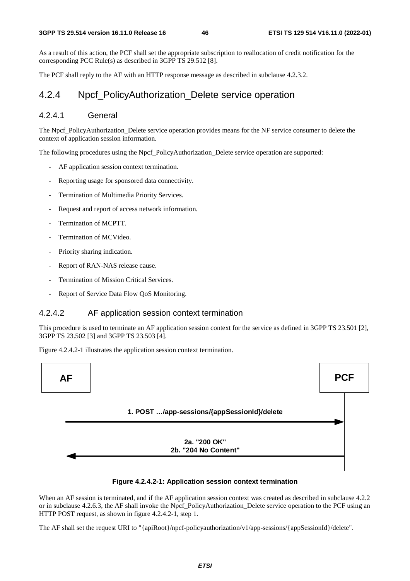As a result of this action, the PCF shall set the appropriate subscription to reallocation of credit notification for the corresponding PCC Rule(s) as described in 3GPP TS 29.512 [8].

The PCF shall reply to the AF with an HTTP response message as described in subclause 4.2.3.2.

## 4.2.4 Npcf\_PolicyAuthorization\_Delete service operation

#### 4.2.4.1 General

The Npcf\_PolicyAuthorization\_Delete service operation provides means for the NF service consumer to delete the context of application session information.

The following procedures using the Npcf\_PolicyAuthorization\_Delete service operation are supported:

- AF application session context termination.
- Reporting usage for sponsored data connectivity.
- Termination of Multimedia Priority Services.
- Request and report of access network information.
- Termination of MCPTT.
- Termination of MCVideo.
- Priority sharing indication.
- Report of RAN-NAS release cause.
- Termination of Mission Critical Services.
- Report of Service Data Flow QoS Monitoring.

#### 4.2.4.2 AF application session context termination

This procedure is used to terminate an AF application session context for the service as defined in 3GPP TS 23.501 [2], 3GPP TS 23.502 [3] and 3GPP TS 23.503 [4].

Figure 4.2.4.2-1 illustrates the application session context termination.





When an AF session is terminated, and if the AF application session context was created as described in subclause 4.2.2 or in subclause 4.2.6.3, the AF shall invoke the Npcf\_PolicyAuthorization\_Delete service operation to the PCF using an HTTP POST request, as shown in figure 4.2.4.2-1, step 1.

The AF shall set the request URI to "{apiRoot}/npcf-policyauthorization/v1/app-sessions/{appSessionId}/delete".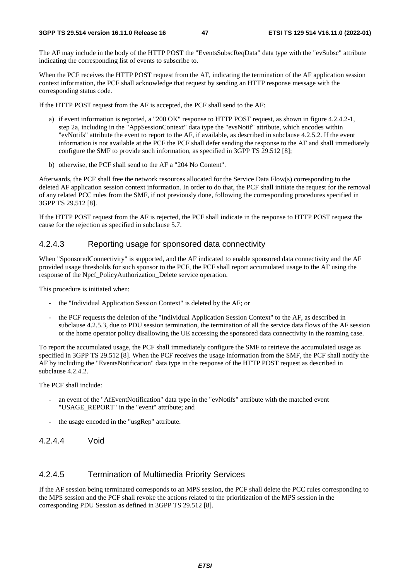The AF may include in the body of the HTTP POST the "EventsSubscReqData" data type with the "evSubsc" attribute indicating the corresponding list of events to subscribe to.

When the PCF receives the HTTP POST request from the AF, indicating the termination of the AF application session context information, the PCF shall acknowledge that request by sending an HTTP response message with the corresponding status code.

If the HTTP POST request from the AF is accepted, the PCF shall send to the AF:

- a) if event information is reported, a "200 OK" response to HTTP POST request, as shown in figure 4.2.4.2-1, step 2a, including in the "AppSessionContext" data type the "evsNotif" attribute, which encodes within "evNotifs" attribute the event to report to the AF, if available, as described in subclause 4.2.5.2. If the event information is not available at the PCF the PCF shall defer sending the response to the AF and shall immediately configure the SMF to provide such information, as specified in 3GPP TS 29.512 [8];
- b) otherwise, the PCF shall send to the AF a "204 No Content".

Afterwards, the PCF shall free the network resources allocated for the Service Data Flow(s) corresponding to the deleted AF application session context information. In order to do that, the PCF shall initiate the request for the removal of any related PCC rules from the SMF, if not previously done, following the corresponding procedures specified in 3GPP TS 29.512 [8].

If the HTTP POST request from the AF is rejected, the PCF shall indicate in the response to HTTP POST request the cause for the rejection as specified in subclause 5.7.

### 4.2.4.3 Reporting usage for sponsored data connectivity

When "SponsoredConnectivity" is supported, and the AF indicated to enable sponsored data connectivity and the AF provided usage thresholds for such sponsor to the PCF, the PCF shall report accumulated usage to the AF using the response of the Npcf\_PolicyAuthorization\_Delete service operation.

This procedure is initiated when:

- the "Individual Application Session Context" is deleted by the AF; or
- the PCF requests the deletion of the "Individual Application Session Context" to the AF, as described in subclause 4.2.5.3, due to PDU session termination, the termination of all the service data flows of the AF session or the home operator policy disallowing the UE accessing the sponsored data connectivity in the roaming case.

To report the accumulated usage, the PCF shall immediately configure the SMF to retrieve the accumulated usage as specified in 3GPP TS 29.512 [8]. When the PCF receives the usage information from the SMF, the PCF shall notify the AF by including the "EventsNotification" data type in the response of the HTTP POST request as described in subclause 4.2.4.2.

The PCF shall include:

- an event of the "AfEventNotification" data type in the "evNotifs" attribute with the matched event "USAGE\_REPORT" in the "event" attribute; and
- the usage encoded in the "usgRep" attribute.
- 4.2.4.4 Void

#### 4.2.4.5 Termination of Multimedia Priority Services

If the AF session being terminated corresponds to an MPS session, the PCF shall delete the PCC rules corresponding to the MPS session and the PCF shall revoke the actions related to the prioritization of the MPS session in the corresponding PDU Session as defined in 3GPP TS 29.512 [8].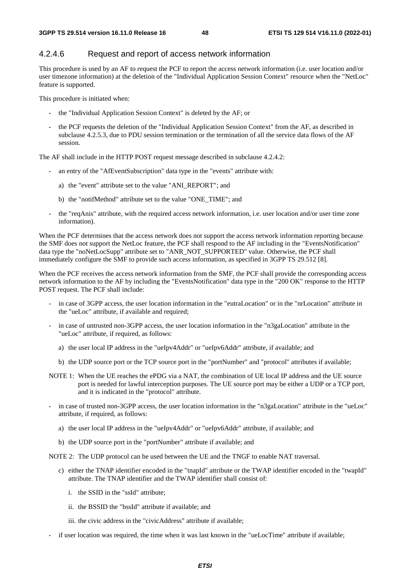#### 4.2.4.6 Request and report of access network information

This procedure is used by an AF to request the PCF to report the access network information (i.e. user location and/or user timezone information) at the deletion of the "Individual Application Session Context" resource when the "NetLoc" feature is supported.

This procedure is initiated when:

- the "Individual Application Session Context" is deleted by the AF; or
- the PCF requests the deletion of the "Individual Application Session Context" from the AF, as described in subclause 4.2.5.3, due to PDU session termination or the termination of all the service data flows of the AF session.

The AF shall include in the HTTP POST request message described in subclause 4.2.4.2:

- an entry of the "AfEventSubscription" data type in the "events" attribute with:
	- a) the "event" attribute set to the value "ANI\_REPORT"; and
	- b) the "notifMethod" attribute set to the value "ONE\_TIME"; and
- the "reqAnis" attribute, with the required access network information, i.e. user location and/or user time zone information).

When the PCF determines that the access network does not support the access network information reporting because the SMF does not support the NetLoc feature, the PCF shall respond to the AF including in the "EventsNotification" data type the "noNetLocSupp" attribute set to "ANR\_NOT\_SUPPORTED" value. Otherwise, the PCF shall immediately configure the SMF to provide such access information, as specified in 3GPP TS 29.512 [8].

When the PCF receives the access network information from the SMF, the PCF shall provide the corresponding access network information to the AF by including the "EventsNotification" data type in the "200 OK" response to the HTTP POST request. The PCF shall include:

- in case of 3GPP access, the user location information in the "eutraLocation" or in the "nrLocation" attribute in the "ueLoc" attribute, if available and required;
- in case of untrusted non-3GPP access, the user location information in the "n3gaLocation" attribute in the "ueLoc" attribute, if required, as follows:
	- a) the user local IP address in the "ueIpv4Addr" or "ueIpv6Addr" attribute, if available; and
	- b) the UDP source port or the TCP source port in the "portNumber" and "protocol" attributes if available;

NOTE 1: When the UE reaches the ePDG via a NAT, the combination of UE local IP address and the UE source port is needed for lawful interception purposes. The UE source port may be either a UDP or a TCP port, and it is indicated in the "protocol" attribute.

- in case of trusted non-3GPP access, the user location information in the "n3gaLocation" attribute in the "ueLoc" attribute, if required, as follows:
	- a) the user local IP address in the "ueIpv4Addr" or "ueIpv6Addr" attribute, if available; and
	- b) the UDP source port in the "portNumber" attribute if available; and

NOTE 2: The UDP protocol can be used between the UE and the TNGF to enable NAT traversal.

- c) either the TNAP identifier encoded in the "tnapId" attribute or the TWAP identifier encoded in the "twapId" attribute. The TNAP identifier and the TWAP identifier shall consist of:
	- i. the SSID in the "ssId" attribute;
	- ii. the BSSID the "bssId" attribute if available; and
	- iii. the civic address in the "civicAddress" attribute if available;
- if user location was required, the time when it was last known in the "ueLocTime" attribute if available;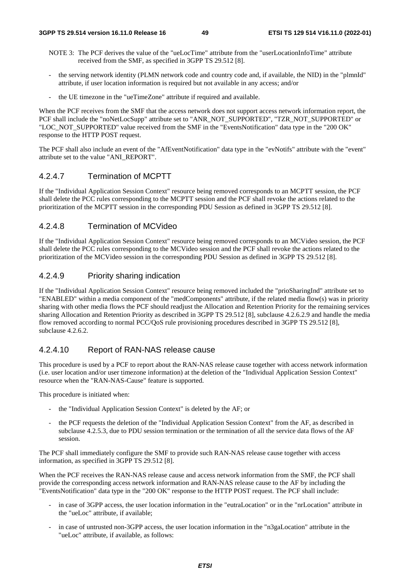- NOTE 3: The PCF derives the value of the "ueLocTime" attribute from the "userLocationInfoTime" attribute received from the SMF, as specified in 3GPP TS 29.512 [8].
- the serving network identity (PLMN network code and country code and, if available, the NID) in the "plmnId" attribute, if user location information is required but not available in any access; and/or
- the UE timezone in the "ueTimeZone" attribute if required and available.

When the PCF receives from the SMF that the access network does not support access network information report, the PCF shall include the "noNetLocSupp" attribute set to "ANR\_NOT\_SUPPORTED", "TZR\_NOT\_SUPPORTED" or "LOC\_NOT\_SUPPORTED" value received from the SMF in the "EventsNotification" data type in the "200 OK" response to the HTTP POST request.

The PCF shall also include an event of the "AfEventNotification" data type in the "evNotifs" attribute with the "event" attribute set to the value "ANI\_REPORT".

## 4.2.4.7 Termination of MCPTT

If the "Individual Application Session Context" resource being removed corresponds to an MCPTT session, the PCF shall delete the PCC rules corresponding to the MCPTT session and the PCF shall revoke the actions related to the prioritization of the MCPTT session in the corresponding PDU Session as defined in 3GPP TS 29.512 [8].

### 4.2.4.8 Termination of MCVideo

If the "Individual Application Session Context" resource being removed corresponds to an MCVideo session, the PCF shall delete the PCC rules corresponding to the MCVideo session and the PCF shall revoke the actions related to the prioritization of the MCVideo session in the corresponding PDU Session as defined in 3GPP TS 29.512 [8].

### 4.2.4.9 Priority sharing indication

If the "Individual Application Session Context" resource being removed included the "prioSharingInd" attribute set to "ENABLED" within a media component of the "medComponents" attribute, if the related media flow(s) was in priority sharing with other media flows the PCF should readjust the Allocation and Retention Priority for the remaining services sharing Allocation and Retention Priority as described in 3GPP TS 29.512 [8], subclause 4.2.6.2.9 and handle the media flow removed according to normal PCC/QoS rule provisioning procedures described in 3GPP TS 29.512 [8], subclause 4.2.6.2.

#### 4.2.4.10 Report of RAN-NAS release cause

This procedure is used by a PCF to report about the RAN-NAS release cause together with access network information (i.e. user location and/or user timezone information) at the deletion of the "Individual Application Session Context" resource when the "RAN-NAS-Cause" feature is supported.

This procedure is initiated when:

- the "Individual Application Session Context" is deleted by the AF; or
- the PCF requests the deletion of the "Individual Application Session Context" from the AF, as described in subclause 4.2.5.3, due to PDU session termination or the termination of all the service data flows of the AF session.

The PCF shall immediately configure the SMF to provide such RAN-NAS release cause together with access information, as specified in 3GPP TS 29.512 [8].

When the PCF receives the RAN-NAS release cause and access network information from the SMF, the PCF shall provide the corresponding access network information and RAN-NAS release cause to the AF by including the "EventsNotification" data type in the "200 OK" response to the HTTP POST request. The PCF shall include:

- in case of 3GPP access, the user location information in the "eutraLocation" or in the "nrLocation" attribute in the "ueLoc" attribute, if available;
- in case of untrusted non-3GPP access, the user location information in the "n3gaLocation" attribute in the "ueLoc" attribute, if available, as follows: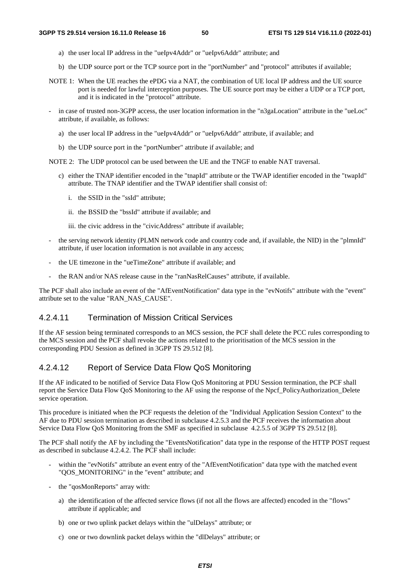- a) the user local IP address in the "ueIpv4Addr" or "ueIpv6Addr" attribute; and
- b) the UDP source port or the TCP source port in the "portNumber" and "protocol" attributes if available;
- NOTE 1: When the UE reaches the ePDG via a NAT, the combination of UE local IP address and the UE source port is needed for lawful interception purposes. The UE source port may be either a UDP or a TCP port, and it is indicated in the "protocol" attribute.
- in case of trusted non-3GPP access, the user location information in the "n3gaLocation" attribute in the "ueLoc" attribute, if available, as follows:
	- a) the user local IP address in the "ueIpv4Addr" or "ueIpv6Addr" attribute, if available; and
	- b) the UDP source port in the "portNumber" attribute if available; and

NOTE 2: The UDP protocol can be used between the UE and the TNGF to enable NAT traversal.

- c) either the TNAP identifier encoded in the "tnapId" attribute or the TWAP identifier encoded in the "twapId" attribute. The TNAP identifier and the TWAP identifier shall consist of:
	- i. the SSID in the "ssId" attribute;
	- ii. the BSSID the "bssId" attribute if available; and

iii. the civic address in the "civicAddress" attribute if available;

- the serving network identity (PLMN network code and country code and, if available, the NID) in the "plmnId" attribute, if user location information is not available in any access;
- the UE timezone in the "ueTimeZone" attribute if available; and
- the RAN and/or NAS release cause in the "ranNasRelCauses" attribute, if available.

The PCF shall also include an event of the "AfEventNotification" data type in the "evNotifs" attribute with the "event" attribute set to the value "RAN\_NAS\_CAUSE".

## 4.2.4.11 Termination of Mission Critical Services

If the AF session being terminated corresponds to an MCS session, the PCF shall delete the PCC rules corresponding to the MCS session and the PCF shall revoke the actions related to the prioritisation of the MCS session in the corresponding PDU Session as defined in 3GPP TS 29.512 [8].

## 4.2.4.12 Report of Service Data Flow QoS Monitoring

If the AF indicated to be notified of Service Data Flow QoS Monitoring at PDU Session termination, the PCF shall report the Service Data Flow QoS Monitoring to the AF using the response of the Npcf\_PolicyAuthorization\_Delete service operation.

This procedure is initiated when the PCF requests the deletion of the "Individual Application Session Context" to the AF due to PDU session termination as described in subclause 4.2.5.3 and the PCF receives the information about Service Data Flow QoS Monitoring from the SMF as specified in subclause 4.2.5.5 of 3GPP TS 29.512 [8].

The PCF shall notify the AF by including the "EventsNotification" data type in the response of the HTTP POST request as described in subclause 4.2.4.2. The PCF shall include:

- within the "evNotifs" attribute an event entry of the "AfEventNotification" data type with the matched event "QOS\_MONITORING" in the "event" attribute; and
- the "qosMonReports" array with:
	- a) the identification of the affected service flows (if not all the flows are affected) encoded in the "flows" attribute if applicable; and
	- b) one or two uplink packet delays within the "ulDelays" attribute; or
	- c) one or two downlink packet delays within the "dlDelays" attribute; or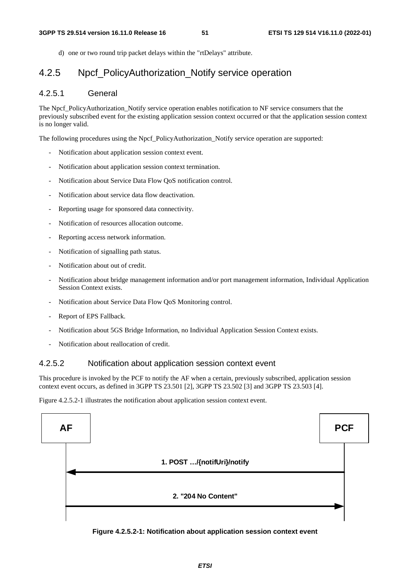d) one or two round trip packet delays within the "rtDelays" attribute.

## 4.2.5 Npcf PolicyAuthorization Notify service operation

## 4.2.5.1 General

The Npcf\_PolicyAuthorization\_Notify service operation enables notification to NF service consumers that the previously subscribed event for the existing application session context occurred or that the application session context is no longer valid.

The following procedures using the Npcf\_PolicyAuthorization\_Notify service operation are supported:

- Notification about application session context event.
- Notification about application session context termination.
- Notification about Service Data Flow QoS notification control.
- Notification about service data flow deactivation.
- Reporting usage for sponsored data connectivity.
- Notification of resources allocation outcome.
- Reporting access network information.
- Notification of signalling path status.
- Notification about out of credit.
- Notification about bridge management information and/or port management information, Individual Application Session Context exists.
- Notification about Service Data Flow QoS Monitoring control.
- Report of EPS Fallback.
- Notification about 5GS Bridge Information, no Individual Application Session Context exists.
- Notification about reallocation of credit.

#### 4.2.5.2 Notification about application session context event

This procedure is invoked by the PCF to notify the AF when a certain, previously subscribed, application session context event occurs, as defined in 3GPP TS 23.501 [2], 3GPP TS 23.502 [3] and 3GPP TS 23.503 [4].

Figure 4.2.5.2-1 illustrates the notification about application session context event.



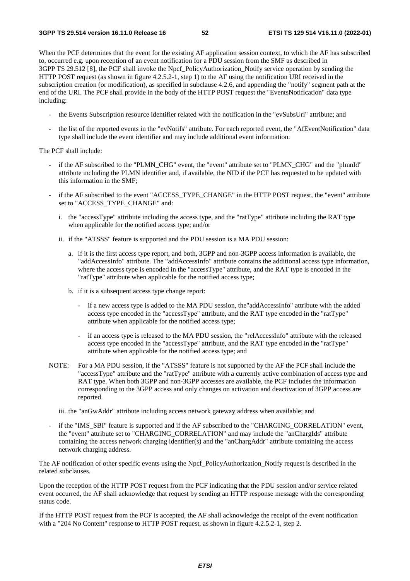When the PCF determines that the event for the existing AF application session context, to which the AF has subscribed to, occurred e.g. upon reception of an event notification for a PDU session from the SMF as described in 3GPP TS 29.512 [8], the PCF shall invoke the Npcf\_PolicyAuthorization\_Notify service operation by sending the HTTP POST request (as shown in figure 4.2.5.2-1, step 1) to the AF using the notification URI received in the subscription creation (or modification), as specified in subclause 4.2.6, and appending the "notify" segment path at the end of the URI. The PCF shall provide in the body of the HTTP POST request the "EventsNotification" data type including:

- the Events Subscription resource identifier related with the notification in the "evSubsUri" attribute; and
- the list of the reported events in the "evNotifs" attribute. For each reported event, the "AfEventNotification" data type shall include the event identifier and may include additional event information.

The PCF shall include:

- if the AF subscribed to the "PLMN\_CHG" event, the "event" attribute set to "PLMN\_CHG" and the "plmnId" attribute including the PLMN identifier and, if available, the NID if the PCF has requested to be updated with this information in the SMF;
- if the AF subscribed to the event "ACCESS\_TYPE\_CHANGE" in the HTTP POST request, the "event" attribute set to "ACCESS\_TYPE\_CHANGE" and:
	- i. the "accessType" attribute including the access type, and the "ratType" attribute including the RAT type when applicable for the notified access type; and/or
	- ii. if the "ATSSS" feature is supported and the PDU session is a MA PDU session:
		- a. if it is the first access type report, and both, 3GPP and non-3GPP access information is available, the "addAccessInfo" attribute. The "addAccessInfo" attribute contains the additional access type information, where the access type is encoded in the "accessType" attribute, and the RAT type is encoded in the "ratType" attribute when applicable for the notified access type;
		- b. if it is a subsequent access type change report:
			- if a new access type is added to the MA PDU session, the"addAccessInfo" attribute with the added access type encoded in the "accessType" attribute, and the RAT type encoded in the "ratType" attribute when applicable for the notified access type;
			- if an access type is released to the MA PDU session, the "relAccessInfo" attribute with the released access type encoded in the "accessType" attribute, and the RAT type encoded in the "ratType" attribute when applicable for the notified access type; and
- NOTE: For a MA PDU session, if the "ATSSS" feature is not supported by the AF the PCF shall include the "accessType" attribute and the "ratType" attribute with a currently active combination of access type and RAT type. When both 3GPP and non-3GPP accesses are available, the PCF includes the information corresponding to the 3GPP access and only changes on activation and deactivation of 3GPP access are reported.

iii. the "anGwAddr" attribute including access network gateway address when available; and

if the "IMS\_SBI" feature is supported and if the AF subscribed to the "CHARGING\_CORRELATION" event, the "event" attribute set to "CHARGING\_CORRELATION" and may include the "anChargIds" attribute containing the access network charging identifier(s) and the "anChargAddr" attribute containing the access network charging address.

The AF notification of other specific events using the Npcf\_PolicyAuthorization\_Notify request is described in the related subclauses.

Upon the reception of the HTTP POST request from the PCF indicating that the PDU session and/or service related event occurred, the AF shall acknowledge that request by sending an HTTP response message with the corresponding status code.

If the HTTP POST request from the PCF is accepted, the AF shall acknowledge the receipt of the event notification with a "204 No Content" response to HTTP POST request, as shown in figure 4.2.5.2-1, step 2.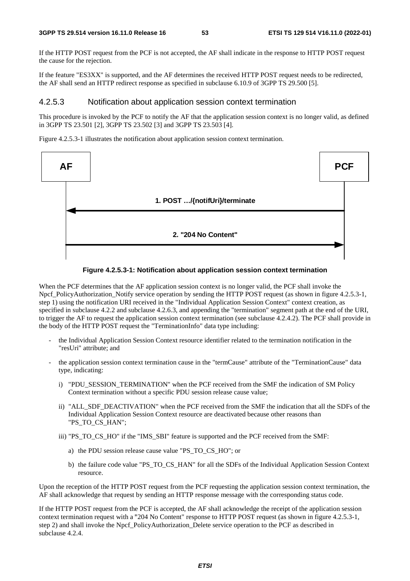If the HTTP POST request from the PCF is not accepted, the AF shall indicate in the response to HTTP POST request the cause for the rejection.

If the feature "ES3XX" is supported, and the AF determines the received HTTP POST request needs to be redirected, the AF shall send an HTTP redirect response as specified in subclause 6.10.9 of 3GPP TS 29.500 [5].

#### 4.2.5.3 Notification about application session context termination

This procedure is invoked by the PCF to notify the AF that the application session context is no longer valid, as defined in 3GPP TS 23.501 [2], 3GPP TS 23.502 [3] and 3GPP TS 23.503 [4].

Figure 4.2.5.3-1 illustrates the notification about application session context termination.





When the PCF determines that the AF application session context is no longer valid, the PCF shall invoke the Npcf PolicyAuthorization Notify service operation by sending the HTTP POST request (as shown in figure 4.2.5.3-1, step 1) using the notification URI received in the "Individual Application Session Context" context creation, as specified in subclause 4.2.2 and subclause 4.2.6.3, and appending the "termination" segment path at the end of the URI, to trigger the AF to request the application session context termination (see subclause 4.2.4.2). The PCF shall provide in the body of the HTTP POST request the "TerminationInfo" data type including:

- the Individual Application Session Context resource identifier related to the termination notification in the "resUri" attribute; and
- the application session context termination cause in the "termCause" attribute of the "TerminationCause" data type, indicating:
	- i) "PDU\_SESSION\_TERMINATION" when the PCF received from the SMF the indication of SM Policy Context termination without a specific PDU session release cause value;
	- ii) "ALL\_SDF\_DEACTIVATION" when the PCF received from the SMF the indication that all the SDFs of the Individual Application Session Context resource are deactivated because other reasons than "PS\_TO\_CS\_HAN";
	- iii) "PS\_TO\_CS\_HO" if the "IMS\_SBI" feature is supported and the PCF received from the SMF:
		- a) the PDU session release cause value "PS\_TO\_CS\_HO"; or
		- b) the failure code value "PS\_TO\_CS\_HAN" for all the SDFs of the Individual Application Session Context resource.

Upon the reception of the HTTP POST request from the PCF requesting the application session context termination, the AF shall acknowledge that request by sending an HTTP response message with the corresponding status code.

If the HTTP POST request from the PCF is accepted, the AF shall acknowledge the receipt of the application session context termination request with a "204 No Content" response to HTTP POST request (as shown in figure 4.2.5.3-1, step 2) and shall invoke the Npcf\_PolicyAuthorization\_Delete service operation to the PCF as described in subclause 4.2.4.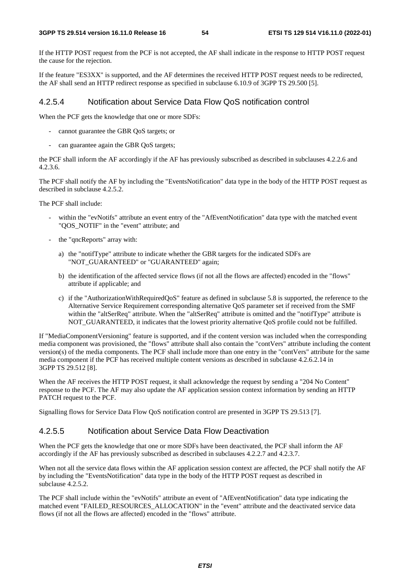If the HTTP POST request from the PCF is not accepted, the AF shall indicate in the response to HTTP POST request the cause for the rejection.

If the feature "ES3XX" is supported, and the AF determines the received HTTP POST request needs to be redirected, the AF shall send an HTTP redirect response as specified in subclause 6.10.9 of 3GPP TS 29.500 [5].

#### 4.2.5.4 Notification about Service Data Flow QoS notification control

When the PCF gets the knowledge that one or more SDFs:

- cannot guarantee the GBR QoS targets; or
- can guarantee again the GBR QoS targets;

the PCF shall inform the AF accordingly if the AF has previously subscribed as described in subclauses 4.2.2.6 and 4.2.3.6.

The PCF shall notify the AF by including the "EventsNotification" data type in the body of the HTTP POST request as described in subclause 4.2.5.2.

#### The PCF shall include:

- within the "evNotifs" attribute an event entry of the "AfEventNotification" data type with the matched event "QOS\_NOTIF" in the "event" attribute; and
- the "qncReports" array with:
	- a) the "notifType" attribute to indicate whether the GBR targets for the indicated SDFs are "NOT\_GUARANTEED" or "GUARANTEED" again;
	- b) the identification of the affected service flows (if not all the flows are affected) encoded in the "flows" attribute if applicable; and
	- c) if the "AuthorizationWithRequiredQoS" feature as defined in subclause 5.8 is supported, the reference to the Alternative Service Requirement corresponding alternative QoS parameter set if received from the SMF within the "altSerReq" attribute. When the "altSerReq" attribute is omitted and the "notifType" attribute is NOT\_GUARANTEED, it indicates that the lowest priority alternative QoS profile could not be fulfilled.

If "MediaComponentVersioning" feature is supported, and if the content version was included when the corresponding media component was provisioned, the "flows" attribute shall also contain the "contVers" attribute including the content version(s) of the media components. The PCF shall include more than one entry in the "contVers" attribute for the same media component if the PCF has received multiple content versions as described in subclause 4.2.6.2.14 in 3GPP TS 29.512 [8].

When the AF receives the HTTP POST request, it shall acknowledge the request by sending a "204 No Content" response to the PCF. The AF may also update the AF application session context information by sending an HTTP PATCH request to the PCF.

Signalling flows for Service Data Flow QoS notification control are presented in 3GPP TS 29.513 [7].

## 4.2.5.5 Notification about Service Data Flow Deactivation

When the PCF gets the knowledge that one or more SDFs have been deactivated, the PCF shall inform the AF accordingly if the AF has previously subscribed as described in subclauses 4.2.2.7 and 4.2.3.7.

When not all the service data flows within the AF application session context are affected, the PCF shall notify the AF by including the "EventsNotification" data type in the body of the HTTP POST request as described in subclause 4.2.5.2.

The PCF shall include within the "evNotifs" attribute an event of "AfEventNotification" data type indicating the matched event "FAILED\_RESOURCES\_ALLOCATION" in the "event" attribute and the deactivated service data flows (if not all the flows are affected) encoded in the "flows" attribute.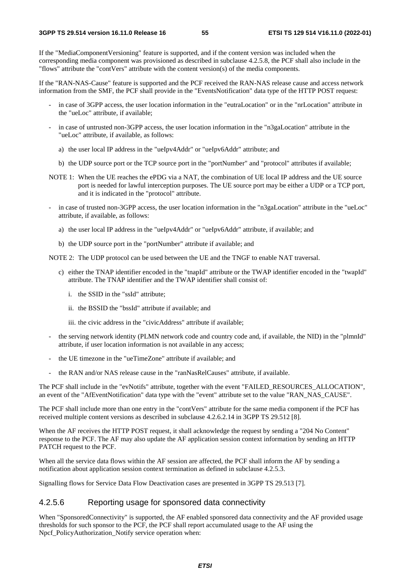If the "MediaComponentVersioning" feature is supported, and if the content version was included when the corresponding media component was provisioned as described in subclause 4.2.5.8, the PCF shall also include in the "flows" attribute the "contVers" attribute with the content version(s) of the media components.

If the "RAN-NAS-Cause" feature is supported and the PCF received the RAN-NAS release cause and access network information from the SMF, the PCF shall provide in the "EventsNotification" data type of the HTTP POST request:

- in case of 3GPP access, the user location information in the "eutraLocation" or in the "nrLocation" attribute in the "ueLoc" attribute, if available;
- in case of untrusted non-3GPP access, the user location information in the "n3gaLocation" attribute in the "ueLoc" attribute, if available, as follows:
	- a) the user local IP address in the "ueIpv4Addr" or "ueIpv6Addr" attribute; and
	- b) the UDP source port or the TCP source port in the "portNumber" and "protocol" attributes if available;
- NOTE 1: When the UE reaches the ePDG via a NAT, the combination of UE local IP address and the UE source port is needed for lawful interception purposes. The UE source port may be either a UDP or a TCP port, and it is indicated in the "protocol" attribute.
- in case of trusted non-3GPP access, the user location information in the "n3gaLocation" attribute in the "ueLoc" attribute, if available, as follows:
	- a) the user local IP address in the "ueIpv4Addr" or "ueIpv6Addr" attribute, if available; and
	- b) the UDP source port in the "portNumber" attribute if available; and

NOTE 2: The UDP protocol can be used between the UE and the TNGF to enable NAT traversal.

- c) either the TNAP identifier encoded in the "tnapId" attribute or the TWAP identifier encoded in the "twapId" attribute. The TNAP identifier and the TWAP identifier shall consist of:
	- i. the SSID in the "ssId" attribute;
	- ii. the BSSID the "bssId" attribute if available; and

iii. the civic address in the "civicAddress" attribute if available;

- the serving network identity (PLMN network code and country code and, if available, the NID) in the "plmnId" attribute, if user location information is not available in any access;
- the UE timezone in the "ueTimeZone" attribute if available; and
- the RAN and/or NAS release cause in the "ranNasRelCauses" attribute, if available.

The PCF shall include in the "evNotifs" attribute, together with the event "FAILED\_RESOURCES\_ALLOCATION", an event of the "AfEventNotification" data type with the "event" attribute set to the value "RAN\_NAS\_CAUSE".

The PCF shall include more than one entry in the "contVers" attribute for the same media component if the PCF has received multiple content versions as described in subclause 4.2.6.2.14 in 3GPP TS 29.512 [8].

When the AF receives the HTTP POST request, it shall acknowledge the request by sending a "204 No Content" response to the PCF. The AF may also update the AF application session context information by sending an HTTP PATCH request to the PCF.

When all the service data flows within the AF session are affected, the PCF shall inform the AF by sending a notification about application session context termination as defined in subclause 4.2.5.3.

Signalling flows for Service Data Flow Deactivation cases are presented in 3GPP TS 29.513 [7].

## 4.2.5.6 Reporting usage for sponsored data connectivity

When "SponsoredConnectivity" is supported, the AF enabled sponsored data connectivity and the AF provided usage thresholds for such sponsor to the PCF, the PCF shall report accumulated usage to the AF using the Npcf\_PolicyAuthorization\_Notify service operation when: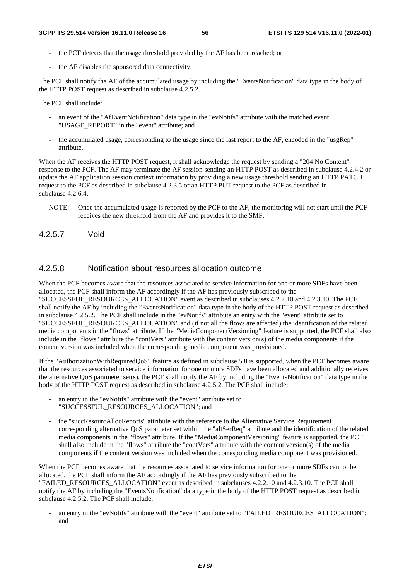- the PCF detects that the usage threshold provided by the AF has been reached; or
- the AF disables the sponsored data connectivity.

The PCF shall notify the AF of the accumulated usage by including the "EventsNotification" data type in the body of the HTTP POST request as described in subclause 4.2.5.2.

The PCF shall include:

- an event of the "AfEventNotification" data type in the "evNotifs" attribute with the matched event "USAGE\_REPORT" in the "event" attribute; and
- the accumulated usage, corresponding to the usage since the last report to the AF, encoded in the "usgRep" attribute.

When the AF receives the HTTP POST request, it shall acknowledge the request by sending a "204 No Content" response to the PCF. The AF may terminate the AF session sending an HTTP POST as described in subclause 4.2.4.2 or update the AF application session context information by providing a new usage threshold sending an HTTP PATCH request to the PCF as described in subclause 4.2.3.5 or an HTTP PUT request to the PCF as described in subclause 4.2.6.4.

NOTE: Once the accumulated usage is reported by the PCF to the AF, the monitoring will not start until the PCF receives the new threshold from the AF and provides it to the SMF.

4.2.5.7 Void

## 4.2.5.8 Notification about resources allocation outcome

When the PCF becomes aware that the resources associated to service information for one or more SDFs have been allocated, the PCF shall inform the AF accordingly if the AF has previously subscribed to the "SUCCESSFUL\_RESOURCES\_ALLOCATION" event as described in subclauses 4.2.2.10 and 4.2.3.10. The PCF shall notify the AF by including the "EventsNotification" data type in the body of the HTTP POST request as described in subclause 4.2.5.2. The PCF shall include in the "evNotifs" attribute an entry with the "event" attribute set to "SUCCESSFUL\_RESOURCES\_ALLOCATION" and (if not all the flows are affected) the identification of the related media components in the "flows" attribute. If the "MediaComponentVersioning" feature is supported, the PCF shall also include in the "flows" attribute the "contVers" attribute with the content version(s) of the media components if the content version was included when the corresponding media component was provisioned.

If the "AuthorizationWithRequiredQoS" feature as defined in subclause 5.8 is supported, when the PCF becomes aware that the resources associated to service information for one or more SDFs have been allocated and additionally receives the alternative QoS parameter set(s), the PCF shall notify the AF by including the "EventsNotification" data type in the body of the HTTP POST request as described in subclause 4.2.5.2. The PCF shall include:

- an entry in the "evNotifs" attribute with the "event" attribute set to "SUCCESSFUL\_RESOURCES\_ALLOCATION"; and
- the "succResourcAllocReports" attribute with the reference to the Alternative Service Requirement corresponding alternative QoS parameter set within the "altSerReq" attribute and the identification of the related media components in the "flows" attribute. If the "MediaComponentVersioning" feature is supported, the PCF shall also include in the "flows" attribute the "contVers" attribute with the content version(s) of the media components if the content version was included when the corresponding media component was provisioned.

When the PCF becomes aware that the resources associated to service information for one or more SDFs cannot be allocated, the PCF shall inform the AF accordingly if the AF has previously subscribed to the "FAILED\_RESOURCES\_ALLOCATION" event as described in subclauses 4.2.2.10 and 4.2.3.10. The PCF shall notify the AF by including the "EventsNotification" data type in the body of the HTTP POST request as described in subclause 4.2.5.2. The PCF shall include:

an entry in the "evNotifs" attribute with the "event" attribute set to "FAILED\_RESOURCES\_ALLOCATION"; and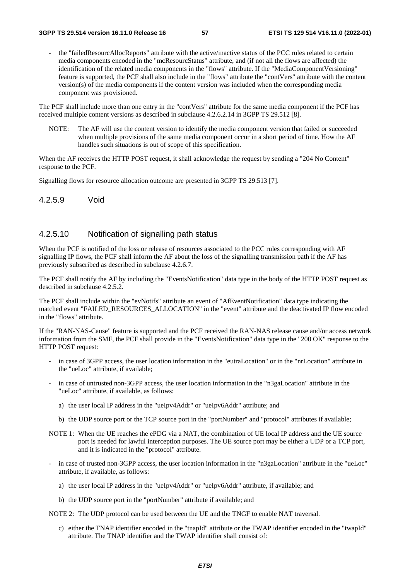the "failedResourcAllocReports" attribute with the active/inactive status of the PCC rules related to certain media components encoded in the "mcResourcStatus" attribute, and (if not all the flows are affected) the identification of the related media components in the "flows" attribute. If the "MediaComponentVersioning" feature is supported, the PCF shall also include in the "flows" attribute the "contVers" attribute with the content version(s) of the media components if the content version was included when the corresponding media component was provisioned.

The PCF shall include more than one entry in the "contVers" attribute for the same media component if the PCF has received multiple content versions as described in subclause 4.2.6.2.14 in 3GPP TS 29.512 [8].

NOTE: The AF will use the content version to identify the media component version that failed or succeeded when multiple provisions of the same media component occur in a short period of time. How the AF handles such situations is out of scope of this specification.

When the AF receives the HTTP POST request, it shall acknowledge the request by sending a "204 No Content" response to the PCF.

Signalling flows for resource allocation outcome are presented in 3GPP TS 29.513 [7].

4.2.5.9 Void

#### 4.2.5.10 Notification of signalling path status

When the PCF is notified of the loss or release of resources associated to the PCC rules corresponding with AF signalling IP flows, the PCF shall inform the AF about the loss of the signalling transmission path if the AF has previously subscribed as described in subclause 4.2.6.7.

The PCF shall notify the AF by including the "EventsNotification" data type in the body of the HTTP POST request as described in subclause 4.2.5.2.

The PCF shall include within the "evNotifs" attribute an event of "AfEventNotification" data type indicating the matched event "FAILED\_RESOURCES\_ALLOCATION" in the "event" attribute and the deactivated IP flow encoded in the "flows" attribute.

If the "RAN-NAS-Cause" feature is supported and the PCF received the RAN-NAS release cause and/or access network information from the SMF, the PCF shall provide in the "EventsNotification" data type in the "200 OK" response to the HTTP POST request:

- in case of 3GPP access, the user location information in the "eutraLocation" or in the "nrLocation" attribute in the "ueLoc" attribute, if available;
- in case of untrusted non-3GPP access, the user location information in the "n3gaLocation" attribute in the "ueLoc" attribute, if available, as follows:
	- a) the user local IP address in the "ueIpv4Addr" or "ueIpv6Addr" attribute; and
	- b) the UDP source port or the TCP source port in the "portNumber" and "protocol" attributes if available;
- NOTE 1: When the UE reaches the ePDG via a NAT, the combination of UE local IP address and the UE source port is needed for lawful interception purposes. The UE source port may be either a UDP or a TCP port, and it is indicated in the "protocol" attribute.
- in case of trusted non-3GPP access, the user location information in the "n3gaLocation" attribute in the "ueLoc" attribute, if available, as follows:
	- a) the user local IP address in the "ueIpv4Addr" or "ueIpv6Addr" attribute, if available; and
	- b) the UDP source port in the "portNumber" attribute if available; and

NOTE 2: The UDP protocol can be used between the UE and the TNGF to enable NAT traversal.

c) either the TNAP identifier encoded in the "tnapId" attribute or the TWAP identifier encoded in the "twapId" attribute. The TNAP identifier and the TWAP identifier shall consist of: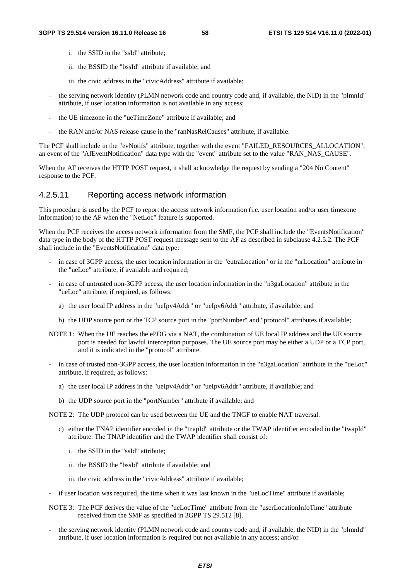- i. the SSID in the "ssId" attribute;
- ii. the BSSID the "bssId" attribute if available; and
- iii. the civic address in the "civicAddress" attribute if available;
- the serving network identity (PLMN network code and country code and, if available, the NID) in the "plmnId" attribute, if user location information is not available in any access;
- the UE timezone in the "ueTimeZone" attribute if available; and
- the RAN and/or NAS release cause in the "ranNasRelCauses" attribute, if available.

The PCF shall include in the "evNotifs" attribute, together with the event "FAILED\_RESOURCES\_ALLOCATION", an event of the "AfEventNotification" data type with the "event" attribute set to the value "RAN\_NAS\_CAUSE".

When the AF receives the HTTP POST request, it shall acknowledge the request by sending a "204 No Content" response to the PCF.

## 4.2.5.11 Reporting access network information

This procedure is used by the PCF to report the access network information (i.e. user location and/or user timezone information) to the AF when the "NetLoc" feature is supported.

When the PCF receives the access network information from the SMF, the PCF shall include the "EventsNotification" data type in the body of the HTTP POST request message sent to the AF as described in subclause 4.2.5.2. The PCF shall include in the "EventsNotification" data type:

- in case of 3GPP access, the user location information in the "eutraLocation" or in the "nrLocation" attribute in the "ueLoc" attribute, if available and required;
- in case of untrusted non-3GPP access, the user location information in the "n3gaLocation" attribute in the "ueLoc" attribute, if required, as follows:
	- a) the user local IP address in the "ueIpv4Addr" or "ueIpv6Addr" attribute, if available; and
	- b) the UDP source port or the TCP source port in the "portNumber" and "protocol" attributes if available;
- NOTE 1: When the UE reaches the ePDG via a NAT, the combination of UE local IP address and the UE source port is needed for lawful interception purposes. The UE source port may be either a UDP or a TCP port, and it is indicated in the "protocol" attribute.
- in case of trusted non-3GPP access, the user location information in the "n3gaLocation" attribute in the "ueLoc" attribute, if required, as follows:
	- a) the user local IP address in the "ueIpv4Addr" or "ueIpv6Addr" attribute, if available; and
	- b) the UDP source port in the "portNumber" attribute if available; and

NOTE 2: The UDP protocol can be used between the UE and the TNGF to enable NAT traversal.

- c) either the TNAP identifier encoded in the "tnapId" attribute or the TWAP identifier encoded in the "twapId" attribute. The TNAP identifier and the TWAP identifier shall consist of:
	- i. the SSID in the "ssId" attribute;
	- ii. the BSSID the "bssId" attribute if available; and
	- iii. the civic address in the "civicAddress" attribute if available;
- if user location was required, the time when it was last known in the "ueLocTime" attribute if available;
- NOTE 3: The PCF derives the value of the "ueLocTime" attribute from the "userLocationInfoTime" attribute received from the SMF as specified in 3GPP TS 29.512 [8].
- the serving network identity (PLMN network code and country code and, if available, the NID) in the "plmnId" attribute, if user location information is required but not available in any access; and/or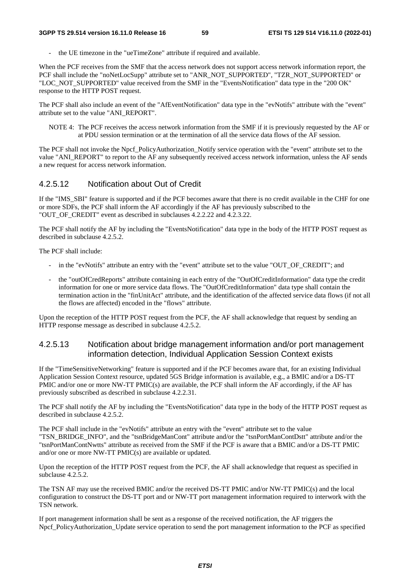the UE timezone in the "ueTimeZone" attribute if required and available.

When the PCF receives from the SMF that the access network does not support access network information report, the PCF shall include the "noNetLocSupp" attribute set to "ANR\_NOT\_SUPPORTED", "TZR\_NOT\_SUPPORTED" or "LOC\_NOT\_SUPPORTED" value received from the SMF in the "EventsNotification" data type in the "200 OK" response to the HTTP POST request.

The PCF shall also include an event of the "AfEventNotification" data type in the "evNotifs" attribute with the "event" attribute set to the value "ANI\_REPORT".

NOTE 4: The PCF receives the access network information from the SMF if it is previously requested by the AF or at PDU session termination or at the termination of all the service data flows of the AF session.

The PCF shall not invoke the Npcf\_PolicyAuthorization\_Notify service operation with the "event" attribute set to the value "ANI\_REPORT" to report to the AF any subsequently received access network information, unless the AF sends a new request for access network information.

#### 4.2.5.12 Notification about Out of Credit

If the "IMS\_SBI" feature is supported and if the PCF becomes aware that there is no credit available in the CHF for one or more SDFs, the PCF shall inform the AF accordingly if the AF has previously subscribed to the "OUT\_OF\_CREDIT" event as described in subclauses 4.2.2.22 and 4.2.3.22.

The PCF shall notify the AF by including the "EventsNotification" data type in the body of the HTTP POST request as described in subclause 4.2.5.2.

The PCF shall include:

- in the "evNotifs" attribute an entry with the "event" attribute set to the value "OUT\_OF\_CREDIT"; and
- the "outOfCredReports" attribute containing in each entry of the "OutOfCreditInformation" data type the credit information for one or more service data flows. The "OutOfCreditInformation" data type shall contain the termination action in the "finUnitAct" attribute, and the identification of the affected service data flows (if not all the flows are affected) encoded in the "flows" attribute.

Upon the reception of the HTTP POST request from the PCF, the AF shall acknowledge that request by sending an HTTP response message as described in subclause 4.2.5.2.

### 4.2.5.13 Notification about bridge management information and/or port management information detection, Individual Application Session Context exists

If the "TimeSensitiveNetworking" feature is supported and if the PCF becomes aware that, for an existing Individual Application Session Context resource, updated 5GS Bridge information is available, e.g., a BMIC and/or a DS-TT PMIC and/or one or more NW-TT PMIC(s) are available, the PCF shall inform the AF accordingly, if the AF has previously subscribed as described in subclause 4.2.2.31.

The PCF shall notify the AF by including the "EventsNotification" data type in the body of the HTTP POST request as described in subclause 4.2.5.2.

The PCF shall include in the "evNotifs" attribute an entry with the "event" attribute set to the value "TSN\_BRIDGE\_INFO", and the "tsnBridgeManCont" attribute and/or the "tsnPortManContDstt" attribute and/or the "tsnPortManContNwtts" attribute as received from the SMF if the PCF is aware that a BMIC and/or a DS-TT PMIC and/or one or more NW-TT PMIC(s) are available or updated.

Upon the reception of the HTTP POST request from the PCF, the AF shall acknowledge that request as specified in subclause 4.2.5.2.

The TSN AF may use the received BMIC and/or the received DS-TT PMIC and/or NW-TT PMIC(s) and the local configuration to construct the DS-TT port and or NW-TT port management information required to interwork with the TSN network.

If port management information shall be sent as a response of the received notification, the AF triggers the Npcf. PolicyAuthorization. Update service operation to send the port management information to the PCF as specified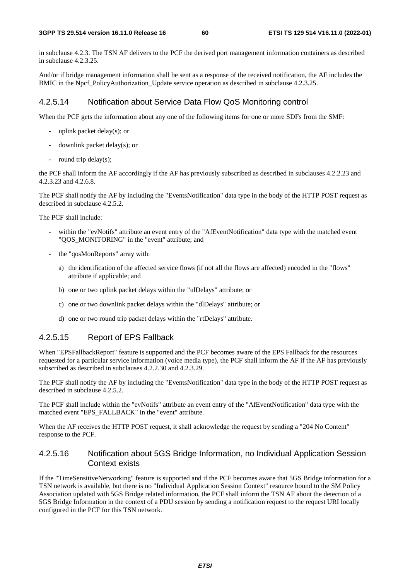in subclause 4.2.3. The TSN AF delivers to the PCF the derived port management information containers as described in subclause 4.2.3.25.

And/or if bridge management information shall be sent as a response of the received notification, the AF includes the BMIC in the Npcf PolicyAuthorization Update service operation as described in subclause 4.2.3.25.

#### 4.2.5.14 Notification about Service Data Flow QoS Monitoring control

When the PCF gets the information about any one of the following items for one or more SDFs from the SMF:

- uplink packet delay(s); or
- downlink packet delay(s); or
- round trip delay $(s)$ ;

the PCF shall inform the AF accordingly if the AF has previously subscribed as described in subclauses 4.2.2.23 and 4.2.3.23 and 4.2.6.8.

The PCF shall notify the AF by including the "EventsNotification" data type in the body of the HTTP POST request as described in subclause 4.2.5.2.

The PCF shall include:

- within the "evNotifs" attribute an event entry of the "AfEventNotification" data type with the matched event "QOS\_MONITORING" in the "event" attribute; and
- the "qosMonReports" array with:
	- a) the identification of the affected service flows (if not all the flows are affected) encoded in the "flows" attribute if applicable; and
	- b) one or two uplink packet delays within the "ulDelays" attribute; or
	- c) one or two downlink packet delays within the "dlDelays" attribute; or
	- d) one or two round trip packet delays within the "rtDelays" attribute.

## 4.2.5.15 Report of EPS Fallback

When "EPSFallbackReport" feature is supported and the PCF becomes aware of the EPS Fallback for the resources requested for a particular service information (voice media type), the PCF shall inform the AF if the AF has previously subscribed as described in subclauses 4.2.2.30 and 4.2.3.29.

The PCF shall notify the AF by including the "EventsNotification" data type in the body of the HTTP POST request as described in subclause 4.2.5.2.

The PCF shall include within the "evNotifs" attribute an event entry of the "AfEventNotification" data type with the matched event "EPS\_FALLBACK" in the "event" attribute.

When the AF receives the HTTP POST request, it shall acknowledge the request by sending a "204 No Content" response to the PCF.

## 4.2.5.16 Notification about 5GS Bridge Information, no Individual Application Session Context exists

If the "TimeSensitiveNetworking" feature is supported and if the PCF becomes aware that 5GS Bridge information for a TSN network is available, but there is no "Individual Application Session Context" resource bound to the SM Policy Association updated with 5GS Bridge related information, the PCF shall inform the TSN AF about the detection of a 5GS Bridge Information in the context of a PDU session by sending a notification request to the request URI locally configured in the PCF for this TSN network.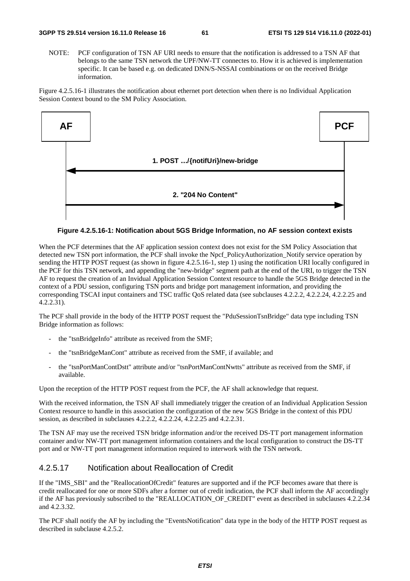NOTE: PCF configuration of TSN AF URI needs to ensure that the notification is addressed to a TSN AF that belongs to the same TSN network the UPF/NW-TT connectes to. How it is achieved is implementation specific. It can be based e.g. on dedicated DNN/S-NSSAI combinations or on the received Bridge information.

Figure 4.2.5.16-1 illustrates the notification about ethernet port detection when there is no Individual Application Session Context bound to the SM Policy Association.



#### **Figure 4.2.5.16-1: Notification about 5GS Bridge Information, no AF session context exists**

When the PCF determines that the AF application session context does not exist for the SM Policy Association that detected new TSN port information, the PCF shall invoke the Npcf\_PolicyAuthorization\_Notify service operation by sending the HTTP POST request (as shown in figure 4.2.5.16-1, step 1) using the notification URI locally configured in the PCF for this TSN network, and appending the "new-bridge" segment path at the end of the URI, to trigger the TSN AF to request the creation of an Invidual Application Session Context resource to handle the 5GS Bridge detected in the context of a PDU session, configuring TSN ports and bridge port management information, and providing the corresponding TSCAI input containers and TSC traffic QoS related data (see subclauses 4.2.2.2, 4.2.2.24, 4.2.2.25 and 4.2.2.31).

The PCF shall provide in the body of the HTTP POST request the "PduSessionTsnBridge" data type including TSN Bridge information as follows:

- the "tsnBridgeInfo" attribute as received from the SMF;
- the "tsnBridgeManCont" attribute as received from the SMF, if available; and
- the "tsnPortManContDstt" attribute and/or "tsnPortManContNwtts" attribute as received from the SMF, if available.

Upon the reception of the HTTP POST request from the PCF, the AF shall acknowledge that request.

With the received information, the TSN AF shall immediately trigger the creation of an Individual Application Session Context resource to handle in this association the configuration of the new 5GS Bridge in the context of this PDU session, as described in subclauses 4.2.2.2, 4.2.2.24, 4.2.2.25 and 4.2.2.31.

The TSN AF may use the received TSN bridge information and/or the received DS-TT port management information container and/or NW-TT port management information containers and the local configuration to construct the DS-TT port and or NW-TT port management information required to interwork with the TSN network.

## 4.2.5.17 Notification about Reallocation of Credit

If the "IMS\_SBI" and the "ReallocationOfCredit" features are supported and if the PCF becomes aware that there is credit reallocated for one or more SDFs after a former out of credit indication, the PCF shall inform the AF accordingly if the AF has previously subscribed to the "REALLOCATION\_OF\_CREDIT" event as described in subclauses 4.2.2.34 and 4.2.3.32.

The PCF shall notify the AF by including the "EventsNotification" data type in the body of the HTTP POST request as described in subclause 4.2.5.2.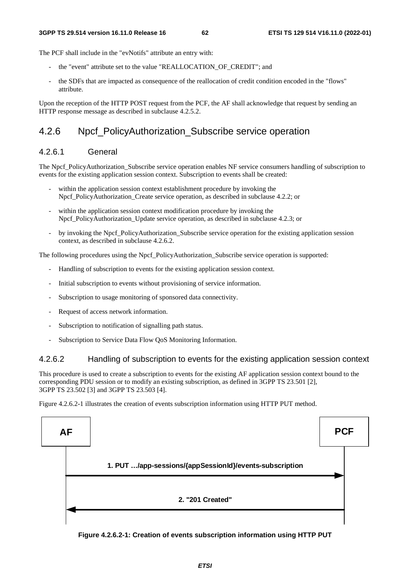The PCF shall include in the "evNotifs" attribute an entry with:

- the "event" attribute set to the value "REALLOCATION\_OF\_CREDIT"; and
- the SDFs that are impacted as consequence of the reallocation of credit condition encoded in the "flows" attribute.

Upon the reception of the HTTP POST request from the PCF, the AF shall acknowledge that request by sending an HTTP response message as described in subclause 4.2.5.2.

## 4.2.6 Npcf\_PolicyAuthorization\_Subscribe service operation

## 4.2.6.1 General

The Npcf. PolicyAuthorization. Subscribe service operation enables NF service consumers handling of subscription to events for the existing application session context. Subscription to events shall be created:

- within the application session context establishment procedure by invoking the Npcf\_PolicyAuthorization\_Create service operation, as described in subclause 4.2.2; or
- within the application session context modification procedure by invoking the Npcf PolicyAuthorization Update service operation, as described in subclause 4.2.3; or
- by invoking the Npcf\_PolicyAuthorization\_Subscribe service operation for the existing application session context, as described in subclause 4.2.6.2.

The following procedures using the Npcf\_PolicyAuthorization\_Subscribe service operation is supported:

- Handling of subscription to events for the existing application session context.
- Initial subscription to events without provisioning of service information.
- Subscription to usage monitoring of sponsored data connectivity.
- Request of access network information.
- Subscription to notification of signalling path status.
- Subscription to Service Data Flow QoS Monitoring Information.

## 4.2.6.2 Handling of subscription to events for the existing application session context

This procedure is used to create a subscription to events for the existing AF application session context bound to the corresponding PDU session or to modify an existing subscription, as defined in 3GPP TS 23.501 [2], 3GPP TS 23.502 [3] and 3GPP TS 23.503 [4].

Figure 4.2.6.2-1 illustrates the creation of events subscription information using HTTP PUT method.



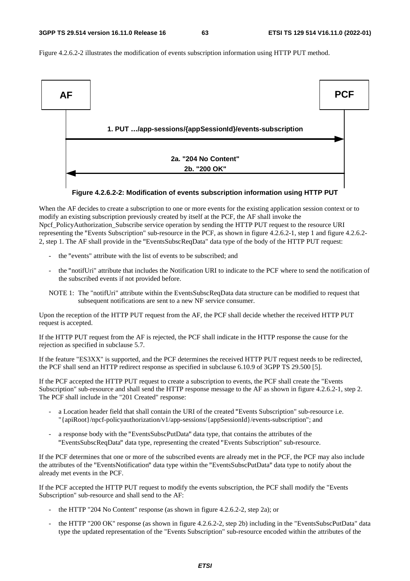Figure 4.2.6.2-2 illustrates the modification of events subscription information using HTTP PUT method.



#### **Figure 4.2.6.2-2: Modification of events subscription information using HTTP PUT**

When the AF decides to create a subscription to one or more events for the existing application session context or to modify an existing subscription previously created by itself at the PCF, the AF shall invoke the Npcf\_PolicyAuthorization\_Subscribe service operation by sending the HTTP PUT request to the resource URI representing the "Events Subscription" sub-resource in the PCF, as shown in figure 4.2.6.2-1, step 1 and figure 4.2.6.2- 2, step 1. The AF shall provide in the "EventsSubscReqData" data type of the body of the HTTP PUT request:

- the "events" attribute with the list of events to be subscribed; and
- the "notifUri" attribute that includes the Notification URI to indicate to the PCF where to send the notification of the subscribed events if not provided before.
- NOTE 1: The "notifUri" attribute within the EventsSubscReqData data structure can be modified to request that subsequent notifications are sent to a new NF service consumer.

Upon the reception of the HTTP PUT request from the AF, the PCF shall decide whether the received HTTP PUT request is accepted.

If the HTTP PUT request from the AF is rejected, the PCF shall indicate in the HTTP response the cause for the rejection as specified in subclause 5.7.

If the feature "ES3XX" is supported, and the PCF determines the received HTTP PUT request needs to be redirected, the PCF shall send an HTTP redirect response as specified in subclause 6.10.9 of 3GPP TS 29.500 [5].

If the PCF accepted the HTTP PUT request to create a subscription to events, the PCF shall create the "Events Subscription" sub-resource and shall send the HTTP response message to the AF as shown in figure 4.2.6.2-1, step 2. The PCF shall include in the "201 Created" response:

- a Location header field that shall contain the URI of the created "Events Subscription" sub-resource i.e. "{apiRoot}/npcf-policyauthorization/v1/app-sessions/{appSessionId}/events-subscription"; and
- a response body with the "EventsSubscPutData" data type, that contains the attributes of the "EventsSubscReqData" data type, representing the created "Events Subscription" sub-resource.

If the PCF determines that one or more of the subscribed events are already met in the PCF, the PCF may also include the attributes of the "EventsNotification" data type within the "EventsSubscPutData" data type to notify about the already met events in the PCF.

If the PCF accepted the HTTP PUT request to modify the events subscription, the PCF shall modify the "Events Subscription" sub-resource and shall send to the AF:

- the HTTP "204 No Content" response (as shown in figure 4.2.6.2-2, step 2a); or
- the HTTP "200 OK" response (as shown in figure 4.2.6.2-2, step 2b) including in the "EventsSubscPutData" data type the updated representation of the "Events Subscription" sub-resource encoded within the attributes of the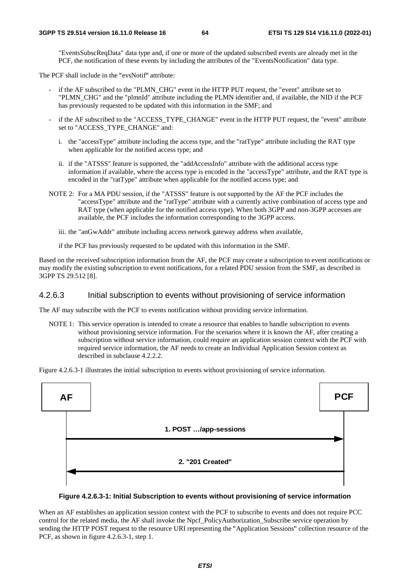"EventsSubscReqData" data type and, if one or more of the updated subscribed events are already met in the PCF, the notification of these events by including the attributes of the "EventsNotification" data type.

The PCF shall include in the "evsNotif" attribute:

- if the AF subscribed to the "PLMN\_CHG" event in the HTTP PUT request, the "event" attribute set to "PLMN\_CHG" and the "plmnId" attribute including the PLMN identifier and, if available, the NID if the PCF has previously requested to be updated with this information in the SMF; and
- if the AF subscribed to the "ACCESS\_TYPE\_CHANGE" event in the HTTP PUT request, the "event" attribute set to "ACCESS\_TYPE\_CHANGE" and:
	- i. the "accessType" attribute including the access type, and the "ratType" attribute including the RAT type when applicable for the notified access type; and
	- ii. if the "ATSSS" feature is supported, the "addAccessInfo" attribute with the additional access type information if available, where the access type is encoded in the "accessType" attribute, and the RAT type is encoded in the "ratType" attribute when applicable for the notified access type; and
- NOTE 2: For a MA PDU session, if the "ATSSS" feature is not supported by the AF the PCF includes the "accessType" attribute and the "ratType" attribute with a currently active combination of access type and RAT type (when applicable for the notified access type). When both 3GPP and non-3GPP accesses are available, the PCF includes the information corresponding to the 3GPP access.
	- iii. the "anGwAddr" attribute including access network gateway address when available,

if the PCF has previously requested to be updated with this information in the SMF.

Based on the received subscription information from the AF, the PCF may create a subscription to event notifications or may modify the existing subscription to event notifications, for a related PDU session from the SMF, as described in 3GPP TS 29.512 [8].

#### 4.2.6.3 Initial subscription to events without provisioning of service information

The AF may subscribe with the PCF to events notification without providing service information.

NOTE 1: This service operation is intended to create a resource that enables to handle subscription to events without provisioning service information. For the scenarios where it is known the AF, after creating a subscription without service information, could require an application session context with the PCF with required service information, the AF needs to create an Individual Application Session context as described in subclause 4.2.2.2.

Figure 4.2.6.3-1 illustrates the initial subscription to events without provisioning of service information.



#### **Figure 4.2.6.3-1: Initial Subscription to events without provisioning of service information**

When an AF establishes an application session context with the PCF to subscribe to events and does not require PCC control for the related media, the AF shall invoke the Npcf\_PolicyAuthorization\_Subscribe service operation by sending the HTTP POST request to the resource URI representing the "Application Sessions" collection resource of the PCF, as shown in figure 4.2.6.3-1, step 1.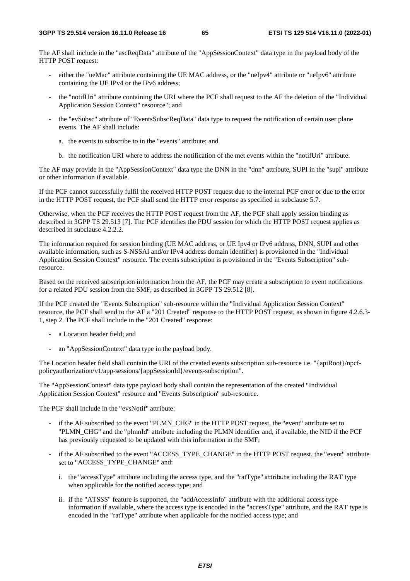The AF shall include in the "ascReqData" attribute of the "AppSessionContext" data type in the payload body of the HTTP POST request:

- either the "ueMac" attribute containing the UE MAC address, or the "ueIpv4" attribute or "ueIpv6" attribute containing the UE IPv4 or the IPv6 address;
- the "notifUri" attribute containing the URI where the PCF shall request to the AF the deletion of the "Individual Application Session Context" resource"; and
- the "evSubsc" attribute of "EventsSubscReqData" data type to request the notification of certain user plane events. The AF shall include:
	- a. the events to subscribe to in the "events" attribute; and
	- b. the notification URI where to address the notification of the met events within the "notifUri" attribute.

The AF may provide in the "AppSessionContext" data type the DNN in the "dnn" attribute, SUPI in the "supi" attribute or other information if available.

If the PCF cannot successfully fulfil the received HTTP POST request due to the internal PCF error or due to the error in the HTTP POST request, the PCF shall send the HTTP error response as specified in subclause 5.7.

Otherwise, when the PCF receives the HTTP POST request from the AF, the PCF shall apply session binding as described in 3GPP TS 29.513 [7]. The PCF identifies the PDU session for which the HTTP POST request applies as described in subclause 4.2.2.2.

The information required for session binding (UE MAC address, or UE Ipv4 or IPv6 address, DNN, SUPI and other available information, such as S-NSSAI and/or IPv4 address domain identifier) is provisioned in the "Individual Application Session Context" resource. The events subscription is provisioned in the "Events Subscription" subresource.

Based on the received subscription information from the AF, the PCF may create a subscription to event notifications for a related PDU session from the SMF, as described in 3GPP TS 29.512 [8].

If the PCF created the "Events Subscription" sub-resource within the "Individual Application Session Context" resource, the PCF shall send to the AF a "201 Created" response to the HTTP POST request, as shown in figure 4.2.6.3- 1, step 2. The PCF shall include in the "201 Created" response:

- a Location header field; and
- an "AppSessionContext" data type in the payload body.

The Location header field shall contain the URI of the created events subscription sub-resource i.e. "{apiRoot}/npcfpolicyauthorization/v1/app-sessions/{appSessionId}/events-subscription".

The "AppSessionContext" data type payload body shall contain the representation of the created "Individual Application Session Context" resource and "Events Subscription" sub-resource.

The PCF shall include in the "evsNotif" attribute:

- if the AF subscribed to the event "PLMN\_CHG" in the HTTP POST request, the "event" attribute set to "PLMN\_CHG" and the "plmnId" attribute including the PLMN identifier and, if available, the NID if the PCF has previously requested to be updated with this information in the SMF;
- if the AF subscribed to the event "ACCESS\_TYPE\_CHANGE" in the HTTP POST request, the "event" attribute set to "ACCESS\_TYPE\_CHANGE" and:
	- i. the "accessType" attribute including the access type, and the "ratType" attribute including the RAT type when applicable for the notified access type; and
	- ii. if the "ATSSS" feature is supported, the "addAccessInfo" attribute with the additional access type information if available, where the access type is encoded in the "accessType" attribute, and the RAT type is encoded in the "ratType" attribute when applicable for the notified access type; and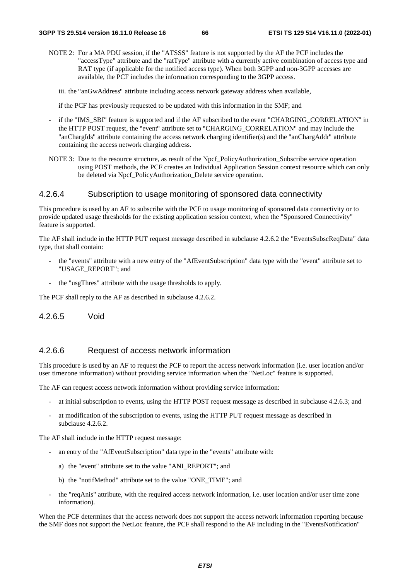- NOTE 2: For a MA PDU session, if the "ATSSS" feature is not supported by the AF the PCF includes the "accessType" attribute and the "ratType" attribute with a currently active combination of access type and RAT type (if applicable for the notified access type). When both 3GPP and non-3GPP accesses are available, the PCF includes the information corresponding to the 3GPP access.
	- iii. the "anGwAddress" attribute including access network gateway address when available,

if the PCF has previously requested to be updated with this information in the SMF; and

- if the "IMS SBI" feature is supported and if the AF subscribed to the event "CHARGING CORRELATION" in the HTTP POST request, the "event" attribute set to "CHARGING\_CORRELATION" and may include the "anChargIds" attribute containing the access network charging identifier(s) and the "anChargAddr" attribute containing the access network charging address.
- NOTE 3: Due to the resource structure, as result of the Npcf\_PolicyAuthorization\_Subscribe service operation using POST methods, the PCF creates an Individual Application Session context resource which can only be deleted via Npcf\_PolicyAuthorization\_Delete service operation.

#### 4.2.6.4 Subscription to usage monitoring of sponsored data connectivity

This procedure is used by an AF to subscribe with the PCF to usage monitoring of sponsored data connectivity or to provide updated usage thresholds for the existing application session context, when the "Sponsored Connectivity" feature is supported.

The AF shall include in the HTTP PUT request message described in subclause 4.2.6.2 the "EventsSubscReqData" data type, that shall contain:

- the "events" attribute with a new entry of the "AfEventSubscription" data type with the "event" attribute set to "USAGE\_REPORT"; and
- the "usgThres" attribute with the usage thresholds to apply.

The PCF shall reply to the AF as described in subclause 4.2.6.2.

4.2.6.5 Void

## 4.2.6.6 Request of access network information

This procedure is used by an AF to request the PCF to report the access network information (i.e. user location and/or user timezone information) without providing service information when the "NetLoc" feature is supported.

The AF can request access network information without providing service information:

- at initial subscription to events, using the HTTP POST request message as described in subclause 4.2.6.3; and
- at modification of the subscription to events, using the HTTP PUT request message as described in subclause 4.2.6.2.

The AF shall include in the HTTP request message:

- an entry of the "AfEventSubscription" data type in the "events" attribute with:
	- a) the "event" attribute set to the value "ANI\_REPORT"; and
	- b) the "notifMethod" attribute set to the value "ONE\_TIME"; and
- the "reqAnis" attribute, with the required access network information, i.e. user location and/or user time zone information).

When the PCF determines that the access network does not support the access network information reporting because the SMF does not support the NetLoc feature, the PCF shall respond to the AF including in the "EventsNotification"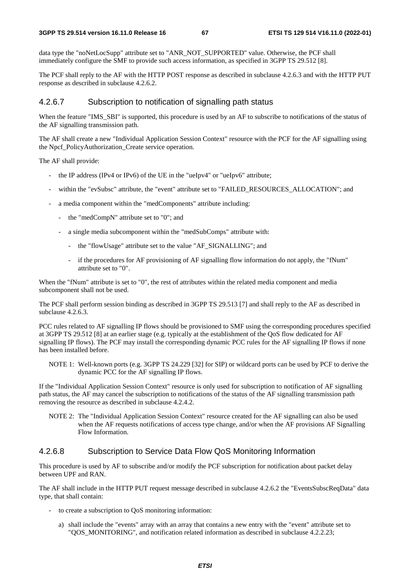data type the "noNetLocSupp" attribute set to "ANR\_NOT\_SUPPORTED" value. Otherwise, the PCF shall immediately configure the SMF to provide such access information, as specified in 3GPP TS 29.512 [8].

The PCF shall reply to the AF with the HTTP POST response as described in subclause 4.2.6.3 and with the HTTP PUT response as described in subclause 4.2.6.2.

#### 4.2.6.7 Subscription to notification of signalling path status

When the feature "IMS\_SBI" is supported, this procedure is used by an AF to subscribe to notifications of the status of the AF signalling transmission path.

The AF shall create a new "Individual Application Session Context" resource with the PCF for the AF signalling using the Npcf\_PolicyAuthorization\_Create service operation.

The AF shall provide:

- the IP address (IPv4 or IPv6) of the UE in the "ueIpv4" or "ueIpv6" attribute;
- within the "evSubsc" attribute, the "event" attribute set to "FAILED\_RESOURCES\_ALLOCATION"; and
- a media component within the "medComponents" attribute including:
	- the "medCompN" attribute set to "0"; and
	- a single media subcomponent within the "medSubComps" attribute with:
		- the "flowUsage" attribute set to the value "AF\_SIGNALLING"; and
		- if the procedures for AF provisioning of AF signalling flow information do not apply, the "fNum" attribute set to "0".

When the "fNum" attribute is set to "0", the rest of attributes within the related media component and media subcomponent shall not be used.

The PCF shall perform session binding as described in 3GPP TS 29.513 [7] and shall reply to the AF as described in subclause 4.2.6.3.

PCC rules related to AF signalling IP flows should be provisioned to SMF using the corresponding procedures specified at 3GPP TS 29.512 [8] at an earlier stage (e.g. typically at the establishment of the QoS flow dedicated for AF signalling IP flows). The PCF may install the corresponding dynamic PCC rules for the AF signalling IP flows if none has been installed before.

NOTE 1: Well-known ports (e.g. 3GPP TS 24.229 [32] for SIP) or wildcard ports can be used by PCF to derive the dynamic PCC for the AF signalling IP flows.

If the "Individual Application Session Context" resource is only used for subscription to notification of AF signalling path status, the AF may cancel the subscription to notifications of the status of the AF signalling transmission path removing the resource as described in subclause 4.2.4.2.

NOTE 2: The "Individual Application Session Context" resource created for the AF signalling can also be used when the AF requests notifications of access type change, and/or when the AF provisions AF Signalling Flow Information.

#### 4.2.6.8 Subscription to Service Data Flow QoS Monitoring Information

This procedure is used by AF to subscribe and/or modify the PCF subscription for notification about packet delay between UPF and RAN.

The AF shall include in the HTTP PUT request message described in subclause 4.2.6.2 the "EventsSubscReqData" data type, that shall contain:

- to create a subscription to QoS monitoring information:
	- a) shall include the "events" array with an array that contains a new entry with the "event" attribute set to "QOS\_MONITORING", and notification related information as described in subclause 4.2.2.23;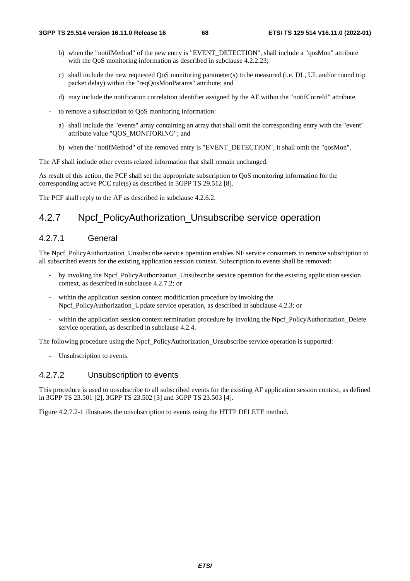- b) when the "notifMethod" of the new entry is "EVENT\_DETECTION", shall include a "qosMon" attribute with the QoS monitoring information as described in subclause 4.2.2.23;
- c) shall include the new requested QoS monitoring parameter(s) to be measured (i.e. DL, UL and/or round trip packet delay) within the "reqQosMonParams" attribute; and
- d) may include the notification correlation identifier assigned by the AF within the "notifCorreId" attribute.
- to remove a subscription to QoS monitoring information:
	- a) shall include the "events" array containing an array that shall omit the corresponding entry with the "event" attribute value "QOS\_MONITORING"; and
	- b) when the "notifMethod" of the removed entry is "EVENT\_DETECTION", it shall omit the "qosMon".

The AF shall include other events related information that shall remain unchanged.

As result of this action, the PCF shall set the appropriate subscription to QoS monitoring information for the corresponding active PCC rule(s) as described in 3GPP TS 29.512 [8].

The PCF shall reply to the AF as described in subclause 4.2.6.2.

## 4.2.7 Npcf PolicyAuthorization Unsubscribe service operation

## 4.2.7.1 General

The Npcf PolicyAuthorization Unsubscribe service operation enables NF service consumers to remove subscription to all subscribed events for the existing application session context. Subscription to events shall be removed:

- by invoking the Npcf\_PolicyAuthorization\_Unsubscribe service operation for the existing application session context, as described in subclause 4.2.7.2; or
- within the application session context modification procedure by invoking the Npcf\_PolicyAuthorization\_Update service operation, as described in subclause 4.2.3; or
- within the application session context termination procedure by invoking the Npcf\_PolicyAuthorization\_Delete service operation, as described in subclause 4.2.4.

The following procedure using the Npcf\_PolicyAuthorization\_Unsubscribe service operation is supported:

Unsubscription to events.

### 4.2.7.2 Unsubscription to events

This procedure is used to unsubscribe to all subscribed events for the existing AF application session context, as defined in 3GPP TS 23.501 [2], 3GPP TS 23.502 [3] and 3GPP TS 23.503 [4].

Figure 4.2.7.2-1 illustrates the unsubscription to events using the HTTP DELETE method.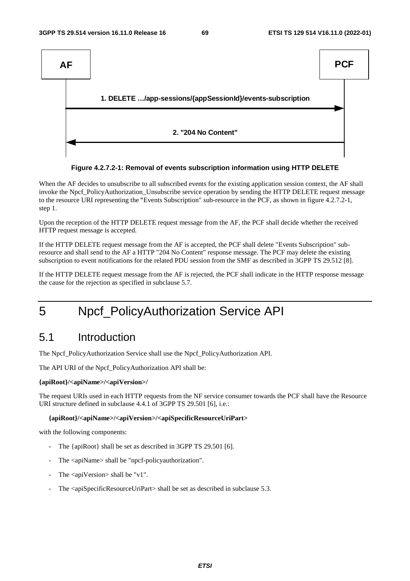



When the AF decides to unsubscribe to all subscribed events for the existing application session context, the AF shall invoke the Npcf\_PolicyAuthorization\_Unsubscribe service operation by sending the HTTP DELETE request message to the resource URI representing the "Events Subscription" sub-resource in the PCF, as shown in figure 4.2.7.2-1, step 1.

Upon the reception of the HTTP DELETE request message from the AF, the PCF shall decide whether the received HTTP request message is accepted.

If the HTTP DELETE request message from the AF is accepted, the PCF shall delete "Events Subscription" subresource and shall send to the AF a HTTP "204 No Content" response message. The PCF may delete the existing subscription to event notifications for the related PDU session from the SMF as described in 3GPP TS 29.512 [8].

If the HTTP DELETE request message from the AF is rejected, the PCF shall indicate in the HTTP response message the cause for the rejection as specified in subclause 5.7.

# 5 Npcf\_PolicyAuthorization Service API

## 5.1 Introduction

The Npcf\_PolicyAuthorization Service shall use the Npcf\_PolicyAuthorization API.

The API URI of the Npcf\_PolicyAuthorization API shall be:

#### **{apiRoot}/<apiName>/<apiVersion>/**

The request URIs used in each HTTP requests from the NF service consumer towards the PCF shall have the Resource URI structure defined in subclause 4.4.1 of 3GPP TS 29.501 [6], i.e.:

#### **{apiRoot}/<apiName>/<apiVersion>/<apiSpecificResourceUriPart>**

with the following components:

- The {apiRoot} shall be set as described in 3GPP TS 29.501 [6].
- The <apiName> shall be "npcf-policyauthorization".
- The  $\langle$ apiVersion $>$ shall be "v1".
- The <apiSpecificResourceUriPart> shall be set as described in subclause 5.3.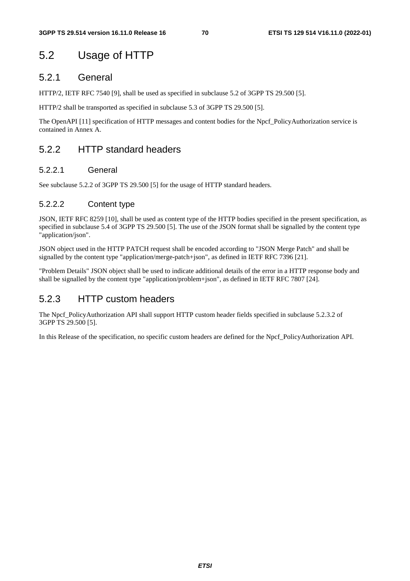# 5.2 Usage of HTTP

## 5.2.1 General

HTTP/2, IETF RFC 7540 [9], shall be used as specified in subclause 5.2 of 3GPP TS 29.500 [5].

HTTP/2 shall be transported as specified in subclause 5.3 of 3GPP TS 29.500 [5].

The OpenAPI [11] specification of HTTP messages and content bodies for the Npcf\_PolicyAuthorization service is contained in Annex A.

## 5.2.2 HTTP standard headers

## 5.2.2.1 General

See subclause 5.2.2 of 3GPP TS 29.500 [5] for the usage of HTTP standard headers.

## 5.2.2.2 Content type

JSON, IETF RFC 8259 [10], shall be used as content type of the HTTP bodies specified in the present specification, as specified in subclause 5.4 of 3GPP TS 29.500 [5]. The use of the JSON format shall be signalled by the content type "application/json".

JSON object used in the HTTP PATCH request shall be encoded according to "JSON Merge Patch" and shall be signalled by the content type "application/merge-patch+json", as defined in IETF RFC 7396 [21].

"Problem Details" JSON object shall be used to indicate additional details of the error in a HTTP response body and shall be signalled by the content type "application/problem+json", as defined in IETF RFC 7807 [24].

## 5.2.3 HTTP custom headers

The Npcf\_PolicyAuthorization API shall support HTTP custom header fields specified in subclause 5.2.3.2 of 3GPP TS 29.500 [5].

In this Release of the specification, no specific custom headers are defined for the Npcf\_PolicyAuthorization API.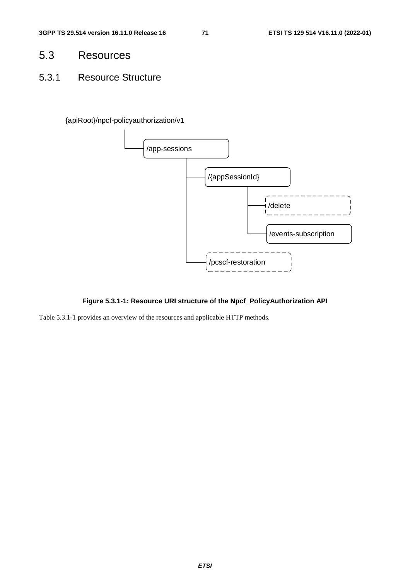- 5.3 Resources
- 5.3.1 Resource Structure

{apiRoot}/npcf-policyauthorization/v1



**Figure 5.3.1-1: Resource URI structure of the Npcf\_PolicyAuthorization API** 

Table 5.3.1-1 provides an overview of the resources and applicable HTTP methods.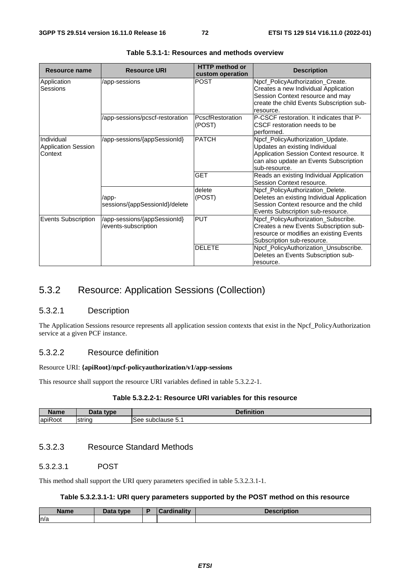| <b>Resource name</b>                                | <b>Resource URI</b>                                  | <b>HTTP</b> method or<br>custom operation | <b>Description</b>                                                                                                                                                        |
|-----------------------------------------------------|------------------------------------------------------|-------------------------------------------|---------------------------------------------------------------------------------------------------------------------------------------------------------------------------|
| Application<br>Sessions                             | /app-sessions                                        | <b>POST</b>                               | Npcf_PolicyAuthorization_Create.<br>Creates a new Individual Application<br>Session Context resource and may<br>create the child Events Subscription sub-<br>resource.    |
|                                                     | /app-sessions/pcscf-restoration                      | PcscfRestoration<br>(POST)                | P-CSCF restoration. It indicates that P-<br>CSCF restoration needs to be<br>performed.                                                                                    |
| Individual<br><b>Application Session</b><br>Context | /app-sessions/{appSessionId}                         | <b>PATCH</b>                              | Npcf_PolicyAuthorization_Update.<br>Updates an existing Individual<br>Application Session Context resource. It<br>can also update an Events Subscription<br>sub-resource. |
|                                                     |                                                      | <b>GET</b>                                | Reads an existing Individual Application<br>Session Context resource.                                                                                                     |
|                                                     | /app-<br>sessions/{appSessionId}/delete              | delete<br>(POST)                          | Npcf_PolicyAuthorization_Delete.<br>Deletes an existing Individual Application<br>Session Context resource and the child<br>Events Subscription sub-resource.             |
| <b>Events Subscription</b>                          | /app-sessions/{appSessionId}<br>/events-subscription | <b>PUT</b>                                | Npcf_PolicyAuthorization_Subscribe.<br>Creates a new Events Subscription sub-<br>resource or modifies an existing Events<br>Subscription sub-resource.                    |
|                                                     |                                                      | <b>DELETE</b>                             | Npcf_PolicyAuthorization_Unsubscribe.<br>Deletes an Events Subscription sub-<br>resource.                                                                                 |

# 5.3.2 Resource: Application Sessions (Collection)

# 5.3.2.1 Description

The Application Sessions resource represents all application session contexts that exist in the Npcf\_PolicyAuthorization service at a given PCF instance.

# 5.3.2.2 Resource definition

#### Resource URI: **{apiRoot}/npcf-policyauthorization/v1/app-sessions**

This resource shall support the resource URI variables defined in table 5.3.2.2-1.

# **Table 5.3.2.2-1: Resource URI variables for this resource**

| <b>Name</b>              | Data<br>type  | ↑↑finition    |
|--------------------------|---------------|---------------|
| $\overline{\phantom{a}}$ | <b>String</b> | subclause 5.1 |
| <b>apiRoot</b>           |               | see           |

# 5.3.2.3 Resource Standard Methods

# 5.3.2.3.1 POST

This method shall support the URI query parameters specified in table 5.3.2.3.1-1.

## **Table 5.3.2.3.1-1: URI query parameters supported by the POST method on this resource**

| <b>Name</b> | Data type<br>Dala | R | $\mathbf{L} = \mathbf{L} \mathbf{L}$<br><b>STATION</b> | Description |
|-------------|-------------------|---|--------------------------------------------------------|-------------|
| n/a         |                   |   |                                                        |             |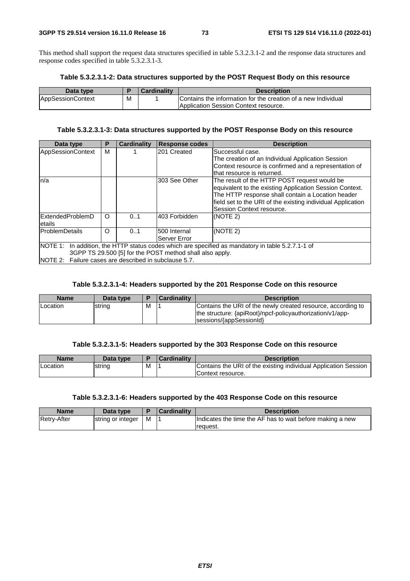This method shall support the request data structures specified in table 5.3.2.3.1-2 and the response data structures and response codes specified in table 5.3.2.3.1-3.

#### **Table 5.3.2.3.1-2: Data structures supported by the POST Request Body on this resource**

| Data type                |   | <b>Cardinality</b> | <b>Description</b>                                            |
|--------------------------|---|--------------------|---------------------------------------------------------------|
| <b>AppSessionContext</b> | M |                    | Contains the information for the creation of a new Individual |
|                          |   |                    | <b>Application Session Context resource.</b>                  |

# **Table 5.3.2.3.1-3: Data structures supported by the POST Response Body on this resource**

| Data type                                                                                                                                                                                                              | Р        | <b>Cardinality</b> | <b>Response codes</b>        | <b>Description</b>                                                                                                                                                                                                                                       |  |  |
|------------------------------------------------------------------------------------------------------------------------------------------------------------------------------------------------------------------------|----------|--------------------|------------------------------|----------------------------------------------------------------------------------------------------------------------------------------------------------------------------------------------------------------------------------------------------------|--|--|
| <b>AppSessionContext</b>                                                                                                                                                                                               | м        |                    | 201 Created                  | Successful case.<br>The creation of an Individual Application Session<br>Context resource is confirmed and a representation of<br>Ithat resource is returned.                                                                                            |  |  |
| ln/a                                                                                                                                                                                                                   |          |                    | 303 See Other                | The result of the HTTP POST request would be<br>equivalent to the existing Application Session Context.<br>The HTTP response shall contain a Location header<br>field set to the URI of the existing individual Application<br>Session Context resource. |  |  |
| ExtendedProblemD<br>letails                                                                                                                                                                                            | $\Omega$ | 0.1                | 403 Forbidden                | (NOTE 2)                                                                                                                                                                                                                                                 |  |  |
| <b>ProblemDetails</b>                                                                                                                                                                                                  | $\Omega$ | 0.1                | 500 Internal<br>Server Error | (NOTE 2)                                                                                                                                                                                                                                                 |  |  |
| NOTE 1: In addition, the HTTP status codes which are specified as mandatory in table 5.2.7.1-1 of<br>3GPP TS 29.500 [5] for the POST method shall also apply.<br>NOTE 2: Failure cases are described in subclause 5.7. |          |                    |                              |                                                                                                                                                                                                                                                          |  |  |

#### **Table 5.3.2.3.1-4: Headers supported by the 201 Response Code on this resource**

| <b>Name</b> | Data type |   | <b>Cardinality</b> | <b>Description</b>                                                                                                                                   |
|-------------|-----------|---|--------------------|------------------------------------------------------------------------------------------------------------------------------------------------------|
| Location    | string    | M |                    | Contains the URI of the newly created resource, according to<br>the structure: {apiRoot}/npcf-policyauthorization/v1/app-<br>sessions/{appSessionId} |

#### **Table 5.3.2.3.1-5: Headers supported by the 303 Response Code on this resource**

| Name            | Data type |   | <b>Cardinality</b> | <b>Description</b>                                                                   |
|-----------------|-----------|---|--------------------|--------------------------------------------------------------------------------------|
| <b>Location</b> | Istring   | M |                    | Contains the URI of the existing individual Application Session<br>Context resource. |

#### **Table 5.3.2.3.1-6: Headers supported by the 403 Response Code on this resource**

| <b>Name</b>        | Data type         |   | Cardinalitv | <b>Description</b>                                                    |
|--------------------|-------------------|---|-------------|-----------------------------------------------------------------------|
| <b>Retry-After</b> | string or integer | M |             | Indicates the time the AF has to wait before making a new<br>request. |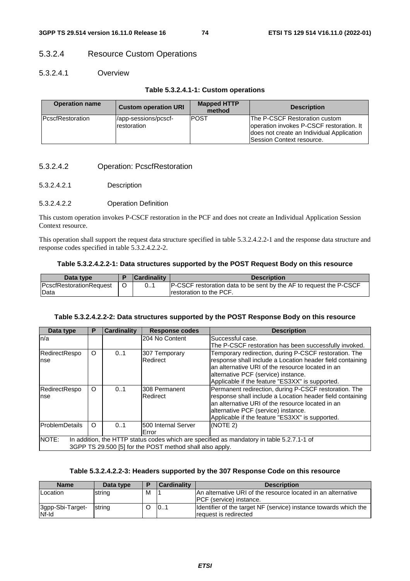# 5.3.2.4 Resource Custom Operations

### 5.3.2.4.1 Overview

#### **Table 5.3.2.4.1-1: Custom operations**

| <b>Operation name</b>    | <b>Custom operation URI</b>         | <b>Mapped HTTP</b><br>method | <b>Description</b>                                                                                                                                         |
|--------------------------|-------------------------------------|------------------------------|------------------------------------------------------------------------------------------------------------------------------------------------------------|
| <b>IPcscfRestoration</b> | /app-sessions/pcscf-<br>restoration | <b>POST</b>                  | The P-CSCF Restoration custom<br>operation invokes P-CSCF restoration. It<br>does not create an Individual Application<br><b>Session Context resource.</b> |

#### 5.3.2.4.2 Operation: PcscfRestoration

5.3.2.4.2.1 Description

#### 5.3.2.4.2.2 Operation Definition

This custom operation invokes P-CSCF restoration in the PCF and does not create an Individual Application Session Context resource.

This operation shall support the request data structure specified in table 5.3.2.4.2.2-1 and the response data structure and response codes specified in table 5.3.2.4.2.2-2.

#### **Table 5.3.2.4.2.2-1: Data structures supported by the POST Request Body on this resource**

| Data type                      | <b>Cardinality</b> | <b>Description</b>                                                  |
|--------------------------------|--------------------|---------------------------------------------------------------------|
| <b>PcscfRestorationRequest</b> | 0.1                | IP-CSCF restoration data to be sent by the AF to request the P-CSCF |
| Data                           |                    | Irestoration to the PCF.                                            |

#### **Table 5.3.2.4.2.2-2: Data structures supported by the POST Response Body on this resource**

| Data type      | Р                                                        | <b>Cardinality</b> | <b>Response codes</b>       | <b>Description</b>                                                                        |  |  |  |  |
|----------------|----------------------------------------------------------|--------------------|-----------------------------|-------------------------------------------------------------------------------------------|--|--|--|--|
| n/a            |                                                          |                    | 204 No Content              | Successful case.                                                                          |  |  |  |  |
|                |                                                          |                    |                             | The P-CSCF restoration has been successfully invoked.                                     |  |  |  |  |
| RedirectRespo  | O                                                        | 0.1                | 307 Temporary               | Temporary redirection, during P-CSCF restoration. The                                     |  |  |  |  |
| <b>nse</b>     |                                                          |                    | Redirect                    | response shall include a Location header field containing                                 |  |  |  |  |
|                |                                                          |                    |                             | lan alternative URI of the resource located in an                                         |  |  |  |  |
|                |                                                          |                    |                             | alternative PCF (service) instance.                                                       |  |  |  |  |
|                |                                                          |                    |                             | Applicable if the feature "ES3XX" is supported.                                           |  |  |  |  |
| RedirectRespo  | O                                                        | 0.1                | 308 Permanent               | Permanent redirection, during P-CSCF restoration. The                                     |  |  |  |  |
| <b>nse</b>     |                                                          |                    | Redirect                    | response shall include a Location header field containing                                 |  |  |  |  |
|                |                                                          |                    |                             | lan alternative URI of the resource located in an                                         |  |  |  |  |
|                |                                                          |                    |                             | alternative PCF (service) instance.                                                       |  |  |  |  |
|                |                                                          |                    |                             | Applicable if the feature "ES3XX" is supported.                                           |  |  |  |  |
| ProblemDetails | O                                                        | 0.1                | <b>1500 Internal Server</b> | (NOTE 2)                                                                                  |  |  |  |  |
|                |                                                          | Error              |                             |                                                                                           |  |  |  |  |
| NOTE:          |                                                          |                    |                             | In addition, the HTTP status codes which are specified as mandatory in table 5.2.7.1-1 of |  |  |  |  |
|                | 3GPP TS 29.500 [5] for the POST method shall also apply. |                    |                             |                                                                                           |  |  |  |  |

#### **Table 5.3.2.4.2.2-3: Headers supported by the 307 Response Code on this resource**

| <b>Name</b>               | Data type      | ▪ | <b>Cardinality</b> | <b>Description</b>                                                                        |
|---------------------------|----------------|---|--------------------|-------------------------------------------------------------------------------------------|
| Location                  | string         | M |                    | An alternative URI of the resource located in an alternative<br>IPCF (service) instance.  |
| 3gpp-Sbi-Target-<br>Nf-Id | <b>Istring</b> |   | 101                | Identifier of the target NF (service) instance towards which the<br>request is redirected |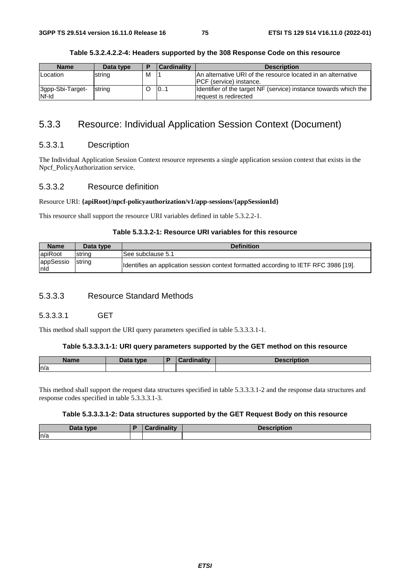| <b>Name</b>               | Data type | E | Cardinality | <b>Description</b>                                                                               |
|---------------------------|-----------|---|-------------|--------------------------------------------------------------------------------------------------|
| Location                  | string    | M |             | IAn alternative URI of the resource located in an alternative<br><b>IPCF</b> (service) instance. |
| 3gpp-Sbi-Target-<br>Nf-Id | strina    |   | 101         | Identifier of the target NF (service) instance towards which the<br>request is redirected        |

#### **Table 5.3.2.4.2.2-4: Headers supported by the 308 Response Code on this resource**

# 5.3.3 Resource: Individual Application Session Context (Document)

### 5.3.3.1 Description

The Individual Application Session Context resource represents a single application session context that exists in the Npcf\_PolicyAuthorization service.

### 5.3.3.2 Resource definition

#### Resource URI: **{apiRoot}/npcf-policyauthorization/v1/app-sessions/{appSessionId}**

This resource shall support the resource URI variables defined in table 5.3.2.2-1.

#### **Table 5.3.3.2-1: Resource URI variables for this resource**

| <b>Name</b>              | Data type | <b>Definition</b>                                                                     |
|--------------------------|-----------|---------------------------------------------------------------------------------------|
| apiRoot                  | Istrina   | See subclause 5.1                                                                     |
| <b>appSessio</b><br>Inid | string    | (Identifies an application session context formatted according to IETF RFC 3986 [19]. |

#### 5.3.3.3 Resource Standard Methods

# 5.3.3.3.1 GET

This method shall support the URI query parameters specified in table 5.3.3.3.1-1.

#### **Table 5.3.3.3.1-1: URI query parameters supported by the GET method on this resource**

| <b>Name</b> | Data type | <b>Cardinality</b> | Description |
|-------------|-----------|--------------------|-------------|
| n/a         |           |                    |             |

This method shall support the request data structures specified in table 5.3.3.3.1-2 and the response data structures and response codes specified in table 5.3.3.3.1-3.

#### **Table 5.3.3.3.1-2: Data structures supported by the GET Request Body on this resource**

| Data type | <br>. | <b>Description</b> |
|-----------|-------|--------------------|
| ln/a      |       |                    |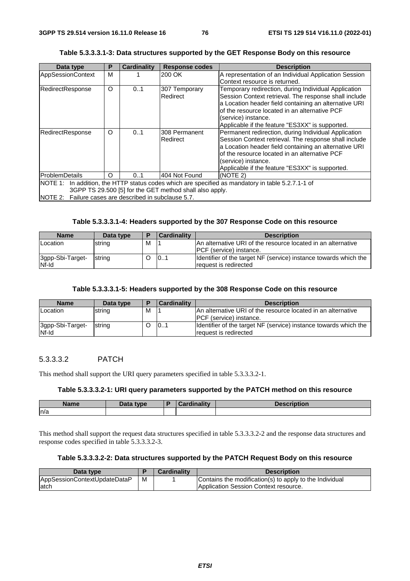| Data type                                             | Р                                     | <b>Cardinality</b> | <b>Response codes</b>                                   | <b>Description</b>                                                                                                                                                                                                                                                                                |  |  |  |
|-------------------------------------------------------|---------------------------------------|--------------------|---------------------------------------------------------|---------------------------------------------------------------------------------------------------------------------------------------------------------------------------------------------------------------------------------------------------------------------------------------------------|--|--|--|
| AppSessionContext                                     | M                                     |                    | 200 OK                                                  | A representation of an Individual Application Session<br>Context resource is returned.                                                                                                                                                                                                            |  |  |  |
| RedirectResponse                                      | O                                     | 0.1                | 307 Temporary<br>Redirect                               | Temporary redirection, during Individual Application<br>Session Context retrieval. The response shall include<br>a Location header field containing an alternative URI<br>of the resource located in an alternative PCF<br>(service) instance.<br>Applicable if the feature "ES3XX" is supported. |  |  |  |
| RedirectResponse                                      | O                                     | 0.1                | 308 Permanent<br>Redirect                               | Permanent redirection, during Individual Application<br>Session Context retrieval. The response shall include<br>a Location header field containing an alternative URI<br>of the resource located in an alternative PCF<br>(service) instance.<br>Applicable if the feature "ES3XX" is supported. |  |  |  |
| <b>ProblemDetails</b>                                 | 404 Not Found<br>(NOTE 2)<br>O<br>0.1 |                    |                                                         |                                                                                                                                                                                                                                                                                                   |  |  |  |
|                                                       |                                       |                    | 3GPP TS 29.500 [5] for the GET method shall also apply. | NOTE 1: In addition, the HTTP status codes which are specified as mandatory in table 5.2.7.1-1 of                                                                                                                                                                                                 |  |  |  |
| NOTE 2: Failure cases are described in subclause 5.7. |                                       |                    |                                                         |                                                                                                                                                                                                                                                                                                   |  |  |  |

#### **Table 5.3.3.3.1-3: Data structures supported by the GET Response Body on this resource**

## **Table 5.3.3.3.1-4: Headers supported by the 307 Response Code on this resource**

| <b>Name</b>               | Data type | E | <b>Cardinality</b> | <b>Description</b>                                                                        |
|---------------------------|-----------|---|--------------------|-------------------------------------------------------------------------------------------|
| <b>Location</b>           | string    | м |                    | IAn alternative URI of the resource located in an alternative                             |
|                           |           |   |                    | <b>IPCF</b> (service) instance.                                                           |
| 3gpp-Sbi-Target-<br>Nf-Id | string    |   | 101                | Identifier of the target NF (service) instance towards which the<br>request is redirected |

#### **Table 5.3.3.3.1-5: Headers supported by the 308 Response Code on this resource**

| <b>Name</b>               | Data type |   | <b>Cardinality</b> | <b>Description</b>                                                                              |
|---------------------------|-----------|---|--------------------|-------------------------------------------------------------------------------------------------|
| Location                  | string    | M |                    | An alternative URI of the resource located in an alternative<br><b>IPCF</b> (service) instance. |
| 3gpp-Sbi-Target-<br>Nf-Id | string    |   | 101                | Identifier of the target NF (service) instance towards which the<br>request is redirected       |

# 5.3.3.3.2 PATCH

This method shall support the URI query parameters specified in table 5.3.3.3.2-1.

#### **Table 5.3.3.3.2-1: URI query parameters supported by the PATCH method on this resource**

| Name | <b>Data</b><br>type | <b>THEFT</b><br><b>STATISTICS</b><br> | intion<br>'UUUIL |
|------|---------------------|---------------------------------------|------------------|
| n/a  |                     |                                       |                  |

This method shall support the request data structures specified in table 5.3.3.3.2-2 and the response data structures and response codes specified in table 5.3.3.3.2-3.

## **Table 5.3.3.3.2-2: Data structures supported by the PATCH Request Body on this resource**

| Data type                    |   | <b>Cardinality</b> | <b>Description</b>                                      |
|------------------------------|---|--------------------|---------------------------------------------------------|
| AppSessionContextUpdateDataP | M |                    | Contains the modification(s) to apply to the Individual |
| latch                        |   |                    | <b>Application Session Context resource.</b>            |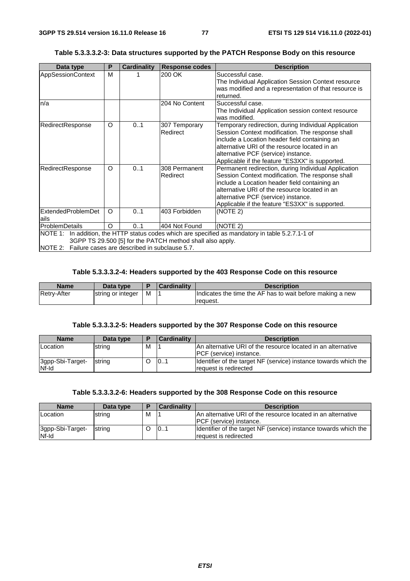| Data type                                             | P       | <b>Cardinality</b> | <b>Response codes</b>                                     | <b>Description</b>                                                                                                                                                                                                                                                                                   |
|-------------------------------------------------------|---------|--------------------|-----------------------------------------------------------|------------------------------------------------------------------------------------------------------------------------------------------------------------------------------------------------------------------------------------------------------------------------------------------------------|
| AppSessionContext                                     | M       |                    | 200 OK                                                    | Successful case.<br>The Individual Application Session Context resource<br>was modified and a representation of that resource is<br>returned.                                                                                                                                                        |
| n/a                                                   |         |                    | 204 No Content                                            | Successful case.<br>The Individual Application session context resource<br>was modified.                                                                                                                                                                                                             |
| RedirectResponse                                      | O       | 01                 | 307 Temporary<br>Redirect                                 | Temporary redirection, during Individual Application<br>Session Context modification. The response shall<br>include a Location header field containing an<br>alternative URI of the resource located in an<br>alternative PCF (service) instance.<br>Applicable if the feature "ES3XX" is supported. |
| RedirectResponse                                      | O       | 01                 | 308 Permanent<br>Redirect                                 | Permanent redirection, during Individual Application<br>Session Context modification. The response shall<br>include a Location header field containing an<br>alternative URI of the resource located in an<br>alternative PCF (service) instance.<br>Applicable if the feature "ES3XX" is supported. |
| ExtendedProblemDet<br>ails                            | $\circ$ | 01                 | 403 Forbidden                                             | (NOTE 2)                                                                                                                                                                                                                                                                                             |
| ProblemDetails                                        | O       | 0.1                | 404 Not Found                                             | (NOTE 2)                                                                                                                                                                                                                                                                                             |
| NOTE 2: Failure cases are described in subclause 5.7. |         |                    | 3GPP TS 29.500 [5] for the PATCH method shall also apply. | NOTE 1: In addition, the HTTP status codes which are specified as mandatory in table 5.2.7.1-1 of                                                                                                                                                                                                    |

# **Table 5.3.3.3.2-3: Data structures supported by the PATCH Response Body on this resource**

# **Table 5.3.3.3.2-4: Headers supported by the 403 Response Code on this resource**

| Name               | Data type         |   | Cardinality | <b>Description</b>                                                    |
|--------------------|-------------------|---|-------------|-----------------------------------------------------------------------|
| <b>Retry-After</b> | string or integer | M |             | Indicates the time the AF has to wait before making a new<br>request. |

# **Table 5.3.3.3.2-5: Headers supported by the 307 Response Code on this resource**

| <b>Name</b>               | Data type | E | <b>Cardinality</b> | <b>Description</b>                                                                              |
|---------------------------|-----------|---|--------------------|-------------------------------------------------------------------------------------------------|
| Location                  | string    | M |                    | An alternative URI of the resource located in an alternative<br><b>IPCF</b> (service) instance. |
| 3gpp-Sbi-Target-<br>Nf-Id | string    |   | 101                | Identifier of the target NF (service) instance towards which the<br>request is redirected       |

# **Table 5.3.3.3.2-6: Headers supported by the 308 Response Code on this resource**

| <b>Name</b>               | Data type |   | <b>Cardinality</b> | <b>Description</b>                                                                               |
|---------------------------|-----------|---|--------------------|--------------------------------------------------------------------------------------------------|
| Location                  | string    | M |                    | IAn alternative URI of the resource located in an alternative<br><b>IPCF</b> (service) instance. |
| 3gpp-Sbi-Target-<br>Nf-Id | string    |   | 101                | Identifier of the target NF (service) instance towards which the<br>request is redirected        |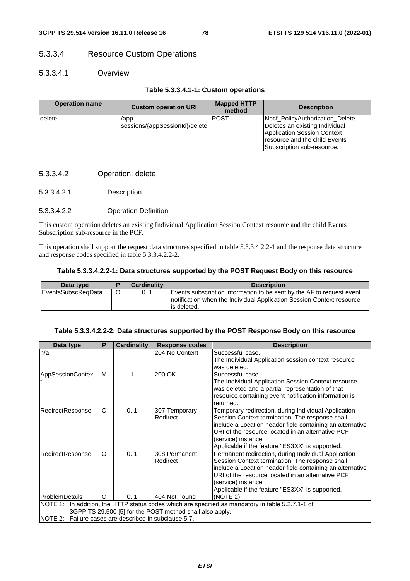# 5.3.3.4 Resource Custom Operations

# 5.3.3.4.1 Overview

# **Table 5.3.3.4.1-1: Custom operations**

| <b>Operation name</b> | <b>Custom operation URI</b>             | <b>Mapped HTTP</b><br>method | <b>Description</b>                                                                                                                                                |
|-----------------------|-----------------------------------------|------------------------------|-------------------------------------------------------------------------------------------------------------------------------------------------------------------|
| delete                | /app-<br>sessions/{appSessionId}/delete | <b>POST</b>                  | Npcf_PolicyAuthorization_Delete.<br>Deletes an existing Individual<br>Application Session Context<br>Iresource and the child Events<br>Subscription sub-resource. |

- 5.3.3.4.2 Operation: delete
- 5.3.3.4.2.1 Description

### 5.3.3.4.2.2 Operation Definition

This custom operation deletes an existing Individual Application Session Context resource and the child Events Subscription sub-resource in the PCF.

This operation shall support the request data structures specified in table 5.3.3.4.2.2-1 and the response data structure and response codes specified in table 5.3.3.4.2.2-2.

#### **Table 5.3.3.4.2.2-1: Data structures supported by the POST Request Body on this resource**

| Data type                  | <b>Cardinality</b> | <b>Description</b>                                                                                                                                              |
|----------------------------|--------------------|-----------------------------------------------------------------------------------------------------------------------------------------------------------------|
| <b>IEventsSubscRegData</b> | 01                 | Events subscription information to be sent by the AF to request event<br>Inotification when the Individual Application Session Context resource<br>lis deleted. |

#### **Table 5.3.3.4.2.2-2: Data structures supported by the POST Response Body on this resource**

| Data type                                             | P        | <b>Cardinality</b> | <b>Response codes</b>                                    | <b>Description</b>                                                                                                                                                                                                                                                                                  |
|-------------------------------------------------------|----------|--------------------|----------------------------------------------------------|-----------------------------------------------------------------------------------------------------------------------------------------------------------------------------------------------------------------------------------------------------------------------------------------------------|
| n/a                                                   |          |                    | 204 No Content                                           | Successful case.<br>The Individual Application session context resource<br>was deleted.                                                                                                                                                                                                             |
| <b>AppSessionContex</b>                               | м        |                    | 200 OK                                                   | Successful case.<br>The Individual Application Session Context resource<br>was deleted and a partial representation of that<br>resource containing event notification information is<br>returned.                                                                                                   |
| RedirectResponse                                      | $\Omega$ | 01                 | 307 Temporary<br>Redirect                                | Temporary redirection, during Individual Application<br>Session Context termination. The response shall<br>include a Location header field containing an alternative<br>URI of the resource located in an alternative PCF<br>(service) instance.<br>Applicable if the feature "ES3XX" is supported. |
| RedirectResponse                                      | O        | 0.1                | 308 Permanent<br>Redirect                                | Permanent redirection, during Individual Application<br>Session Context termination. The response shall<br>include a Location header field containing an alternative<br>URI of the resource located in an alternative PCF<br>(service) instance.<br>Applicable if the feature "ES3XX" is supported. |
| <b>ProblemDetails</b>                                 | O        | 01                 | 404 Not Found                                            | (NOTE 2)                                                                                                                                                                                                                                                                                            |
| NOTE 2: Failure cases are described in subclause 5.7. |          |                    | 3GPP TS 29.500 [5] for the POST method shall also apply. | NOTE 1: In addition, the HTTP status codes which are specified as mandatory in table 5.2.7.1-1 of                                                                                                                                                                                                   |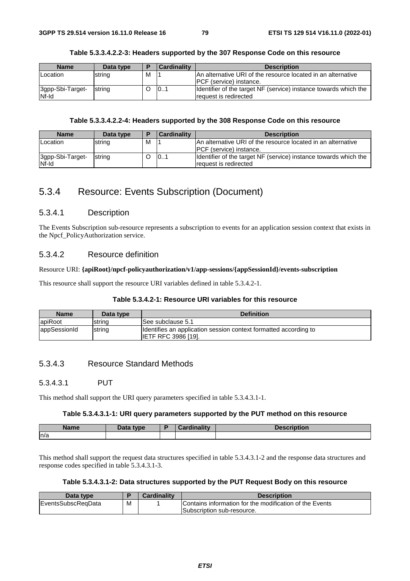| <b>Name</b>               | Data type      | Е | Cardinality | <b>Description</b>                                                                              |
|---------------------------|----------------|---|-------------|-------------------------------------------------------------------------------------------------|
| Location                  | string         | м |             | An alternative URI of the resource located in an alternative<br><b>IPCF</b> (service) instance. |
| 3gpp-Sbi-Target-<br>Nf-Id | <b>Istring</b> |   | 101         | Identifier of the target NF (service) instance towards which the<br>request is redirected       |

#### **Table 5.3.3.4.2.2-3: Headers supported by the 307 Response Code on this resource**

## **Table 5.3.3.4.2.2-4: Headers supported by the 308 Response Code on this resource**

| <b>Name</b>               | Data type | E | <b>Cardinality</b> | <b>Description</b>                                                                              |
|---------------------------|-----------|---|--------------------|-------------------------------------------------------------------------------------------------|
| Location                  | string    | м |                    | IAn alternative URI of the resource located in an alternative<br><b>PCF</b> (service) instance. |
| 3gpp-Sbi-Target-<br>Nf-Id | string    |   | 101                | Identifier of the target NF (service) instance towards which the<br>request is redirected       |

# 5.3.4 Resource: Events Subscription (Document)

### 5.3.4.1 Description

The Events Subscription sub-resource represents a subscription to events for an application session context that exists in the Npcf\_PolicyAuthorization service.

## 5.3.4.2 Resource definition

#### Resource URI: **{apiRoot}/npcf-policyauthorization/v1/app-sessions/{appSessionId}/events-subscription**

This resource shall support the resource URI variables defined in table 5.3.4.2-1.

## **Table 5.3.4.2-1: Resource URI variables for this resource**

| <b>Name</b>  | Data type | <b>Definition</b>                                                                              |
|--------------|-----------|------------------------------------------------------------------------------------------------|
| apiRoot      | string    | See subclause 5.1                                                                              |
| appSessionId | string    | Identifies an application session context formatted according to<br><b>IETF RFC 3986 [19].</b> |

# 5.3.4.3 Resource Standard Methods

# 5.3.4.3.1 PUT

This method shall support the URI query parameters specified in table 5.3.4.3.1-1.

#### **Table 5.3.4.3.1-1: URI query parameters supported by the PUT method on this resource**

| Name<br>$-$ | tyne |  |
|-------------|------|--|
| ln/a        |      |  |

This method shall support the request data structures specified in table 5.3.4.3.1-2 and the response data structures and response codes specified in table 5.3.4.3.1-3.

# **Table 5.3.4.3.1-2: Data structures supported by the PUT Request Body on this resource**

| Data type           |   | Cardinalitv | Description                                             |
|---------------------|---|-------------|---------------------------------------------------------|
| lEventsSubscReaData | M |             | Contains information for the modification of the Events |
|                     |   |             | Subscription sub-resource.                              |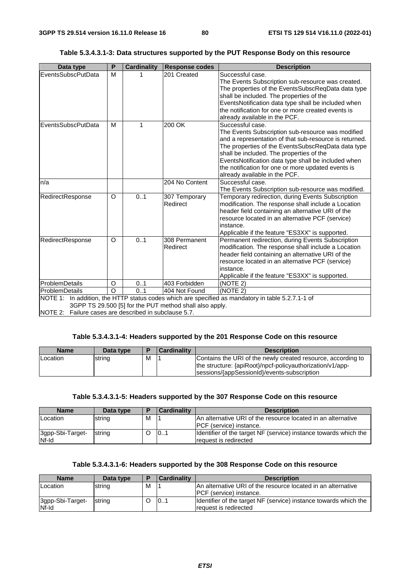| Data type                 | P       | <b>Cardinality</b> | <b>Response codes</b>                                   | <b>Description</b>                                                                                                                                                                                                                                                                                                                                                              |
|---------------------------|---------|--------------------|---------------------------------------------------------|---------------------------------------------------------------------------------------------------------------------------------------------------------------------------------------------------------------------------------------------------------------------------------------------------------------------------------------------------------------------------------|
| <b>EventsSubscPutData</b> | M       |                    | 201 Created                                             | Successful case.<br>The Events Subscription sub-resource was created.<br>The properties of the EventsSubscReqData data type<br>shall be included. The properties of the<br>EventsNotification data type shall be included when                                                                                                                                                  |
|                           |         |                    |                                                         | the notification for one or more created events is<br>already available in the PCF.                                                                                                                                                                                                                                                                                             |
| EventsSubscPutData        | м       | 1                  | 200 OK                                                  | Successful case.<br>The Events Subscription sub-resource was modified<br>and a representation of that sub-resource is returned.<br>The properties of the EventsSubscReqData data type<br>shall be included. The properties of the<br>EventsNotification data type shall be included when<br>the notification for one or more updated events is<br>already available in the PCF. |
| n/a                       |         |                    | 204 No Content                                          | Successful case.<br>The Events Subscription sub-resource was modified.                                                                                                                                                                                                                                                                                                          |
| RedirectResponse          | O       | 0.1                | 307 Temporary<br>Redirect                               | Temporary redirection, during Events Subscription<br>modification. The response shall include a Location<br>header field containing an alternative URI of the<br>resource located in an alternative PCF (service)<br>instance.<br>Applicable if the feature "ES3XX" is supported.                                                                                               |
| RedirectResponse          | O       | 0.1                | 308 Permanent<br>Redirect                               | Permanent redirection, during Events Subscription<br>modification. The response shall include a Location<br>header field containing an alternative URI of the<br>resource located in an alternative PCF (service)<br>instance.<br>Applicable if the feature "ES3XX" is supported.                                                                                               |
| <b>ProblemDetails</b>     | O       | 01                 | 403 Forbidden                                           | (NOTE 2)                                                                                                                                                                                                                                                                                                                                                                        |
| ProblemDetails            | $\circ$ | 0.1                | 404 Not Found                                           | (NOTE 2)                                                                                                                                                                                                                                                                                                                                                                        |
|                           |         |                    | 3GPP TS 29.500 [5] for the PUT method shall also apply. | NOTE 1: In addition, the HTTP status codes which are specified as mandatory in table 5.2.7.1-1 of                                                                                                                                                                                                                                                                               |

# **Table 5.3.4.3.1-3: Data structures supported by the PUT Response Body on this resource**

NOTE 2: Failure cases are described in subclause 5.7.

#### **Table 5.3.4.3.1-4: Headers supported by the 201 Response Code on this resource**

| <b>Name</b> | Data type |   | <b>Cardinality</b> | <b>Description</b>                                           |
|-------------|-----------|---|--------------------|--------------------------------------------------------------|
| Location    | string    | м |                    | Contains the URI of the newly created resource, according to |
|             |           |   |                    | the structure: {apiRoot}/npcf-policyauthorization/v1/app-    |
|             |           |   |                    | sessions/{appSessionId}/events-subscription                  |

## **Table 5.3.4.3.1-5: Headers supported by the 307 Response Code on this resource**

| <b>Name</b>               | Data type |   | <b>Cardinality</b> | <b>Description</b>                                                                               |
|---------------------------|-----------|---|--------------------|--------------------------------------------------------------------------------------------------|
| Location                  | string    | M |                    | IAn alternative URI of the resource located in an alternative<br><b>IPCF</b> (service) instance. |
| 3gpp-Sbi-Target-<br>Nf-Id | string    |   | 101                | Identifier of the target NF (service) instance towards which the<br>request is redirected        |

# **Table 5.3.4.3.1-6: Headers supported by the 308 Response Code on this resource**

| <b>Name</b>               | Data type | E | <b>Cardinality</b> | <b>Description</b>                                                                        |
|---------------------------|-----------|---|--------------------|-------------------------------------------------------------------------------------------|
| Location                  | string    | м |                    | IAn alternative URI of the resource located in an alternative                             |
|                           |           |   |                    | <b>IPCF</b> (service) instance.                                                           |
| 3gpp-Sbi-Target-<br>Nf-Id | strina    |   | 101                | Identifier of the target NF (service) instance towards which the<br>request is redirected |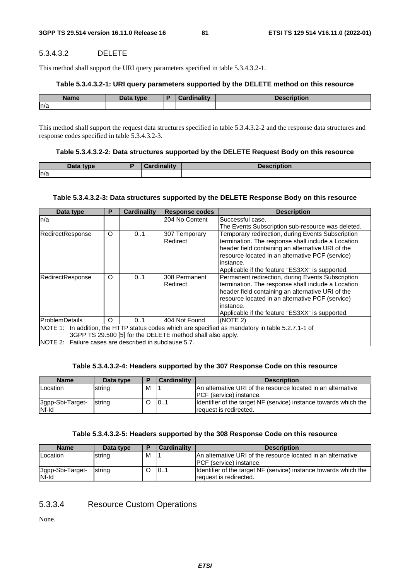## 5.3.4.3.2 DELETE

This method shall support the URI query parameters specified in table 5.3.4.3.2-1.

#### **Table 5.3.4.3.2-1: URI query parameters supported by the DELETE method on this resource**

| <b>Name</b> | Data type | <b>Timelitie</b> | <b>Description</b> |
|-------------|-----------|------------------|--------------------|
| ln/a        |           |                  |                    |

This method shall support the request data structures specified in table 5.3.4.3.2-2 and the response data structures and response codes specified in table 5.3.4.3.2-3.

#### **Table 5.3.4.3.2-2: Data structures supported by the DELETE Request Body on this resource**

| Data type | ъ | Cardinality | <b>Description</b> |
|-----------|---|-------------|--------------------|
| ln/a      |   |             |                    |

#### **Table 5.3.4.3.2-3: Data structures supported by the DELETE Response Body on this resource**

| Data type                                                                                                                                                                                                                | Р | <b>Cardinality</b> | <b>Response codes</b>     | <b>Description</b>                                                                                                                                                                                                                                                                |  |
|--------------------------------------------------------------------------------------------------------------------------------------------------------------------------------------------------------------------------|---|--------------------|---------------------------|-----------------------------------------------------------------------------------------------------------------------------------------------------------------------------------------------------------------------------------------------------------------------------------|--|
| n/a                                                                                                                                                                                                                      |   |                    | 204 No Content            | Successful case.                                                                                                                                                                                                                                                                  |  |
|                                                                                                                                                                                                                          |   |                    |                           | The Events Subscription sub-resource was deleted.                                                                                                                                                                                                                                 |  |
| RedirectResponse                                                                                                                                                                                                         | O | 01                 | 307 Temporary<br>Redirect | Temporary redirection, during Events Subscription<br>termination. The response shall include a Location<br>header field containing an alternative URI of the<br>resource located in an alternative PCF (service)<br>linstance.<br>Applicable if the feature "ES3XX" is supported. |  |
| RedirectResponse                                                                                                                                                                                                         | O | 0.1                | 308 Permanent<br>Redirect | Permanent redirection, during Events Subscription<br>termination. The response shall include a Location<br>header field containing an alternative URI of the<br>resource located in an alternative PCF (service)<br>linstance.<br>Applicable if the feature "ES3XX" is supported. |  |
| ProblemDetails                                                                                                                                                                                                           | O | 0.1                | 404 Not Found             | (NOTE 2)                                                                                                                                                                                                                                                                          |  |
| NOTE 1: In addition, the HTTP status codes which are specified as mandatory in table 5.2.7.1-1 of<br>3GPP TS 29.500 [5] for the DELETE method shall also apply.<br>NOTE 2: Failure cases are described in subclause 5.7. |   |                    |                           |                                                                                                                                                                                                                                                                                   |  |

## **Table 5.3.4.3.2-4: Headers supported by the 307 Response Code on this resource**

| <b>Name</b>               | Data type | ▪ | <b>Cardinality</b> | <b>Description</b>                                                                          |
|---------------------------|-----------|---|--------------------|---------------------------------------------------------------------------------------------|
| Location                  | string    | м |                    | IAn alternative URI of the resource located in an alternative                               |
|                           |           |   |                    | <b>IPCF</b> (service) instance.                                                             |
| 3gpp-Sbi-Target-<br>Nf-Id | string    |   | 101                | Identifier of the target NF (service) instance towards which the<br>Irequest is redirected. |

#### **Table 5.3.4.3.2-5: Headers supported by the 308 Response Code on this resource**

| <b>Name</b>               | Data type      | E | <b>Cardinality</b> | <b>Description</b>                                                                              |
|---------------------------|----------------|---|--------------------|-------------------------------------------------------------------------------------------------|
| Location                  | string         | м |                    | An alternative URI of the resource located in an alternative<br><b>IPCF</b> (service) instance. |
| 3gpp-Sbi-Target-<br>Nf-Id | <b>Istrina</b> |   | 101                | Identifier of the target NF (service) instance towards which the<br>Irequest is redirected.     |

# 5.3.3.4 Resource Custom Operations

None.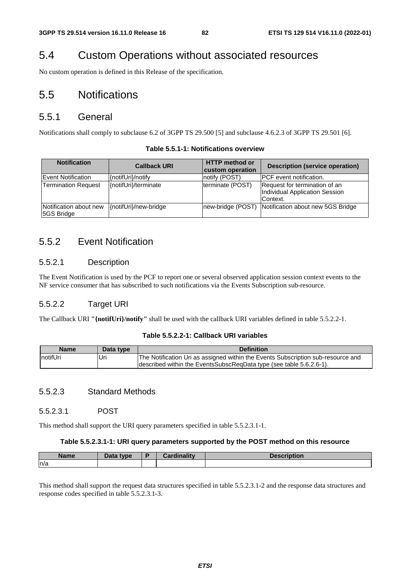# 5.4 Custom Operations without associated resources

No custom operation is defined in this Release of the specification.

# 5.5 Notifications

# 5.5.1 General

Notifications shall comply to subclause 6.2 of 3GPP TS 29.500 [5] and subclause 4.6.2.3 of 3GPP TS 29.501 [6].

| <b>Notification</b>                  | <b>Callback URI</b>   | <b>HTTP</b> method or<br>custom operation | <b>Description (service operation)</b>                                      |
|--------------------------------------|-----------------------|-------------------------------------------|-----------------------------------------------------------------------------|
| Event Notification                   | {notifUri}/notify     | notify (POST)                             | <b>PCF</b> event notification.                                              |
| <b>Termination Request</b>           | {notifUri}/terminate  | terminate (POST)                          | Request for termination of an<br>Individual Application Session<br>Context. |
| Notification about new<br>5GS Bridge | {notifUri}/new-bridge | new-bridge (POST)                         | Notification about new 5GS Bridge                                           |

### **Table 5.5.1-1: Notifications overview**

# 5.5.2 Event Notification

# 5.5.2.1 Description

The Event Notification is used by the PCF to report one or several observed application session context events to the NF service consumer that has subscribed to such notifications via the Events Subscription sub-resource.

# 5.5.2.2 Target URI

The Callback URI **"{notifUri}/notify"** shall be used with the callback URI variables defined in table 5.5.2.2-1.

### **Table 5.5.2.2-1: Callback URI variables**

| <b>Name</b> | Data type | <b>Definition</b>                                                                |
|-------------|-----------|----------------------------------------------------------------------------------|
| InotifUri   | Uri       | The Notification Uri as assigned within the Events Subscription sub-resource and |
|             |           | described within the EventsSubscReqData type (see table 5.6.2.6-1).              |

# 5.5.2.3 Standard Methods

### 5.5.2.3.1 POST

This method shall support the URI query parameters specified in table 5.5.2.3.1-1.

#### **Table 5.5.2.3.1-1: URI query parameters supported by the POST method on this resource**

| <b>Name</b> | type<br>$\sim$ | <b>Cordinality</b><br>aanty. | <b>Sescription</b> |
|-------------|----------------|------------------------------|--------------------|
| ln/a        |                |                              |                    |

This method shall support the request data structures specified in table 5.5.2.3.1-2 and the response data structures and response codes specified in table 5.5.2.3.1-3.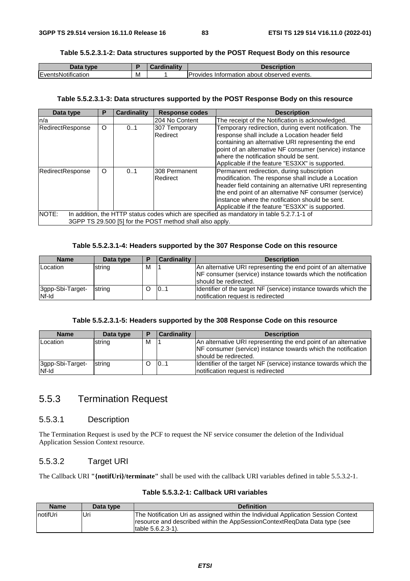#### **Table 5.5.2.3.1-2: Data structures supported by the POST Request Body on this resource**

| Data type          |   | <br>Cardinality | <b>Description</b>                                      |
|--------------------|---|-----------------|---------------------------------------------------------|
| EventsNotification | М |                 | <b>Provides</b><br>; Information about observed events. |

#### **Table 5.5.2.3.1-3: Data structures supported by the POST Response Body on this resource**

| Data type        | Р                                                                                                                                                     | <b>Cardinality</b> | <b>Response codes</b>     | <b>Description</b>                                                                                                                                                                                                                                                                                                           |  |  |  |
|------------------|-------------------------------------------------------------------------------------------------------------------------------------------------------|--------------------|---------------------------|------------------------------------------------------------------------------------------------------------------------------------------------------------------------------------------------------------------------------------------------------------------------------------------------------------------------------|--|--|--|
| n/a              |                                                                                                                                                       |                    | 204 No Content            | The receipt of the Notification is acknowledged.                                                                                                                                                                                                                                                                             |  |  |  |
| RedirectResponse | $\circ$                                                                                                                                               | 0.1                | 307 Temporary<br>Redirect | Temporary redirection, during event notification. The<br>response shall include a Location header field<br>containing an alternative URI representing the end<br>point of an alternative NF consumer (service) instance<br>where the notification should be sent.<br>Applicable if the feature "ES3XX" is supported.         |  |  |  |
| RedirectResponse | $\Omega$                                                                                                                                              | 0.1                | 308 Permanent<br>Redirect | Permanent redirection, during subscription<br>modification. The response shall include a Location<br>header field containing an alternative URI representing<br>the end point of an alternative NF consumer (service)<br>linstance where the notification should be sent.<br>Applicable if the feature "ES3XX" is supported. |  |  |  |
| <b>INOTE:</b>    | In addition, the HTTP status codes which are specified as mandatory in table 5.2.7.1-1 of<br>3GPP TS 29.500 [5] for the POST method shall also apply. |                    |                           |                                                                                                                                                                                                                                                                                                                              |  |  |  |

## **Table 5.5.2.3.1-4: Headers supported by the 307 Response Code on this resource**

| <b>Name</b>               | Data type | E | <b>Cardinality</b> | <b>Description</b>                                                                                      |
|---------------------------|-----------|---|--------------------|---------------------------------------------------------------------------------------------------------|
| Location                  | string    | м |                    | An alternative URI representing the end point of an alternative                                         |
|                           |           |   |                    | NF consumer (service) instance towards which the notification<br>should be redirected.                  |
| 3gpp-Sbi-Target-<br>Nf-Id | string    |   | 101                | Identifier of the target NF (service) instance towards which the<br>Inotification request is redirected |

### **Table 5.5.2.3.1-5: Headers supported by the 308 Response Code on this resource**

| <b>Name</b>               | Data type | Е | <b>Cardinality</b> | <b>Description</b>                                                                                                                                        |
|---------------------------|-----------|---|--------------------|-----------------------------------------------------------------------------------------------------------------------------------------------------------|
| Location                  | string    | м |                    | An alternative URI representing the end point of an alternative<br>NF consumer (service) instance towards which the notification<br>should be redirected. |
| 3gpp-Sbi-Target-<br>Nf-Id | string    |   | 101                | Identifier of the target NF (service) instance towards which the<br>Inotification request is redirected                                                   |

# 5.5.3 Termination Request

# 5.5.3.1 Description

The Termination Request is used by the PCF to request the NF service consumer the deletion of the Individual Application Session Context resource.

#### 5.5.3.2 Target URI

The Callback URI **"{notifUri}/terminate"** shall be used with the callback URI variables defined in table 5.5.3.2-1.

| Table 5.5.3.2-1: Callback URI variables |  |  |
|-----------------------------------------|--|--|
|-----------------------------------------|--|--|

| Name     | Data type | <b>Definition</b>                                                                                                                                                                     |
|----------|-----------|---------------------------------------------------------------------------------------------------------------------------------------------------------------------------------------|
| notifUri | Uri       | The Notification Uri as assigned within the Individual Application Session Context<br>resource and described within the AppSessionContextRegData Data type (see<br>Itable 5.6.2.3-1). |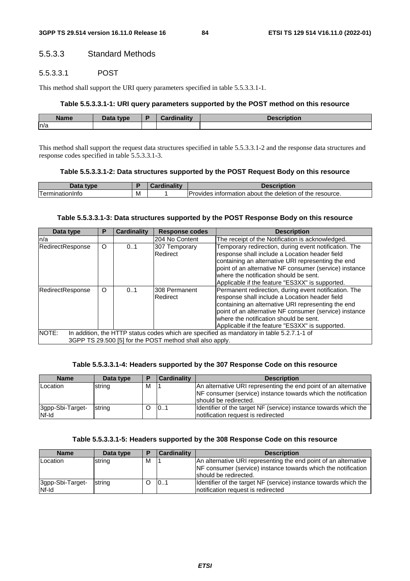# 5.5.3.3 Standard Methods

# 5.5.3.3.1 POST

This method shall support the URI query parameters specified in table 5.5.3.3.1-1.

#### **Table 5.5.3.3.1-1: URI query parameters supported by the POST method on this resource**

| Name | Data type<br>Dala<br>- - | $: -1:$<br><br>----<br>--- | NDUOIN |
|------|--------------------------|----------------------------|--------|
| n/a  |                          |                            |        |

This method shall support the request data structures specified in table 5.5.3.3.1-2 and the response data structures and response codes specified in table 5.5.3.3.1-3.

#### **Table 5.5.3.3.1-2: Data structures supported by the POST Request Body on this resource**

| Data<br>tvne                                  |   | $\blacksquare$<br> | <b>Description</b>                                                           |
|-----------------------------------------------|---|--------------------|------------------------------------------------------------------------------|
| <sub>1</sub> err<br>.<br>nationinic<br>-11111 | M |                    | <b>Provides</b><br>of the resource.<br>the deletion<br>. information about : |

#### **Table 5.5.3.3.1-3: Data structures supported by the POST Response Body on this resource**

| Data type        | Р       | <b>Cardinality</b> | <b>Response codes</b>                                    | <b>Description</b>                                                                                                                                                                                                                                                                                                   |
|------------------|---------|--------------------|----------------------------------------------------------|----------------------------------------------------------------------------------------------------------------------------------------------------------------------------------------------------------------------------------------------------------------------------------------------------------------------|
| n/a              |         |                    | 204 No Content                                           | The receipt of the Notification is acknowledged.                                                                                                                                                                                                                                                                     |
| RedirectResponse | $\circ$ | 0.1                | 307 Temporary<br>Redirect                                | Temporary redirection, during event notification. The<br>response shall include a Location header field<br>containing an alternative URI representing the end<br>point of an alternative NF consumer (service) instance<br>where the notification should be sent.<br>Applicable if the feature "ES3XX" is supported. |
| RedirectResponse | $\circ$ | 0.1                | I308 Permanent<br>Redirect                               | Permanent redirection, during event notification. The<br>response shall include a Location header field<br>containing an alternative URI representing the end<br>point of an alternative NF consumer (service) instance<br>where the notification should be sent.<br>Applicable if the feature "ES3XX" is supported. |
| NOTE:            |         |                    | 3GPP TS 29.500 [5] for the POST method shall also apply. | In addition, the HTTP status codes which are specified as mandatory in table 5.2.7.1-1 of                                                                                                                                                                                                                            |

#### **Table 5.5.3.3.1-4: Headers supported by the 307 Response Code on this resource**

| <b>Name</b>               | Data type | E | <b>Cardinality</b> | <b>Description</b>                                                                                                                                        |
|---------------------------|-----------|---|--------------------|-----------------------------------------------------------------------------------------------------------------------------------------------------------|
| Location                  | string    | M |                    | An alternative URI representing the end point of an alternative<br>NF consumer (service) instance towards which the notification<br>should be redirected. |
| 3gpp-Sbi-Target-<br>Nf-Id | string    |   | 101                | Identifier of the target NF (service) instance towards which the<br>Inotification request is redirected                                                   |

#### **Table 5.5.3.3.1-5: Headers supported by the 308 Response Code on this resource**

| <b>Name</b>               | Data type | E | <b>Cardinality</b> | <b>Description</b>                                                                                                               |
|---------------------------|-----------|---|--------------------|----------------------------------------------------------------------------------------------------------------------------------|
| <b>Location</b>           | string    | M |                    | An alternative URI representing the end point of an alternative<br>NF consumer (service) instance towards which the notification |
|                           |           |   |                    | Ishould be redirected.                                                                                                           |
| 3gpp-Sbi-Target-<br>Nf-Id | string    |   | 101                | Identifier of the target NF (service) instance towards which the<br>Inotification request is redirected                          |
|                           |           |   |                    |                                                                                                                                  |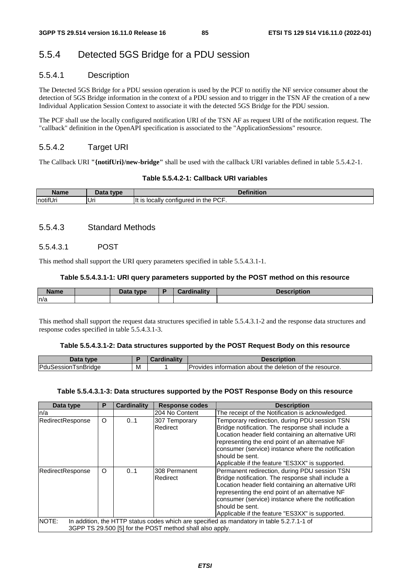# 5.5.4 Detected 5GS Bridge for a PDU session

# 5.5.4.1 Description

The Detected 5GS Bridge for a PDU session operation is used by the PCF to notifiy the NF service consumer about the detection of 5GS Bridge information in the context of a PDU session and to trigger in the TSN AF the creation of a new Individual Application Session Context to associate it with the detected 5GS Bridge for the PDU session.

The PCF shall use the locally configured notification URI of the TSN AF as request URI of the notification request. The "callback" definition in the OpenAPI specification is associated to the "ApplicationSessions" resource.

# 5.5.4.2 Target URI

The Callback URI **"{notifUri}/new-bridge"** shall be used with the callback URI variables defined in table 5.5.4.2-1.

#### **Table 5.5.4.2-1: Callback URI variables**

| Name     | <sup>- ta</sup> type | <b>Pefinition</b>                                           |
|----------|----------------------|-------------------------------------------------------------|
| notifUri | Uri                  | <b>PCF</b><br>Ίt<br>the<br>configured in<br>IS<br>, locallv |

# 5.5.4.3 Standard Methods

### 5.5.4.3.1 POST

This method shall support the URI query parameters specified in table 5.5.4.3.1-1.

#### **Table 5.5.4.3.1-1: URI query parameters supported by the POST method on this resource**

| <b>Name</b> | Data type | <b>Cardinality</b> | <b>Description</b> |
|-------------|-----------|--------------------|--------------------|
| n/a         |           |                    |                    |

This method shall support the request data structures specified in table 5.5.4.3.1-2 and the response data structures and response codes specified in table 5.5.4.3.1-3.

#### **Table 5.5.4.3.1-2: Data structures supported by the POST Request Body on this resource**

| Data type                   |   | <b>Cardinality</b> | <b>Description</b>                                        |
|-----------------------------|---|--------------------|-----------------------------------------------------------|
| <b>IPduSessionTsnBridge</b> | M |                    | IProvides information about the deletion of the resource. |

#### **Table 5.5.4.3.1-3: Data structures supported by the POST Response Body on this resource**

| Data type        | Р                                                                                         | <b>Cardinality</b> | <b>Response codes</b>                                    | <b>Description</b>                                                                                                                                                                                                                                                                                                                       |  |  |  |  |
|------------------|-------------------------------------------------------------------------------------------|--------------------|----------------------------------------------------------|------------------------------------------------------------------------------------------------------------------------------------------------------------------------------------------------------------------------------------------------------------------------------------------------------------------------------------------|--|--|--|--|
| n/a              |                                                                                           |                    | 204 No Content                                           | The receipt of the Notification is acknowledged.                                                                                                                                                                                                                                                                                         |  |  |  |  |
| RedirectResponse | O                                                                                         | 01                 | 307 Temporary<br>Redirect                                | Temporary redirection, during PDU session TSN<br>Bridge notification. The response shall include a<br>Location header field containing an alternative URI<br>representing the end point of an alternative NF<br>consumer (service) instance where the notification<br>should be sent.<br>Applicable if the feature "ES3XX" is supported. |  |  |  |  |
| RedirectResponse | O<br>0.1                                                                                  |                    | 308 Permanent<br>Redirect                                | Permanent redirection, during PDU session TSN<br>Bridge notification. The response shall include a<br>Location header field containing an alternative URI<br>representing the end point of an alternative NF<br>consumer (service) instance where the notification<br>should be sent.<br>Applicable if the feature "ES3XX" is supported. |  |  |  |  |
| NOTE:            | In addition, the HTTP status codes which are specified as mandatory in table 5.2.7.1-1 of |                    |                                                          |                                                                                                                                                                                                                                                                                                                                          |  |  |  |  |
|                  |                                                                                           |                    | 3GPP TS 29.500 [5] for the POST method shall also apply. |                                                                                                                                                                                                                                                                                                                                          |  |  |  |  |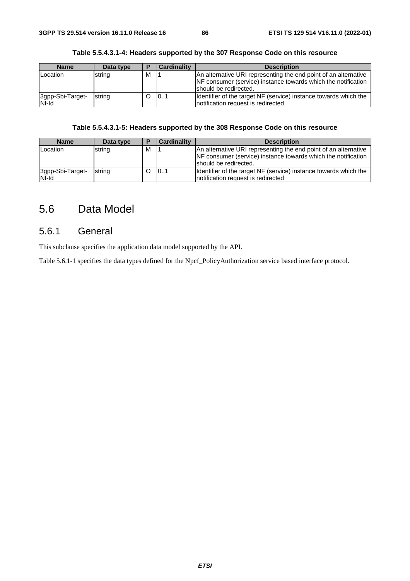#### **Table 5.5.4.3.1-4: Headers supported by the 307 Response Code on this resource**

| Name                      | Data type | ▪ | <b>Cardinality</b> | <b>Description</b>                                                                                                                                        |
|---------------------------|-----------|---|--------------------|-----------------------------------------------------------------------------------------------------------------------------------------------------------|
| Location                  | string    | м |                    | An alternative URI representing the end point of an alternative<br>NF consumer (service) instance towards which the notification<br>should be redirected. |
| 3gpp-Sbi-Target-<br>Nf-Id | string    |   | 0.1                | Identifier of the target NF (service) instance towards which the<br>Inotification request is redirected                                                   |

# **Table 5.5.4.3.1-5: Headers supported by the 308 Response Code on this resource**

| <b>Name</b>               | Data type | ▪ | Cardinality | <b>Description</b>                                                                                                                                        |
|---------------------------|-----------|---|-------------|-----------------------------------------------------------------------------------------------------------------------------------------------------------|
| Location                  | string    | м |             | An alternative URI representing the end point of an alternative<br>NF consumer (service) instance towards which the notification<br>should be redirected. |
| 3gpp-Sbi-Target-<br>Nf-Id | string    |   | 101         | Identifier of the target NF (service) instance towards which the<br>Inotification request is redirected                                                   |

# 5.6 Data Model

# 5.6.1 General

This subclause specifies the application data model supported by the API.

Table 5.6.1-1 specifies the data types defined for the Npcf\_PolicyAuthorization service based interface protocol.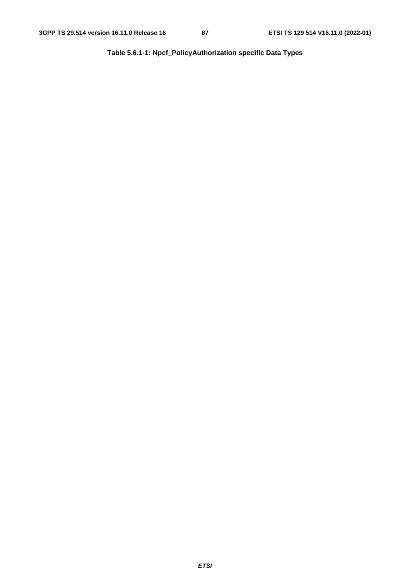**Table 5.6.1-1: Npcf\_PolicyAuthorization specific Data Types**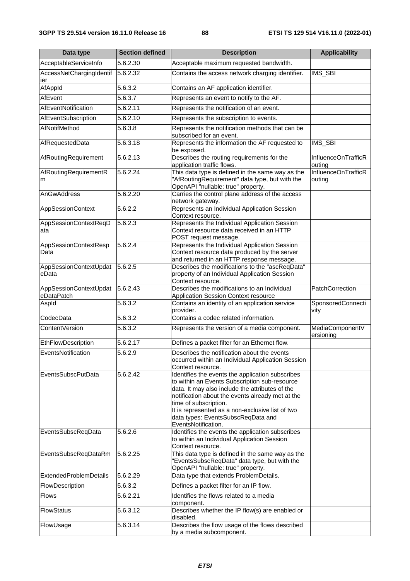| Data type                            | <b>Section defined</b> | <b>Description</b>                                                                                                                                                                                                                                                                                                                                 | <b>Applicability</b>          |
|--------------------------------------|------------------------|----------------------------------------------------------------------------------------------------------------------------------------------------------------------------------------------------------------------------------------------------------------------------------------------------------------------------------------------------|-------------------------------|
| AcceptableServiceInfo                | 5.6.2.30               | Acceptable maximum requested bandwidth.                                                                                                                                                                                                                                                                                                            |                               |
| AccessNetChargingIdentif<br>ier      | 5.6.2.32               | Contains the access network charging identifier.                                                                                                                                                                                                                                                                                                   | IMS_SBI                       |
| AfAppId                              | 5.6.3.2                | Contains an AF application identifier.                                                                                                                                                                                                                                                                                                             |                               |
| AfEvent                              | 5.6.3.7                | Represents an event to notify to the AF.                                                                                                                                                                                                                                                                                                           |                               |
| AfEventNotification                  | 5.6.2.11               | Represents the notification of an event.                                                                                                                                                                                                                                                                                                           |                               |
| AfEventSubscription                  | 5.6.2.10               | Represents the subscription to events.                                                                                                                                                                                                                                                                                                             |                               |
| AfNotifMethod                        | 5.6.3.8                | Represents the notification methods that can be<br>subscribed for an event.                                                                                                                                                                                                                                                                        |                               |
| AfRequestedData                      | 5.6.3.18               | Represents the information the AF requested to<br>be exposed.                                                                                                                                                                                                                                                                                      | IMS_SBI                       |
| AfRoutingRequirement                 | 5.6.2.13               | Describes the routing requirements for the<br>application traffic flows.                                                                                                                                                                                                                                                                           | InfluenceOnTrafficR<br>outing |
| AfRoutingRequirementR<br>m           | 5.6.2.24               | This data type is defined in the same way as the<br>"AfRoutingRequirement" data type, but with the<br>OpenAPI "nullable: true" property.                                                                                                                                                                                                           | InfluenceOnTrafficR<br>outing |
| AnGwAddress                          | 5.6.2.20               | Carries the control plane address of the access<br>network gateway.                                                                                                                                                                                                                                                                                |                               |
| <b>AppSessionContext</b>             | 5.6.2.2                | Represents an Individual Application Session<br>Context resource.                                                                                                                                                                                                                                                                                  |                               |
| AppSessionContextReqD<br>ata         | 5.6.2.3                | Represents the Individual Application Session<br>Context resource data received in an HTTP<br>POST request message.                                                                                                                                                                                                                                |                               |
| AppSessionContextResp<br>Data        | 5.6.2.4                | Represents the Individual Application Session<br>Context resource data produced by the server<br>and returned in an HTTP response message.                                                                                                                                                                                                         |                               |
| AppSessionContextUpdat<br>eData      | 5.6.2.5                | Describes the modifications to the "ascReqData"<br>property of an Individual Application Session<br>Context resource.                                                                                                                                                                                                                              |                               |
| AppSessionContextUpdat<br>eDataPatch | 5.6.2.43               | Describes the modifications to an Individual<br>Application Session Context resource                                                                                                                                                                                                                                                               | PatchCorrection               |
| Aspld                                | 5.6.3.2                | Contains an identity of an application service<br>provider.                                                                                                                                                                                                                                                                                        | SponsoredConnecti<br>vity     |
| CodecData                            | 5.6.3.2                | Contains a codec related information.                                                                                                                                                                                                                                                                                                              |                               |
| ContentVersion                       | 5.6.3.2                | Represents the version of a media component.                                                                                                                                                                                                                                                                                                       | MediaComponentV<br>ersioning  |
| EthFlowDescription                   | 5.6.2.17               | Defines a packet filter for an Ethernet flow.                                                                                                                                                                                                                                                                                                      |                               |
| EventsNotification                   | 5.6.2.9                | Describes the notification about the events<br>occurred within an Individual Application Session<br>Context resource.                                                                                                                                                                                                                              |                               |
| <b>EventsSubscPutData</b>            | 5.6.2.42               | Identifies the events the application subscribes<br>to within an Events Subscription sub-resource<br>data. It may also include the attributes of the<br>notification about the events already met at the<br>time of subscription.<br>It is represented as a non-exclusive list of two<br>data types: EventsSubscReqData and<br>EventsNotification. |                               |
| EventsSubscReqData                   | 5.6.2.6                | Identifies the events the application subscribes<br>to within an Individual Application Session<br>Context resource.                                                                                                                                                                                                                               |                               |
| EventsSubscReqDataRm                 | 5.6.2.25               | This data type is defined in the same way as the<br>"EventsSubscReqData" data type, but with the<br>OpenAPI "nullable: true" property.                                                                                                                                                                                                             |                               |
| <b>ExtendedProblemDetails</b>        | 5.6.2.29               | Data type that extends ProblemDetails.                                                                                                                                                                                                                                                                                                             |                               |
| FlowDescription                      | 5.6.3.2                | Defines a packet filter for an IP flow.                                                                                                                                                                                                                                                                                                            |                               |
| <b>Flows</b>                         | 5.6.2.21               | Identifies the flows related to a media<br>component.                                                                                                                                                                                                                                                                                              |                               |
| <b>FlowStatus</b>                    | 5.6.3.12               | Describes whether the IP flow(s) are enabled or<br>disabled.                                                                                                                                                                                                                                                                                       |                               |
| FlowUsage                            | 5.6.3.14               | Describes the flow usage of the flows described<br>by a media subcomponent.                                                                                                                                                                                                                                                                        |                               |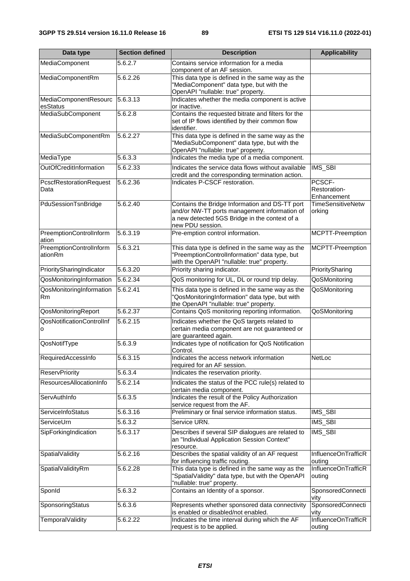| Data type                          | <b>Section defined</b> | <b>Description</b>                                                                                                                                                  | <b>Applicability</b>                  |
|------------------------------------|------------------------|---------------------------------------------------------------------------------------------------------------------------------------------------------------------|---------------------------------------|
| MediaComponent                     | 5.6.2.7                | Contains service information for a media<br>component of an AF session.                                                                                             |                                       |
| MediaComponentRm                   | 5.6.2.26               | This data type is defined in the same way as the<br>"MediaComponent" data type, but with the<br>OpenAPI "nullable: true" property.                                  |                                       |
| MediaComponentResourc<br>esStatus  | 5.6.3.13               | Indicates whether the media component is active<br>or inactive.                                                                                                     |                                       |
| MediaSubComponent                  | 5.6.2.8                | Contains the requested bitrate and filters for the<br>set of IP flows identified by their common flow<br>identifier.                                                |                                       |
| MediaSubComponentRm                | 5.6.2.27               | This data type is defined in the same way as the<br>"MediaSubComponent" data type, but with the<br>OpenAPI "nullable: true" property.                               |                                       |
| MediaType                          | 5.6.3.3                | Indicates the media type of a media component.                                                                                                                      |                                       |
| OutOfCreditInformation             | 5.6.2.33               | Indicates the service data flows without available<br>credit and the corresponding termination action.                                                              | IMS_SBI                               |
| PcscfRestorationRequest<br>Data    | 5.6.2.36               | Indicates P-CSCF restoration.                                                                                                                                       | PCSCF-<br>Restoration-<br>Enhancement |
| PduSessionTsnBridge                | 5.6.2.40               | Contains the Bridge Information and DS-TT port<br>and/or NW-TT ports management information of<br>a new detected 5GS Bridge in the context of a<br>new PDU session. | <b>TimeSensitiveNetw</b><br>orking    |
| PreemptionControlInform<br>ation   | 5.6.3.19               | Pre-emption control information.                                                                                                                                    | MCPTT-Preemption                      |
| PreemptionControlInform<br>ationRm | 5.6.3.21               | This data type is defined in the same way as the<br>"PreemptionControlInformation" data type, but<br>with the OpenAPI "nullable: true" property.                    | MCPTT-Preemption                      |
| PrioritySharingIndicator           | 5.6.3.20               | Priority sharing indicator.                                                                                                                                         | PrioritySharing                       |
| QosMonitoringInformation           | 5.6.2.34               | QoS monitoring for UL, DL or round trip delay.                                                                                                                      | QoSMonitoring                         |
| QosMonitoringInformation<br>Rm     | 5.6.2.41               | This data type is defined in the same way as the<br>"QosMonitoringInformation" data type, but with<br>the OpenAPI "nullable: true" property.                        | QoSMonitoring                         |
| QosMonitoringReport                | 5.6.2.37               | Contains QoS monitoring reporting information.                                                                                                                      | QoSMonitoring                         |
| QosNotificationControlInf<br>O     | 5.6.2.15               | Indicates whether the QoS targets related to<br>certain media component are not guaranteed or<br>are guaranteed again.                                              |                                       |
| QosNotifType                       | 5.6.3.9                | Indicates type of notification for QoS Notification<br>Control.                                                                                                     |                                       |
| RequiredAccessInto                 | $\overline{5.6.3.15}$  | Indicates the access network information<br>required for an AF session.                                                                                             | NetLoc                                |
| <b>ReservPriority</b>              | 5.6.3.4                | Indicates the reservation priority.                                                                                                                                 |                                       |
| ResourcesAllocationInfo            | 5.6.2.14               | Indicates the status of the PCC rule(s) related to<br>certain media component.                                                                                      |                                       |
| ServAuthInfo                       | 5.6.3.5                | Indicates the result of the Policy Authorization<br>service request from the AF.                                                                                    |                                       |
| ServiceInfoStatus                  | 5.6.3.16               | Preliminary or final service information status.                                                                                                                    | IMS_SBI                               |
| ServiceUrn                         | 5.6.3.2                | Service URN.                                                                                                                                                        | IMS_SBI                               |
| SipForkingIndication               | 5.6.3.17               | Describes if several SIP dialogues are related to<br>an "Individual Application Session Context"<br>resource.                                                       | IMS_SBI                               |
| SpatialValidity                    | 5.6.2.16               | Describes the spatial validity of an AF request<br>for influencing traffic routing.                                                                                 | InfluenceOnTrafficR<br>outing         |
| SpatialValidityRm                  | 5.6.2.28               | This data type is defined in the same way as the<br>"SpatialValidity" data type, but with the OpenAPI<br>"nullable: true" property.                                 | InfluenceOnTrafficR<br>outing         |
| Sponid                             | 5.6.3.2                | Contains an Identity of a sponsor.                                                                                                                                  | SponsoredConnecti<br>vity             |
| SponsoringStatus                   | 5.6.3.6                | Represents whether sponsored data connectivity<br>is enabled or disabled/not enabled.                                                                               | SponsoredConnecti<br>vity             |
| <b>TemporalValidity</b>            | 5.6.2.22               | Indicates the time interval during which the AF<br>request is to be applied.                                                                                        | InfluenceOnTrafficR<br>outing         |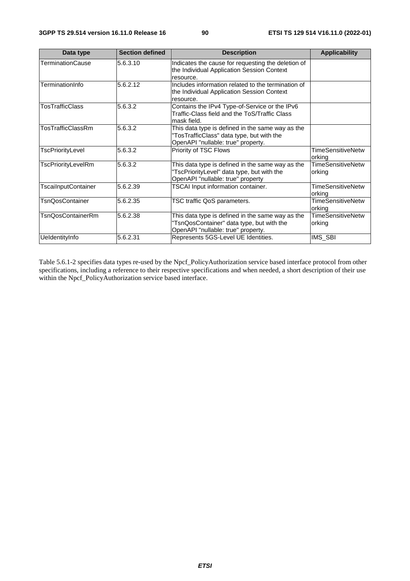| Data type                  | <b>Section defined</b> | <b>Description</b>                                                                                                                  | <b>Applicability</b>               |
|----------------------------|------------------------|-------------------------------------------------------------------------------------------------------------------------------------|------------------------------------|
| TerminationCause           | 5.6.3.10               | Indicates the cause for requesting the deletion of<br>the Individual Application Session Context<br>resource.                       |                                    |
| TerminationInfo            | 5.6.2.12               | Includes information related to the termination of<br>the Individual Application Session Context<br>resource.                       |                                    |
| TosTrafficClass            | 5.6.3.2                | Contains the IPv4 Type-of-Service or the IPv6<br>Traffic-Class field and the ToS/Traffic Class<br>mask field.                       |                                    |
| TosTrafficClassRm          | 5.6.3.2                | This data type is defined in the same way as the<br>"TosTrafficClass" data type, but with the<br>OpenAPI "nullable: true" property. |                                    |
| TscPriorityLevel           | 5.6.3.2                | Priority of TSC Flows                                                                                                               | <b>TimeSensitiveNetw</b><br>orking |
| TscPriorityLevelRm         | 5.6.3.2                | This data type is defined in the same way as the<br>"TscPriorityLevel" data type, but with the<br>OpenAPI "nullable: true" property | <b>TimeSensitiveNetw</b><br>orking |
| <b>TscailnputContainer</b> | 5.6.2.39               | TSCAI Input information container.                                                                                                  | <b>TimeSensitiveNetw</b><br>orking |
| <b>TsnQosContainer</b>     | 5.6.2.35               | TSC traffic QoS parameters.                                                                                                         | <b>TimeSensitiveNetw</b><br>orking |
| <b>TsnQosContainerRm</b>   | 5.6.2.38               | This data type is defined in the same way as the<br>'TsnQosContainer" data type, but with the<br>OpenAPI "nullable: true" property. | <b>TimeSensitiveNetw</b><br>orking |
| UeldentityInfo             | 5.6.2.31               | Represents 5GS-Level UE Identities.                                                                                                 | IMS_SBI                            |

Table 5.6.1-2 specifies data types re-used by the Npcf\_PolicyAuthorization service based interface protocol from other specifications, including a reference to their respective specifications and when needed, a short description of their use within the Npcf\_PolicyAuthorization service based interface.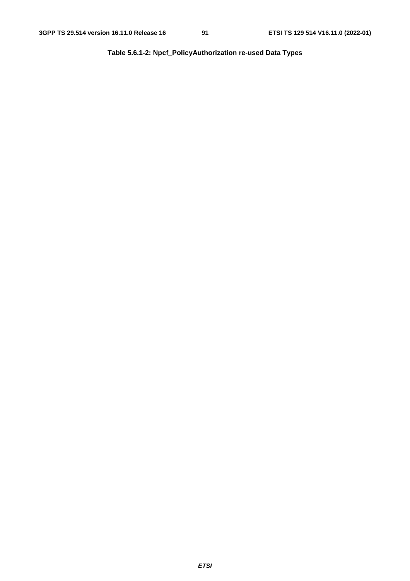**Table 5.6.1-2: Npcf\_PolicyAuthorization re-used Data Types**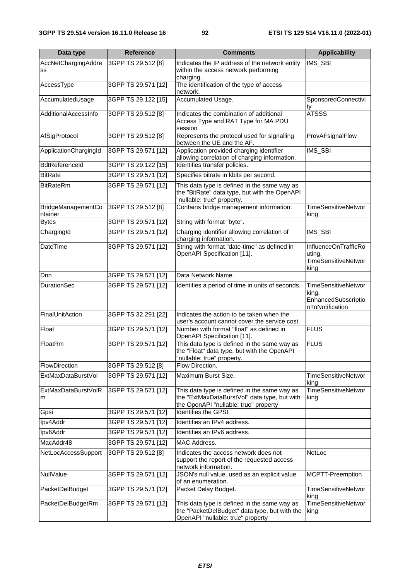| Data type                     | <b>Reference</b>    | <b>Comments</b>                                                                                                                       | <b>Applicability</b>                                                          |
|-------------------------------|---------------------|---------------------------------------------------------------------------------------------------------------------------------------|-------------------------------------------------------------------------------|
| AccNetChargingAddre           | 3GPP TS 29.512 [8]  | Indicates the IP address of the network entity                                                                                        | IMS_SBI                                                                       |
| SS                            |                     | within the access network performing<br>charging.                                                                                     |                                                                               |
| AccessType                    | 3GPP TS 29.571 [12] | The identification of the type of access                                                                                              |                                                                               |
| AccumulatedUsage              | 3GPP TS 29.122 [15] | network.<br>Accumulated Usage.                                                                                                        | SponsoredConnectivi                                                           |
|                               |                     |                                                                                                                                       | ty                                                                            |
| AdditionalAccessInfo          | 3GPP TS 29.512 [8]  | Indicates the combination of additional<br>Access Type and RAT Type for MA PDU                                                        | <b>ATSSS</b>                                                                  |
|                               |                     | session                                                                                                                               |                                                                               |
| AfSigProtocol                 | 3GPP TS 29.512 [8]  | Represents the protocol used for signalling<br>between the UE and the AF.                                                             | ProvAFsignalFlow                                                              |
| ApplicationChargingId         | 3GPP TS 29.571 [12] | Application provided charging identifier<br>allowing correlation of charging information.                                             | IMS_SBI                                                                       |
| <b>BdtReferenceId</b>         | 3GPP TS 29.122 [15] | Identifies transfer policies.                                                                                                         |                                                                               |
| <b>BitRate</b>                | 3GPP TS 29.571 [12] | Specifies bitrate in kbits per second.                                                                                                |                                                                               |
| <b>BitRateRm</b>              | 3GPP TS 29.571 [12] | This data type is defined in the same way as<br>the "BitRate" data type, but with the OpenAPI<br>"nullable: true" property.           |                                                                               |
| BridgeManagementCo<br>ntainer | 3GPP TS 29.512 [8]  | Contains bridge management information.                                                                                               | <b>TimeSensitiveNetwor</b><br>king                                            |
| <b>Bytes</b>                  | 3GPP TS 29.571 [12] | String with format "byte".                                                                                                            |                                                                               |
| ChargingId                    | 3GPP TS 29.571 [12] | Charging identifier allowing correlation of<br>charging information.                                                                  | IMS_SBI                                                                       |
| <b>DateTime</b>               | 3GPP TS 29.571 [12] | String with format "date-time" as defined in<br>OpenAPI Specification [11].                                                           | InfluenceOnTrafficRo<br>uting,<br><b>TimeSensitiveNetwor</b><br>king          |
| Dnn                           | 3GPP TS 29.571 [12] | Data Network Name.                                                                                                                    |                                                                               |
| <b>DurationSec</b>            | 3GPP TS 29.571 [12] | Identifies a period of time in units of seconds.                                                                                      | <b>TimeSensitiveNetwor</b><br>king,<br>EnhancedSubscriptio<br>nToNotification |
| FinalUnitAction               | 3GPP TS 32.291 [22] | Indicates the action to be taken when the<br>user's account cannot cover the service cost.                                            |                                                                               |
| Float                         | 3GPP TS 29.571 [12] | Number with format "float" as defined in<br>OpenAPI Specification [11].                                                               | <b>FLUS</b>                                                                   |
| FloatRm                       | 3GPP TS 29.571 [12] | This data type is defined in the same way as<br>the "Float" data type, but with the OpenAPI<br>"nullable: true" property.             | <b>FLUS</b>                                                                   |
| FlowDirection                 | 3GPP TS 29.512 [8]  | Flow Direction.                                                                                                                       |                                                                               |
| ExtMaxDataBurstVol            | 3GPP TS 29.571 [12] | Maximum Burst Size.                                                                                                                   | <b>TimeSensitiveNetwor</b><br>king                                            |
| ExtMaxDataBurstVolR<br>m      | 3GPP TS 29.571 [12] | This data type is defined in the same way as<br>the "ExtMaxDataBurstVol" data type, but with<br>the OpenAPI "nullable: true" property | <b>TimeSensitiveNetwor</b><br>king                                            |
| Gpsi                          | 3GPP TS 29.571 [12] | Identifies the GPSI.                                                                                                                  |                                                                               |
| Ipv4Addr                      | 3GPP TS 29.571 [12] | Identifies an IPv4 address.                                                                                                           |                                                                               |
| Ipv6Addr                      | 3GPP TS 29.571 [12] | Identifies an IPv6 address.                                                                                                           |                                                                               |
| MacAddr48                     | 3GPP TS 29.571 [12] | MAC Address.                                                                                                                          |                                                                               |
| NetLocAccessSupport           | 3GPP TS 29.512 [8]  | Indicates the access network does not<br>support the report of the requested access<br>network information.                           | <b>NetLoc</b>                                                                 |
| NullValue                     | 3GPP TS 29.571 [12] | JSON's null value, used as an explicit value<br>of an enumeration.                                                                    | MCPTT-Preemption                                                              |
| PacketDelBudget               | 3GPP TS 29.571 [12] | Packet Delay Budget.                                                                                                                  | <b>TimeSensitiveNetwor</b><br>king                                            |
| PacketDelBudgetRm             | 3GPP TS 29.571 [12] | This data type is defined in the same way as<br>the "PacketDelBudget" data type, but with the<br>OpenAPI "nullable: true" property    | <b>TimeSensitiveNetwor</b><br>king                                            |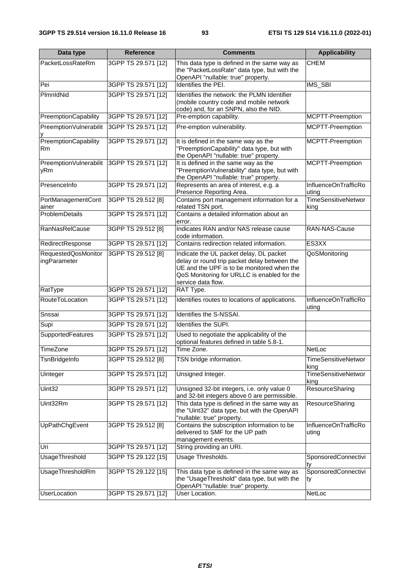| Data type                           | <b>Reference</b>    | <b>Comments</b>                                                                                                                                                                                            | <b>Applicability</b>               |  |
|-------------------------------------|---------------------|------------------------------------------------------------------------------------------------------------------------------------------------------------------------------------------------------------|------------------------------------|--|
| PacketLossRateRm                    | 3GPP TS 29.571 [12] | This data type is defined in the same way as<br>the "PacketLossRate" data type, but with the<br>OpenAPI "nullable: true" property.                                                                         | <b>CHEM</b>                        |  |
| Pei                                 | 3GPP TS 29.571 [12] | Identifies the PEI.                                                                                                                                                                                        | IMS_SBI                            |  |
| PlmnldNid                           | 3GPP TS 29.571 [12] | Identifies the network: the PLMN Identifier<br>(mobile country code and mobile network<br>code) and, for an SNPN, also the NID.                                                                            |                                    |  |
| PreemptionCapability                | 3GPP TS 29.571 [12] | Pre-emption capability.                                                                                                                                                                                    | MCPTT-Preemption                   |  |
| PreemptionVulnerabilit              | 3GPP TS 29.571 [12] | Pre-emption vulnerability.                                                                                                                                                                                 | MCPTT-Preemption                   |  |
| PreemptionCapability<br>Rm          | 3GPP TS 29.571 [12] | It is defined in the same way as the<br>"PreemptionCapability" data type, but with<br>the OpenAPI "nullable: true" property.                                                                               | MCPTT-Preemption                   |  |
| PreemptionVulnerabilit<br>yRm       | 3GPP TS 29.571 [12] | It is defined in the same way as the<br>"PreemptionVulnerability" data type, but with<br>the OpenAPI "nullable: true" property.                                                                            | MCPTT-Preemption                   |  |
| PresenceInfo                        | 3GPP TS 29.571 [12] | Represents an area of interest, e.g. a<br>Presence Reporting Area.                                                                                                                                         | InfluenceOnTrafficRo<br>uting      |  |
| PortManagementCont<br>ainer         | 3GPP TS 29.512 [8]  | Contains port management information for a<br>related TSN port.                                                                                                                                            | <b>TimeSensitiveNetwor</b><br>king |  |
| <b>ProblemDetails</b>               | 3GPP TS 29.571 [12] | Contains a detailed information about an<br>error.                                                                                                                                                         |                                    |  |
| <b>RanNasRelCause</b>               | 3GPP TS 29.512 [8]  | Indicates RAN and/or NAS release cause<br>code information.                                                                                                                                                | RAN-NAS-Cause                      |  |
| RedirectResponse                    | 3GPP TS 29.571 [12] | Contains redirection related information.                                                                                                                                                                  | ES3XX                              |  |
| RequestedQosMonitor<br>ingParameter | 3GPP TS 29.512 [8]  | Indicate the UL packet delay, DL packet<br>delay or round trip packet delay between the<br>UE and the UPF is to be monitored when the<br>QoS Monitoring for URLLC is enabled for the<br>service data flow. | QoSMonitoring                      |  |
| RatType                             | 3GPP TS 29.571 [12] | RAT Type.                                                                                                                                                                                                  |                                    |  |
| RouteToLocation                     | 3GPP TS 29.571 [12] | Identifies routes to locations of applications.                                                                                                                                                            | InfluenceOnTrafficRo<br>uting      |  |
| Snssai                              | 3GPP TS 29.571 [12] | Identifies the S-NSSAI.                                                                                                                                                                                    |                                    |  |
| Supi                                | 3GPP TS 29.571 [12] | Identifies the SUPI.                                                                                                                                                                                       |                                    |  |
| SupportedFeatures                   | 3GPP TS 29.571 [12] | Used to negotiate the applicability of the<br>optional features defined in table 5.8-1.                                                                                                                    |                                    |  |
| <b>TimeZone</b>                     | 3GPP TS 29.571 [12] | Time Zone.                                                                                                                                                                                                 | <b>NetLoc</b>                      |  |
| TsnBridgeInfo                       | 3GPP TS 29.512 [8]  | TSN bridge information.                                                                                                                                                                                    | <b>TimeSensitiveNetwor</b><br>king |  |
| Uinteger                            | 3GPP TS 29.571 [12] | Unsigned Integer.                                                                                                                                                                                          | TimeSensitiveNetwor<br>king        |  |
| Uint32                              | 3GPP TS 29.571 [12] | Unsigned 32-bit integers, i.e. only value 0<br>and 32-bit integers above 0 are permissible.                                                                                                                | ResourceSharing                    |  |
| Uint32Rm                            | 3GPP TS 29.571 [12] | This data type is defined in the same way as<br>the "Uint32" data type, but with the OpenAPI<br>"nullable: true" property.                                                                                 | ResourceSharing                    |  |
| UpPathChgEvent                      | 3GPP TS 29.512 [8]  | Contains the subscription information to be<br>delivered to SMF for the UP path<br>management events.                                                                                                      | InfluenceOnTrafficRo<br>uting      |  |
| Uri                                 | 3GPP TS 29.571 [12] | String providing an URI.                                                                                                                                                                                   |                                    |  |
| UsageThreshold                      | 3GPP TS 29.122 [15] | Usage Thresholds.                                                                                                                                                                                          | SponsoredConnectivi<br>ty          |  |
| UsageThresholdRm                    | 3GPP TS 29.122 [15] | This data type is defined in the same way as<br>the "UsageThreshold" data type, but with the<br>OpenAPI "nullable: true" property.                                                                         | SponsoredConnectivi<br>ty          |  |
| <b>UserLocation</b>                 | 3GPP TS 29.571 [12] | User Location.                                                                                                                                                                                             | NetLoc                             |  |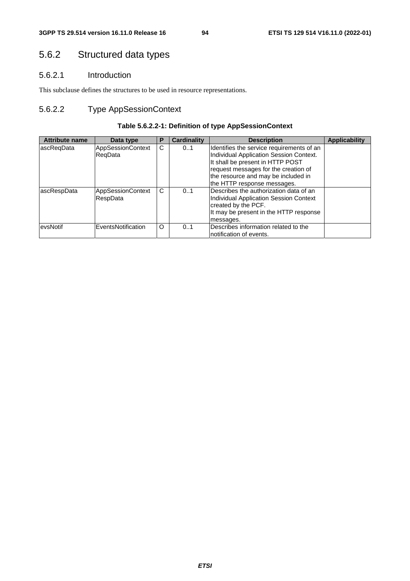# 5.6.2 Structured data types

# 5.6.2.1 Introduction

This subclause defines the structures to be used in resource representations.

# 5.6.2.2 Type AppSessionContext

# **Table 5.6.2.2-1: Definition of type AppSessionContext**

| <b>Attribute name</b> | Data type                           | Р | Cardinality | <b>Description</b>                                                                                                                                                                                                                     | <b>Applicability</b> |
|-----------------------|-------------------------------------|---|-------------|----------------------------------------------------------------------------------------------------------------------------------------------------------------------------------------------------------------------------------------|----------------------|
| lascReqData           | <b>AppSessionContext</b><br>RegData | C | 01          | Identifies the service requirements of an<br>Individual Application Session Context.<br>It shall be present in HTTP POST<br>request messages for the creation of<br>the resource and may be included in<br>the HTTP response messages. |                      |
| ascRespData           | AppSessionContext<br>RespData       | C | 0.1         | Describes the authorization data of an<br>Individual Application Session Context<br>created by the PCF.<br>It may be present in the HTTP response<br>messages.                                                                         |                      |
| evsNotif              | EventsNotification                  | O | 0.1         | Describes information related to the<br>notification of events.                                                                                                                                                                        |                      |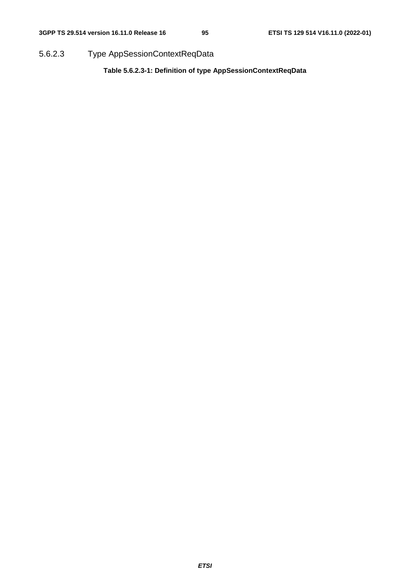5.6.2.3 Type AppSessionContextReqData

**Table 5.6.2.3-1: Definition of type AppSessionContextReqData**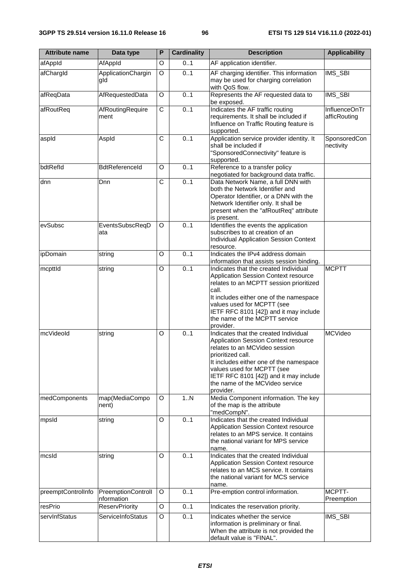| <b>Attribute name</b> | Data type                        | P           | <b>Cardinality</b> | <b>Description</b>                                                                                                                                                                                                                                                                                     | <b>Applicability</b>          |
|-----------------------|----------------------------------|-------------|--------------------|--------------------------------------------------------------------------------------------------------------------------------------------------------------------------------------------------------------------------------------------------------------------------------------------------------|-------------------------------|
| afAppId               | AfAppId                          | O           | 0.1                | AF application identifier.                                                                                                                                                                                                                                                                             |                               |
| afChargId             | ApplicationChargin<br>gld        | O           | 0.1                | AF charging identifier. This information<br>may be used for charging correlation<br>with QoS flow.                                                                                                                                                                                                     | IMS_SBI                       |
| afReqData             | AfRequestedData                  | O           | 0.1                | Represents the AF requested data to<br>be exposed.                                                                                                                                                                                                                                                     | IMS_SBI                       |
| afRoutReq             | AfRoutingRequire<br>ment         | $\mathsf C$ | 0.1                | Indicates the AF traffic routing<br>requirements. It shall be included if<br>Influence on Traffic Routing feature is<br>supported.                                                                                                                                                                     | InfluenceOnTr<br>afficRouting |
| aspld                 | Aspld                            | С           | 0.1                | Application service provider identity. It<br>shall be included if<br>"SponsoredConnectivity" feature is<br>supported.                                                                                                                                                                                  | SponsoredCon<br>nectivity     |
| bdtRefld              | BdtReferenceId                   | O           | 0.1                | Reference to a transfer policy<br>negotiated for background data traffic.                                                                                                                                                                                                                              |                               |
| dnn                   | Dnn                              | C           | 0.1                | Data Network Name, a full DNN with<br>both the Network Identifier and<br>Operator Identifier, or a DNN with the<br>Network Identifier only. It shall be<br>present when the "afRoutReq" attribute<br>is present.                                                                                       |                               |
| evSubsc               | EventsSubscReqD<br>ata           | O           | 0.1                | Identifies the events the application<br>subscribes to at creation of an<br><b>Individual Application Session Context</b><br>resource.                                                                                                                                                                 |                               |
| ipDomain              | string                           | O           | 0.1                | Indicates the IPv4 address domain<br>information that assists session binding.                                                                                                                                                                                                                         |                               |
| mcpttld               | string                           | O           | 0.1                | Indicates that the created Individual<br>Application Session Context resource<br>relates to an MCPTT session prioritized<br>call.<br>It includes either one of the namespace<br>values used for MCPTT (see<br>IETF RFC 8101 [42]) and it may include<br>the name of the MCPTT service<br>provider.     | <b>MCPTT</b>                  |
| mcVideoId             | string                           | O           | 0.1                | Indicates that the created Individual<br>Application Session Context resource<br>relates to an MCVideo session<br>prioritized call.<br>It includes either one of the namespace<br>values used for MCPTT (see<br>IETF RFC 8101 [42]) and it may include<br>the name of the MCVideo service<br>provider. | <b>MCVideo</b>                |
| medComponents         | map(MediaCompo<br>nent)          | O           | 1N                 | Media Component information. The key<br>of the map is the attribute<br>"medCompN".                                                                                                                                                                                                                     |                               |
| mpsid                 | string                           | O           | 0.1                | Indicates that the created Individual<br><b>Application Session Context resource</b><br>relates to an MPS service. It contains<br>the national variant for MPS service<br>name.                                                                                                                        |                               |
| mcsId                 | string                           | O           | 0.1                | Indicates that the created Individual<br>Application Session Context resource<br>relates to an MCS service. It contains<br>the national variant for MCS service<br>name.                                                                                                                               |                               |
| preemptControlInfo    | PreemptionControll<br>nformation | O           | 0.1                | Pre-emption control information.                                                                                                                                                                                                                                                                       | MCPTT-<br>Preemption          |
| resPrio               | <b>ReservPriority</b>            | O           | 0.1                | Indicates the reservation priority.                                                                                                                                                                                                                                                                    |                               |
| servInfStatus         | ServiceInfoStatus                | O           | 0.1                | Indicates whether the service<br>information is preliminary or final.<br>When the attribute is not provided the<br>default value is "FINAL".                                                                                                                                                           | IMS_SBI                       |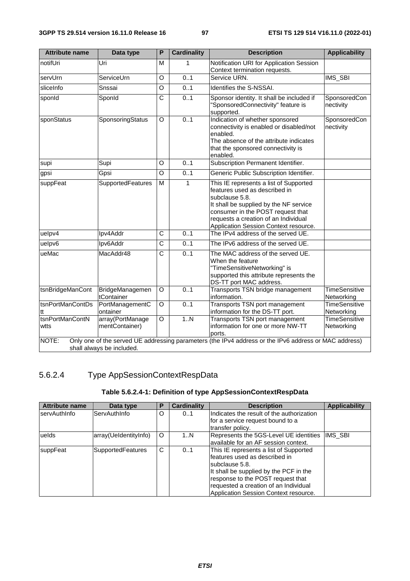| <b>Attribute name</b>   | Data type                          | $\overline{\mathsf{P}}$ | <b>Cardinality</b> | <b>Description</b>                                                                                                                                                                                                                                        | <b>Applicability</b>               |
|-------------------------|------------------------------------|-------------------------|--------------------|-----------------------------------------------------------------------------------------------------------------------------------------------------------------------------------------------------------------------------------------------------------|------------------------------------|
| notifUri                | Uri                                | м                       | 1                  | Notification URI for Application Session<br>Context termination requests.                                                                                                                                                                                 |                                    |
| servUrn                 | ServiceUrn                         | O                       | 0.1                | Service URN.                                                                                                                                                                                                                                              | IMS_SBI                            |
| sliceInfo               | Snssai                             | O                       | 0.1                | Identifies the S-NSSAI.                                                                                                                                                                                                                                   |                                    |
| sponId                  | SponId                             | C                       | 0.1                | Sponsor identity. It shall be included if<br>"SponsoredConnectivity" feature is<br>supported.                                                                                                                                                             | SponsoredCon<br>nectivity          |
| sponStatus              | SponsoringStatus                   | O                       | 0.1                | Indication of whether sponsored<br>connectivity is enabled or disabled/not<br>enabled.<br>The absence of the attribute indicates<br>that the sponsored connectivity is<br>enabled.                                                                        | SponsoredCon<br>nectivity          |
| supi                    | Supi                               | O                       | 0.1                | Subscription Permanent Identifier.                                                                                                                                                                                                                        |                                    |
| gpsi                    | Gpsi                               | O                       | 0.1                | Generic Public Subscription Identifier.                                                                                                                                                                                                                   |                                    |
| suppFeat                | SupportedFeatures                  | M                       | 1                  | This IE represents a list of Supported<br>features used as described in<br>subclause 5.8.<br>It shall be supplied by the NF service<br>consumer in the POST request that<br>requests a creation of an Individual<br>Application Session Context resource. |                                    |
| uelpv4                  | Ipv4Addr                           | С                       | 01                 | The IPv4 address of the served UE.                                                                                                                                                                                                                        |                                    |
| uelpv6                  | Ipv6Addr                           | $\overline{C}$          | 0.1                | The IPv6 address of the served UE.                                                                                                                                                                                                                        |                                    |
| ueMac                   | MacAddr48                          | C                       | 0.1                | The MAC address of the served UE.<br>When the feature<br>"TimeSensitiveNetworking" is<br>supported this attribute represents the<br>DS-TT port MAC address.                                                                                               |                                    |
| tsnBridgeManCont        | BridgeManagemen<br>tContainer      | O                       | 0.1                | Transports TSN bridge management<br>information.                                                                                                                                                                                                          | <b>TimeSensitive</b><br>Networking |
| tsnPortManContDs<br>ltt | PortManagementC<br>ontainer        | O                       | 0.1                | Transports TSN port management<br>information for the DS-TT port.                                                                                                                                                                                         | <b>TimeSensitive</b><br>Networking |
| tsnPortManContN<br>wtts | array(PortManage<br>mentContainer) | O                       | 1.N                | Transports TSN port management<br>information for one or more NW-TT<br>ports.                                                                                                                                                                             | <b>TimeSensitive</b><br>Networking |
| NOTE:                   | shall always be included.          |                         |                    | Only one of the served UE addressing parameters (the IPv4 address or the IPv6 address or MAC address)                                                                                                                                                     |                                    |

# 5.6.2.4 Type AppSessionContextRespData

# **Table 5.6.2.4-1: Definition of type AppSessionContextRespData**

| <b>Attribute name</b> | Data type                | Р | Cardinality | <b>Description</b>                        | <b>Applicability</b> |
|-----------------------|--------------------------|---|-------------|-------------------------------------------|----------------------|
| <b>servAuthInfo</b>   | ServAuthInfo             | O | 01          | Indicates the result of the authorization |                      |
|                       |                          |   |             | for a service request bound to a          |                      |
|                       |                          |   |             | transfer policy.                          |                      |
| luelds                | array(UeldentityInfo)    | O | 1N          | Represents the 5GS-Level UE identities    | IMS SBI              |
|                       |                          |   |             | available for an AF session context.      |                      |
| suppFeat              | <b>SupportedFeatures</b> | C | 01          | This IE represents a list of Supported    |                      |
|                       |                          |   |             | features used as described in             |                      |
|                       |                          |   |             | lsubclause 5.8.                           |                      |
|                       |                          |   |             | It shall be supplied by the PCF in the    |                      |
|                       |                          |   |             | response to the POST request that         |                      |
|                       |                          |   |             | requested a creation of an Individual     |                      |
|                       |                          |   |             | Application Session Context resource.     |                      |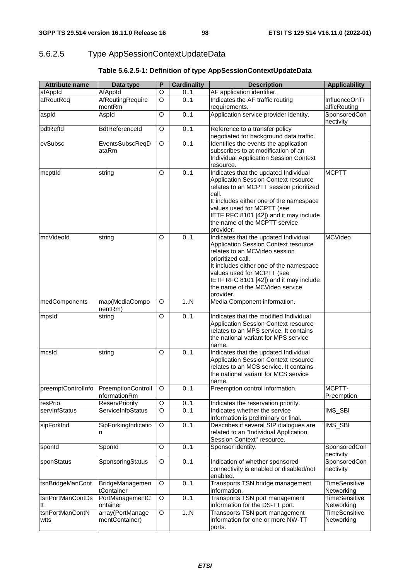# 5.6.2.5 Type AppSessionContextUpdateData

| <b>Attribute name</b> | Data type                                             | P | <b>Cardinality</b> | <b>Description</b>                                                           | <b>Applicability</b>      |
|-----------------------|-------------------------------------------------------|---|--------------------|------------------------------------------------------------------------------|---------------------------|
| afAppId               | AfAppId                                               | O | 0.1                | AF application identifier.                                                   |                           |
| afRoutReq             | AfRoutingRequire                                      | O | 01                 | Indicates the AF traffic routing                                             | InfluenceOnTr             |
|                       | mentRm                                                |   |                    | requirements.                                                                | afficRouting              |
| aspld                 | Aspld                                                 | O | 0.1                | Application service provider identity.                                       | SponsoredCon<br>nectivity |
| bdtRefld              | BdtReferenceId                                        | O | 0.1                | Reference to a transfer policy                                               |                           |
|                       |                                                       |   |                    | negotiated for background data traffic.                                      |                           |
| evSubsc               | EventsSubscReqD<br>ataRm                              | O | 0.1                | Identifies the events the application<br>subscribes to at modification of an |                           |
|                       |                                                       |   |                    | <b>Individual Application Session Context</b>                                |                           |
|                       |                                                       |   |                    | resource.                                                                    |                           |
| mcpttld               | string                                                | O | 0.1                | Indicates that the updated Individual                                        | <b>MCPTT</b>              |
|                       |                                                       |   |                    | Application Session Context resource                                         |                           |
|                       |                                                       |   |                    | relates to an MCPTT session prioritized                                      |                           |
|                       |                                                       |   |                    | call.                                                                        |                           |
|                       |                                                       |   |                    | It includes either one of the namespace                                      |                           |
|                       |                                                       |   |                    | values used for MCPTT (see                                                   |                           |
|                       |                                                       |   |                    | IETF RFC 8101 [42]) and it may include<br>the name of the MCPTT service      |                           |
|                       |                                                       |   |                    | provider.                                                                    |                           |
| mcVideold             | string                                                | O | 0.1                | Indicates that the updated Individual                                        | MCVideo                   |
|                       |                                                       |   |                    | <b>Application Session Context resource</b>                                  |                           |
|                       |                                                       |   |                    | relates to an MCVideo session                                                |                           |
|                       |                                                       |   |                    | prioritized call.                                                            |                           |
|                       |                                                       |   |                    | It includes either one of the namespace                                      |                           |
|                       |                                                       |   |                    | values used for MCPTT (see                                                   |                           |
|                       |                                                       |   |                    | IETF RFC 8101 [42]) and it may include<br>the name of the MCVideo service    |                           |
|                       |                                                       |   |                    | provider.                                                                    |                           |
| medComponents         | map(MediaCompo                                        | O | 1.N                | Media Component information.                                                 |                           |
|                       | nentRm)                                               |   |                    |                                                                              |                           |
| mpsId                 | string                                                | O | 0.1                | Indicates that the modified Individual                                       |                           |
|                       |                                                       |   |                    | Application Session Context resource                                         |                           |
|                       |                                                       |   |                    | relates to an MPS service. It contains                                       |                           |
|                       |                                                       |   |                    | the national variant for MPS service<br>name.                                |                           |
| mcsld                 | string                                                | O | 0.1                | Indicates that the updated Individual                                        |                           |
|                       |                                                       |   |                    | <b>Application Session Context resource</b>                                  |                           |
|                       |                                                       |   |                    | relates to an MCS service. It contains                                       |                           |
|                       |                                                       |   |                    | the national variant for MCS service                                         |                           |
|                       |                                                       |   |                    | name.                                                                        |                           |
|                       | preemptControlInfo PreemptionControll<br>nformationRm | O | 01                 | Preemption control information.                                              | MCPTT-<br>Preemption      |
| resPrio               | <b>ReservPriority</b>                                 | O | 0.1                | Indicates the reservation priority.                                          |                           |
| servInfStatus         | ServiceInfoStatus                                     | O | 0.1                | Indicates whether the service                                                | IMS_SBI                   |
|                       |                                                       |   |                    | information is preliminary or final.                                         |                           |
| sipForkInd            | SipForkingIndicatio                                   | O | 0.1                | Describes if several SIP dialogues are                                       | IMS_SBI                   |
|                       | n                                                     |   |                    | related to an "Individual Application                                        |                           |
|                       |                                                       |   |                    | Session Context" resource.                                                   |                           |
| sponid                | SponId                                                | O | 0.1                | Sponsor identity.                                                            | SponsoredCon              |
| sponStatus            | SponsoringStatus                                      | O | 01                 | Indication of whether sponsored                                              | nectivity<br>SponsoredCon |
|                       |                                                       |   |                    | connectivity is enabled or disabled/not                                      | nectivity                 |
|                       |                                                       |   |                    | enabled.                                                                     |                           |
| tsnBridgeManCont      | BridgeManagemen                                       | O | 0.1                | Transports TSN bridge management                                             | <b>TimeSensitive</b>      |
|                       | tContainer                                            |   |                    | information.                                                                 | Networking                |
| tsnPortManContDs      | PortManagementC                                       | O | 01                 | Transports TSN port management                                               | <b>TimeSensitive</b>      |
| tt                    | ontainer                                              |   |                    | information for the DS-TT port.                                              | Networking                |
| tsnPortManContN       | array(PortManage                                      | O | 1N                 | Transports TSN port management                                               | TimeSensitive             |
| wtts                  | mentContainer)                                        |   |                    | information for one or more NW-TT                                            | Networking                |
|                       |                                                       |   |                    | ports.                                                                       |                           |

# **Table 5.6.2.5-1: Definition of type AppSessionContextUpdateData**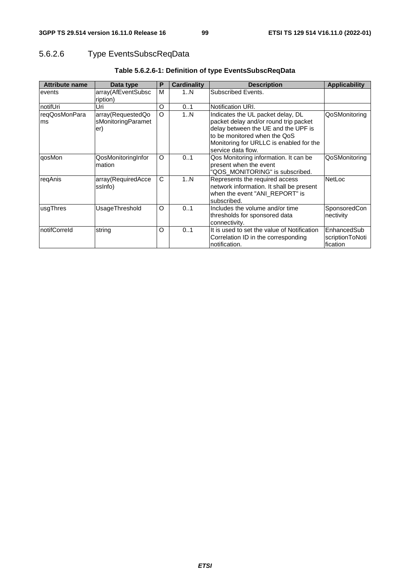# 5.6.2.6 Type EventsSubscReqData

| <b>Attribute name</b> | Data type                                      | P        | Cardinality | <b>Description</b>                                                                                                                                                                                                 | <b>Applicability</b>                        |
|-----------------------|------------------------------------------------|----------|-------------|--------------------------------------------------------------------------------------------------------------------------------------------------------------------------------------------------------------------|---------------------------------------------|
| events                | array(AfEventSubsc<br>ription)                 | M        | 1N          | Subscribed Events.                                                                                                                                                                                                 |                                             |
| notifUri              | Uri                                            | O        | 01          | Notification URI.                                                                                                                                                                                                  |                                             |
| reqQosMonPara<br>ms   | array(RequestedQo<br>sMonitoringParamet<br>er) | O        | 1N          | Indicates the UL packet delay, DL<br>packet delay and/or round trip packet<br>delay between the UE and the UPF is<br>to be monitored when the QoS<br>Monitoring for URLLC is enabled for the<br>service data flow. | QoSMonitoring                               |
| qosMon                | QosMonitoringInfor<br>mation                   | O        | 0.1         | Qos Monitoring information. It can be<br>present when the event<br>"QOS MONITORING" is subscribed.                                                                                                                 | QoSMonitoring                               |
| reqAnis               | array(RequiredAcce<br>ssinfo)                  | C        | 1N          | Represents the required access<br>network information. It shall be present<br>when the event "ANI REPORT" is<br>subscribed.                                                                                        | <b>NetLoc</b>                               |
| lusgThres             | UsageThreshold                                 | $\Omega$ | 01          | Includes the volume and/or time<br>thresholds for sponsored data<br>connectivity.                                                                                                                                  | SponsoredCon<br>nectivity                   |
| InotifCorreld         | string                                         | O        | 0.1         | It is used to set the value of Notification<br>Correlation ID in the corresponding<br>notification.                                                                                                                | lEnhancedSub<br>scriptionToNoti<br>fication |

# **Table 5.6.2.6-1: Definition of type EventsSubscReqData**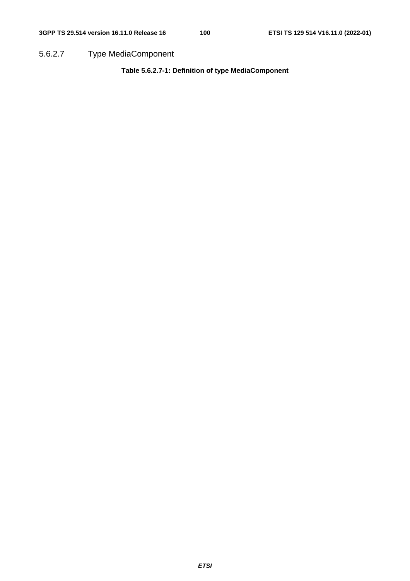5.6.2.7 Type MediaComponent

**Table 5.6.2.7-1: Definition of type MediaComponent**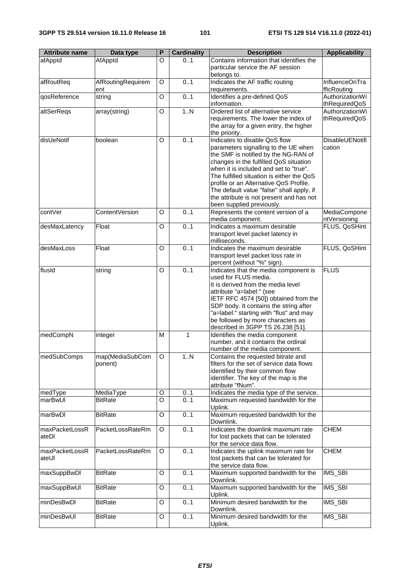| <b>Attribute name</b> | Data type         | P       | <b>Cardinality</b> | <b>Description</b>                                                               | <b>Applicability</b>   |
|-----------------------|-------------------|---------|--------------------|----------------------------------------------------------------------------------|------------------------|
| afAppId               | AfAppId           | O       | 0.1                | Contains information that identifies the<br>particular service the AF session    |                        |
| afRoutReq             | AfRoutingRequirem | O       | 0.1                | belongs to.<br>Indicates the AF traffic routing                                  | InfluenceOnTra         |
|                       | ent               |         |                    | requirements.                                                                    | fficRouting            |
| qosReference          | string            | O       | 0.1                | Identifies a pre-defined QoS                                                     | AuthorizationWi        |
|                       |                   |         |                    | information.                                                                     | thRequiredQoS          |
| altSerReqs            | array(string)     | O       | 1. N               | Ordered list of alternative service                                              | AuthorizationWi        |
|                       |                   |         |                    | requirements. The lower the index of                                             | thRequiredQoS          |
|                       |                   |         |                    | the array for a given entry, the higher                                          |                        |
|                       |                   |         |                    | the priority.                                                                    |                        |
| disUeNotif            | boolean           | O       | 0.1                | Indicates to disable QoS flow                                                    | <b>DisableUENotifi</b> |
|                       |                   |         |                    | parameters signalling to the UE when                                             | cation                 |
|                       |                   |         |                    | the SMF is notified by the NG-RAN of                                             |                        |
|                       |                   |         |                    | changes in the fulfilled QoS situation<br>when it is included and set to "true". |                        |
|                       |                   |         |                    | The fulfilled situation is either the QoS                                        |                        |
|                       |                   |         |                    | profile or an Alternative QoS Profile.                                           |                        |
|                       |                   |         |                    | The default value "false" shall apply, if                                        |                        |
|                       |                   |         |                    | the attribute is not present and has not                                         |                        |
|                       |                   |         |                    | been supplied previously.                                                        |                        |
| contVer               | ContentVersion    | O       | 0.1                | Represents the content version of a                                              | MediaCompone           |
|                       |                   |         |                    | media component.                                                                 | ntVersioning           |
| desMaxLatency         | Float             | O       | 0.1                | Indicates a maximum desirable                                                    | FLUS, QoSHint          |
|                       |                   |         |                    | transport level packet latency in                                                |                        |
|                       |                   |         |                    | milliseconds.                                                                    |                        |
| desMaxLoss            | Float             | O       | 0.1                | Indicates the maximum desirable<br>transport level packet loss rate in           | FLUS, QoSHint          |
|                       |                   |         |                    | percent (without "%" sign).                                                      |                        |
| flusId                | string            | O       | 0.1                | Indicates that the media component is                                            | <b>FLUS</b>            |
|                       |                   |         |                    | used for FLUS media.                                                             |                        |
|                       |                   |         |                    | It is derived from the media level                                               |                        |
|                       |                   |         |                    | attribute "a=label:" (see                                                        |                        |
|                       |                   |         |                    | IETF RFC 4574 [50]) obtained from the                                            |                        |
|                       |                   |         |                    | SDP body. It contains the string after                                           |                        |
|                       |                   |         |                    | "a=label:" starting with "flus" and may                                          |                        |
|                       |                   |         |                    | be followed by more characters as                                                |                        |
| medCompN              |                   | M       | 1                  | described in 3GPP TS 26.238 [51].<br>Identifies the media component              |                        |
|                       | integer           |         |                    | number, and it contains the ordinal                                              |                        |
|                       |                   |         |                    | number of the media component.                                                   |                        |
| medSubComps           | map(MediaSubCom   | $\circ$ | 1N                 | Contains the requested bitrate and                                               |                        |
|                       | ponent)           |         |                    | filters for the set of service data flows                                        |                        |
|                       |                   |         |                    | identified by their common flow                                                  |                        |
|                       |                   |         |                    | identifier. The key of the map is the                                            |                        |
|                       |                   |         |                    | attribute "fNum".                                                                |                        |
| medType               | MediaType         | O       | 01                 | Indicates the media type of the service.                                         |                        |
| marBwUI               | <b>BitRate</b>    | O       | 0.1                | Maximum requested bandwidth for the                                              |                        |
|                       |                   |         |                    | Uplink.                                                                          |                        |
| marBwDl               | BitRate           | O       | 0.1                | Maximum requested bandwidth for the<br>Downlink.                                 |                        |
| maxPacketLossR        | PacketLossRateRm  | O       | 0.1                | Indicates the downlink maximum rate                                              | <b>CHEM</b>            |
| ateDI                 |                   |         |                    | for lost packets that can be tolerated                                           |                        |
|                       |                   |         |                    | for the service data flow.                                                       |                        |
| maxPacketLossR        | PacketLossRateRm  | O       | 0.1                | Indicates the uplink maximum rate for                                            | <b>CHEM</b>            |
| ateUl                 |                   |         |                    | lost packets that can be tolerated for                                           |                        |
|                       |                   |         |                    | the service data flow.                                                           |                        |
| maxSuppBwDl           | <b>BitRate</b>    | O       | 0.1                | Maximum supported bandwidth for the                                              | IMS_SBI                |
|                       |                   |         |                    | Downlink.                                                                        |                        |
| maxSuppBwUI           | <b>BitRate</b>    | O       | 0.1                | Maximum supported bandwidth for the                                              | IMS_SBI                |
|                       |                   |         |                    | Uplink.                                                                          |                        |
| minDesBwDl            | <b>BitRate</b>    | O       | 0.1                | Minimum desired bandwidth for the<br>Downlink.                                   | IMS_SBI                |
| minDesBwUl            | <b>BitRate</b>    | O       | 01                 | Minimum desired bandwidth for the                                                | IMS_SBI                |
|                       |                   |         |                    | Uplink.                                                                          |                        |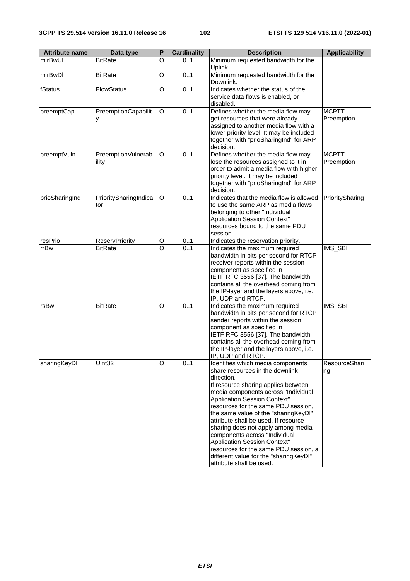| <b>Attribute name</b> | Data type                    | P | <b>Cardinality</b> | <b>Description</b>                                                                                                                                                                                                                                                                                                                                                                                                                                                                                                                            | <b>Applicability</b> |
|-----------------------|------------------------------|---|--------------------|-----------------------------------------------------------------------------------------------------------------------------------------------------------------------------------------------------------------------------------------------------------------------------------------------------------------------------------------------------------------------------------------------------------------------------------------------------------------------------------------------------------------------------------------------|----------------------|
| mirBwUl               | <b>BitRate</b>               | O | 01                 | Minimum requested bandwidth for the<br>Uplink.                                                                                                                                                                                                                                                                                                                                                                                                                                                                                                |                      |
| mirBwDl               | <b>BitRate</b>               | O | 0.1                | Minimum requested bandwidth for the<br>Downlink.                                                                                                                                                                                                                                                                                                                                                                                                                                                                                              |                      |
| fStatus               | <b>FlowStatus</b>            | O | 0.1                | Indicates whether the status of the<br>service data flows is enabled, or<br>disabled.                                                                                                                                                                                                                                                                                                                                                                                                                                                         |                      |
| preemptCap            | PreemptionCapabilit          | O | 0.1                | Defines whether the media flow may<br>get resources that were already<br>assigned to another media flow with a<br>lower priority level. It may be included<br>together with "prioSharingInd" for ARP<br>decision.                                                                                                                                                                                                                                                                                                                             | MCPTT-<br>Preemption |
| preemptVuln           | PreemptionVulnerab<br>ility  | O | 0.1                | Defines whether the media flow may<br>lose the resources assigned to it in<br>order to admit a media flow with higher<br>priority level. It may be included<br>together with "prioSharingInd" for ARP<br>decision.                                                                                                                                                                                                                                                                                                                            | MCPTT-<br>Preemption |
| prioSharingInd        | PrioritySharingIndica<br>tor | O | 0.1                | Indicates that the media flow is allowed<br>to use the same ARP as media flows<br>belonging to other "Individual<br><b>Application Session Context"</b><br>resources bound to the same PDU<br>session.                                                                                                                                                                                                                                                                                                                                        | PrioritySharing      |
| resPrio               | <b>ReservPriority</b>        | O | 01                 | Indicates the reservation priority.                                                                                                                                                                                                                                                                                                                                                                                                                                                                                                           |                      |
| rrBw                  | <b>BitRate</b>               | O | 0.1                | Indicates the maximum required<br>bandwidth in bits per second for RTCP<br>receiver reports within the session<br>component as specified in<br>IETF RFC 3556 [37]. The bandwidth<br>contains all the overhead coming from<br>the IP-layer and the layers above, i.e.<br>IP, UDP and RTCP.                                                                                                                                                                                                                                                     | IMS_SBI              |
| rsBw                  | <b>BitRate</b>               | O | 0.1                | Indicates the maximum required<br>bandwidth in bits per second for RTCP<br>sender reports within the session<br>component as specified in<br>IETF RFC 3556 [37]. The bandwidth<br>contains all the overhead coming from<br>the IP-layer and the layers above, i.e.<br>IP, UDP and RTCP.                                                                                                                                                                                                                                                       | IMS_SBI              |
| sharingKeyDl          | Uint <sub>32</sub>           | O | 01                 | Identifies which media components<br>share resources in the downlink<br>direction.<br>If resource sharing applies between<br>media components across "Individual<br>Application Session Context"<br>resources for the same PDU session,<br>the same value of the "sharingKeyDI"<br>attribute shall be used. If resource<br>sharing does not apply among media<br>components across "Individual<br>Application Session Context"<br>resources for the same PDU session, a<br>different value for the "sharingKeyDI"<br>attribute shall be used. | ResourceShari<br>ng  |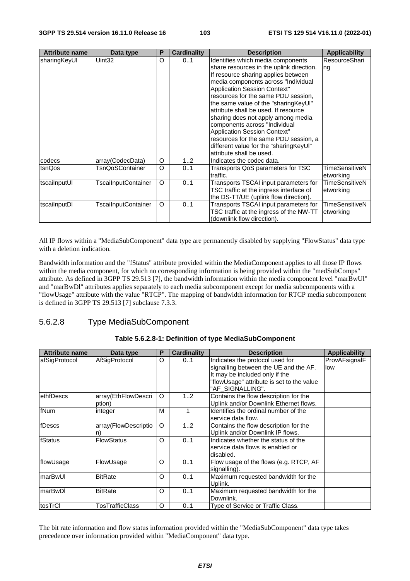| <b>Attribute name</b> | Data type           | P | Cardinality | <b>Description</b>                                                                                                                                                                                                                                                                                                                                                                                                                                                                                                                                     | <b>Applicability</b>               |
|-----------------------|---------------------|---|-------------|--------------------------------------------------------------------------------------------------------------------------------------------------------------------------------------------------------------------------------------------------------------------------------------------------------------------------------------------------------------------------------------------------------------------------------------------------------------------------------------------------------------------------------------------------------|------------------------------------|
| sharingKeyUI          | Uint32              | O | 01          | Identifies which media components<br>share resources in the uplink direction.<br>If resource sharing applies between<br>media components across "Individual<br><b>Application Session Context"</b><br>resources for the same PDU session,<br>the same value of the "sharingKeyUI"<br>attribute shall be used. If resource<br>sharing does not apply among media<br>components across "Individual<br><b>Application Session Context"</b><br>resources for the same PDU session, a<br>different value for the "sharingKeyUI"<br>attribute shall be used. | ResourceShari<br>ng                |
| codecs                | array(CodecData)    | O | 12          | Indicates the codec data.                                                                                                                                                                                                                                                                                                                                                                                                                                                                                                                              |                                    |
| tsnQos                | TsnQoSContainer     | O | 01          | Transports QoS parameters for TSC<br>traffic.                                                                                                                                                                                                                                                                                                                                                                                                                                                                                                          | TimeSensitiveN<br>etworking        |
| <b>tscailnputUl</b>   | TscailnputContainer | O | 01          | Transports TSCAI input parameters for<br>TSC traffic at the ingress interface of<br>the DS-TT/UE (uplink flow direction).                                                                                                                                                                                                                                                                                                                                                                                                                              | TimeSensitiveN<br>etworking        |
| tscailnputDI          | TscailnputContainer | O | 01          | Transports TSCAI input parameters for<br>TSC traffic at the ingress of the NW-TT<br>(downlink flow direction).                                                                                                                                                                                                                                                                                                                                                                                                                                         | <b>TimeSensitiveN</b><br>etworking |

All IP flows within a "MediaSubComponent" data type are permanently disabled by supplying "FlowStatus" data type with a deletion indication.

Bandwidth information and the "fStatus" attribute provided within the MediaComponent applies to all those IP flows within the media component, for which no corresponding information is being provided within the "medSubComps" attribute. As defined in 3GPP TS 29.513 [7], the bandwidth information within the media component level "marBwUl" and "marBwDl" attributes applies separately to each media subcomponent except for media subcomponents with a "flowUsage" attribute with the value "RTCP". The mapping of bandwidth information for RTCP media subcomponent is defined in 3GPP TS 29.513 [7] subclause 7.3.3.

# 5.6.2.8 Type MediaSubComponent

| <b>Attribute name</b> | Data type                     | Р        | <b>Cardinality</b> | <b>Description</b>                                                                                                                                                          | <b>Applicability</b> |
|-----------------------|-------------------------------|----------|--------------------|-----------------------------------------------------------------------------------------------------------------------------------------------------------------------------|----------------------|
| afSigProtocol         | AfSigProtocol                 | O        | 01                 | Indicates the protocol used for<br>signalling between the UE and the AF.<br>It may be included only if the<br>"flowUsage" attribute is set to the value<br>"AF SIGNALLING". | ProvAFsignalF<br>low |
| ethfDescs             | array(EthFlowDescri<br>ption) | O        | 12                 | Contains the flow description for the<br>Uplink and/or Downlink Ethernet flows.                                                                                             |                      |
| fNum                  | integer                       | M        |                    | Identifies the ordinal number of the<br>service data flow.                                                                                                                  |                      |
| fDescs                | array(FlowDescriptio<br>n)    | $\Omega$ | 12                 | Contains the flow description for the<br>Uplink and/or Downlink IP flows.                                                                                                   |                      |
| fStatus               | <b>FlowStatus</b>             | O        | 01                 | Indicates whether the status of the<br>service data flows is enabled or<br>disabled.                                                                                        |                      |
| flowUsage             | FlowUsage                     | O        | 01                 | Flow usage of the flows (e.g. RTCP, AF<br>signalling).                                                                                                                      |                      |
| ImarBwUI              | <b>BitRate</b>                | $\Omega$ | 01                 | Maximum requested bandwidth for the<br>Uplink.                                                                                                                              |                      |
| marBwDl               | <b>BitRate</b>                | O        | 0.1                | Maximum requested bandwidth for the<br>Downlink.                                                                                                                            |                      |
| tosTrCl               | TosTrafficClass               | O        | 0.1                | Type of Service or Traffic Class.                                                                                                                                           |                      |

#### **Table 5.6.2.8-1: Definition of type MediaSubComponent**

The bit rate information and flow status information provided within the "MediaSubComponent" data type takes precedence over information provided within "MediaComponent" data type.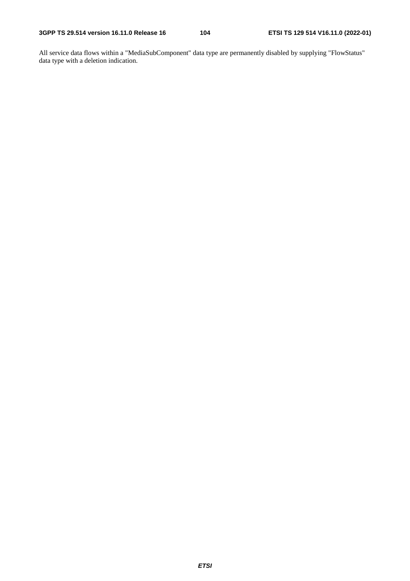All service data flows within a "MediaSubComponent" data type are permanently disabled by supplying "FlowStatus" data type with a deletion indication.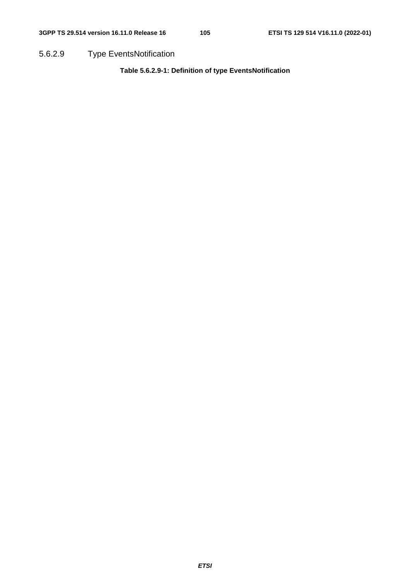5.6.2.9 Type EventsNotification

**Table 5.6.2.9-1: Definition of type EventsNotification**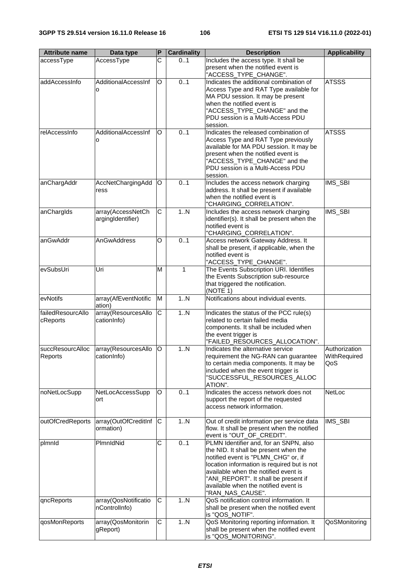| <b>Attribute name</b>         | Data type                              | P | <b>Cardinality</b> | <b>Description</b>                                                                                                                                                                                                                                                                                                | <b>Applicability</b>                 |
|-------------------------------|----------------------------------------|---|--------------------|-------------------------------------------------------------------------------------------------------------------------------------------------------------------------------------------------------------------------------------------------------------------------------------------------------------------|--------------------------------------|
| accessType                    | AccessType                             | Ć | 01                 | Includes the access type. It shall be<br>present when the notified event is<br>"ACCESS_TYPE_CHANGE".                                                                                                                                                                                                              |                                      |
| addAccessInfo                 | AdditionalAccessInf<br>O               | O | 0.1                | Indicates the additional combination of<br>Access Type and RAT Type available for<br>MA PDU session. It may be present<br>when the notified event is<br>"ACCESS_TYPE_CHANGE" and the<br>PDU session is a Multi-Access PDU<br>session.                                                                             | <b>ATSSS</b>                         |
| relAccessInfo                 | AdditionalAccessInf<br>o               | O | 0.1                | Indicates the released combination of<br>Access Type and RAT Type previously<br>available for MA PDU session. It may be<br>present when the notified event is<br>"ACCESS_TYPE_CHANGE" and the<br>PDU session is a Multi-Access PDU<br>session.                                                                    | <b>ATSSS</b>                         |
| anChargAddr                   | AccNetChargingAdd<br>ress              | O | 0.1                | Includes the access network charging<br>address. It shall be present if available<br>when the notified event is<br>"CHARGING_CORRELATION".                                                                                                                                                                        | IMS_SBI                              |
| anChargIds                    | array(AccessNetCh<br>argingIdentifier) | C | 1N                 | Includes the access network charging<br>identifier(s). It shall be present when the<br>notified event is<br>"CHARGING_CORRELATION".                                                                                                                                                                               | IMS_SBI                              |
| anGwAddr                      | AnGwAddress                            | O | 0.1                | Access network Gateway Address. It<br>shall be present, if applicable, when the<br>notified event is<br>"ACCESS_TYPE_CHANGE".                                                                                                                                                                                     |                                      |
| evSubsUri                     | Uri                                    | M | 1                  | The Events Subscription URI. Identifies<br>the Events Subscription sub-resource<br>that triggered the notification.<br>(NOTE 1)                                                                                                                                                                                   |                                      |
| evNotifs                      | array(AfEventNotific<br>ation)         | M | 1N                 | Notifications about individual events.                                                                                                                                                                                                                                                                            |                                      |
| failedResourcAllo<br>cReports | array(ResourcesAllo<br>cationInfo)     | C | 1N                 | Indicates the status of the PCC rule(s)<br>related to certain failed media<br>components. It shall be included when<br>the event trigger is<br>"FAILED_RESOURCES_ALLOCATION".                                                                                                                                     |                                      |
| succResourcAlloc<br>Reports   | array(ResourcesAllo<br>cation nfo)     | O | 1N                 | Indicates the alternative service<br>requirement the NG-RAN can guarantee<br>to certain media components. It may be<br>included when the event trigger is<br>"SUCCESSFUL_RESOURCES_ALLOC<br>ATION".                                                                                                               | Authorization<br>WithRequired<br>QoS |
| noNetLocSupp                  | NetLocAccessSupp<br>ort                | O | 0.1                | Indicates the access network does not<br>support the report of the requested<br>access network information.                                                                                                                                                                                                       | <b>NetLoc</b>                        |
| outOfCredReports              | array(OutOfCreditInf<br>ormation)      | C | 1N                 | Out of credit information per service data<br>flow. It shall be present when the notified<br>event is "OUT_OF_CREDIT".                                                                                                                                                                                            | IMS_SBI                              |
| plmnld                        | PlmnldNid                              | C | 0.1                | PLMN Identifier and, for an SNPN, also<br>the NID. It shall be present when the<br>notified event is "PLMN_CHG" or, if<br>location information is required but is not<br>available when the notified event is<br>"ANI_REPORT". It shall be present if<br>available when the notified event is<br>"RAN_NAS_CAUSE". |                                      |
| qncReports                    | array(QosNotificatio<br>nControlInfo)  | С | 1N                 | QoS notification control information. It<br>shall be present when the notified event<br>is "QOS_NOTIF".                                                                                                                                                                                                           |                                      |
| qosMonReports                 | array(QosMonitorin<br>gReport)         | C | 1N                 | QoS Monitoring reporting information. It<br>shall be present when the notified event<br>is "QOS_MONITORING".                                                                                                                                                                                                      | QoSMonitoring                        |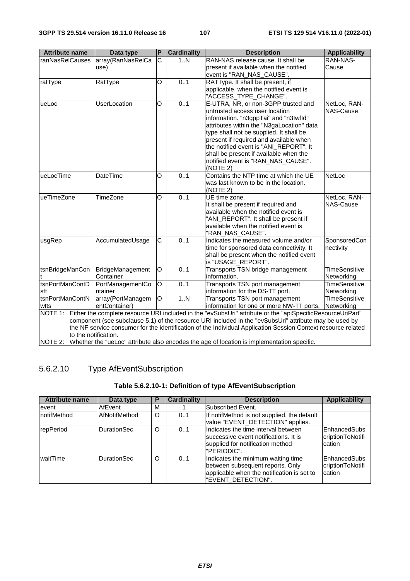| <b>Attribute name</b>                                                                                         | Data type                                                                                              | $\mathsf{P}$   | <b>Cardinality</b> | <b>Description</b>                                                                                         | <b>Applicability</b> |  |  |
|---------------------------------------------------------------------------------------------------------------|--------------------------------------------------------------------------------------------------------|----------------|--------------------|------------------------------------------------------------------------------------------------------------|----------------------|--|--|
| ranNasRelCauses                                                                                               | array(RanNasRelCa                                                                                      | $\mathsf{C}$   | 1N                 | RAN-NAS release cause. It shall be                                                                         | RAN-NAS-             |  |  |
|                                                                                                               | use)                                                                                                   |                |                    | present if available when the notified                                                                     | Cause                |  |  |
|                                                                                                               |                                                                                                        |                |                    | event is "RAN_NAS_CAUSE".                                                                                  |                      |  |  |
| ratType                                                                                                       | RatType                                                                                                | O              | 0.1                | RAT type. It shall be present, if                                                                          |                      |  |  |
|                                                                                                               |                                                                                                        |                |                    | applicable, when the notified event is                                                                     |                      |  |  |
|                                                                                                               |                                                                                                        |                |                    | "ACCESS_TYPE_CHANGE".                                                                                      |                      |  |  |
| ueLoc                                                                                                         | <b>UserLocation</b>                                                                                    | O              | 0.1                | E-UTRA, NR, or non-3GPP trusted and                                                                        | NetLoc, RAN-         |  |  |
|                                                                                                               |                                                                                                        |                |                    | untrusted access user location                                                                             | NAS-Cause            |  |  |
|                                                                                                               |                                                                                                        |                |                    | information. "n3gppTai" and "n3lwfld"                                                                      |                      |  |  |
|                                                                                                               |                                                                                                        |                |                    | attributes within the "N3gaLocation" data                                                                  |                      |  |  |
|                                                                                                               |                                                                                                        |                |                    | type shall not be supplied. It shall be                                                                    |                      |  |  |
|                                                                                                               |                                                                                                        |                |                    | present if required and available when                                                                     |                      |  |  |
|                                                                                                               |                                                                                                        |                |                    | the notified event is "ANI_REPORT". It                                                                     |                      |  |  |
|                                                                                                               |                                                                                                        |                |                    | shall be present if available when the                                                                     |                      |  |  |
|                                                                                                               |                                                                                                        |                |                    | notified event is "RAN_NAS_CAUSE".                                                                         |                      |  |  |
|                                                                                                               |                                                                                                        |                |                    | (NOTE 2)                                                                                                   |                      |  |  |
| ueLocTime                                                                                                     | <b>DateTime</b>                                                                                        | O              | 0.1                | Contains the NTP time at which the UE                                                                      | <b>NetLoc</b>        |  |  |
|                                                                                                               |                                                                                                        |                |                    | was last known to be in the location.                                                                      |                      |  |  |
|                                                                                                               |                                                                                                        |                |                    | (NOTE 2)                                                                                                   |                      |  |  |
| ueTimeZone                                                                                                    | TimeZone                                                                                               | O              | 0.1                | UE time zone.                                                                                              | NetLoc, RAN-         |  |  |
|                                                                                                               |                                                                                                        |                |                    | It shall be present if required and                                                                        | <b>NAS-Cause</b>     |  |  |
|                                                                                                               |                                                                                                        |                |                    | available when the notified event is                                                                       |                      |  |  |
|                                                                                                               |                                                                                                        |                |                    | "ANI_REPORT". It shall be present if                                                                       |                      |  |  |
|                                                                                                               |                                                                                                        |                |                    | available when the notified event is                                                                       |                      |  |  |
|                                                                                                               |                                                                                                        |                |                    | "RAN NAS CAUSE".                                                                                           |                      |  |  |
| usgRep                                                                                                        | AccumulatedUsage                                                                                       | С              | 0.1                | Indicates the measured volume and/or                                                                       | SponsoredCon         |  |  |
|                                                                                                               |                                                                                                        |                |                    | time for sponsored data connectivity. It                                                                   | nectivity            |  |  |
|                                                                                                               |                                                                                                        |                |                    | shall be present when the notified event                                                                   |                      |  |  |
|                                                                                                               |                                                                                                        |                |                    | is "USAGE_REPORT".                                                                                         |                      |  |  |
| tsnBridgeManCon                                                                                               | BridgeManagement                                                                                       | O              | 0.1                | Transports TSN bridge management                                                                           | <b>TimeSensitive</b> |  |  |
|                                                                                                               | Container                                                                                              |                |                    | information.                                                                                               | Networking           |  |  |
| tsnPortManContD                                                                                               | PortManagementCo                                                                                       | O              | 0.1                | Transports TSN port management                                                                             | <b>TimeSensitive</b> |  |  |
| stt                                                                                                           | ntainer                                                                                                |                |                    | information for the DS-TT port.                                                                            | Networking           |  |  |
| tsnPortManContN                                                                                               | array(PortManagem                                                                                      | $\overline{O}$ | 1. N               | Transports TSN port management                                                                             | <b>TimeSensitive</b> |  |  |
| wtts                                                                                                          | entContainer)                                                                                          |                |                    | information for one or more NW-TT ports. Networking                                                        |                      |  |  |
| NOTE 1:                                                                                                       |                                                                                                        |                |                    | Either the complete resource URI included in the "evSubsUri" attribute or the "apiSpecificResourceUriPart" |                      |  |  |
|                                                                                                               | component (see subclause 5.1) of the resource URI included in the "evSubsUri" attribute may be used by |                |                    |                                                                                                            |                      |  |  |
| the NF service consumer for the identification of the Individual Application Session Context resource related |                                                                                                        |                |                    |                                                                                                            |                      |  |  |
| to the notification.                                                                                          |                                                                                                        |                |                    |                                                                                                            |                      |  |  |
| NOTE 2: Whether the "ueLoc" attribute also encodes the age of location is implementation specific.            |                                                                                                        |                |                    |                                                                                                            |                      |  |  |

# 5.6.2.10 Type AfEventSubscription

# **Table 5.6.2.10-1: Definition of type AfEventSubscription**

| <b>Attribute name</b> | Data type          | P | <b>Cardinality</b> | <b>Description</b>                                                                                                                         | <b>Applicability</b>                       |
|-----------------------|--------------------|---|--------------------|--------------------------------------------------------------------------------------------------------------------------------------------|--------------------------------------------|
| levent                | AfEvent            | M |                    | Subscribed Event.                                                                                                                          |                                            |
| InotifMethod          | AfNotifMethod      | O | 0.1                | If notifMethod is not supplied, the default<br>value "EVENT_DETECTION" applies.                                                            |                                            |
| repPeriod             | <b>DurationSec</b> | O | 0.1                | Indicates the time interval between<br>Isuccessive event notifications. It is<br>supplied for notification method<br>"PERIODIC".           | EnhancedSubs<br>criptionToNotifi<br>cation |
| waitTime              | <b>DurationSec</b> | O | 0.1                | Indicates the minimum waiting time<br>between subsequent reports. Only<br>applicable when the notification is set to<br>"EVENT DETECTION". | EnhancedSubs<br>criptionToNotifi<br>cation |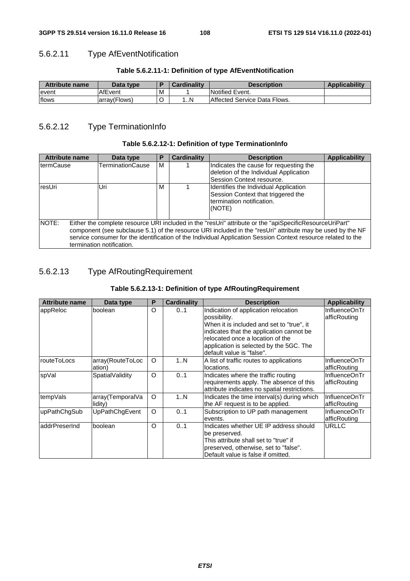# 5.6.2.11 Type AfEventNotification

#### **Table 5.6.2.11-1: Definition of type AfEventNotification**

| <b>Attribute name</b> | Data type     |   | Cardinality | <b>Description</b>                  | <b>Applicability</b> |
|-----------------------|---------------|---|-------------|-------------------------------------|----------------------|
| levent                | AfEvent       | M |             | Notified Event.                     |                      |
| flows                 | larrav(Flows) | ֊ | N           | <b>Affected Service Data Flows.</b> |                      |

# 5.6.2.12 Type TerminationInfo

#### **Table 5.6.2.12-1: Definition of type TerminationInfo**

| <b>Attribute name</b> | Data type                                                                                                                                                                                                                                                                                                                                                           | Р | <b>Cardinality</b> | <b>Applicability</b><br><b>Description</b>                                                                         |  |  |  |  |  |
|-----------------------|---------------------------------------------------------------------------------------------------------------------------------------------------------------------------------------------------------------------------------------------------------------------------------------------------------------------------------------------------------------------|---|--------------------|--------------------------------------------------------------------------------------------------------------------|--|--|--|--|--|
| <b>termCause</b>      | <b>TerminationCause</b>                                                                                                                                                                                                                                                                                                                                             | м |                    | Indicates the cause for requesting the<br>deletion of the Individual Application<br>Session Context resource.      |  |  |  |  |  |
| <b>IresUri</b>        | Uri                                                                                                                                                                                                                                                                                                                                                                 | м |                    | Identifies the Individual Application<br>Session Context that triggered the<br>termination notification.<br>(NOTE) |  |  |  |  |  |
| <b>INOTE:</b>         | Either the complete resource URI included in the "resUri" attribute or the "apiSpecificResourceUriPart"<br>component (see subclause 5.1) of the resource URI included in the "resUri" attribute may be used by the NF<br>service consumer for the identification of the Individual Application Session Context resource related to the<br>termination notification. |   |                    |                                                                                                                    |  |  |  |  |  |

# 5.6.2.13 Type AfRoutingRequirement

# **Table 5.6.2.13-1: Definition of type AfRoutingRequirement**

| <b>Attribute name</b> | Data type                   | P        | <b>Cardinality</b> | <b>Description</b>                                                                                                                                                                                                                                        | <b>Applicability</b>          |
|-----------------------|-----------------------------|----------|--------------------|-----------------------------------------------------------------------------------------------------------------------------------------------------------------------------------------------------------------------------------------------------------|-------------------------------|
| appReloc              | boolean                     | O        | 01                 | Indication of application relocation<br>possibility.<br>When it is included and set to "true", it<br>indicates that the application cannot be<br>relocated once a location of the<br>application is selected by the 5GC. The<br>default value is "false". | InfluenceOnTr<br>afficRouting |
| routeToLocs           | array(RouteToLoc<br>ation)  | $\circ$  | 1N                 | A list of traffic routes to applications<br>locations.                                                                                                                                                                                                    | InfluenceOnTr<br>afficRouting |
| spVal                 | SpatialValidity             | $\Omega$ | 01                 | Indicates where the traffic routing<br>requirements apply. The absence of this<br>attribute indicates no spatial restrictions.                                                                                                                            | InfluenceOnTr<br>afficRouting |
| tempVals              | array(TemporalVa<br>lidity) | $\circ$  | 1N                 | Indicates the time interval(s) during which<br>the AF request is to be applied.                                                                                                                                                                           | InfluenceOnTr<br>afficRouting |
| upPathChgSub          | UpPathChgEvent              | $\circ$  | 01                 | Subscription to UP path management<br>events.                                                                                                                                                                                                             | InfluenceOnTr<br>afficRouting |
| addrPreserInd         | boolean                     | O        | 0.1                | Indicates whether UE IP address should<br>be preserved.<br>This attribute shall set to "true" if<br>preserved, otherwise, set to "false".<br>Default value is false if omitted.                                                                           | <b>URLLC</b>                  |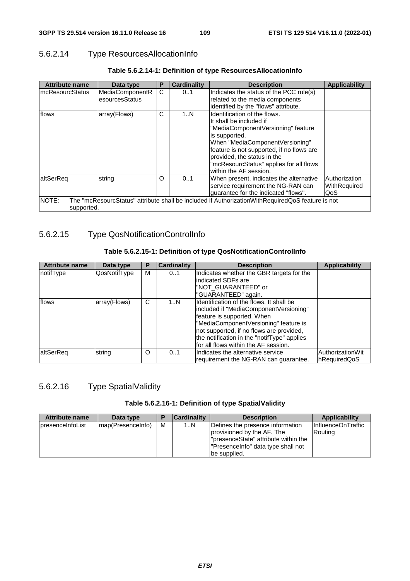# 5.6.2.14 Type ResourcesAllocationInfo

| <b>Attribute name</b>      | Data type                         | P | <b>Cardinality</b> | <b>Description</b>                                                                                                                                                                                                                                                                                 | <b>Applicability</b>                 |
|----------------------------|-----------------------------------|---|--------------------|----------------------------------------------------------------------------------------------------------------------------------------------------------------------------------------------------------------------------------------------------------------------------------------------------|--------------------------------------|
| ImcResourcStatus           | MediaComponentR<br>esourcesStatus | C | 01                 | Indicates the status of the PCC rule(s)<br>related to the media components<br>identified by the "flows" attribute.                                                                                                                                                                                 |                                      |
| flows                      | array(Flows)                      | C | 1N                 | Identification of the flows.<br>It shall be included if<br>"MediaComponentVersioning" feature<br>is supported.<br>When "MediaComponentVersioning"<br>feature is not supported, if no flows are<br>provided, the status in the<br>"mcResourcStatus" applies for all flows<br>within the AF session. |                                      |
| laltSerReg                 | string                            | O | 0.1                | When present, indicates the alternative<br>service requirement the NG-RAN can<br>guarantee for the indicated "flows".                                                                                                                                                                              | Authorization<br>WithRequired<br>QoS |
| <b>NOTE:</b><br>supported. |                                   |   |                    | The "mcResourcStatus" attribute shall be included if AuthorizationWithRequiredQoS feature is not                                                                                                                                                                                                   |                                      |

### **Table 5.6.2.14-1: Definition of type ResourcesAllocationInfo**

# 5.6.2.15 Type QosNotificationControlInfo

#### **Table 5.6.2.15-1: Definition of type QosNotificationControlInfo**

| <b>Attribute name</b> | Data type    | Р | <b>Cardinality</b> | <b>Description</b>                                                                                                                                                                                                                                                                            | <b>Applicability</b>             |
|-----------------------|--------------|---|--------------------|-----------------------------------------------------------------------------------------------------------------------------------------------------------------------------------------------------------------------------------------------------------------------------------------------|----------------------------------|
| notifType             | QosNotifType | М | 01                 | Indicates whether the GBR targets for the<br>lindicated SDFs are<br>"NOT GUARANTEED" or<br>"GUARANTEED" again.                                                                                                                                                                                |                                  |
| flows                 | array(Flows) | C | 1N                 | Identification of the flows. It shall be<br>lincluded if "MediaComponentVersioning"<br>feature is supported. When<br>"MediaComponentVersioning" feature is<br>not supported, if no flows are provided,<br>the notification in the "notifType" applies<br>for all flows within the AF session. |                                  |
| altSerReg             | string       | O | 0.1                | Indicates the alternative service<br>requirement the NG-RAN can guarantee.                                                                                                                                                                                                                    | AuthorizationWit<br>hRequiredQoS |

# 5.6.2.16 Type SpatialValidity

#### **Table 5.6.2.16-1: Definition of type SpatialValidity**

| <b>Attribute name</b>    | Data type         | D | Cardinality | <b>Description</b>                                                                                                                                            | Applicability                 |
|--------------------------|-------------------|---|-------------|---------------------------------------------------------------------------------------------------------------------------------------------------------------|-------------------------------|
| <b>IpresenceInfoList</b> | map(PresenceInfo) | M | 1N          | Defines the presence information<br>provisioned by the AF. The<br> "presenceState" attribute within the<br>"PresenceInfo" data type shall not<br>be supplied. | InfluenceOnTraffic<br>Routing |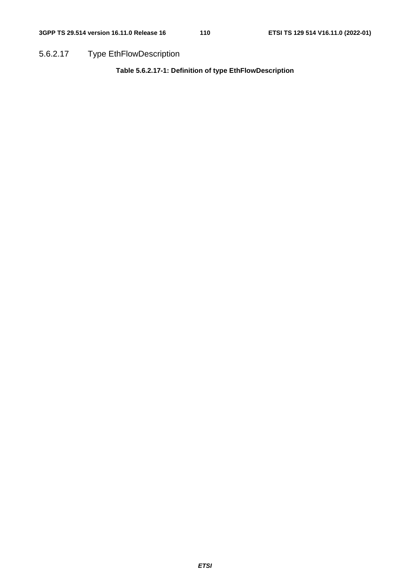5.6.2.17 Type EthFlowDescription

**Table 5.6.2.17-1: Definition of type EthFlowDescription**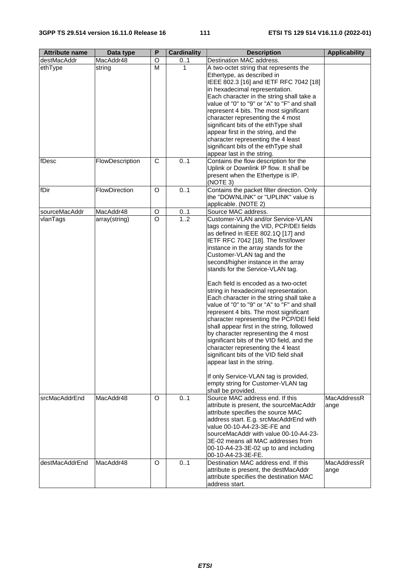| <b>Attribute name</b> | Data type       | P              | <b>Cardinality</b> | <b>Description</b>                                                                                                                                                                                                                                                                                                                                                                                                                                                                                                                                                                                                                                                                                                                                                                                                                                                                                                                   | <b>Applicability</b>       |
|-----------------------|-----------------|----------------|--------------------|--------------------------------------------------------------------------------------------------------------------------------------------------------------------------------------------------------------------------------------------------------------------------------------------------------------------------------------------------------------------------------------------------------------------------------------------------------------------------------------------------------------------------------------------------------------------------------------------------------------------------------------------------------------------------------------------------------------------------------------------------------------------------------------------------------------------------------------------------------------------------------------------------------------------------------------|----------------------------|
| destMacAddr           | MacAddr48       | O              | 01                 | Destination MAC address.                                                                                                                                                                                                                                                                                                                                                                                                                                                                                                                                                                                                                                                                                                                                                                                                                                                                                                             |                            |
| ethType               | string          | M              |                    | A two-octet string that represents the<br>Ethertype, as described in<br>IEEE 802.3 [16] and IETF RFC 7042 [18]<br>in hexadecimal representation.<br>Each character in the string shall take a<br>value of "0" to "9" or "A" to "F" and shall<br>represent 4 bits. The most significant<br>character representing the 4 most<br>significant bits of the ethType shall<br>appear first in the string, and the<br>character representing the 4 least<br>significant bits of the ethType shall<br>appear last in the string.                                                                                                                                                                                                                                                                                                                                                                                                             |                            |
| fDesc                 | FlowDescription | C              | 0.1                | Contains the flow description for the<br>Uplink or Downlink IP flow. It shall be<br>present when the Ethertype is IP.<br>(NOTE 3)                                                                                                                                                                                                                                                                                                                                                                                                                                                                                                                                                                                                                                                                                                                                                                                                    |                            |
| fDir                  | FlowDirection   | O              | 0.1                | Contains the packet filter direction. Only<br>the "DOWNLINK" or "UPLINK" value is<br>applicable. (NOTE 2)                                                                                                                                                                                                                                                                                                                                                                                                                                                                                                                                                                                                                                                                                                                                                                                                                            |                            |
| sourceMacAddr         | MacAddr48       | O              | 01                 | Source MAC address.                                                                                                                                                                                                                                                                                                                                                                                                                                                                                                                                                                                                                                                                                                                                                                                                                                                                                                                  |                            |
| vlanTags              | array(string)   | $\overline{O}$ | 1.2                | Customer-VLAN and/or Service-VLAN<br>tags containing the VID, PCP/DEI fields<br>as defined in IEEE 802.1Q [17] and<br>IETF RFC 7042 [18]. The first/lower<br>instance in the array stands for the<br>Customer-VLAN tag and the<br>second/higher instance in the array<br>stands for the Service-VLAN tag.<br>Each field is encoded as a two-octet<br>string in hexadecimal representation.<br>Each character in the string shall take a<br>value of "0" to "9" or "A" to "F" and shall<br>represent 4 bits. The most significant<br>character representing the PCP/DEI field<br>shall appear first in the string, followed<br>by character representing the 4 most<br>significant bits of the VID field, and the<br>character representing the 4 least<br>significant bits of the VID field shall<br>appear last in the string.<br>If only Service-VLAN tag is provided,<br>empty string for Customer-VLAN tag<br>shall be provided. |                            |
| srcMacAddrEnd         | MacAddr48       | O              | 01                 | Source MAC address end. If this<br>attribute is present, the sourceMacAddr<br>attribute specifies the source MAC<br>address start. E.g. srcMacAddrEnd with<br>value 00-10-A4-23-3E-FE and<br>sourceMacAddr with value 00-10-A4-23-<br>3E-02 means all MAC addresses from<br>00-10-A4-23-3E-02 up to and including<br>00-10-A4-23-3E-FE.                                                                                                                                                                                                                                                                                                                                                                                                                                                                                                                                                                                              | <b>MacAddressR</b><br>ange |
| destMacAddrEnd        | MacAddr48       | O              | 0.1                | Destination MAC address end. If this<br>attribute is present, the destMacAddr<br>attribute specifies the destination MAC<br>address start.                                                                                                                                                                                                                                                                                                                                                                                                                                                                                                                                                                                                                                                                                                                                                                                           | MacAddressR<br>ange        |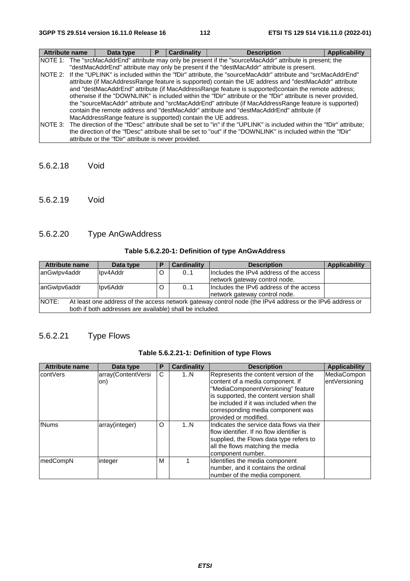| <b>Attribute name</b> |                                                                                                            | Data type                                                     | Р | <b>Cardinality</b> | <b>Description</b>                                                                                                           | <b>Applicability</b> |  |  |
|-----------------------|------------------------------------------------------------------------------------------------------------|---------------------------------------------------------------|---|--------------------|------------------------------------------------------------------------------------------------------------------------------|----------------------|--|--|
|                       | NOTE 1: The "srcMacAddrEnd" attribute may only be present if the "sourceMacAddr" attribute is present; the |                                                               |   |                    |                                                                                                                              |                      |  |  |
|                       |                                                                                                            |                                                               |   |                    | "destMacAddrEnd" attribute may only be present if the "destMacAddr" attribute is present.                                    |                      |  |  |
|                       |                                                                                                            |                                                               |   |                    | NOTE 2: If the "UPLINK" is included within the "fDir" attribute, the "sourceMacAddr" attribute and "srcMacAddrEnd"           |                      |  |  |
|                       |                                                                                                            |                                                               |   |                    | attribute (if MacAddressRange feature is supported) contain the UE address and "destMacAddr" attribute                       |                      |  |  |
|                       |                                                                                                            |                                                               |   |                    | and "destMacAddrEnd" attribute (if MacAddressRange feature is supported)contain the remote address;                          |                      |  |  |
|                       |                                                                                                            |                                                               |   |                    | otherwise if the "DOWNLINK" is included within the "fDir" attribute or the "fDir" attribute is never provided,               |                      |  |  |
|                       |                                                                                                            |                                                               |   |                    | the "sourceMacAddr" attribute and "srcMacAddrEnd" attribute (if MacAddressRange feature is supported)                        |                      |  |  |
|                       |                                                                                                            |                                                               |   |                    | contain the remote address and "destMacAddr" attribute and "destMacAddrEnd" attribute (if                                    |                      |  |  |
|                       |                                                                                                            | MacAddressRange feature is supported) contain the UE address. |   |                    |                                                                                                                              |                      |  |  |
|                       |                                                                                                            |                                                               |   |                    | NOTE 3: The direction of the "fDesc" attribute shall be set to "in" if the "UPLINK" is included within the "fDir" attribute; |                      |  |  |
|                       |                                                                                                            |                                                               |   |                    | the direction of the "fDesc" attribute shall be set to "out" if the "DOWNLINK" is included within the "fDir"                 |                      |  |  |
|                       |                                                                                                            | attribute or the "fDir" attribute is never provided.          |   |                    |                                                                                                                              |                      |  |  |

- 5.6.2.18 Void
- 5.6.2.19 Void

# 5.6.2.20 Type AnGwAddress

# **Table 5.6.2.20-1: Definition of type AnGwAddress**

| <b>Attribute name</b>                                                                                              | Data type | Е                             | <b>Cardinality</b> | Applicability<br><b>Description</b>     |  |  |  |
|--------------------------------------------------------------------------------------------------------------------|-----------|-------------------------------|--------------------|-----------------------------------------|--|--|--|
| anGwlpv4addr                                                                                                       | Ipv4Addr  | O                             | 0.1                | Includes the IPv4 address of the access |  |  |  |
|                                                                                                                    |           | network gateway control node. |                    |                                         |  |  |  |
| anGwlpv6addr                                                                                                       | Ipv6Addr  | O                             | 01                 | Includes the IPv6 address of the access |  |  |  |
|                                                                                                                    |           |                               |                    | network gateway control node.           |  |  |  |
| INOTE:<br>At least one address of the access network gateway control node (the IPv4 address or the IPv6 address or |           |                               |                    |                                         |  |  |  |
| both if both addresses are available) shall be included.                                                           |           |                               |                    |                                         |  |  |  |

# 5.6.2.21 Type Flows

|  |  |  | Table 5.6.2.21-1: Definition of type Flows |  |  |  |
|--|--|--|--------------------------------------------|--|--|--|
|--|--|--|--------------------------------------------|--|--|--|

| <b>Attribute name</b> | Data type          | Р | <b>Cardinality</b> | <b>Description</b>                         | <b>Applicability</b> |
|-----------------------|--------------------|---|--------------------|--------------------------------------------|----------------------|
| contVers              | array(ContentVersi | C | 1N                 | Represents the content version of the      | MediaCompon          |
|                       | on)                |   |                    | content of a media component. If           | entVersioning        |
|                       |                    |   |                    | "MediaComponentVersioning" feature         |                      |
|                       |                    |   |                    | is supported, the content version shall    |                      |
|                       |                    |   |                    | be included if it was included when the    |                      |
|                       |                    |   |                    | corresponding media component was          |                      |
|                       |                    |   |                    | provided or modified.                      |                      |
| fNums                 | array(integer)     | O | 1N                 | Indicates the service data flows via their |                      |
|                       |                    |   |                    | lflow identifier. If no flow identifier is |                      |
|                       |                    |   |                    | supplied, the Flows data type refers to    |                      |
|                       |                    |   |                    | all the flows matching the media           |                      |
|                       |                    |   |                    | component number.                          |                      |
| medCompN              | integer            | м |                    | Identifies the media component             |                      |
|                       |                    |   |                    | number, and it contains the ordinal        |                      |
|                       |                    |   |                    | number of the media component.             |                      |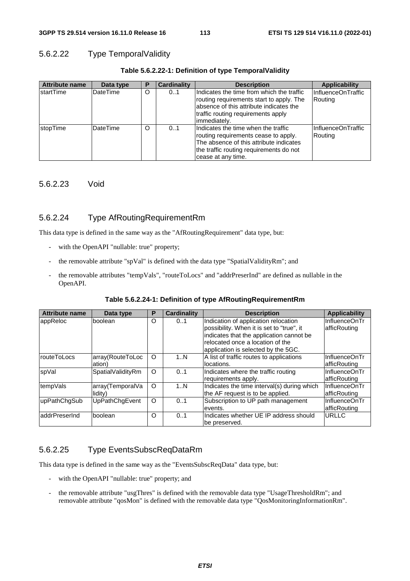## 5.6.2.22 Type TemporalValidity

| <b>Attribute name</b> | Data type       | P | <b>Cardinality</b> | <b>Description</b>                                                                                                                                                                       | <b>Applicability</b>          |
|-----------------------|-----------------|---|--------------------|------------------------------------------------------------------------------------------------------------------------------------------------------------------------------------------|-------------------------------|
| <b>IstartTime</b>     | <b>DateTime</b> | O | 0.1                | Indicates the time from which the traffic<br>routing requirements start to apply. The<br>absence of this attribute indicates the<br>traffic routing requirements apply<br>limmediatelv.  | InfluenceOnTraffic<br>Routing |
| <b>stopTime</b>       | DateTime        | O | 0.1                | IIndicates the time when the traffic<br>routing requirements cease to apply.<br>The absence of this attribute indicates<br>the traffic routing requirements do not<br>cease at any time. | InfluenceOnTraffic<br>Routing |

#### **Table 5.6.2.22-1: Definition of type TemporalValidity**

## 5.6.2.23 Void

## 5.6.2.24 Type AfRoutingRequirementRm

This data type is defined in the same way as the "AfRoutingRequirement" data type, but:

- with the OpenAPI "nullable: true" property;
- the removable attribute "spVal" is defined with the data type "SpatialValidityRm"; and
- the removable attributes "tempVals", "routeToLocs" and "addrPreserInd" are defined as nullable in the OpenAPI.

|  | Table 5.6.2.24-1: Definition of type AfRoutingRequirementRm |
|--|-------------------------------------------------------------|
|--|-------------------------------------------------------------|

| <b>Attribute name</b> | Data type         | P        | <b>Cardinality</b> | <b>Description</b>                          | <b>Applicability</b> |
|-----------------------|-------------------|----------|--------------------|---------------------------------------------|----------------------|
| appReloc              | boolean           | $\circ$  | 01                 | Indication of application relocation        | InfluenceOnTr        |
|                       |                   |          |                    | possibility. When it is set to "true", it   | afficRouting         |
|                       |                   |          |                    | indicates that the application cannot be    |                      |
|                       |                   |          |                    | relocated once a location of the            |                      |
|                       |                   |          |                    | application is selected by the 5GC.         |                      |
| routeToLocs           | array(RouteToLoc  | $\circ$  | 1N                 | A list of traffic routes to applications    | InfluenceOnTr        |
|                       | ation)            |          |                    | llocations.                                 | afficRouting         |
| spVal                 | SpatialValidityRm | $\circ$  | 0.1                | Indicates where the traffic routing         | InfluenceOnTr        |
|                       |                   |          |                    | requirements apply.                         | afficRouting         |
| tempVals              | array(TemporalVa  | $\circ$  | 1N                 | Indicates the time interval(s) during which | InfluenceOnTr        |
|                       | lidity)           |          |                    | the AF request is to be applied.            | afficRouting         |
| upPathChgSub          | UpPathChgEvent    | $\circ$  | 0.1                | Subscription to UP path management          | InfluenceOnTr        |
|                       |                   |          |                    | events.                                     | afficRouting         |
| laddrPreserInd        | boolean           | $\Omega$ | 0.1                | Indicates whether UE IP address should      | URLLC                |
|                       |                   |          |                    | lbe preserved.                              |                      |

## 5.6.2.25 Type EventsSubscReqDataRm

This data type is defined in the same way as the "EventsSubscReqData" data type, but:

- with the OpenAPI "nullable: true" property; and
- the removable attribute "usgThres" is defined with the removable data type "UsageThresholdRm"; and removable attribute "qosMon" is defined with the removable data type "QosMonitoringInformationRm".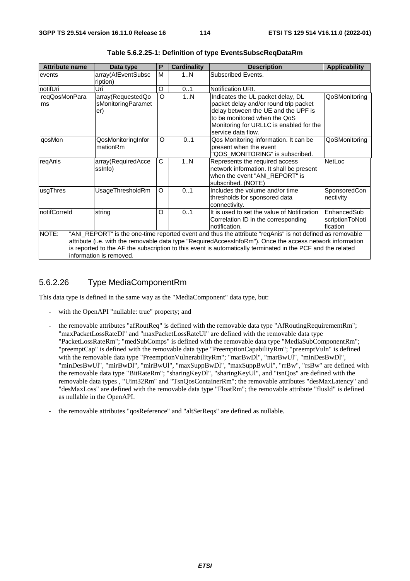| <b>Attribute name</b>                                                                                                                                                                                                                                                                                                                                                    | Data type                                      | P       | <b>Cardinality</b> | <b>Description</b>                                                                                                                                                                                                 | <b>Applicability</b>                       |  |
|--------------------------------------------------------------------------------------------------------------------------------------------------------------------------------------------------------------------------------------------------------------------------------------------------------------------------------------------------------------------------|------------------------------------------------|---------|--------------------|--------------------------------------------------------------------------------------------------------------------------------------------------------------------------------------------------------------------|--------------------------------------------|--|
| events                                                                                                                                                                                                                                                                                                                                                                   | array(AfEventSubsc<br>ription)                 | M       | 1N                 | Subscribed Events.                                                                                                                                                                                                 |                                            |  |
| notifUri                                                                                                                                                                                                                                                                                                                                                                 | Uri                                            | O       | 01                 | Notification URI.                                                                                                                                                                                                  |                                            |  |
| reqQosMonPara<br>lms                                                                                                                                                                                                                                                                                                                                                     | array(RequestedQo<br>sMonitoringParamet<br>er) | $\circ$ | 1N                 | Indicates the UL packet delay, DL<br>packet delay and/or round trip packet<br>delay between the UE and the UPF is<br>to be monitored when the QoS<br>Monitoring for URLLC is enabled for the<br>service data flow. | QoSMonitoring                              |  |
| qosMon                                                                                                                                                                                                                                                                                                                                                                   | QosMonitoringInfor<br>mationRm                 | O       | 01                 | Qos Monitoring information. It can be<br>present when the event<br>"QOS_MONITORING" is subscribed.                                                                                                                 | QoSMonitoring                              |  |
| reqAnis                                                                                                                                                                                                                                                                                                                                                                  | array(RequiredAcce<br>ssinfo)                  | C       | 1N                 | Represents the required access<br>network information. It shall be present<br>when the event "ANI REPORT" is<br>subscribed. (NOTE)                                                                                 | NetLoc                                     |  |
| usgThres                                                                                                                                                                                                                                                                                                                                                                 | UsageThresholdRm                               | O       | 0.1                | Includes the volume and/or time<br>thresholds for sponsored data<br>connectivity.                                                                                                                                  | SponsoredCon<br>nectivity                  |  |
| notifCorreld                                                                                                                                                                                                                                                                                                                                                             | string                                         | O       | 01                 | It is used to set the value of Notification<br>Correlation ID in the corresponding<br>notification.                                                                                                                | EnhancedSub<br>scriptionToNoti<br>fication |  |
| NOTE:<br>"ANI_REPORT" is the one-time reported event and thus the attribute "reqAnis" is not defined as removable<br>attribute (i.e. with the removable data type "RequiredAccessInfoRm"). Once the access network information<br>is reported to the AF the subscription to this event is automatically terminated in the PCF and the related<br>information is removed. |                                                |         |                    |                                                                                                                                                                                                                    |                                            |  |

**Table 5.6.2.25-1: Definition of type EventsSubscReqDataRm** 

## 5.6.2.26 Type MediaComponentRm

This data type is defined in the same way as the "MediaComponent" data type, but:

- with the OpenAPI "nullable: true" property; and
- the removable attributes "afRoutReq" is defined with the removable data type "AfRoutingRequirementRm"; "maxPacketLossRateDl" and "maxPacketLossRateUl" are defined with the removable data type "PacketLossRateRm"; "medSubComps" is defined with the removable data type "MediaSubComponentRm"; "preemptCap" is defined with the removable data type "PreemptionCapabilityRm"; "preemptVuln" is defined with the removable data type "PreemptionVulnerabilityRm"; "marBwDl", "marBwUl", "minDesBwDl", "minDesBwUl", "mirBwDl", "mirBwUl", "maxSuppBwDl", "maxSuppBwUl", "rrBw", "rsBw" are defined with the removable data type "BitRateRm"; "sharingKeyDl", "sharingKeyUl", and "tsnQos" are defined with the removable data types , "Uint32Rm" and "TsnQosContainerRm"; the removable attributes "desMaxLatency" and "desMaxLoss" are defined with the removable data type "FloatRm"; the removable attribute "flusId" is defined as nullable in the OpenAPI.
- the removable attributes "qosReference" and "altSerReqs" are defined as nullable.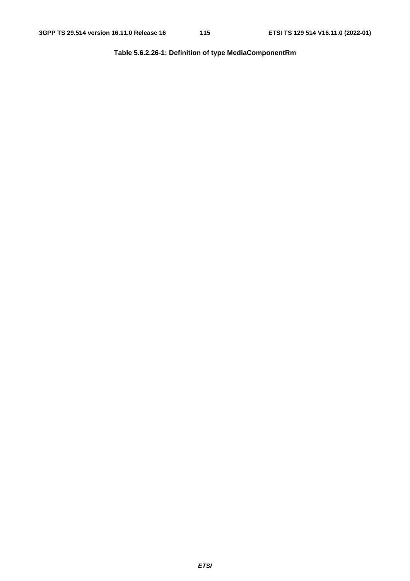**Table 5.6.2.26-1: Definition of type MediaComponentRm**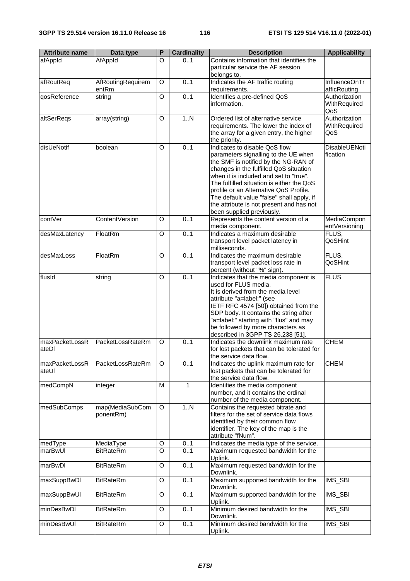| <b>Attribute name</b>   | Data type                  | P       | <b>Cardinality</b> | <b>Description</b>                                                                | <b>Applicability</b>          |
|-------------------------|----------------------------|---------|--------------------|-----------------------------------------------------------------------------------|-------------------------------|
| afAppId                 | AfAppId                    | O       | 01                 | Contains information that identifies the<br>particular service the AF session     |                               |
|                         |                            |         |                    | belongs to.                                                                       |                               |
| afRoutReq               | AfRoutingRequirem<br>entRm | O       | 0.1                | Indicates the AF traffic routing<br>requirements.                                 | InfluenceOnTr<br>afficRouting |
| qosReference            | string                     | $\circ$ | 0.1                | Identifies a pre-defined QoS                                                      | Authorization                 |
|                         |                            |         |                    | information.                                                                      | WithRequired<br>QoS           |
| altSerRegs              | array(string)              | O       | 1.N                | Ordered list of alternative service                                               | Authorization                 |
|                         |                            |         |                    | requirements. The lower the index of                                              | WithRequired                  |
|                         |                            |         |                    | the array for a given entry, the higher<br>the priority.                          | QoS                           |
| disUeNotif              | boolean                    | O       | 0.1                | Indicates to disable QoS flow                                                     | DisableUENoti                 |
|                         |                            |         |                    | parameters signalling to the UE when<br>the SMF is notified by the NG-RAN of      | fication                      |
|                         |                            |         |                    | changes in the fulfilled QoS situation                                            |                               |
|                         |                            |         |                    | when it is included and set to "true".                                            |                               |
|                         |                            |         |                    | The fulfilled situation is either the QoS                                         |                               |
|                         |                            |         |                    | profile or an Alternative QoS Profile.                                            |                               |
|                         |                            |         |                    | The default value "false" shall apply, if                                         |                               |
|                         |                            |         |                    | the attribute is not present and has not<br>been supplied previously.             |                               |
| contVer                 | <b>ContentVersion</b>      | O       | 0.1                | Represents the content version of a                                               | MediaCompon                   |
|                         |                            |         |                    | media component.                                                                  | entVersioning                 |
| desMaxLatency           | FloatRm                    | O       | 0.1                | Indicates a maximum desirable                                                     | FLUS,                         |
|                         |                            |         |                    | transport level packet latency in                                                 | QoSHint                       |
| desMaxLoss              |                            |         | 0.1                | milliseconds.<br>Indicates the maximum desirable                                  |                               |
|                         | FloatRm                    | O       |                    | transport level packet loss rate in                                               | FLUS,<br>QoSHint              |
|                         |                            |         |                    | percent (without "%" sign).                                                       |                               |
| flusId                  | string                     | O       | 0.1                | Indicates that the media component is                                             | <b>FLUS</b>                   |
|                         |                            |         |                    | used for FLUS media.                                                              |                               |
|                         |                            |         |                    | It is derived from the media level                                                |                               |
|                         |                            |         |                    | attribute "a=label:" (see<br>IETF RFC 4574 [50]) obtained from the                |                               |
|                         |                            |         |                    | SDP body. It contains the string after                                            |                               |
|                         |                            |         |                    | "a=label:" starting with "flus" and may                                           |                               |
|                         |                            |         |                    | be followed by more characters as                                                 |                               |
|                         |                            |         |                    | described in 3GPP TS 26.238 [51].                                                 | <b>CHEM</b>                   |
| maxPacketLossR<br>ateDI | PacketLossRateRm           | O       | 0.1                | Indicates the downlink maximum rate<br>for lost packets that can be tolerated for |                               |
|                         |                            |         |                    | the service data flow.                                                            |                               |
| maxPacketLossR          | PacketLossRateRm           | O       | 0.1                | Indicates the uplink maximum rate for                                             | <b>CHEM</b>                   |
| ateUI                   |                            |         |                    | lost packets that can be tolerated for                                            |                               |
|                         |                            | M       | $\mathbf{1}$       | the service data flow.<br>Identifies the media component                          |                               |
| medCompN                | integer                    |         |                    | number, and it contains the ordinal                                               |                               |
|                         |                            |         |                    | number of the media component.                                                    |                               |
| medSubComps             | map(MediaSubCom            | $\circ$ | 1N                 | Contains the requested bitrate and                                                |                               |
|                         | ponentRm)                  |         |                    | filters for the set of service data flows                                         |                               |
|                         |                            |         |                    | identified by their common flow                                                   |                               |
|                         |                            |         |                    | identifier. The key of the map is the<br>attribute "fNum".                        |                               |
| medType                 | MediaType                  | O       | 0.1                | Indicates the media type of the service.                                          |                               |
| marBwUI                 | <b>BitRateRm</b>           | O       | 0.1                | Maximum requested bandwidth for the                                               |                               |
|                         |                            |         |                    | Uplink.                                                                           |                               |
| marBwDl                 | <b>BitRateRm</b>           | O       | 0.1                | Maximum requested bandwidth for the<br>Downlink.                                  |                               |
| maxSuppBwDI             | <b>BitRateRm</b>           | O       | 0.1                | Maximum supported bandwidth for the<br>Downlink.                                  | IMS_SBI                       |
| maxSuppBwUI             | <b>BitRateRm</b>           | O       | 0.1                | Maximum supported bandwidth for the                                               | IMS_SBI                       |
|                         |                            |         |                    | Uplink.                                                                           |                               |
| minDesBwDI              | <b>BitRateRm</b>           | O       | 0.1                | Minimum desired bandwidth for the<br>Downlink.                                    | IMS_SBI                       |
| minDesBwUI              | <b>BitRateRm</b>           | O       | 0.1                | Minimum desired bandwidth for the                                                 | IMS_SBI                       |
|                         |                            |         |                    | Uplink.                                                                           |                               |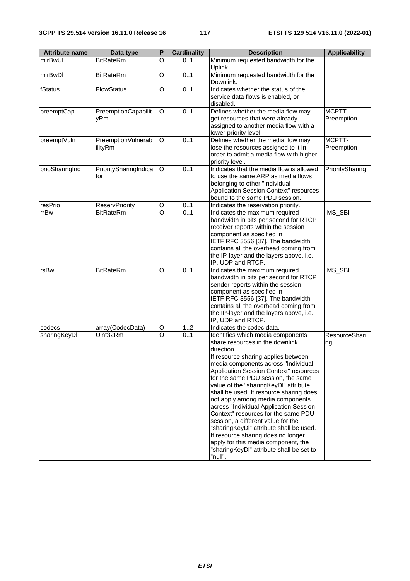| <b>Attribute name</b> | Data type                     | P       | <b>Cardinality</b> | <b>Description</b>                                                                                                                                                                                                                                                                                                                                                                                                                                                                                                                                                                                                                                                             | <b>Applicability</b> |
|-----------------------|-------------------------------|---------|--------------------|--------------------------------------------------------------------------------------------------------------------------------------------------------------------------------------------------------------------------------------------------------------------------------------------------------------------------------------------------------------------------------------------------------------------------------------------------------------------------------------------------------------------------------------------------------------------------------------------------------------------------------------------------------------------------------|----------------------|
| mirBwl JI             | <b>BitRateRm</b>              | O       | 01                 | Minimum requested bandwidth for the<br>Uplink.                                                                                                                                                                                                                                                                                                                                                                                                                                                                                                                                                                                                                                 |                      |
| mirBwDl               | <b>BitRateRm</b>              | O       | 0.1                | Minimum requested bandwidth for the<br>Downlink.                                                                                                                                                                                                                                                                                                                                                                                                                                                                                                                                                                                                                               |                      |
| fStatus               | <b>FlowStatus</b>             | O       | 0.1                | Indicates whether the status of the<br>service data flows is enabled, or<br>disabled.                                                                                                                                                                                                                                                                                                                                                                                                                                                                                                                                                                                          |                      |
| preemptCap            | PreemptionCapabilit<br>yRm    | O       | 0.1                | Defines whether the media flow may<br>get resources that were already<br>assigned to another media flow with a<br>lower priority level.                                                                                                                                                                                                                                                                                                                                                                                                                                                                                                                                        | MCPTT-<br>Preemption |
| preemptVuln           | PreemptionVulnerab<br>ilityRm | O       | 0.1                | Defines whether the media flow may<br>lose the resources assigned to it in<br>order to admit a media flow with higher<br>priority level.                                                                                                                                                                                                                                                                                                                                                                                                                                                                                                                                       | MCPTT-<br>Preemption |
| prioSharingInd        | PrioritySharingIndica<br>tor  | O       | 0.1                | Indicates that the media flow is allowed<br>to use the same ARP as media flows<br>belonging to other "Individual<br>Application Session Context" resources<br>bound to the same PDU session.                                                                                                                                                                                                                                                                                                                                                                                                                                                                                   | PrioritySharing      |
| resPrio               | <b>ReservPriority</b>         | O       | 01                 | Indicates the reservation priority.                                                                                                                                                                                                                                                                                                                                                                                                                                                                                                                                                                                                                                            |                      |
| rrBw                  | <b>BitRateRm</b>              | $\circ$ | 0.1                | Indicates the maximum required<br>bandwidth in bits per second for RTCP<br>receiver reports within the session<br>component as specified in<br>IETF RFC 3556 [37]. The bandwidth<br>contains all the overhead coming from<br>the IP-layer and the layers above, i.e.<br>IP, UDP and RTCP.                                                                                                                                                                                                                                                                                                                                                                                      | IMS_SBI              |
| rsBw                  | <b>BitRateRm</b>              | O       | 0.1                | Indicates the maximum required<br>bandwidth in bits per second for RTCP<br>sender reports within the session<br>component as specified in<br>IETF RFC 3556 [37]. The bandwidth<br>contains all the overhead coming from<br>the IP-layer and the layers above, i.e.<br>IP, UDP and RTCP.                                                                                                                                                                                                                                                                                                                                                                                        | IMS_SBI              |
| codecs                | array(CodecData)              | O       | 12                 | Indicates the codec data.                                                                                                                                                                                                                                                                                                                                                                                                                                                                                                                                                                                                                                                      |                      |
| sharingKeyDl          | Uint32Rm                      | O       | 01                 | Identifies which media components<br>share resources in the downlink<br>direction.<br>If resource sharing applies between<br>media components across "Individual<br>Application Session Context" resources<br>for the same PDU session, the same<br>value of the "sharingKeyDI" attribute<br>shall be used. If resource sharing does<br>not apply among media components<br>across "Individual Application Session<br>Context" resources for the same PDU<br>session, a different value for the<br>"sharingKeyDI" attribute shall be used.<br>If resource sharing does no longer<br>apply for this media component, the<br>"sharingKeyDI" attribute shall be set to<br>"null". | ResourceShari<br>ng  |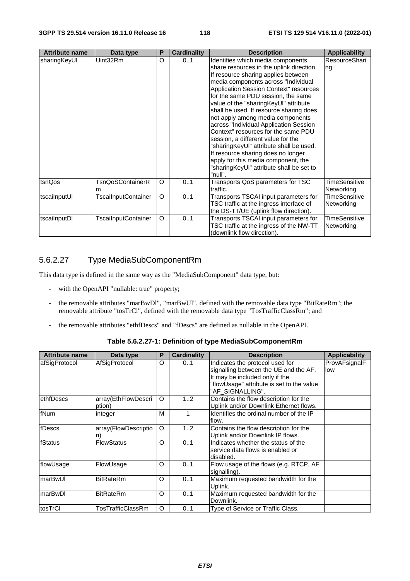| <b>Attribute name</b> | Data type                  | P | <b>Cardinality</b> | <b>Description</b>                                                                                                                                                                                                                                                                                                                                                                                                                                                                                                                                                                                                                                                        | <b>Applicability</b>        |
|-----------------------|----------------------------|---|--------------------|---------------------------------------------------------------------------------------------------------------------------------------------------------------------------------------------------------------------------------------------------------------------------------------------------------------------------------------------------------------------------------------------------------------------------------------------------------------------------------------------------------------------------------------------------------------------------------------------------------------------------------------------------------------------------|-----------------------------|
| sharingKeyUI          | Uint32Rm                   | O | 01                 | Identifies which media components<br>share resources in the uplink direction.<br>If resource sharing applies between<br>media components across "Individual<br>Application Session Context" resources<br>for the same PDU session, the same<br>value of the "sharingKeyUI" attribute<br>shall be used. If resource sharing does<br>not apply among media components<br>across "Individual Application Session<br>Context" resources for the same PDU<br>session, a different value for the<br>"sharingKeyUI" attribute shall be used.<br>If resource sharing does no longer<br>apply for this media component, the<br>"sharingKeyUI" attribute shall be set to<br>"null". | ResourceShari<br>ng         |
| tsnQos                | TsnQoSContainerR<br>m      | O | 01                 | Transports QoS parameters for TSC<br>traffic.                                                                                                                                                                                                                                                                                                                                                                                                                                                                                                                                                                                                                             | TimeSensitive<br>Networking |
| tscailnputUl          | <b>TscailnputContainer</b> | O | 01                 | Transports TSCAI input parameters for<br>TSC traffic at the ingress interface of<br>the DS-TT/UE (uplink flow direction).                                                                                                                                                                                                                                                                                                                                                                                                                                                                                                                                                 | TimeSensitive<br>Networking |
| tscailnputDI          | <b>TscailnputContainer</b> | O | 01                 | Transports TSCAI input parameters for<br>TSC traffic at the ingress of the NW-TT<br>(downlink flow direction).                                                                                                                                                                                                                                                                                                                                                                                                                                                                                                                                                            | TimeSensitive<br>Networking |

## 5.6.2.27 Type MediaSubComponentRm

This data type is defined in the same way as the "MediaSubComponent" data type, but:

- with the OpenAPI "nullable: true" property;
- the removable attributes "marBwDl", "marBwUl", defined with the removable data type "BitRateRm"; the removable attribute "tosTrCl", defined with the removable data type "TosTrafficClassRm"; and
- the removable attributes "ethfDescs" and "fDescs" are defined as nullable in the OpenAPI.

**Table 5.6.2.27-1: Definition of type MediaSubComponentRm** 

| <b>Attribute name</b> | Data type                     | P        | <b>Cardinality</b> | <b>Description</b>                                                                                         | <b>Applicability</b> |
|-----------------------|-------------------------------|----------|--------------------|------------------------------------------------------------------------------------------------------------|----------------------|
| afSigProtocol         | AfSigProtocol                 | O        | 01                 | Indicates the protocol used for<br>signalling between the UE and the AF.<br>It may be included only if the | ProvAFsignalF<br>low |
|                       |                               |          |                    | "flowUsage" attribute is set to the value<br>"AF SIGNALLING".                                              |                      |
| <b>ethfDescs</b>      | array(EthFlowDescri<br>ption) | O        | 12                 | Contains the flow description for the<br>Uplink and/or Downlink Ethernet flows.                            |                      |
| fNum                  | integer                       | M        | 1                  | Identifies the ordinal number of the IP<br>flow.                                                           |                      |
| fDescs                | array(FlowDescriptio          | $\Omega$ | 12                 | Contains the flow description for the<br>Uplink and/or Downlink IP flows.                                  |                      |
| fStatus               | <b>FlowStatus</b>             | O        | 01                 | Indicates whether the status of the<br>service data flows is enabled or<br>disabled.                       |                      |
| flowUsage             | FlowUsage                     | O        | 01                 | Flow usage of the flows (e.g. RTCP, AF<br>signalling).                                                     |                      |
| lmarBwUl              | <b>BitRateRm</b>              | O        | 01                 | Maximum requested bandwidth for the<br>Uplink.                                                             |                      |
| lmarBwDl              | <b>BitRateRm</b>              | O        | 0.1                | Maximum requested bandwidth for the<br>Downlink.                                                           |                      |
| tosTrCl               | TosTrafficClassRm             | O        | 01                 | Type of Service or Traffic Class.                                                                          |                      |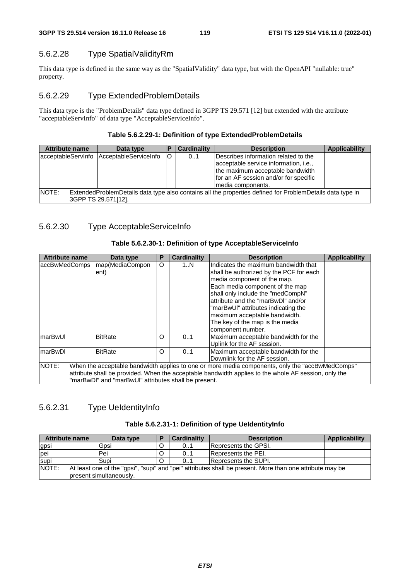# 5.6.2.28 Type SpatialValidityRm

This data type is defined in the same way as the "SpatialValidity" data type, but with the OpenAPI "nullable: true" property.

# 5.6.2.29 Type ExtendedProblemDetails

This data type is the "ProblemDetails" data type defined in 3GPP TS 29.571 [12] but extended with the attribute "acceptableServInfo" of data type "AcceptableServiceInfo".

## **Table 5.6.2.29-1: Definition of type ExtendedProblemDetails**

| <b>Attribute name</b>                                                                                                                     | Data type             |    | <b>Cardinality</b> | <b>Description</b>                                                                                                                                                               | <b>Applicability</b> |  |
|-------------------------------------------------------------------------------------------------------------------------------------------|-----------------------|----|--------------------|----------------------------------------------------------------------------------------------------------------------------------------------------------------------------------|----------------------|--|
| acceptableServInfo                                                                                                                        | AcceptableServiceInfo | lO | 01                 | Describes information related to the<br>acceptable service information, i.e.,<br>the maximum acceptable bandwidth<br>for an AF session and/or for specific<br>Imedia components. |                      |  |
| NOTE:<br>ExtendedProblemDetails data type also contains all the properties defined for ProblemDetails data type in<br>3GPP TS 29.571[12]. |                       |    |                    |                                                                                                                                                                                  |                      |  |

# 5.6.2.30 Type AcceptableServiceInfo

## **Table 5.6.2.30-1: Definition of type AcceptableServiceInfo**

| <b>Attribute name</b>                                                                                                                                                                                                                                                    | Data type               | Р | <b>Cardinality</b> | <b>Description</b>                                                                                                                                                                                                                                                                                                                                           | <b>Applicability</b> |  |
|--------------------------------------------------------------------------------------------------------------------------------------------------------------------------------------------------------------------------------------------------------------------------|-------------------------|---|--------------------|--------------------------------------------------------------------------------------------------------------------------------------------------------------------------------------------------------------------------------------------------------------------------------------------------------------------------------------------------------------|----------------------|--|
| accBwMedComps                                                                                                                                                                                                                                                            | map(MediaCompon<br>ent) | O | 1N                 | Indicates the maximum bandwidth that<br>shall be authorized by the PCF for each<br>media component of the map.<br>Each media component of the map<br>shall only include the "medCompN"<br>attribute and the "marBwDI" and/or<br>"marBwUI" attributes indicating the<br>maximum acceptable bandwidth.<br>The key of the map is the media<br>component number. |                      |  |
| lmarBwUl                                                                                                                                                                                                                                                                 | <b>BitRate</b>          | O | 0.1                | Maximum acceptable bandwidth for the<br>Uplink for the AF session.                                                                                                                                                                                                                                                                                           |                      |  |
| lmarBwDl                                                                                                                                                                                                                                                                 | <b>BitRate</b>          | O | 0.1                | Maximum acceptable bandwidth for the<br>Downlink for the AF session.                                                                                                                                                                                                                                                                                         |                      |  |
| NOTE:<br>When the acceptable bandwidth applies to one or more media components, only the "accBwMedComps"<br>attribute shall be provided. When the acceptable bandwidth applies to the whole AF session, only the<br>"marBwDI" and "marBwUI" attributes shall be present. |                         |   |                    |                                                                                                                                                                                                                                                                                                                                                              |                      |  |

# 5.6.2.31 Type UeIdentityInfo

| Table 5.6.2.31-1: Definition of type UeldentityInfo |  |  |
|-----------------------------------------------------|--|--|
|-----------------------------------------------------|--|--|

| <b>Attribute name</b>                                                                                                                        | Data type |   | Cardinality | <b>Description</b>   | Applicability |
|----------------------------------------------------------------------------------------------------------------------------------------------|-----------|---|-------------|----------------------|---------------|
| gpsi                                                                                                                                         | Gpsi      | O | 01          | Represents the GPSI. |               |
| pei                                                                                                                                          | Pei       |   | 01          | Represents the PEI.  |               |
| supi                                                                                                                                         | Supi      |   | 0.1         | Represents the SUPI. |               |
| NOTE:<br>At least one of the "gpsi", "supi" and "pei" attributes shall be present. More than one attribute may be<br>present simultaneously. |           |   |             |                      |               |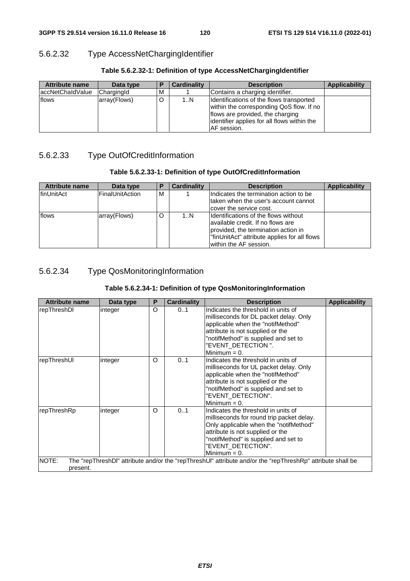# 5.6.2.32 Type AccessNetChargingIdentifier

| <b>Attribute name</b> | Data type    |   | <b>Cardinality</b> | <b>Description</b>                                                                                                                                                                             | Applicability |
|-----------------------|--------------|---|--------------------|------------------------------------------------------------------------------------------------------------------------------------------------------------------------------------------------|---------------|
| laccNetChaldValue     | ChargingId   | м |                    | Contains a charging identifier.                                                                                                                                                                |               |
| flows                 | array(Flows) | O | 1N                 | Identifications of the flows transported<br>within the corresponding QoS flow. If no<br>flows are provided, the charging<br>identifier applies for all flows within the<br><b>IAF</b> session. |               |

#### **Table 5.6.2.32-1: Definition of type AccessNetChargingIdentifier**

# 5.6.2.33 Type OutOfCreditInformation

#### **Table 5.6.2.33-1: Definition of type OutOfCreditInformation**

| <b>Attribute name</b> | Data type              | ь | <b>Cardinality</b> | <b>Description</b>                                                                                                                                                                           | <b>Applicability</b> |
|-----------------------|------------------------|---|--------------------|----------------------------------------------------------------------------------------------------------------------------------------------------------------------------------------------|----------------------|
| <b>IfinUnitAct</b>    | <b>FinalUnitAction</b> | м |                    | Indicates the termination action to be<br>Itaken when the user's account cannot<br>cover the service cost.                                                                                   |                      |
| flows                 | array(Flows)           | O | 1N                 | IIdentifications of the flows without<br>lavailable credit. If no flows are<br>provided, the termination action in<br>"finUnitAct" attribute applies for all flows<br>within the AF session. |                      |

# 5.6.2.34 Type QosMonitoringInformation

#### **Table 5.6.2.34-1: Definition of type QosMonitoringInformation**

| <b>Attribute name</b>                                                                                                           | Data type | P | Cardinality | <b>Description</b>                                                                                                                                                                                                                              | <b>Applicability</b> |
|---------------------------------------------------------------------------------------------------------------------------------|-----------|---|-------------|-------------------------------------------------------------------------------------------------------------------------------------------------------------------------------------------------------------------------------------------------|----------------------|
| repThreshDI                                                                                                                     | integer   | O | 01          | Indicates the threshold in units of<br>milliseconds for DL packet delay. Only<br>applicable when the "notifMethod"<br>attribute is not supplied or the<br>"notifMethod" is supplied and set to<br>"EVENT_DETECTION".<br>Minimum $= 0$ .         |                      |
| repThreshUI                                                                                                                     | integer   | O | 01          | Indicates the threshold in units of<br>milliseconds for UL packet delay. Only<br>applicable when the "notifMethod"<br>attribute is not supplied or the<br>"notifMethod" is supplied and set to<br>"EVENT_DETECTION".<br>Minimum $= 0$ .         |                      |
| repThreshRp                                                                                                                     | integer   | O | 01          | Indicates the threshold in units of<br>milliseconds for round trip packet delay.<br>Only applicable when the "notifMethod"<br>attribute is not supplied or the<br>"notifMethod" is supplied and set to<br>"EVENT_DETECTION".<br>Minimum $= 0$ . |                      |
| NOTE:<br>The "repThreshDl" attribute and/or the "repThreshUl" attribute and/or the "repThreshRp" attribute shall be<br>present. |           |   |             |                                                                                                                                                                                                                                                 |                      |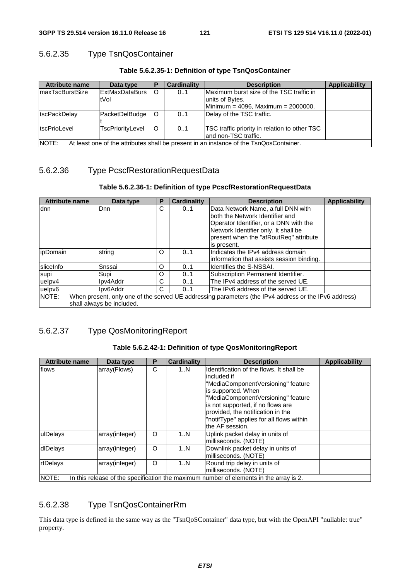## 5.6.2.35 Type TsnQosContainer

| <b>Attribute name</b>                                                                                   | Data type              | Р       | <b>Cardinality</b> | <b>Description</b>                                                                                   | <b>Applicability</b> |
|---------------------------------------------------------------------------------------------------------|------------------------|---------|--------------------|------------------------------------------------------------------------------------------------------|----------------------|
| ImaxTscBurstSize                                                                                        | ExtMaxDataBurs<br>tVol | O       | 0.1                | Maximum burst size of the TSC traffic in<br>units of Bytes.<br>Minimum = 4096, Maximum = $2000000$ . |                      |
| tscPackDelav                                                                                            | PacketDelBudge         | $\circ$ | 01                 | Delay of the TSC traffic.                                                                            |                      |
| tscPrioLevel                                                                                            | TscPriorityLevel       | $\circ$ | 0.1                | TSC traffic priority in relation to other TSC<br>land non-TSC traffic.                               |                      |
| <b>INOTE:</b><br>At least one of the attributes shall be present in an instance of the TsnQosContainer. |                        |         |                    |                                                                                                      |                      |

**Table 5.6.2.35-1: Definition of type TsnQosContainer** 

## 5.6.2.36 Type PcscfRestorationRequestData

#### **Table 5.6.2.36-1: Definition of type PcscfRestorationRequestData**

| <b>Attribute name</b> | Data type                 | Ρ | <b>Cardinality</b> | <b>Description</b>                                                                                   | <b>Applicability</b> |
|-----------------------|---------------------------|---|--------------------|------------------------------------------------------------------------------------------------------|----------------------|
| ldnn                  | lDnn.                     | С | 01                 | Data Network Name, a full DNN with                                                                   |                      |
|                       |                           |   |                    | both the Network Identifier and                                                                      |                      |
|                       |                           |   |                    | Operator Identifier, or a DNN with the                                                               |                      |
|                       |                           |   |                    | Network Identifier only. It shall be                                                                 |                      |
|                       |                           |   |                    | present when the "afRoutReq" attribute                                                               |                      |
|                       |                           |   |                    | is present.                                                                                          |                      |
| <i>ipDomain</i>       | string                    | O | 01                 | Indicates the IPv4 address domain                                                                    |                      |
|                       |                           |   |                    | information that assists session binding.                                                            |                      |
| sliceInfo             | Snssai                    | O | 01                 | Identifies the S-NSSAI.                                                                              |                      |
| supi                  | Supi                      | O | 0.1                | Subscription Permanent Identifier.                                                                   |                      |
| uelpv4                | Ipv4Addr                  | С | 01                 | The IPv4 address of the served UE.                                                                   |                      |
| uelpv6                | Ipv6Addr                  | C | 0.1                | The IPv6 address of the served UE.                                                                   |                      |
| NOTE:                 | shall always be included. |   |                    | When present, only one of the served UE addressing parameters (the IPv4 address or the IPv6 address) |                      |

# 5.6.2.37 Type QosMonitoringReport

#### **Table 5.6.2.42-1: Definition of type QosMonitoringReport**

| <b>Attribute name</b> | Data type      | Р | <b>Cardinality</b> | <b>Description</b>                                                                                                                                                                                                                                                                                  | <b>Applicability</b> |
|-----------------------|----------------|---|--------------------|-----------------------------------------------------------------------------------------------------------------------------------------------------------------------------------------------------------------------------------------------------------------------------------------------------|----------------------|
| flows                 | array(Flows)   | C | 1N                 | Identification of the flows. It shall be<br>lincluded if<br>"MediaComponentVersioning" feature<br>is supported. When<br>"MediaComponentVersioning" feature<br>is not supported, if no flows are<br>provided, the notification in the<br>"notifType" applies for all flows within<br>the AF session. |                      |
| ulDelays              | array(integer) | O | 1N                 | Uplink packet delay in units of<br>milliseconds. (NOTE)                                                                                                                                                                                                                                             |                      |
| dlDelays              | array(integer) | O | 1N                 | Downlink packet delay in units of<br>milliseconds. (NOTE)                                                                                                                                                                                                                                           |                      |
| rtDelays              | array(integer) | O | 1N                 | Round trip delay in units of<br>milliseconds. (NOTE)                                                                                                                                                                                                                                                |                      |
| <b>INOTE:</b>         |                |   |                    | In this release of the specification the maximum number of elements in the array is 2.                                                                                                                                                                                                              |                      |

## 5.6.2.38 Type TsnQosContainerRm

This data type is defined in the same way as the "TsnQoSContainer" data type, but with the OpenAPI "nullable: true" property.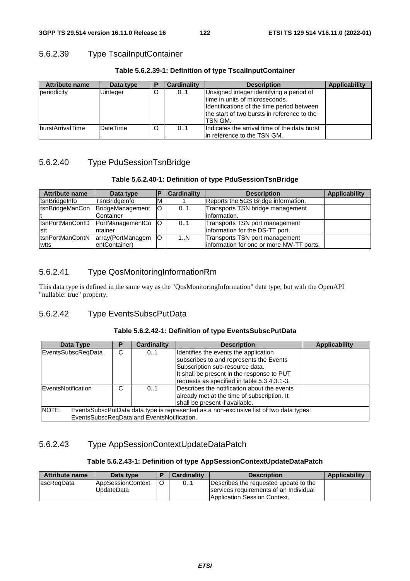## 5.6.2.39 Type TscaiInputContainer

| <b>Attribute name</b>   | Data type | P | <b>Cardinality</b> | <b>Description</b>                                                                                                                                                                  | <b>Applicability</b> |
|-------------------------|-----------|---|--------------------|-------------------------------------------------------------------------------------------------------------------------------------------------------------------------------------|----------------------|
| periodicity             | Uinteger  | O | 01                 | Unsigned integer identifying a period of<br>time in units of microseconds.<br>Identifications of the time period between<br>the start of two bursts in reference to the<br>ITSN GM. |                      |
| <b>burstArrivalTime</b> | DateTime  | O | 0.1                | Indicates the arrival time of the data burst<br>lin reference to the TSN GM.                                                                                                        |                      |

#### **Table 5.6.2.39-1: Definition of type TscaiInputContainer**

# 5.6.2.40 Type PduSessionTsnBridge

#### **Table 5.6.2.40-1: Definition of type PduSessionTsnBridge**

| Attribute name   | Data type                         |    | <b>Cardinality</b> | <b>Description</b>                       | <b>Applicability</b> |
|------------------|-----------------------------------|----|--------------------|------------------------------------------|----------------------|
| tsnBridgeInfo    | TsnBridgeInfo                     | м  |                    | Reports the 5GS Bridge information.      |                      |
| tsnBridgeManCon  | BridgeManagement                  | lO | 0.1                | Transports TSN bridge management         |                      |
|                  | Container                         |    |                    | information.                             |                      |
|                  | ItsnPortManContD PortManagementCo | IO | 01                 | Transports TSN port management           |                      |
| Istt             | ntainer                           |    |                    | information for the DS-TT port.          |                      |
| ItsnPortManContN | array(PortManagem                 | lO | 1N                 | Transports TSN port management           |                      |
| wtts             | entContainer)                     |    |                    | information for one or more NW-TT ports. |                      |

# 5.6.2.41 Type QosMonitoringInformationRm

This data type is defined in the same way as the "QosMonitoringInformation" data type, but with the OpenAPI "nullable: true" property.

## 5.6.2.42 Type EventsSubscPutData

#### **Table 5.6.2.42-1: Definition of type EventsSubscPutData**

| Data Type                                                                                       |   | <b>Cardinality</b>                         | <b>Description</b>                                                               | <b>Applicability</b> |  |
|-------------------------------------------------------------------------------------------------|---|--------------------------------------------|----------------------------------------------------------------------------------|----------------------|--|
| EventsSubscReqData                                                                              | C | 01                                         | Identifies the events the application<br>subscribes to and represents the Events |                      |  |
|                                                                                                 |   |                                            | Subscription sub-resource data.                                                  |                      |  |
|                                                                                                 |   |                                            | It shall be present in the response to PUT                                       |                      |  |
|                                                                                                 |   |                                            | requests as specified in table 5.3.4.3.1-3.                                      |                      |  |
| <b>EventsNotification</b>                                                                       | C | 01                                         | Describes the notification about the events                                      |                      |  |
|                                                                                                 |   |                                            | already met at the time of subscription. It                                      |                      |  |
|                                                                                                 |   |                                            | shall be present if available.                                                   |                      |  |
| NOTE:<br>EventsSubscPutData data type is represented as a non-exclusive list of two data types: |   |                                            |                                                                                  |                      |  |
|                                                                                                 |   | EventsSubscReqData and EventsNotification. |                                                                                  |                      |  |

# 5.6.2.43 Type AppSessionContextUpdateDataPatch

### **Table 5.6.2.43-1: Definition of type AppSessionContextUpdateDataPatch**

| <b>Attribute name</b> | Data type                              | <b>Cardinality</b> | <b>Description</b>                                                                                                     | <b>Applicability</b> |
|-----------------------|----------------------------------------|--------------------|------------------------------------------------------------------------------------------------------------------------|----------------------|
| lascRegData           | <b>AppSessionContext</b><br>UpdateData | 01                 | Describes the requested update to the<br>services requirements of an Individual<br><b>Application Session Context.</b> |                      |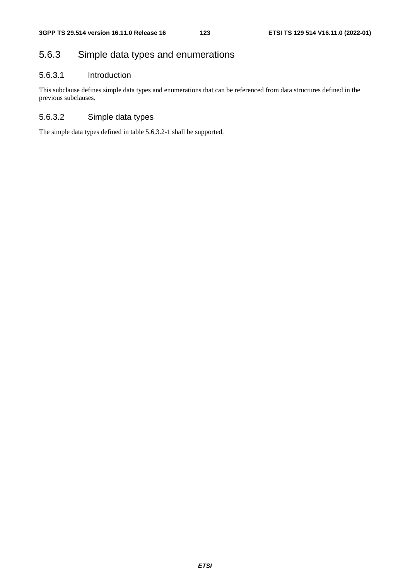# 5.6.3 Simple data types and enumerations

## 5.6.3.1 Introduction

This subclause defines simple data types and enumerations that can be referenced from data structures defined in the previous subclauses.

# 5.6.3.2 Simple data types

The simple data types defined in table 5.6.3.2-1 shall be supported.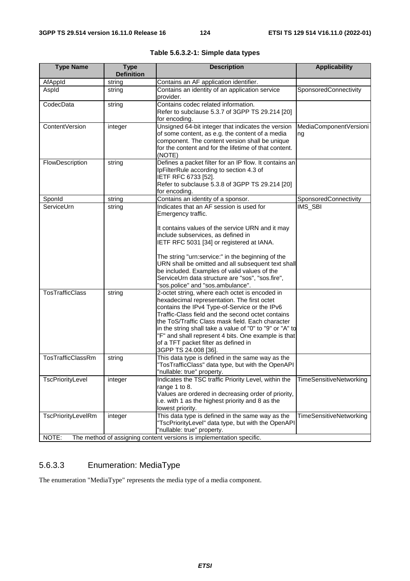| <b>Type Name</b>            | <b>Type</b><br><b>Definition</b> | <b>Description</b>                                                                                                                                                                                                                                                                                                                                                                                                                         | <b>Applicability</b>           |
|-----------------------------|----------------------------------|--------------------------------------------------------------------------------------------------------------------------------------------------------------------------------------------------------------------------------------------------------------------------------------------------------------------------------------------------------------------------------------------------------------------------------------------|--------------------------------|
| AfAppId                     | string                           | Contains an AF application identifier.                                                                                                                                                                                                                                                                                                                                                                                                     |                                |
| Aspld                       | string                           | Contains an identity of an application service<br>provider.                                                                                                                                                                                                                                                                                                                                                                                | SponsoredConnectivity          |
| CodecData                   | string                           | Contains codec related information.<br>Refer to subclause 5.3.7 of 3GPP TS 29.214 [20]<br>for encoding.                                                                                                                                                                                                                                                                                                                                    |                                |
| ContentVersion              | integer                          | Unsigned 64-bit integer that indicates the version<br>of some content, as e.g. the content of a media<br>component. The content version shall be unique<br>for the content and for the lifetime of that content.<br>(NOTE)                                                                                                                                                                                                                 | MediaComponentVersioni<br>ng   |
| FlowDescription             | string                           | Defines a packet filter for an IP flow. It contains an<br>IpFilterRule according to section 4.3 of<br>IETF RFC 6733 [52].<br>Refer to subclause 5.3.8 of 3GPP TS 29.214 [20]<br>for encoding.                                                                                                                                                                                                                                              |                                |
| SponId                      | string                           | Contains an identity of a sponsor.                                                                                                                                                                                                                                                                                                                                                                                                         | SponsoredConnectivity          |
| ServiceUrn                  | string                           | Indicates that an AF session is used for<br>Emergency traffic.<br>It contains values of the service URN and it may                                                                                                                                                                                                                                                                                                                         | <b>IMS SBI</b>                 |
|                             |                                  | include subservices, as defined in<br>IETF RFC 5031 [34] or registered at IANA.                                                                                                                                                                                                                                                                                                                                                            |                                |
|                             |                                  | The string "urn:service:" in the beginning of the<br>URN shall be omitted and all subsequent text shall<br>be included. Examples of valid values of the<br>ServiceUrn data structure are "sos", "sos.fire",<br>"sos.police" and "sos.ambulance".                                                                                                                                                                                           |                                |
| <b>TosTrafficClass</b>      | string                           | 2-octet string, where each octet is encoded in<br>hexadecimal representation. The first octet<br>contains the IPv4 Type-of-Service or the IPv6<br>Traffic-Class field and the second octet contains<br>the ToS/Traffic Class mask field. Each character<br>in the string shall take a value of "0" to "9" or "A" to<br>"F" and shall represent 4 bits. One example is that<br>of a TFT packet filter as defined in<br>3GPP TS 24.008 [36]. |                                |
| TosTrafficClassRm           | string                           | This data type is defined in the same way as the<br>"TosTrafficClass" data type, but with the OpenAPI<br>'nullable: true" property.                                                                                                                                                                                                                                                                                                        |                                |
| TscPriorityLevel            | integer                          | Indicates the TSC traffic Priority Level, within the<br>range 1 to 8.<br>Values are ordered in decreasing order of priority,<br>i.e. with 1 as the highest priority and 8 as the<br>lowest priority.                                                                                                                                                                                                                                       | <b>TimeSensitiveNetworking</b> |
| TscPriorityLevelRm<br>NOTE: | integer                          | This data type is defined in the same way as the<br>"TscPriorityLevel" data type, but with the OpenAPI<br>"nullable: true" property.<br>The method of assigning content versions is implementation specific.                                                                                                                                                                                                                               | TimeSensitiveNetworking        |

# **Table 5.6.3.2-1: Simple data types**

# 5.6.3.3 Enumeration: MediaType

The enumeration "MediaType" represents the media type of a media component.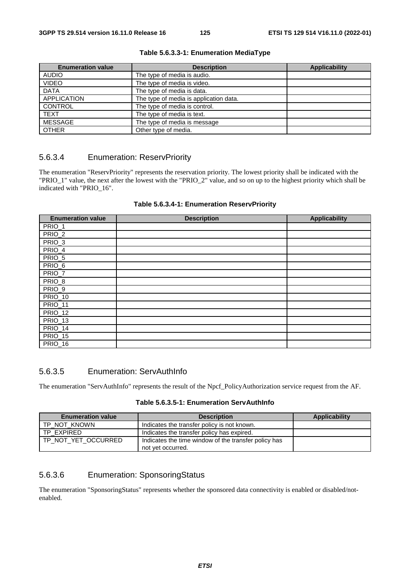| <b>Enumeration value</b> | <b>Description</b>                     | <b>Applicability</b> |
|--------------------------|----------------------------------------|----------------------|
| <b>AUDIO</b>             | The type of media is audio.            |                      |
| <b>VIDEO</b>             | The type of media is video.            |                      |
| <b>DATA</b>              | The type of media is data.             |                      |
| <b>APPLICATION</b>       | The type of media is application data. |                      |
| <b>CONTROL</b>           | The type of media is control.          |                      |
| <b>TEXT</b>              | The type of media is text.             |                      |
| MESSAGE                  | The type of media is message           |                      |
| <b>OTHER</b>             | Other type of media.                   |                      |

#### **Table 5.6.3.3-1: Enumeration MediaType**

## 5.6.3.4 Enumeration: ReservPriority

The enumeration "ReservPriority" represents the reservation priority. The lowest priority shall be indicated with the "PRIO\_1" value, the next after the lowest with the "PRIO\_2" value, and so on up to the highest priority which shall be indicated with "PRIO\_16".

|  |  | Table 5.6.3.4-1: Enumeration ReservPriority |
|--|--|---------------------------------------------|
|--|--|---------------------------------------------|

| <b>Enumeration value</b> | <b>Description</b> | <b>Applicability</b> |
|--------------------------|--------------------|----------------------|
| PRIO_1                   |                    |                      |
| PRIO_2                   |                    |                      |
| PRIO_3                   |                    |                      |
| PRIO_4                   |                    |                      |
| PRIO_5                   |                    |                      |
| PRIO_6                   |                    |                      |
| PRIO_7                   |                    |                      |
| PRIO_8                   |                    |                      |
| PRIO_9                   |                    |                      |
| <b>PRIO_10</b>           |                    |                      |
| PRIO_11                  |                    |                      |
| PRIO_12                  |                    |                      |
| <b>PRIO_13</b>           |                    |                      |
| PRIO_14                  |                    |                      |
| <b>PRIO_15</b>           |                    |                      |
| <b>PRIO_16</b>           |                    |                      |

## 5.6.3.5 Enumeration: ServAuthInfo

The enumeration "ServAuthInfo" represents the result of the Npcf\_PolicyAuthorization service request from the AF.

| Table 5.6.3.5-1: Enumeration ServAuthInfo |  |  |
|-------------------------------------------|--|--|
|-------------------------------------------|--|--|

| <b>Enumeration value</b> | <b>Description</b>                                                        | Applicability |
|--------------------------|---------------------------------------------------------------------------|---------------|
| TP NOT KNOWN             | Indicates the transfer policy is not known.                               |               |
| TP EXPIRED               | Indicates the transfer policy has expired.                                |               |
| TP NOT YET OCCURRED      | Indicates the time window of the transfer policy has<br>not vet occurred. |               |

## 5.6.3.6 Enumeration: SponsoringStatus

The enumeration "SponsoringStatus" represents whether the sponsored data connectivity is enabled or disabled/notenabled.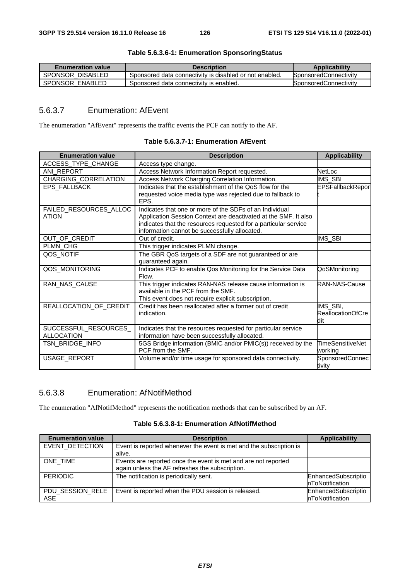| <b>Enumeration value</b> | <b>Description</b>                                      | <b>Applicability</b>         |
|--------------------------|---------------------------------------------------------|------------------------------|
| SPONSOR DISABLED         | Sponsored data connectivity is disabled or not enabled. | SponsoredConnectivity        |
| SPONSOR ENABLED          | Sponsored data connectivity is enabled.                 | <b>SponsoredConnectivity</b> |

#### **Table 5.6.3.6-1: Enumeration SponsoringStatus**

# 5.6.3.7 Enumeration: AfEvent

The enumeration "AfEvent" represents the traffic events the PCF can notify to the AF.

| <b>Enumeration value</b>                   | <b>Description</b>                                                                                                                                                                                                                             | <b>Applicability</b>                        |
|--------------------------------------------|------------------------------------------------------------------------------------------------------------------------------------------------------------------------------------------------------------------------------------------------|---------------------------------------------|
| ACCESS TYPE CHANGE                         | Access type change.                                                                                                                                                                                                                            |                                             |
| ANI REPORT                                 | Access Network Information Report requested.                                                                                                                                                                                                   | NetLoc                                      |
| CHARGING_CORRELATION                       | Access Network Charging Correlation Information.                                                                                                                                                                                               | IMS_SBI                                     |
| EPS_FALLBACK                               | Indicates that the establishment of the QoS flow for the<br>requested voice media type was rejected due to fallback to<br>EPS.                                                                                                                 | <b>EPSFallbackRepor</b>                     |
| FAILED_RESOURCES_ALLOC<br><b>ATION</b>     | Indicates that one or more of the SDFs of an Individual<br>Application Session Context are deactivated at the SMF. It also<br>indicates that the resources requested for a particular service<br>information cannot be successfully allocated. |                                             |
| OUT OF CREDIT                              | Out of credit.                                                                                                                                                                                                                                 | IMS SBI                                     |
| PLMN_CHG                                   | This trigger indicates PLMN change.                                                                                                                                                                                                            |                                             |
| QOS_NOTIF                                  | The GBR QoS targets of a SDF are not guaranteed or are<br>guaranteed again.                                                                                                                                                                    |                                             |
| QOS_MONITORING                             | Indicates PCF to enable Qos Monitoring for the Service Data<br>Flow.                                                                                                                                                                           | QoSMonitoring                               |
| RAN_NAS_CAUSE                              | This trigger indicates RAN-NAS release cause information is<br>available in the PCF from the SMF.<br>This event does not require explicit subscription.                                                                                        | <b>RAN-NAS-Cause</b>                        |
| REALLOCATION_OF_CREDIT                     | Credit has been reallocated after a former out of credit<br>indication.                                                                                                                                                                        | IMS_SBI,<br><b>ReallocationOfCre</b><br>dit |
| SUCCESSFUL_RESOURCES_<br><b>ALLOCATION</b> | Indicates that the resources requested for particular service<br>information have been successfully allocated.                                                                                                                                 |                                             |
| TSN BRIDGE INFO                            | 5GS Bridge information (BMIC and/or PMIC(s)) received by the<br>PCF from the SMF.                                                                                                                                                              | <b>TimeSensitiveNet</b><br>working          |
| USAGE_REPORT                               | Volume and/or time usage for sponsored data connectivity.                                                                                                                                                                                      | SponsoredConnec<br>tivity                   |

| Table 5.6.3.7-1: Enumeration AfEvent |  |  |
|--------------------------------------|--|--|
|--------------------------------------|--|--|

# 5.6.3.8 Enumeration: AfNotifMethod

The enumeration "AfNotifMethod" represents the notification methods that can be subscribed by an AF.

|--|--|

| <b>Enumeration value</b> | <b>Description</b>                                                                                                | <b>Applicability</b>                   |
|--------------------------|-------------------------------------------------------------------------------------------------------------------|----------------------------------------|
| EVENT_DETECTION          | Event is reported whenever the event is met and the subscription is<br>alive.                                     |                                        |
| ONE TIME                 | Events are reported once the event is met and are not reported<br>again unless the AF refreshes the subscription. |                                        |
| <b>PERIODIC</b>          | The notification is periodically sent.                                                                            | EnhancedSubscriptio<br>nToNotification |
| PDU_SESSION_RELE<br>ASE  | Event is reported when the PDU session is released.                                                               | EnhancedSubscriptio<br>nToNotification |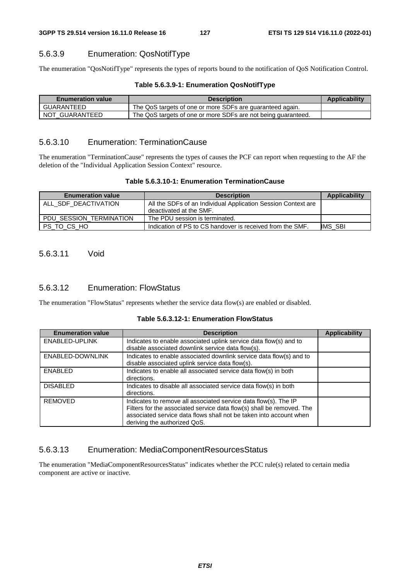# 5.6.3.9 Enumeration: QosNotifType

The enumeration "QosNotifType" represents the types of reports bound to the notification of QoS Notification Control.

| Table 5.6.3.9-1: Enumeration QosNotifType |  |  |
|-------------------------------------------|--|--|
|-------------------------------------------|--|--|

| <b>Enumeration value</b> | <b>Description</b>                                            | Applicability |
|--------------------------|---------------------------------------------------------------|---------------|
| GUARANTEED               | The QoS targets of one or more SDFs are guaranteed again.     |               |
| NOT GUARANTEED           | The QoS targets of one or more SDFs are not being guaranteed. |               |

## 5.6.3.10 Enumeration: TerminationCause

The enumeration "TerminationCause" represents the types of causes the PCF can report when requesting to the AF the deletion of the "Individual Application Session Context" resource.

#### **Table 5.6.3.10-1: Enumeration TerminationCause**

| <b>Enumeration value</b> | <b>Description</b>                                                                       | Applicability |
|--------------------------|------------------------------------------------------------------------------------------|---------------|
| ALL SDF DEACTIVATION     | All the SDFs of an Individual Application Session Context are<br>deactivated at the SMF. |               |
| PDU SESSION TERMINATION  | The PDU session is terminated.                                                           |               |
| PS TO CS HO              | Indication of PS to CS handover is received from the SMF.                                | IMS SBI       |

## 5.6.3.11 Void

## 5.6.3.12 Enumeration: FlowStatus

The enumeration "FlowStatus" represents whether the service data flow(s) are enabled or disabled.

|  |  | Table 5.6.3.12-1: Enumeration FlowStatus |  |
|--|--|------------------------------------------|--|
|--|--|------------------------------------------|--|

| <b>Enumeration value</b> | <b>Description</b>                                                    | <b>Applicability</b> |
|--------------------------|-----------------------------------------------------------------------|----------------------|
| ENABLED-UPLINK           | Indicates to enable associated uplink service data flow(s) and to     |                      |
|                          | disable associated downlink service data flow(s).                     |                      |
| ENABLED-DOWNLINK         | Indicates to enable associated downlink service data flow(s) and to   |                      |
|                          | disable associated uplink service data flow(s).                       |                      |
| <b>ENABLED</b>           | Indicates to enable all associated service data flow(s) in both       |                      |
|                          | directions.                                                           |                      |
| <b>DISABLED</b>          | Indicates to disable all associated service data flow(s) in both      |                      |
|                          | directions.                                                           |                      |
| <b>REMOVED</b>           | Indicates to remove all associated service data flow(s). The IP       |                      |
|                          | Filters for the associated service data flow(s) shall be removed. The |                      |
|                          | associated service data flows shall not be taken into account when    |                      |
|                          | deriving the authorized QoS.                                          |                      |

## 5.6.3.13 Enumeration: MediaComponentResourcesStatus

The enumeration "MediaComponentResourcesStatus" indicates whether the PCC rule(s) related to certain media component are active or inactive.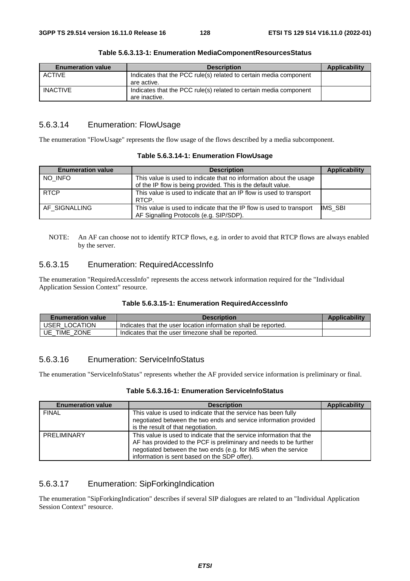| <b>Enumeration value</b> | <b>Description</b>                                                                 | Applicability |
|--------------------------|------------------------------------------------------------------------------------|---------------|
| ACTIVE                   | Indicates that the PCC rule(s) related to certain media component<br>are active.   |               |
| <b>INACTIVE</b>          | Indicates that the PCC rule(s) related to certain media component<br>are inactive. |               |

**Table 5.6.3.13-1: Enumeration MediaComponentResourcesStatus** 

## 5.6.3.14 Enumeration: FlowUsage

The enumeration "FlowUsage" represents the flow usage of the flows described by a media subcomponent.

| <b>Enumeration value</b> | <b>Description</b>                                                                                                                 | Applicability |
|--------------------------|------------------------------------------------------------------------------------------------------------------------------------|---------------|
| NO INFO                  | This value is used to indicate that no information about the usage<br>of the IP flow is being provided. This is the default value. |               |
| <b>RTCP</b>              | This value is used to indicate that an IP flow is used to transport<br>RTCP.                                                       |               |
| AF SIGNALLING            | This value is used to indicate that the IP flow is used to transport<br>AF Signalling Protocols (e.g. SIP/SDP).                    | IMS_SBI       |

NOTE: An AF can choose not to identify RTCP flows, e.g. in order to avoid that RTCP flows are always enabled by the server.

## 5.6.3.15 Enumeration: RequiredAccessInfo

The enumeration "RequiredAccessInfo" represents the access network information required for the "Individual Application Session Context" resource.

#### **Table 5.6.3.15-1: Enumeration RequiredAccessInfo**

| <b>Enumeration value</b> | <b>Description</b>                                              | Applicability |
|--------------------------|-----------------------------------------------------------------|---------------|
| USER LOCATION            | Indicates that the user location information shall be reported. |               |
| UE.<br>TIME ZONE         | Indicates that the user timezone shall be reported.             |               |

## 5.6.3.16 Enumeration: ServiceInfoStatus

The enumeration "ServiceInfoStatus" represents whether the AF provided service information is preliminary or final.

| Table 5.6.3.16-1: Enumeration ServiceInfoStatus |  |
|-------------------------------------------------|--|
|-------------------------------------------------|--|

| <b>Enumeration value</b> | <b>Description</b>                                                                                                                                                                                                                                          | <b>Applicability</b> |
|--------------------------|-------------------------------------------------------------------------------------------------------------------------------------------------------------------------------------------------------------------------------------------------------------|----------------------|
| <b>FINAL</b>             | This value is used to indicate that the service has been fully<br>negotiated between the two ends and service information provided<br>is the result of that negotiation.                                                                                    |                      |
| PRELIMINARY              | This value is used to indicate that the service information that the<br>AF has provided to the PCF is preliminary and needs to be further<br>negotiated between the two ends (e.g. for IMS when the service<br>information is sent based on the SDP offer). |                      |

## 5.6.3.17 Enumeration: SipForkingIndication

The enumeration "SipForkingIndication" describes if several SIP dialogues are related to an "Individual Application Session Context" resource.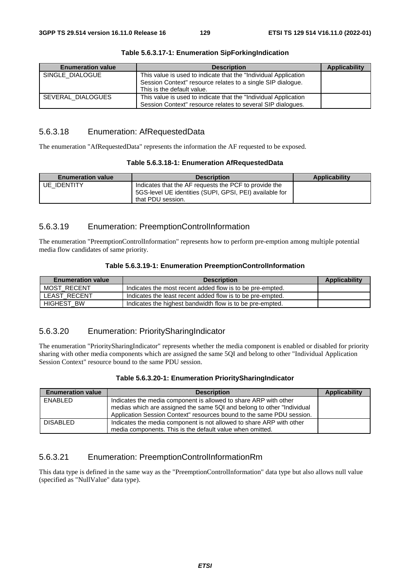| <b>Enumeration value</b> | <b>Description</b>                                                                                                              | Applicability |
|--------------------------|---------------------------------------------------------------------------------------------------------------------------------|---------------|
| SINGLE DIALOGUE          | This value is used to indicate that the "Individual Application"                                                                |               |
|                          | Session Context" resource relates to a single SIP dialogue.<br>This is the default value.                                       |               |
| SEVERAL DIALOGUES        | This value is used to indicate that the "Individual Application"<br>Session Context" resource relates to several SIP dialogues. |               |

#### **Table 5.6.3.17-1: Enumeration SipForkingIndication**

## 5.6.3.18 Enumeration: AfRequestedData

The enumeration "AfRequestedData" represents the information the AF requested to be exposed.

| <b>Enumeration value</b> | <b>Description</b>                                                                                                                    | Applicability |
|--------------------------|---------------------------------------------------------------------------------------------------------------------------------------|---------------|
| <b>UE IDENTITY</b>       | Indicates that the AF requests the PCF to provide the<br>5GS-level UE identities (SUPI, GPSI, PEI) available for<br>that PDU session. |               |

## 5.6.3.19 Enumeration: PreemptionControlInformation

The enumeration "PreemptionControlInformation" represents how to perform pre-emption among multiple potential media flow candidates of same priority.

#### **Table 5.6.3.19-1: Enumeration PreemptionControlInformation**

| <b>Enumeration value</b> | <b>Description</b>                                         | <b>Applicability</b> |
|--------------------------|------------------------------------------------------------|----------------------|
| MOST RECENT              | Indicates the most recent added flow is to be pre-empted.  |                      |
| LEAST RECENT             | Indicates the least recent added flow is to be pre-empted. |                      |
| <b>HIGHEST BW</b>        | Indicates the highest bandwidth flow is to be pre-empted.  |                      |

# 5.6.3.20 Enumeration: PrioritySharingIndicator

The enumeration "PrioritySharingIndicator" represents whether the media component is enabled or disabled for priority sharing with other media components which are assigned the same 5QI and belong to other "Individual Application Session Context" resource bound to the same PDU session.

| Table 5.6.3.20-1: Enumeration PrioritySharingIndicator |  |
|--------------------------------------------------------|--|
|--------------------------------------------------------|--|

| <b>Enumeration value</b> | <b>Description</b>                                                      | Applicability |
|--------------------------|-------------------------------------------------------------------------|---------------|
| ENABLED                  | Indicates the media component is allowed to share ARP with other        |               |
|                          | medias which are assigned the same 5QI and belong to other "Individual" |               |
|                          | Application Session Context" resources bound to the same PDU session.   |               |
| <b>DISABLED</b>          | Indicates the media component is not allowed to share ARP with other    |               |
|                          | media components. This is the default value when omitted.               |               |

## 5.6.3.21 Enumeration: PreemptionControlInformationRm

This data type is defined in the same way as the "PreemptionControlInformation" data type but also allows null value (specified as "NullValue" data type).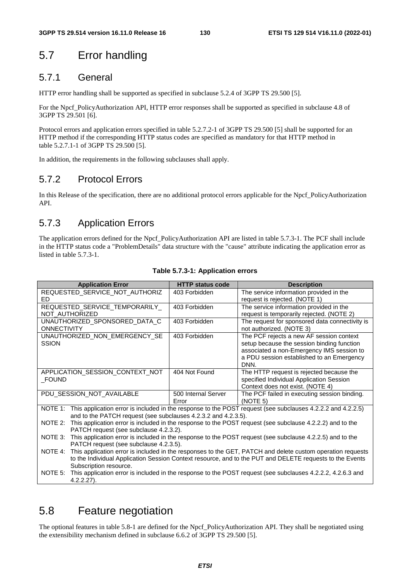# 5.7 Error handling

# 5.7.1 General

HTTP error handling shall be supported as specified in subclause 5.2.4 of 3GPP TS 29.500 [5].

For the Npcf\_PolicyAuthorization API, HTTP error responses shall be supported as specified in subclause 4.8 of 3GPP TS 29.501 [6].

Protocol errors and application errors specified in table 5.2.7.2-1 of 3GPP TS 29.500 [5] shall be supported for an HTTP method if the corresponding HTTP status codes are specified as mandatory for that HTTP method in table 5.2.7.1-1 of 3GPP TS 29.500 [5].

In addition, the requirements in the following subclauses shall apply.

# 5.7.2 Protocol Errors

In this Release of the specification, there are no additional protocol errors applicable for the Npcf\_PolicyAuthorization API.

# 5.7.3 Application Errors

The application errors defined for the Npcf\_PolicyAuthorization API are listed in table 5.7.3-1. The PCF shall include in the HTTP status code a "ProblemDetails" data structure with the "cause" attribute indicating the application error as listed in table 5.7.3-1.

| <b>Application Error</b>                                                                                                                                                                                                                                    | <b>HTTP status code</b>      | <b>Description</b>                                                                                                                                                                       |  |  |
|-------------------------------------------------------------------------------------------------------------------------------------------------------------------------------------------------------------------------------------------------------------|------------------------------|------------------------------------------------------------------------------------------------------------------------------------------------------------------------------------------|--|--|
| REQUESTED_SERVICE_NOT_AUTHORIZ<br>ED                                                                                                                                                                                                                        | 403 Forbidden                | The service information provided in the<br>request is rejected. (NOTE 1)                                                                                                                 |  |  |
| REQUESTED_SERVICE_TEMPORARILY_<br>NOT AUTHORIZED                                                                                                                                                                                                            | 403 Forbidden                | The service information provided in the<br>request is temporarily rejected. (NOTE 2)                                                                                                     |  |  |
| UNAUTHORIZED_SPONSORED_DATA_C<br><b>ONNECTIVITY</b>                                                                                                                                                                                                         | 403 Forbidden                | The request for sponsored data connectivity is<br>not authorized. (NOTE 3)                                                                                                               |  |  |
| UNAUTHORIZED_NON_EMERGENCY_SE<br><b>SSION</b>                                                                                                                                                                                                               | 403 Forbidden                | The PCF rejects a new AF session context<br>setup because the session binding function<br>associated a non-Emergency IMS session to<br>a PDU session established to an Emergency<br>DNN. |  |  |
| APPLICATION_SESSION_CONTEXT_NOT<br>_FOUND                                                                                                                                                                                                                   | 404 Not Found                | The HTTP request is rejected because the<br>specified Individual Application Session<br>Context does not exist. (NOTE 4)                                                                 |  |  |
| PDU SESSION NOT AVAILABLE                                                                                                                                                                                                                                   | 500 Internal Server<br>Error | The PCF failed in executing session binding.<br>(NOTE 5)                                                                                                                                 |  |  |
| NOTE 1: This application error is included in the response to the POST request (see subclauses 4.2.2.2 and 4.2.2.5)<br>and to the PATCH request (see subclauses 4.2.3.2 and 4.2.3.5).                                                                       |                              |                                                                                                                                                                                          |  |  |
| NOTE 2: This application error is included in the response to the POST request (see subclause 4.2.2.2) and to the<br>PATCH request (see subclause 4.2.3.2).                                                                                                 |                              |                                                                                                                                                                                          |  |  |
| NOTE 3: This application error is included in the response to the POST request (see subclause 4.2.2.5) and to the<br>PATCH request (see subclause 4.2.3.5).                                                                                                 |                              |                                                                                                                                                                                          |  |  |
| This application error is included in the responses to the GET, PATCH and delete custom operation requests<br>NOTE 4:<br>to the Individual Application Session Context resource, and to the PUT and DELETE requests to the Events<br>Subscription resource. |                              |                                                                                                                                                                                          |  |  |
| NOTE 5:<br>This application error is included in the response to the POST request (see subclauses 4.2.2.2, 4.2.6.3 and<br>$4.2.2.27$ ).                                                                                                                     |                              |                                                                                                                                                                                          |  |  |

#### **Table 5.7.3-1: Application errors**

# 5.8 Feature negotiation

The optional features in table 5.8-1 are defined for the Npcf\_PolicyAuthorization API. They shall be negotiated using the extensibility mechanism defined in subclause 6.6.2 of 3GPP TS 29.500 [5].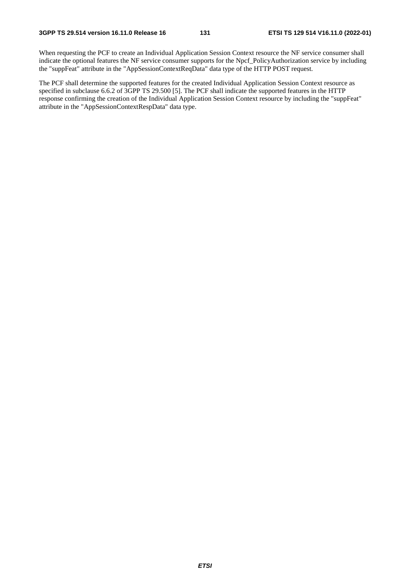When requesting the PCF to create an Individual Application Session Context resource the NF service consumer shall indicate the optional features the NF service consumer supports for the Npcf\_PolicyAuthorization service by including the "suppFeat" attribute in the "AppSessionContextReqData" data type of the HTTP POST request.

The PCF shall determine the supported features for the created Individual Application Session Context resource as specified in subclause 6.6.2 of 3GPP TS 29.500 [5]. The PCF shall indicate the supported features in the HTTP response confirming the creation of the Individual Application Session Context resource by including the "suppFeat" attribute in the "AppSessionContextRespData" data type.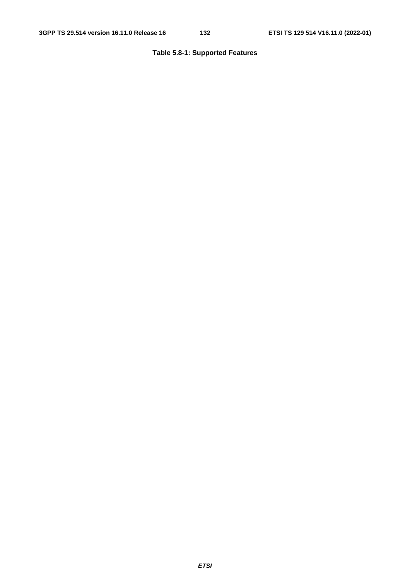# **Table 5.8-1: Supported Features**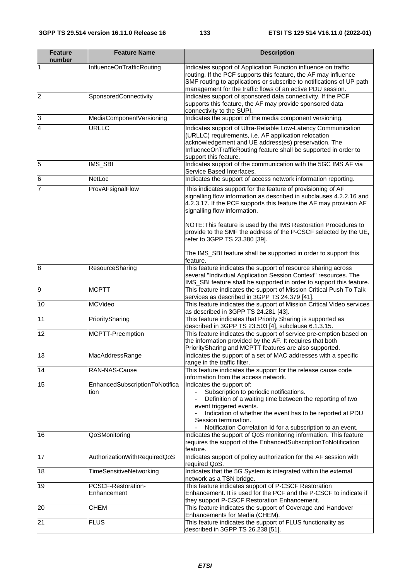| <b>Feature</b><br>number | <b>Feature Name</b>                    | <b>Description</b>                                                                                                                                                                                                                                                                                               |  |
|--------------------------|----------------------------------------|------------------------------------------------------------------------------------------------------------------------------------------------------------------------------------------------------------------------------------------------------------------------------------------------------------------|--|
| 1                        | InfluenceOnTrafficRouting              | Indicates support of Application Function influence on traffic<br>routing. If the PCF supports this feature, the AF may influence<br>SMF routing to applications or subscribe to notifications of UP path<br>management for the traffic flows of an active PDU session.                                          |  |
| $\overline{2}$           | SponsoredConnectivity                  | Indicates support of sponsored data connectivity. If the PCF<br>supports this feature, the AF may provide sponsored data<br>connectivity to the SUPI.                                                                                                                                                            |  |
| $\overline{3}$           | MediaComponentVersioning               | Indicates the support of the media component versioning.                                                                                                                                                                                                                                                         |  |
| $\overline{4}$           | URLLC                                  | Indicates support of Ultra-Reliable Low-Latency Communication<br>(URLLC) requirements, i.e. AF application relocation<br>acknowledgement and UE address(es) preservation. The<br>InfluenceOnTrafficRouting feature shall be supported in order to<br>support this feature.                                       |  |
| 5                        | IMS_SBI                                | Indicates support of the communication with the 5GC IMS AF via<br>Service Based Interfaces.                                                                                                                                                                                                                      |  |
| $6\phantom{.}6$          | NetLoc                                 | Indicates the support of access network information reporting.                                                                                                                                                                                                                                                   |  |
| 7                        | ProvAFsignalFlow                       | This indicates support for the feature of provisioning of AF<br>signalling flow information as described in subclauses 4.2.2.16 and<br>4.2.3.17. If the PCF supports this feature the AF may provision AF<br>signalling flow information.<br>NOTE: This feature is used by the IMS Restoration Procedures to     |  |
|                          |                                        | provide to the SMF the address of the P-CSCF selected by the UE,<br>refer to 3GPP TS 23.380 [39].<br>The IMS_SBI feature shall be supported in order to support this<br>feature.                                                                                                                                 |  |
| 8                        | ResourceSharing                        | This feature indicates the support of resource sharing across<br>several "Individual Application Session Context" resources. The<br>IMS_SBI feature shall be supported in order to support this feature.                                                                                                         |  |
| $\overline{9}$           | <b>MCPTT</b>                           | This feature indicates the support of Mission Critical Push To Talk<br>services as described in 3GPP TS 24.379 [41].                                                                                                                                                                                             |  |
| 10                       | <b>MCVideo</b>                         | This feature indicates the support of Mission Critical Video services<br>as described in 3GPP TS 24.281 [43].                                                                                                                                                                                                    |  |
| 11                       | PrioritySharing                        | This feature indicates that Priority Sharing is supported as<br>described in 3GPP TS 23.503 [4], subclause 6.1.3.15.                                                                                                                                                                                             |  |
| 12                       | MCPTT-Preemption                       | This feature indicates the support of service pre-emption based on<br>the information provided by the AF. It requires that both<br>PrioritySharing and MCPTT features are also supported.                                                                                                                        |  |
| 13                       | MacAddressRange                        | Indicates the support of a set of MAC addresses with a specific<br>range in the traffic filter.                                                                                                                                                                                                                  |  |
| 14                       | RAN-NAS-Cause                          | This feature indicates the support for the release cause code<br>information from the access network.                                                                                                                                                                                                            |  |
| 15                       | EnhancedSubscriptionToNotifica<br>tion | Indicates the support of:<br>Subscription to periodic notifications.<br>Definition of a waiting time between the reporting of two<br>event triggered events.<br>Indication of whether the event has to be reported at PDU<br>Session termination.<br>Notification Correlation Id for a subscription to an event. |  |
| 16                       | QoSMonitoring                          | Indicates the support of QoS monitoring information. This feature<br>requires the support of the EnhancedSubscriptionToNotification<br>feature.                                                                                                                                                                  |  |
| 17                       | AuthorizationWithRequiredQoS           | Indicates support of policy authorization for the AF session with<br>required QoS.                                                                                                                                                                                                                               |  |
| 18                       | <b>TimeSensitiveNetworking</b>         | Indicates that the 5G System is integrated within the external<br>network as a TSN bridge.                                                                                                                                                                                                                       |  |
| 19                       | PCSCF-Restoration-<br>Enhancement      | This feature indicates support of P-CSCF Restoration<br>Enhancement. It is used for the PCF and the P-CSCF to indicate if<br>they support P-CSCF Restoration Enhancement.                                                                                                                                        |  |
| 20                       | <b>CHEM</b>                            | This feature indicates the support of Coverage and Handover<br>Enhancements for Media (CHEM).                                                                                                                                                                                                                    |  |
| 21                       | <b>FLUS</b>                            | This feature indicates the support of FLUS functionality as<br>described in 3GPP TS 26.238 [51].                                                                                                                                                                                                                 |  |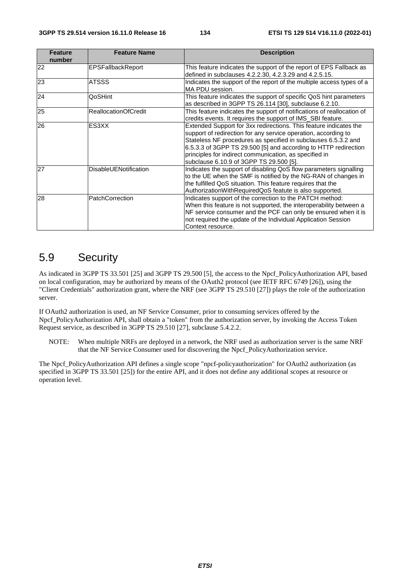| <b>Feature</b><br>number | <b>Feature Name</b>         | <b>Description</b>                                                                                                                                                                                                                                                                                                                                                            |
|--------------------------|-----------------------------|-------------------------------------------------------------------------------------------------------------------------------------------------------------------------------------------------------------------------------------------------------------------------------------------------------------------------------------------------------------------------------|
| 22                       | <b>EPSFallbackReport</b>    | This feature indicates the support of the report of EPS Fallback as<br>defined in subclauses 4.2.2.30, 4.2.3.29 and 4.2.5.15.                                                                                                                                                                                                                                                 |
| 23                       | <b>ATSSS</b>                | Indicates the support of the report of the multiple access types of a<br>MA PDU session.                                                                                                                                                                                                                                                                                      |
| 24                       | QoSHint                     | This feature indicates the support of specific QoS hint parameters<br>as described in 3GPP TS 26.114 [30], subclause 6.2.10.                                                                                                                                                                                                                                                  |
| 25                       | <b>ReallocationOfCredit</b> | This feature indicates the support of notifications of reallocation of<br>credits events. It requires the support of IMS_SBI feature.                                                                                                                                                                                                                                         |
| 26                       | ES3XX                       | Extended Support for 3xx redirections. This feature indicates the<br>support of redirection for any service operation, according to<br>Stateless NF procedures as specified in subclauses 6.5.3.2 and<br>6.5.3.3 of 3GPP TS 29.500 [5] and according to HTTP redirection<br>principles for indirect communication, as specified in<br>subclause 6.10.9 of 3GPP TS 29.500 [5]. |
| 27                       | DisableUENotification       | Indicates the support of disabling QoS flow parameters signalling<br>to the UE when the SMF is notified by the NG-RAN of changes in<br>the fulfilled QoS situation. This feature requires that the<br>AuthorizationWithRequiredQoS featute is also supported.                                                                                                                 |
| 28                       | <b>PatchCorrection</b>      | Indicates support of the correction to the PATCH method:<br>When this feature is not supported, the interoperability between a<br>NF service consumer and the PCF can only be ensured when it is<br>not required the update of the Individual Application Session<br>Context resource.                                                                                        |

# 5.9 Security

As indicated in 3GPP TS 33.501 [25] and 3GPP TS 29.500 [5], the access to the Npcf\_PolicyAuthorization API, based on local configuration, may be authorized by means of the OAuth2 protocol (see IETF RFC 6749 [26]), using the "Client Credentials" authorization grant, where the NRF (see 3GPP TS 29.510 [27]) plays the role of the authorization server.

If OAuth2 authorization is used, an NF Service Consumer, prior to consuming services offered by the Npcf\_PolicyAuthorization API, shall obtain a "token" from the authorization server, by invoking the Access Token Request service, as described in 3GPP TS 29.510 [27], subclause 5.4.2.2.

NOTE: When multiple NRFs are deployed in a network, the NRF used as authorization server is the same NRF that the NF Service Consumer used for discovering the Npcf\_PolicyAuthorization service.

The Npcf\_PolicyAuthorization API defines a single scope "npcf-policyauthorization" for OAuth2 authorization (as specified in 3GPP TS 33.501 [25]) for the entire API, and it does not define any additional scopes at resource or operation level.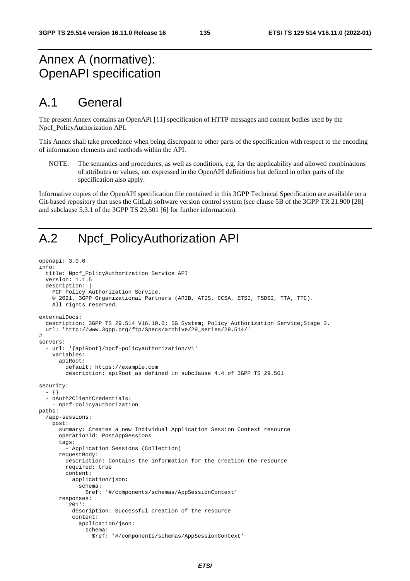# Annex A (normative): OpenAPI specification

# A.1 General

The present Annex contains an OpenAPI [11] specification of HTTP messages and content bodies used by the Npcf\_PolicyAuthorization API.

This Annex shall take precedence when being discrepant to other parts of the specification with respect to the encoding of information elements and methods within the API.

NOTE: The semantics and procedures, as well as conditions, e.g. for the applicability and allowed combinations of attributes or values, not expressed in the OpenAPI definitions but defined in other parts of the specification also apply.

Informative copies of the OpenAPI specification file contained in this 3GPP Technical Specification are available on a Git-based repository that uses the GitLab software version control system (see clause 5B of the 3GPP TR 21.900 [28] and subclause 5.3.1 of the 3GPP TS 29.501 [6] for further information).

# A.2 Npcf\_PolicyAuthorization API

```
openapi: 3.0.0 
info: 
   title: Npcf_PolicyAuthorization Service API 
   version: 1.1.5 
   description: | 
     PCF Policy Authorization Service. 
     © 2021, 3GPP Organizational Partners (ARIB, ATIS, CCSA, ETSI, TSDSI, TTA, TTC). 
     All rights reserved. 
externalDocs: 
   description: 3GPP TS 29.514 V16.10.0; 5G System; Policy Authorization Service;Stage 3. 
   url: 'http://www.3gpp.org/ftp/Specs/archive/29_series/29.514/' 
# 
servers: 
   - url: '{apiRoot}/npcf-policyauthorization/v1' 
     variables: 
       apiRoot: 
         default: https://example.com 
         description: apiRoot as defined in subclause 4.4 of 3GPP TS 29.501 
security: 
   - {} 
   - oAuth2ClientCredentials: 
     - npcf-policyauthorization 
paths: 
   /app-sessions: 
     post: 
       summary: Creates a new Individual Application Session Context resource 
       operationId: PostAppSessions 
       tags: 
         - Application Sessions (Collection) 
       requestBody: 
         description: Contains the information for the creation the resource 
         required: true 
         content: 
           application/json: 
              schema: 
                $ref: '#/components/schemas/AppSessionContext' 
       responses: 
          '201': 
           description: Successful creation of the resource 
           content: 
              application/json: 
                schema: 
                  $ref: '#/components/schemas/AppSessionContext'
```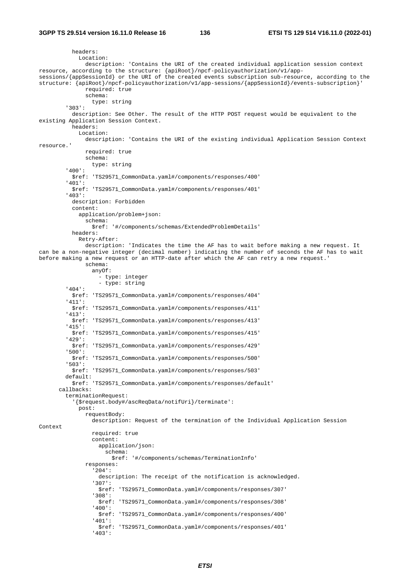headers: Location: description: 'Contains the URI of the created individual application session context resource, according to the structure: {apiRoot}/npcf-policyauthorization/v1/appsessions/{appSessionId} or the URI of the created events subscription sub-resource, according to the structure: {apiRoot}/npcf-policyauthorization/v1/app-sessions/{appSessionId}/events-subscription}' required: true schema: type: string '303': description: See Other. The result of the HTTP POST request would be equivalent to the existing Application Session Context. headers: Location: description: 'Contains the URI of the existing individual Application Session Context resource.' required: true schema: type: string '400': \$ref: 'TS29571\_CommonData.yaml#/components/responses/400' '401': \$ref: 'TS29571\_CommonData.yaml#/components/responses/401' '403': description: Forbidden content: application/problem+json: schema: \$ref: '#/components/schemas/ExtendedProblemDetails' headers: Retry-After: description: 'Indicates the time the AF has to wait before making a new request. It can be a non-negative integer (decimal number) indicating the number of seconds the AF has to wait before making a new request or an HTTP-date after which the AF can retry a new request.' schema: anyOf: - type: integer - type: string '404': \$ref: 'TS29571\_CommonData.yaml#/components/responses/404' '411': \$ref: 'TS29571\_CommonData.yaml#/components/responses/411' '413': \$ref: 'TS29571\_CommonData.yaml#/components/responses/413' '415': \$ref: 'TS29571\_CommonData.yaml#/components/responses/415' '429': \$ref: 'TS29571\_CommonData.yaml#/components/responses/429' '500': \$ref: 'TS29571\_CommonData.yaml#/components/responses/500' '503': \$ref: 'TS29571\_CommonData.yaml#/components/responses/503' default: \$ref: 'TS29571\_CommonData.yaml#/components/responses/default' callbacks: terminationRequest: '{\$request.body#/ascReqData/notifUri}/terminate': post: requestBody: description: Request of the termination of the Individual Application Session Context required: true content: application/json: schema: \$ref: '#/components/schemas/TerminationInfo' responses: '204': description: The receipt of the notification is acknowledged. '307': \$ref: 'TS29571\_CommonData.yaml#/components/responses/307' '308': \$ref: 'TS29571\_CommonData.yaml#/components/responses/308' '400': \$ref: 'TS29571\_CommonData.yaml#/components/responses/400' '401': \$ref: 'TS29571\_CommonData.yaml#/components/responses/401' '403':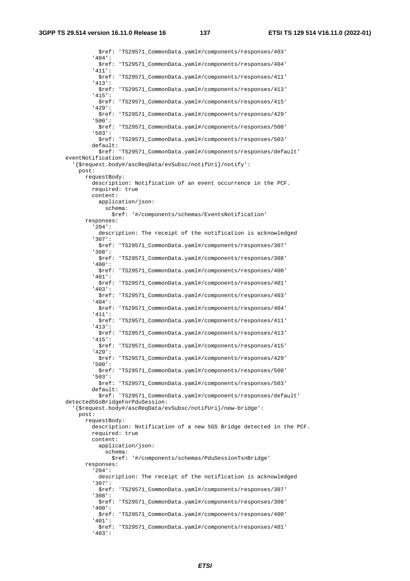\$ref: 'TS29571\_CommonData.yaml#/components/responses/403' '404': \$ref: 'TS29571\_CommonData.yaml#/components/responses/404' '411': \$ref: 'TS29571\_CommonData.yaml#/components/responses/411' '413': \$ref: 'TS29571\_CommonData.yaml#/components/responses/413' '415': \$ref: 'TS29571\_CommonData.yaml#/components/responses/415' '429': \$ref: 'TS29571\_CommonData.yaml#/components/responses/429' '500': \$ref: 'TS29571\_CommonData.yaml#/components/responses/500' '503': \$ref: 'TS29571\_CommonData.yaml#/components/responses/503' default: \$ref: 'TS29571\_CommonData.yaml#/components/responses/default' eventNotification: '{\$request.body#/ascReqData/evSubsc/notifUri}/notify': post: requestBody: description: Notification of an event occurrence in the PCF. required: true content: application/json: schema: \$ref: '#/components/schemas/EventsNotification' responses: '204': description: The receipt of the notification is acknowledged '307': \$ref: 'TS29571\_CommonData.yaml#/components/responses/307' '308': \$ref: 'TS29571\_CommonData.yaml#/components/responses/308' '400': \$ref: 'TS29571\_CommonData.yaml#/components/responses/400' '401': \$ref: 'TS29571\_CommonData.yaml#/components/responses/401' '403': \$ref: 'TS29571\_CommonData.yaml#/components/responses/403' '404': \$ref: 'TS29571\_CommonData.yaml#/components/responses/404' '411': \$ref: 'TS29571\_CommonData.yaml#/components/responses/411' '413': \$ref: 'TS29571\_CommonData.yaml#/components/responses/413' '415': \$ref: 'TS29571\_CommonData.yaml#/components/responses/415' '429': \$ref: 'TS29571\_CommonData.yaml#/components/responses/429' '500': \$ref: 'TS29571\_CommonData.yaml#/components/responses/500' '503': \$ref: 'TS29571\_CommonData.yaml#/components/responses/503' default: \$ref: 'TS29571\_CommonData.yaml#/components/responses/default' detected5GsBridgeForPduSession: '{\$request.body#/ascReqData/evSubsc/notifUri}/new-bridge': post: requestBody: description: Notification of a new 5GS Bridge detected in the PCF. required: true content: application/json: schema: \$ref: '#/components/schemas/PduSessionTsnBridge' responses: '204': description: The receipt of the notification is acknowledged '307': \$ref: 'TS29571\_CommonData.yaml#/components/responses/307' '308': \$ref: 'TS29571\_CommonData.yaml#/components/responses/308' '400': \$ref: 'TS29571\_CommonData.yaml#/components/responses/400' '401': \$ref: 'TS29571\_CommonData.yaml#/components/responses/401' '403':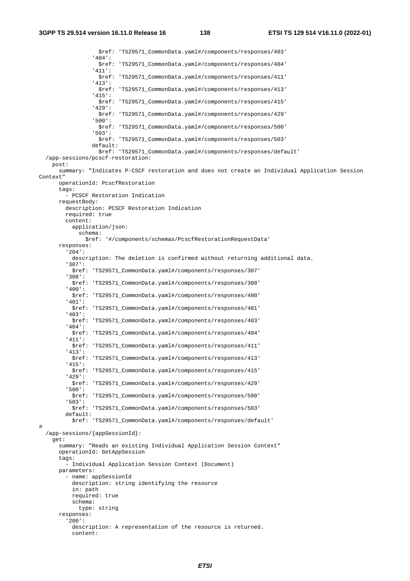\$ref: 'TS29571\_CommonData.yaml#/components/responses/403' '404': \$ref: 'TS29571\_CommonData.yaml#/components/responses/404' '411': \$ref: 'TS29571\_CommonData.yaml#/components/responses/411' '413': \$ref: 'TS29571\_CommonData.yaml#/components/responses/413' '415': \$ref: 'TS29571\_CommonData.yaml#/components/responses/415' '429': \$ref: 'TS29571\_CommonData.yaml#/components/responses/429' '500': \$ref: 'TS29571\_CommonData.yaml#/components/responses/500' '503': \$ref: 'TS29571\_CommonData.yaml#/components/responses/503' default: \$ref: 'TS29571\_CommonData.yaml#/components/responses/default' /app-sessions/pcscf-restoration: post: summary: "Indicates P-CSCF restoration and does not create an Individual Application Session Context" operationId: PcscfRestoration tags: - PCSCF Restoration Indication requestBody: description: PCSCF Restoration Indication required: true content: application/json: schema: \$ref: '#/components/schemas/PcscfRestorationRequestData' responses: '204': description: The deletion is confirmed without returning additional data. '307': \$ref: 'TS29571\_CommonData.yaml#/components/responses/307' '308': \$ref: 'TS29571\_CommonData.yaml#/components/responses/308' '400': \$ref: 'TS29571\_CommonData.yaml#/components/responses/400' '401': \$ref: 'TS29571\_CommonData.yaml#/components/responses/401' '403': \$ref: 'TS29571\_CommonData.yaml#/components/responses/403' '404': \$ref: 'TS29571\_CommonData.yaml#/components/responses/404' '411': \$ref: 'TS29571\_CommonData.yaml#/components/responses/411' '413': \$ref: 'TS29571\_CommonData.yaml#/components/responses/413' '415': \$ref: 'TS29571\_CommonData.yaml#/components/responses/415' '429': \$ref: 'TS29571\_CommonData.yaml#/components/responses/429' '500': \$ref: 'TS29571\_CommonData.yaml#/components/responses/500' '503': \$ref: 'TS29571\_CommonData.yaml#/components/responses/503' default: \$ref: 'TS29571\_CommonData.yaml#/components/responses/default' # /app-sessions/{appSessionId}: get: summary: "Reads an existing Individual Application Session Context" operationId: GetAppSession tags: - Individual Application Session Context (Document) parameters: - name: appSessionId description: string identifying the resource in: path required: true schema: type: string responses: '200': description: A representation of the resource is returned. content: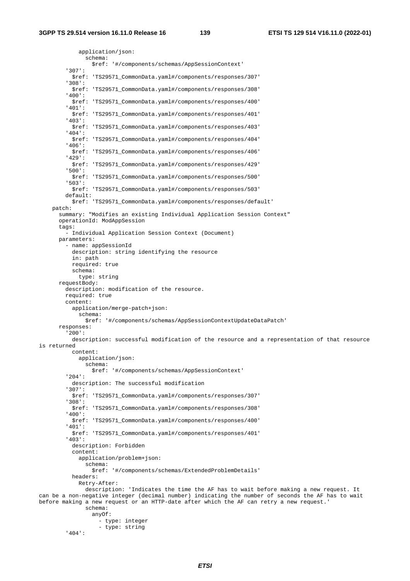application/json: schema: \$ref: '#/components/schemas/AppSessionContext' '307': \$ref: 'TS29571\_CommonData.yaml#/components/responses/307' '308': \$ref: 'TS29571\_CommonData.yaml#/components/responses/308' '400': \$ref: 'TS29571\_CommonData.yaml#/components/responses/400' '401': \$ref: 'TS29571\_CommonData.yaml#/components/responses/401' '403': \$ref: 'TS29571\_CommonData.yaml#/components/responses/403' '404': \$ref: 'TS29571\_CommonData.yaml#/components/responses/404' '406': \$ref: 'TS29571\_CommonData.yaml#/components/responses/406' '429': \$ref: 'TS29571\_CommonData.yaml#/components/responses/429' '500': \$ref: 'TS29571\_CommonData.yaml#/components/responses/500' '503': \$ref: 'TS29571\_CommonData.yaml#/components/responses/503' default: \$ref: 'TS29571\_CommonData.yaml#/components/responses/default' patch: summary: "Modifies an existing Individual Application Session Context" operationId: ModAppSession tags: - Individual Application Session Context (Document) parameters: - name: appSessionId description: string identifying the resource in: path required: true schema: type: string requestBody: description: modification of the resource. required: true content: application/merge-patch+json: schema: \$ref: '#/components/schemas/AppSessionContextUpdateDataPatch' responses: '200': description: successful modification of the resource and a representation of that resource is returned content: application/json: schema: \$ref: '#/components/schemas/AppSessionContext' '204': description: The successful modification '307': \$ref: 'TS29571\_CommonData.yaml#/components/responses/307' '308': \$ref: 'TS29571\_CommonData.yaml#/components/responses/308' '400': \$ref: 'TS29571\_CommonData.yaml#/components/responses/400' '401': \$ref: 'TS29571\_CommonData.yaml#/components/responses/401' '403': description: Forbidden content: application/problem+json: schema: \$ref: '#/components/schemas/ExtendedProblemDetails' headers: Retry-After: description: 'Indicates the time the AF has to wait before making a new request. It can be a non-negative integer (decimal number) indicating the number of seconds the AF has to wait before making a new request or an HTTP-date after which the AF can retry a new request.' schema: anyOf: - type: integer - type: string

'404':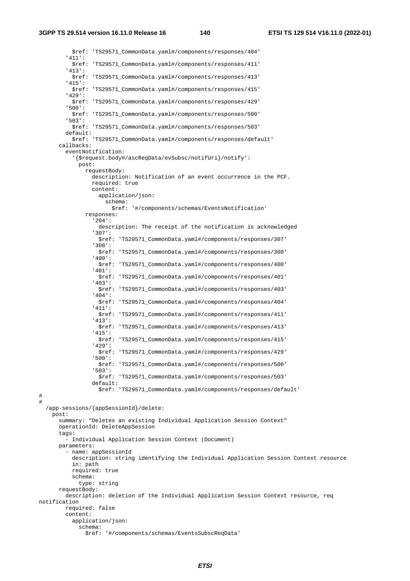\$ref: 'TS29571\_CommonData.yaml#/components/responses/404' '411': \$ref: 'TS29571\_CommonData.yaml#/components/responses/411' '413': \$ref: 'TS29571\_CommonData.yaml#/components/responses/413' '415': \$ref: 'TS29571\_CommonData.yaml#/components/responses/415' '429': \$ref: 'TS29571\_CommonData.yaml#/components/responses/429' '500': \$ref: 'TS29571\_CommonData.yaml#/components/responses/500' '503': \$ref: 'TS29571\_CommonData.yaml#/components/responses/503' default: \$ref: 'TS29571\_CommonData.yaml#/components/responses/default' callbacks: eventNotification: '{\$request.body#/ascReqData/evSubsc/notifUri}/notify': post: requestBody: description: Notification of an event occurrence in the PCF. required: true content: application/json: schema: \$ref: '#/components/schemas/EventsNotification' responses: '204': description: The receipt of the notification is acknowledged '307': \$ref: 'TS29571\_CommonData.yaml#/components/responses/307' '308': \$ref: 'TS29571\_CommonData.yaml#/components/responses/308' '400': \$ref: 'TS29571\_CommonData.yaml#/components/responses/400' '401': \$ref: 'TS29571\_CommonData.yaml#/components/responses/401' '403': \$ref: 'TS29571\_CommonData.yaml#/components/responses/403' '404': \$ref: 'TS29571\_CommonData.yaml#/components/responses/404' '411': \$ref: 'TS29571\_CommonData.yaml#/components/responses/411' '413': \$ref: 'TS29571\_CommonData.yaml#/components/responses/413' '415': \$ref: 'TS29571\_CommonData.yaml#/components/responses/415' '429': \$ref: 'TS29571\_CommonData.yaml#/components/responses/429' '500': \$ref: 'TS29571\_CommonData.yaml#/components/responses/500' '503': \$ref: 'TS29571\_CommonData.yaml#/components/responses/503' default: \$ref: 'TS29571\_CommonData.yaml#/components/responses/default' # # /app-sessions/{appSessionId}/delete: post: summary: "Deletes an existing Individual Application Session Context" operationId: DeleteAppSession tags: - Individual Application Session Context (Document) parameters: - name: appSessionId description: string identifying the Individual Application Session Context resource in: path required: true schema: type: string requestBody: description: deletion of the Individual Application Session Context resource, req notification required: false content: application/json: schema: \$ref: '#/components/schemas/EventsSubscReqData'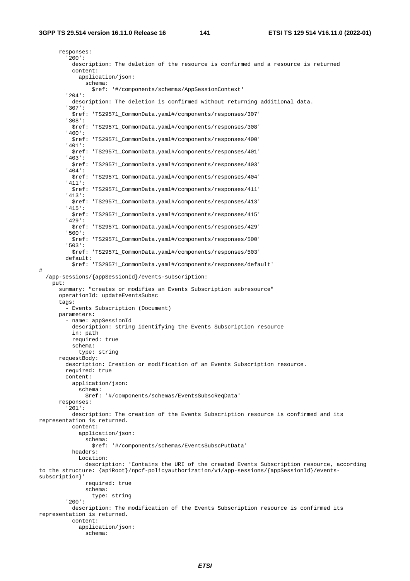#

 responses: '200': description: The deletion of the resource is confirmed and a resource is returned content: application/json: schema: \$ref: '#/components/schemas/AppSessionContext' '204': description: The deletion is confirmed without returning additional data. '307': \$ref: 'TS29571\_CommonData.yaml#/components/responses/307' '308': \$ref: 'TS29571\_CommonData.yaml#/components/responses/308' '400': \$ref: 'TS29571\_CommonData.yaml#/components/responses/400' '401': \$ref: 'TS29571\_CommonData.yaml#/components/responses/401' '403': \$ref: 'TS29571\_CommonData.yaml#/components/responses/403' '404': \$ref: 'TS29571\_CommonData.yaml#/components/responses/404' '411': \$ref: 'TS29571\_CommonData.yaml#/components/responses/411' '413': \$ref: 'TS29571\_CommonData.yaml#/components/responses/413' '415': \$ref: 'TS29571\_CommonData.yaml#/components/responses/415' '429': \$ref: 'TS29571\_CommonData.yaml#/components/responses/429' '500': \$ref: 'TS29571\_CommonData.yaml#/components/responses/500' '503': \$ref: 'TS29571\_CommonData.yaml#/components/responses/503' default: \$ref: 'TS29571\_CommonData.yaml#/components/responses/default' /app-sessions/{appSessionId}/events-subscription: put: summary: "creates or modifies an Events Subscription subresource" operationId: updateEventsSubsc tags: - Events Subscription (Document) parameters: - name: appSessionId description: string identifying the Events Subscription resource in: path required: true schema: type: string requestBody: description: Creation or modification of an Events Subscription resource. required: true content: application/json: schema: \$ref: '#/components/schemas/EventsSubscReqData' responses: '201': description: The creation of the Events Subscription resource is confirmed and its representation is returned. content: application/json: schema: \$ref: '#/components/schemas/EventsSubscPutData' headers: Location: description: 'Contains the URI of the created Events Subscription resource, according to the structure: {apiRoot}/npcf-policyauthorization/v1/app-sessions/{appSessionId}/eventssubscription}' required: true schema: type: string '200': description: The modification of the Events Subscription resource is confirmed its representation is returned. content: application/json: schema: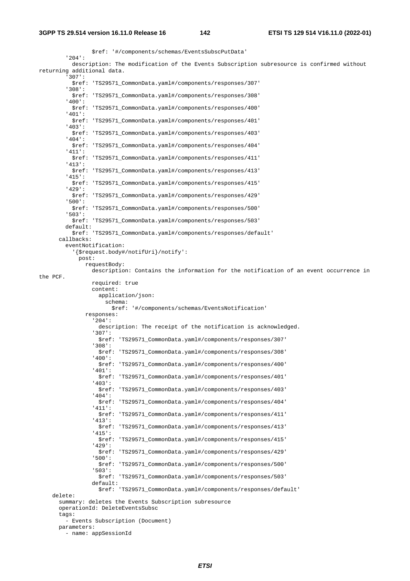\$ref: '#/components/schemas/EventsSubscPutData' '204': description: The modification of the Events Subscription subresource is confirmed without returning additional data. '307': \$ref: 'TS29571\_CommonData.yaml#/components/responses/307' '308': \$ref: 'TS29571\_CommonData.yaml#/components/responses/308' '400': \$ref: 'TS29571\_CommonData.yaml#/components/responses/400' '401': \$ref: 'TS29571\_CommonData.yaml#/components/responses/401' '403': \$ref: 'TS29571\_CommonData.yaml#/components/responses/403' '404': \$ref: 'TS29571\_CommonData.yaml#/components/responses/404' '411': \$ref: 'TS29571\_CommonData.yaml#/components/responses/411' '413': \$ref: 'TS29571\_CommonData.yaml#/components/responses/413' '415': \$ref: 'TS29571\_CommonData.yaml#/components/responses/415' '429': \$ref: 'TS29571\_CommonData.yaml#/components/responses/429' '500': \$ref: 'TS29571\_CommonData.yaml#/components/responses/500' '503': \$ref: 'TS29571\_CommonData.yaml#/components/responses/503' default: \$ref: 'TS29571\_CommonData.yaml#/components/responses/default' callbacks: eventNotification: '{\$request.body#/notifUri}/notify': post: requestBody: description: Contains the information for the notification of an event occurrence in the PCF. required: true content: application/json: schema: \$ref: '#/components/schemas/EventsNotification' responses: '204': description: The receipt of the notification is acknowledged. '307': \$ref: 'TS29571\_CommonData.yaml#/components/responses/307' '308': \$ref: 'TS29571\_CommonData.yaml#/components/responses/308' '400': \$ref: 'TS29571\_CommonData.yaml#/components/responses/400' '401': \$ref: 'TS29571\_CommonData.yaml#/components/responses/401' '403': \$ref: 'TS29571\_CommonData.yaml#/components/responses/403' '404': \$ref: 'TS29571\_CommonData.yaml#/components/responses/404' '411': \$ref: 'TS29571\_CommonData.yaml#/components/responses/411' '413': \$ref: 'TS29571\_CommonData.yaml#/components/responses/413' '415': \$ref: 'TS29571\_CommonData.yaml#/components/responses/415' '429': \$ref: 'TS29571\_CommonData.yaml#/components/responses/429' '500': \$ref: 'TS29571\_CommonData.yaml#/components/responses/500' '503': \$ref: 'TS29571\_CommonData.yaml#/components/responses/503' default: \$ref: 'TS29571\_CommonData.yaml#/components/responses/default' delete: summary: deletes the Events Subscription subresource operationId: DeleteEventsSubsc tags: - Events Subscription (Document) parameters: - name: appSessionId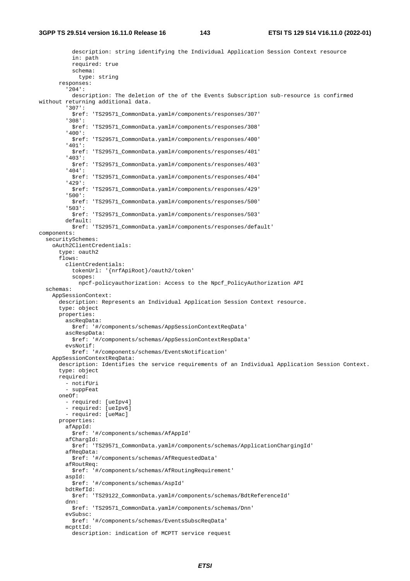description: string identifying the Individual Application Session Context resource in: path required: true schema: type: string responses: '204': description: The deletion of the of the Events Subscription sub-resource is confirmed without returning additional data. '307': \$ref: 'TS29571\_CommonData.yaml#/components/responses/307' '308': \$ref: 'TS29571\_CommonData.yaml#/components/responses/308' '400': \$ref: 'TS29571\_CommonData.yaml#/components/responses/400' '401': \$ref: 'TS29571\_CommonData.yaml#/components/responses/401' '403': \$ref: 'TS29571\_CommonData.yaml#/components/responses/403' '404': \$ref: 'TS29571\_CommonData.yaml#/components/responses/404' '429': \$ref: 'TS29571\_CommonData.yaml#/components/responses/429' '500': \$ref: 'TS29571\_CommonData.yaml#/components/responses/500' '503': \$ref: 'TS29571\_CommonData.yaml#/components/responses/503' default: \$ref: 'TS29571\_CommonData.yaml#/components/responses/default' components: securitySchemes: oAuth2ClientCredentials: type: oauth2 flows: clientCredentials: tokenUrl: '{nrfApiRoot}/oauth2/token' scopes: npcf-policyauthorization: Access to the Npcf\_PolicyAuthorization API schemas: AppSessionContext: description: Represents an Individual Application Session Context resource. type: object properties: ascReqData: \$ref: '#/components/schemas/AppSessionContextReqData' ascRespData: \$ref: '#/components/schemas/AppSessionContextRespData' evsNotif: \$ref: '#/components/schemas/EventsNotification' AppSessionContextReqData: description: Identifies the service requirements of an Individual Application Session Context. type: object required: - notifUri - suppFeat oneOf: - required: [ueIpv4] - required: [ueIpv6] - required: [ueMac] properties: afAppId: \$ref: '#/components/schemas/AfAppId' afChargId: \$ref: 'TS29571\_CommonData.yaml#/components/schemas/ApplicationChargingId' afReqData: \$ref: '#/components/schemas/AfRequestedData' afRoutReq: \$ref: '#/components/schemas/AfRoutingRequirement' aspId: \$ref: '#/components/schemas/AspId' bdtRefId: \$ref: 'TS29122\_CommonData.yaml#/components/schemas/BdtReferenceId' dnn: \$ref: 'TS29571\_CommonData.yaml#/components/schemas/Dnn' evSubsc: \$ref: '#/components/schemas/EventsSubscReqData' mcpttId: description: indication of MCPTT service request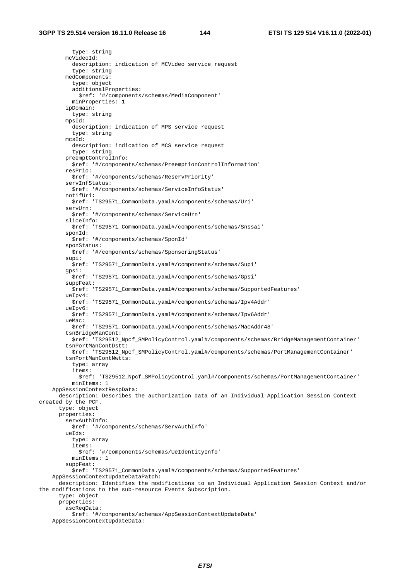type: string mcVideoId: description: indication of MCVideo service request type: string medComponents: type: object additionalProperties: \$ref: '#/components/schemas/MediaComponent' minProperties: 1 ipDomain: type: string mpsId: description: indication of MPS service request type: string mcsId: description: indication of MCS service request type: string preemptControlInfo: \$ref: '#/components/schemas/PreemptionControlInformation' resPrio: \$ref: '#/components/schemas/ReservPriority' servInfStatus: \$ref: '#/components/schemas/ServiceInfoStatus' notifUri: \$ref: 'TS29571\_CommonData.yaml#/components/schemas/Uri' servUrn: \$ref: '#/components/schemas/ServiceUrn' sliceInfo: \$ref: 'TS29571\_CommonData.yaml#/components/schemas/Snssai' sponId: \$ref: '#/components/schemas/SponId' sponStatus: \$ref: '#/components/schemas/SponsoringStatus' supi: \$ref: 'TS29571\_CommonData.yaml#/components/schemas/Supi' gpsi: \$ref: 'TS29571\_CommonData.yaml#/components/schemas/Gpsi' suppFeat: \$ref: 'TS29571\_CommonData.yaml#/components/schemas/SupportedFeatures' ueIpv4: \$ref: 'TS29571\_CommonData.yaml#/components/schemas/Ipv4Addr' ueIpv6: \$ref: 'TS29571\_CommonData.yaml#/components/schemas/Ipv6Addr' ueMac: \$ref: 'TS29571\_CommonData.yaml#/components/schemas/MacAddr48' tsnBridgeManCont: \$ref: 'TS29512\_Npcf\_SMPolicyControl.yaml#/components/schemas/BridgeManagementContainer' tsnPortManContDstt: \$ref: 'TS29512\_Npcf\_SMPolicyControl.yaml#/components/schemas/PortManagementContainer' tsnPortManContNwtts: type: array items: \$ref: 'TS29512\_Npcf\_SMPolicyControl.yaml#/components/schemas/PortManagementContainer' minItems: 1 AppSessionContextRespData: description: Describes the authorization data of an Individual Application Session Context created by the PCF. type: object properties: servAuthInfo: \$ref: '#/components/schemas/ServAuthInfo' ueIds: type: array items: \$ref: '#/components/schemas/UeIdentityInfo' minItems: 1 suppFeat: \$ref: 'TS29571\_CommonData.yaml#/components/schemas/SupportedFeatures' AppSessionContextUpdateDataPatch: description: Identifies the modifications to an Individual Application Session Context and/or the modifications to the sub-resource Events Subscription. type: object properties: ascReqData: \$ref: '#/components/schemas/AppSessionContextUpdateData' AppSessionContextUpdateData: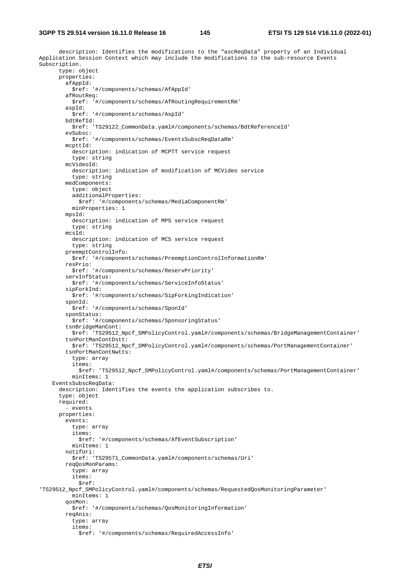description: Identifies the modifications to the "ascReqData" property of an Individual Application Session Context which may include the modifications to the sub-resource Events Subscription. type: object properties: afAppId: \$ref: '#/components/schemas/AfAppId' afRoutReq: \$ref: '#/components/schemas/AfRoutingRequirementRm' aspId: \$ref: '#/components/schemas/AspId' bdtRefId: \$ref: 'TS29122\_CommonData.yaml#/components/schemas/BdtReferenceId' evSubsc: \$ref: '#/components/schemas/EventsSubscReqDataRm' mcpttId: description: indication of MCPTT service request type: string mcVideoId: description: indication of modification of MCVideo service type: string medComponents: type: object additionalProperties: \$ref: '#/components/schemas/MediaComponentRm' minProperties: 1 mpsId: description: indication of MPS service request type: string mcsId: description: indication of MCS service request type: string preemptControlInfo: \$ref: '#/components/schemas/PreemptionControlInformationRm' resPrio: \$ref: '#/components/schemas/ReservPriority' servInfStatus: \$ref: '#/components/schemas/ServiceInfoStatus' sipForkInd: \$ref: '#/components/schemas/SipForkingIndication' sponId: \$ref: '#/components/schemas/SponId' sponStatus: \$ref: '#/components/schemas/SponsoringStatus' tsnBridgeManCont: \$ref: 'TS29512\_Npcf\_SMPolicyControl.yaml#/components/schemas/BridgeManagementContainer' tsnPortManContDstt: \$ref: 'TS29512\_Npcf\_SMPolicyControl.yaml#/components/schemas/PortManagementContainer' tsnPortManContNwtts: type: array items: \$ref: 'TS29512\_Npcf\_SMPolicyControl.yaml#/components/schemas/PortManagementContainer' minItems: 1 EventsSubscReqData: description: Identifies the events the application subscribes to. type: object required: - events properties: events: type: array items: \$ref: '#/components/schemas/AfEventSubscription' minItems: 1 notifUri: \$ref: 'TS29571\_CommonData.yaml#/components/schemas/Uri' reqQosMonParams: type: array items: \$ref: 'TS29512\_Npcf\_SMPolicyControl.yaml#/components/schemas/RequestedQosMonitoringParameter' minItems: 1 qosMon: \$ref: '#/components/schemas/QosMonitoringInformation' reqAnis: type: array items: \$ref: '#/components/schemas/RequiredAccessInfo'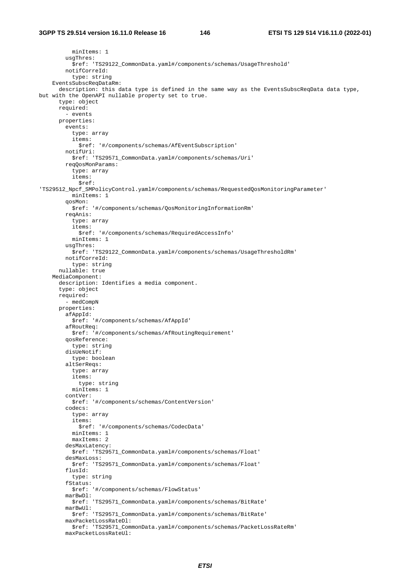minItems: 1 usgThres: \$ref: 'TS29122\_CommonData.yaml#/components/schemas/UsageThreshold' notifCorreId: type: string EventsSubscReqDataRm: description: this data type is defined in the same way as the EventsSubscReqData data type, but with the OpenAPI nullable property set to true. type: object required: - events properties: events: type: array items: \$ref: '#/components/schemas/AfEventSubscription' notifUri: \$ref: 'TS29571\_CommonData.yaml#/components/schemas/Uri' reqQosMonParams: type: array items: \$ref: 'TS29512\_Npcf\_SMPolicyControl.yaml#/components/schemas/RequestedQosMonitoringParameter' minItems: 1 qosMon: \$ref: '#/components/schemas/QosMonitoringInformationRm' reqAnis: type: array items: \$ref: '#/components/schemas/RequiredAccessInfo' minItems: 1 usgThres: \$ref: 'TS29122\_CommonData.yaml#/components/schemas/UsageThresholdRm' notifCorreId: type: string nullable: true MediaComponent: description: Identifies a media component. type: object required: - medCompN properties: afAppId: \$ref: '#/components/schemas/AfAppId' afRoutReq: \$ref: '#/components/schemas/AfRoutingRequirement' qosReference: type: string disUeNotif: type: boolean altSerReqs: type: array items: type: string minItems: 1 contVer: \$ref: '#/components/schemas/ContentVersion' codecs: type: array items: \$ref: '#/components/schemas/CodecData' minItems: 1 maxItems: 2 desMaxLatency: \$ref: 'TS29571\_CommonData.yaml#/components/schemas/Float' desMaxLoss: \$ref: 'TS29571\_CommonData.yaml#/components/schemas/Float' flusId: type: string fStatus: \$ref: '#/components/schemas/FlowStatus' marBwDl: \$ref: 'TS29571\_CommonData.yaml#/components/schemas/BitRate' marBwUl: \$ref: 'TS29571\_CommonData.yaml#/components/schemas/BitRate' maxPacketLossRateDl: \$ref: 'TS29571\_CommonData.yaml#/components/schemas/PacketLossRateRm' maxPacketLossRateUl: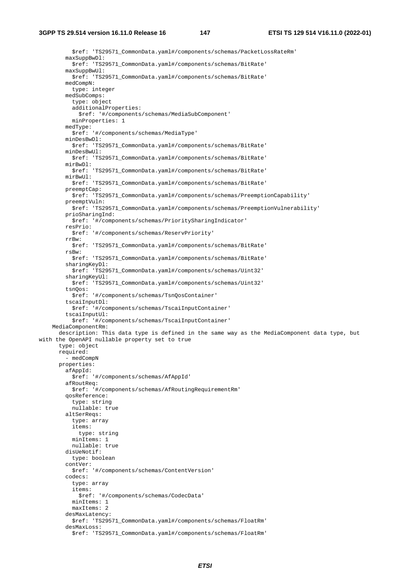\$ref: 'TS29571\_CommonData.yaml#/components/schemas/PacketLossRateRm' maxSuppBwDl: \$ref: 'TS29571\_CommonData.yaml#/components/schemas/BitRate' maxSuppBwUl: \$ref: 'TS29571\_CommonData.yaml#/components/schemas/BitRate' medCompN: type: integer medSubComps: type: object additionalProperties: \$ref: '#/components/schemas/MediaSubComponent' minProperties: 1 medType: \$ref: '#/components/schemas/MediaType' minDesBwDl: \$ref: 'TS29571\_CommonData.yaml#/components/schemas/BitRate' minDesBwUl: \$ref: 'TS29571\_CommonData.yaml#/components/schemas/BitRate' mirBwDl: \$ref: 'TS29571\_CommonData.yaml#/components/schemas/BitRate' mirBwUl: \$ref: 'TS29571\_CommonData.yaml#/components/schemas/BitRate' preemptCap: \$ref: 'TS29571\_CommonData.yaml#/components/schemas/PreemptionCapability' preemptVuln: \$ref: 'TS29571\_CommonData.yaml#/components/schemas/PreemptionVulnerability' prioSharingInd: \$ref: '#/components/schemas/PrioritySharingIndicator' resPrio: \$ref: '#/components/schemas/ReservPriority' rrBw: \$ref: 'TS29571\_CommonData.yaml#/components/schemas/BitRate' rsBw: \$ref: 'TS29571\_CommonData.yaml#/components/schemas/BitRate' sharingKeyDl: \$ref: 'TS29571\_CommonData.yaml#/components/schemas/Uint32' sharingKeyUl: \$ref: 'TS29571\_CommonData.yaml#/components/schemas/Uint32' tsnQos: \$ref: '#/components/schemas/TsnQosContainer' tscaiInputDl: \$ref: '#/components/schemas/TscaiInputContainer' tscaiInputUl: \$ref: '#/components/schemas/TscaiInputContainer' MediaComponentRm: description: This data type is defined in the same way as the MediaComponent data type, but with the OpenAPI nullable property set to true type: object required: - medCompN properties: afAppId: \$ref: '#/components/schemas/AfAppId' afRoutReq: \$ref: '#/components/schemas/AfRoutingRequirementRm' qosReference: type: string nullable: true altSerReqs: type: array items: type: string minItems: 1 nullable: true disUeNotif: type: boolean contVer: \$ref: '#/components/schemas/ContentVersion' codecs: type: array items: \$ref: '#/components/schemas/CodecData' minItems: 1 maxItems: 2 desMaxLatency: \$ref: 'TS29571\_CommonData.yaml#/components/schemas/FloatRm' desMaxLoss: \$ref: 'TS29571\_CommonData.yaml#/components/schemas/FloatRm'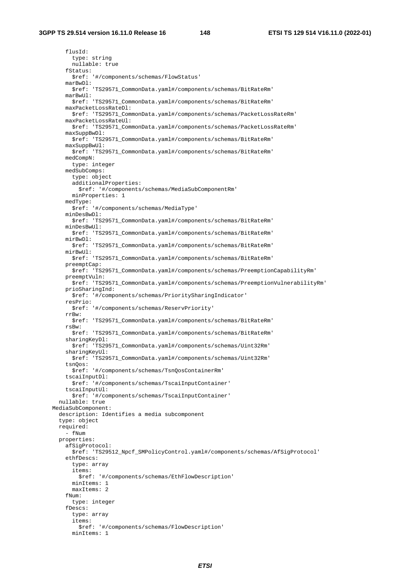flusId: type: string nullable: true fStatus: \$ref: '#/components/schemas/FlowStatus' marBwDl: \$ref: 'TS29571\_CommonData.yaml#/components/schemas/BitRateRm' marBwUl: \$ref: 'TS29571\_CommonData.yaml#/components/schemas/BitRateRm' maxPacketLossRateDl: \$ref: 'TS29571\_CommonData.yaml#/components/schemas/PacketLossRateRm' maxPacketLossRateUl: \$ref: 'TS29571\_CommonData.yaml#/components/schemas/PacketLossRateRm' maxSuppBwDl: \$ref: 'TS29571\_CommonData.yaml#/components/schemas/BitRateRm' maxSuppBwUl: \$ref: 'TS29571\_CommonData.yaml#/components/schemas/BitRateRm' medCompN: type: integer medSubComps: type: object additionalProperties: \$ref: '#/components/schemas/MediaSubComponentRm' minProperties: 1 medType: \$ref: '#/components/schemas/MediaType' minDesBwDl: \$ref: 'TS29571\_CommonData.yaml#/components/schemas/BitRateRm' minDesBwUl: \$ref: 'TS29571\_CommonData.yaml#/components/schemas/BitRateRm' mirBwDl: \$ref: 'TS29571\_CommonData.yaml#/components/schemas/BitRateRm' mirBwUl: \$ref: 'TS29571\_CommonData.yaml#/components/schemas/BitRateRm' preemptCap: \$ref: 'TS29571\_CommonData.yaml#/components/schemas/PreemptionCapabilityRm' preemptVuln: \$ref: 'TS29571\_CommonData.yaml#/components/schemas/PreemptionVulnerabilityRm' prioSharingInd: \$ref: '#/components/schemas/PrioritySharingIndicator' resPrio: \$ref: '#/components/schemas/ReservPriority' rrBw: \$ref: 'TS29571\_CommonData.yaml#/components/schemas/BitRateRm' rsBw: \$ref: 'TS29571\_CommonData.yaml#/components/schemas/BitRateRm' sharingKeyDl: \$ref: 'TS29571\_CommonData.yaml#/components/schemas/Uint32Rm' sharingKeyUl: \$ref: 'TS29571\_CommonData.yaml#/components/schemas/Uint32Rm' tsnQos: \$ref: '#/components/schemas/TsnQosContainerRm' tscaiInputDl: \$ref: '#/components/schemas/TscaiInputContainer' tscaiInputUl: \$ref: '#/components/schemas/TscaiInputContainer' nullable: true MediaSubComponent: description: Identifies a media subcomponent type: object required: - fNum properties: afSigProtocol: \$ref: 'TS29512\_Npcf\_SMPolicyControl.yaml#/components/schemas/AfSigProtocol' ethfDescs: type: array items: \$ref: '#/components/schemas/EthFlowDescription' minItems: 1 maxItems: 2 fNum: type: integer fDescs: type: array items: \$ref: '#/components/schemas/FlowDescription'

minItems: 1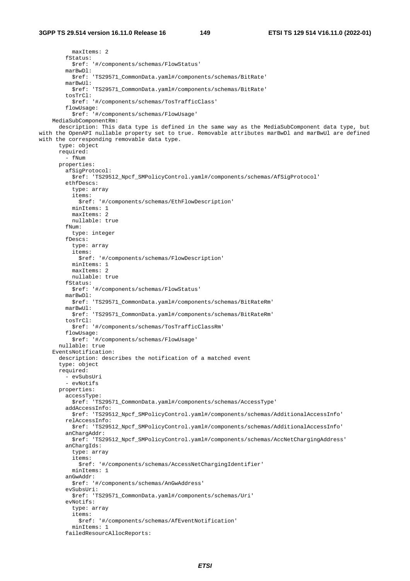maxItems: 2 fStatus: \$ref: '#/components/schemas/FlowStatus' marBwDl: \$ref: 'TS29571\_CommonData.yaml#/components/schemas/BitRate' marBwUl: \$ref: 'TS29571\_CommonData.yaml#/components/schemas/BitRate' tosTrCl: \$ref: '#/components/schemas/TosTrafficClass' flowUsage: \$ref: '#/components/schemas/FlowUsage' MediaSubComponentRm: description: This data type is defined in the same way as the MediaSubComponent data type, but with the OpenAPI nullable property set to true. Removable attributes marBwDl and marBwUl are defined with the corresponding removable data type. type: object required:  $-FNum$  properties: afSigProtocol: \$ref: 'TS29512\_Npcf\_SMPolicyControl.yaml#/components/schemas/AfSigProtocol' ethfDescs: type: array items: \$ref: '#/components/schemas/EthFlowDescription' minItems: 1 maxItems: 2 nullable: true fNum: type: integer fDescs: type: array items: \$ref: '#/components/schemas/FlowDescription' minItems: 1 maxItems: 2 nullable: true fStatus: \$ref: '#/components/schemas/FlowStatus' marBwDl: \$ref: 'TS29571\_CommonData.yaml#/components/schemas/BitRateRm' marBwUl: \$ref: 'TS29571\_CommonData.yaml#/components/schemas/BitRateRm' tosTrCl: \$ref: '#/components/schemas/TosTrafficClassRm' flowUsage: \$ref: '#/components/schemas/FlowUsage' nullable: true EventsNotification: description: describes the notification of a matched event type: object required: - evSubsUri - evNotifs properties: accessType: \$ref: 'TS29571\_CommonData.yaml#/components/schemas/AccessType' addAccessInfo: \$ref: 'TS29512\_Npcf\_SMPolicyControl.yaml#/components/schemas/AdditionalAccessInfo' relAccessInfo: \$ref: 'TS29512\_Npcf\_SMPolicyControl.yaml#/components/schemas/AdditionalAccessInfo' anChargAddr: \$ref: 'TS29512\_Npcf\_SMPolicyControl.yaml#/components/schemas/AccNetChargingAddress' anChargIds: type: array items: \$ref: '#/components/schemas/AccessNetChargingIdentifier' minItems: 1 anGwAddr: \$ref: '#/components/schemas/AnGwAddress' evSubsUri: \$ref: 'TS29571\_CommonData.yaml#/components/schemas/Uri' evNotifs: type: array items: \$ref: '#/components/schemas/AfEventNotification' minItems: 1 failedResourcAllocReports: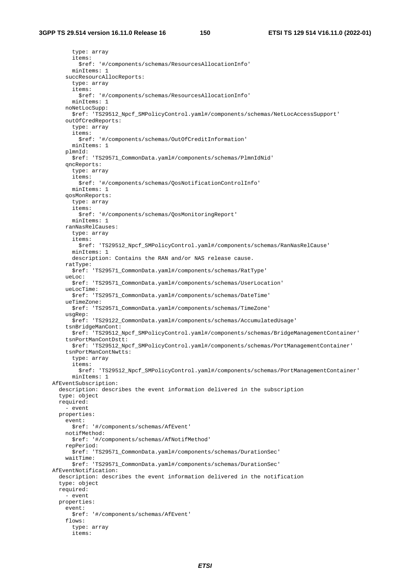type: array items: \$ref: '#/components/schemas/ResourcesAllocationInfo' minItems: 1 succResourcAllocReports: type: array items: \$ref: '#/components/schemas/ResourcesAllocationInfo' minItems: 1 noNetLocSupp: \$ref: 'TS29512\_Npcf\_SMPolicyControl.yaml#/components/schemas/NetLocAccessSupport' outOfCredReports: type: array items: \$ref: '#/components/schemas/OutOfCreditInformation' minItems: 1 plmnId: \$ref: 'TS29571\_CommonData.yaml#/components/schemas/PlmnIdNid' qncReports: type: array items: \$ref: '#/components/schemas/QosNotificationControlInfo' minItems: 1 qosMonReports: type: array items: \$ref: '#/components/schemas/QosMonitoringReport' minItems: 1 ranNasRelCauses: type: array items: \$ref: 'TS29512\_Npcf\_SMPolicyControl.yaml#/components/schemas/RanNasRelCause' minItems: 1 description: Contains the RAN and/or NAS release cause. ratType: \$ref: 'TS29571\_CommonData.yaml#/components/schemas/RatType' ueLoc: \$ref: 'TS29571\_CommonData.yaml#/components/schemas/UserLocation' ueLocTime: \$ref: 'TS29571\_CommonData.yaml#/components/schemas/DateTime' ueTimeZone: \$ref: 'TS29571\_CommonData.yaml#/components/schemas/TimeZone' usgRep: \$ref: 'TS29122\_CommonData.yaml#/components/schemas/AccumulatedUsage' tsnBridgeManCont: \$ref: 'TS29512\_Npcf\_SMPolicyControl.yaml#/components/schemas/BridgeManagementContainer' tsnPortManContDstt: \$ref: 'TS29512\_Npcf\_SMPolicyControl.yaml#/components/schemas/PortManagementContainer' tsnPortManContNwtts: type: array items: \$ref: 'TS29512\_Npcf\_SMPolicyControl.yaml#/components/schemas/PortManagementContainer' minItems: 1 AfEventSubscription: description: describes the event information delivered in the subscription type: object required: - event properties: event: \$ref: '#/components/schemas/AfEvent' notifMethod: \$ref: '#/components/schemas/AfNotifMethod' repPeriod: \$ref: 'TS29571\_CommonData.yaml#/components/schemas/DurationSec' waitTime: \$ref: 'TS29571\_CommonData.yaml#/components/schemas/DurationSec' AfEventNotification: description: describes the event information delivered in the notification type: object required: - event properties: event: \$ref: '#/components/schemas/AfEvent' flows: type: array items: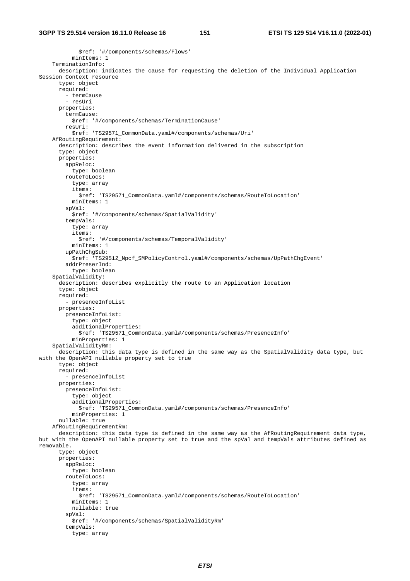\$ref: '#/components/schemas/Flows' minItems: 1 TerminationInfo: description: indicates the cause for requesting the deletion of the Individual Application Session Context resource type: object required: - termCause - resUri properties: termCause: \$ref: '#/components/schemas/TerminationCause' resUri: \$ref: 'TS29571\_CommonData.yaml#/components/schemas/Uri' AfRoutingRequirement: description: describes the event information delivered in the subscription type: object properties: appReloc: type: boolean routeToLocs: type: array items: \$ref: 'TS29571\_CommonData.yaml#/components/schemas/RouteToLocation' minItems: 1 spVal: \$ref: '#/components/schemas/SpatialValidity' tempVals: type: array items: \$ref: '#/components/schemas/TemporalValidity' minItems: 1 upPathChgSub: \$ref: 'TS29512\_Npcf\_SMPolicyControl.yaml#/components/schemas/UpPathChgEvent' addrPreserInd: type: boolean SpatialValidity: description: describes explicitly the route to an Application location type: object required: - presenceInfoList properties: presenceInfoList: type: object additionalProperties: \$ref: 'TS29571\_CommonData.yaml#/components/schemas/PresenceInfo' minProperties: 1 SpatialValidityRm: description: this data type is defined in the same way as the SpatialValidity data type, but with the OpenAPI nullable property set to true type: object required: - presenceInfoList properties: presenceInfoList: type: object additionalProperties: \$ref: 'TS29571\_CommonData.yaml#/components/schemas/PresenceInfo' minProperties: 1 nullable: true AfRoutingRequirementRm: description: this data type is defined in the same way as the AfRoutingRequirement data type, but with the OpenAPI nullable property set to true and the spVal and tempVals attributes defined as removable. type: object properties: appReloc: type: boolean routeToLocs: type: array items: \$ref: 'TS29571\_CommonData.yaml#/components/schemas/RouteToLocation' minItems: 1 nullable: true spVal: \$ref: '#/components/schemas/SpatialValidityRm' tempVals: type: array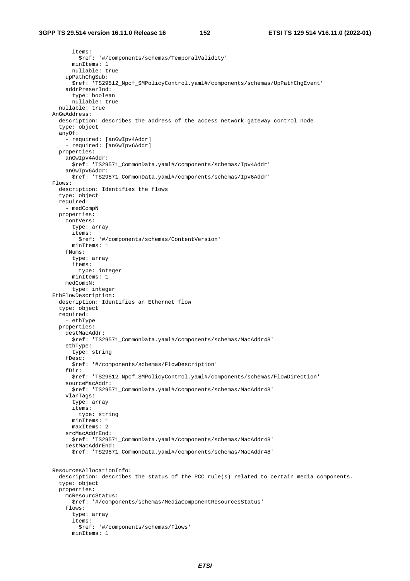items: \$ref: '#/components/schemas/TemporalValidity' minItems: 1 nullable: true upPathChgSub: \$ref: 'TS29512\_Npcf\_SMPolicyControl.yaml#/components/schemas/UpPathChgEvent' addrPreserInd: type: boolean nullable: true nullable: true AnGwAddress: description: describes the address of the access network gateway control node type: object anyOf: - required: [anGwIpv4Addr] - required: [anGwIpv6Addr] properties: anGwIpv4Addr: \$ref: 'TS29571\_CommonData.yaml#/components/schemas/Ipv4Addr' anGwIpv6Addr: \$ref: 'TS29571\_CommonData.yaml#/components/schemas/Ipv6Addr' Flows: description: Identifies the flows type: object required: - medCompN properties: contVers: type: array items: \$ref: '#/components/schemas/ContentVersion' minItems: 1 fNums: type: array items: type: integer minItems: 1 medCompN: type: integer EthFlowDescription: description: Identifies an Ethernet flow type: object required: - ethType properties: destMacAddr: \$ref: 'TS29571\_CommonData.yaml#/components/schemas/MacAddr48' ethType: type: string fDesc: \$ref: '#/components/schemas/FlowDescription' fDir: \$ref: 'TS29512\_Npcf\_SMPolicyControl.yaml#/components/schemas/FlowDirection' sourceMacAddr: \$ref: 'TS29571\_CommonData.yaml#/components/schemas/MacAddr48' vlanTags: type: array items: type: string minItems: 1 maxItems: 2 srcMacAddrEnd: \$ref: 'TS29571\_CommonData.yaml#/components/schemas/MacAddr48' destMacAddrEnd: \$ref: 'TS29571\_CommonData.yaml#/components/schemas/MacAddr48' ResourcesAllocationInfo: description: describes the status of the PCC rule(s) related to certain media components. type: object properties: mcResourcStatus: \$ref: '#/components/schemas/MediaComponentResourcesStatus' flows: type: array items: \$ref: '#/components/schemas/Flows' minItems: 1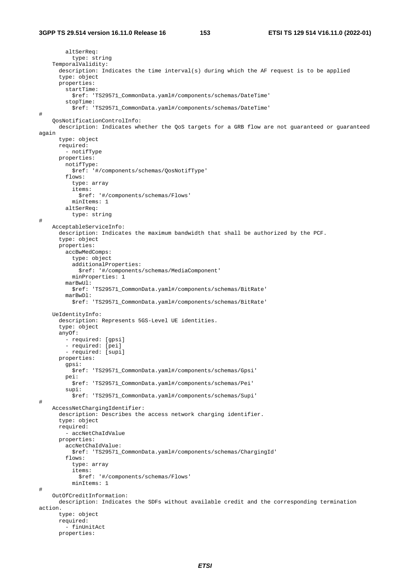#### **3GPP TS 29.514 version 16.11.0 Release 16 153 ETSI TS 129 514 V16.11.0 (2022-01)**

```
 altSerReq: 
           type: string 
     TemporalValidity: 
       description: Indicates the time interval(s) during which the AF request is to be applied 
       type: object 
       properties: 
         startTime: 
           $ref: 'TS29571_CommonData.yaml#/components/schemas/DateTime' 
         stopTime: 
           $ref: 'TS29571_CommonData.yaml#/components/schemas/DateTime' 
# 
     QosNotificationControlInfo: 
       description: Indicates whether the QoS targets for a GRB flow are not guaranteed or guaranteed 
again 
       type: object 
       required: 
         - notifType 
       properties: 
         notifType: 
           $ref: '#/components/schemas/QosNotifType' 
         flows: 
           type: array 
            items: 
              $ref: '#/components/schemas/Flows' 
           minItems: 1 
         altSerReq: 
           type: string 
# 
     AcceptableServiceInfo: 
       description: Indicates the maximum bandwidth that shall be authorized by the PCF. 
       type: object 
       properties: 
         accBwMedComps: 
           type: object 
           additionalProperties: 
              $ref: '#/components/schemas/MediaComponent' 
           minProperties: 1 
         marBwUl: 
           $ref: 'TS29571_CommonData.yaml#/components/schemas/BitRate' 
         marBwDl: 
           $ref: 'TS29571_CommonData.yaml#/components/schemas/BitRate' 
     UeIdentityInfo: 
       description: Represents 5GS-Level UE identities. 
       type: object 
       anyOf: 
         - required: [gpsi] 
         - required: [pei] 
         - required: [supi] 
       properties: 
         gpsi: 
           $ref: 'TS29571_CommonData.yaml#/components/schemas/Gpsi' 
         pei: 
           $ref: 'TS29571_CommonData.yaml#/components/schemas/Pei' 
         supi: 
           $ref: 'TS29571_CommonData.yaml#/components/schemas/Supi' 
# 
     AccessNetChargingIdentifier: 
       description: Describes the access network charging identifier. 
       type: object 
       required: 
          - accNetChaIdValue 
       properties: 
         accNetChaIdValue: 
           $ref: 'TS29571_CommonData.yaml#/components/schemas/ChargingId' 
         flows: 
            type: array 
            items: 
              $ref: '#/components/schemas/Flows' 
           minItems: 1 
# 
     OutOfCreditInformation: 
       description: Indicates the SDFs without available credit and the corresponding termination 
action. 
       type: object 
       required: 
          - finUnitAct 
       properties:
```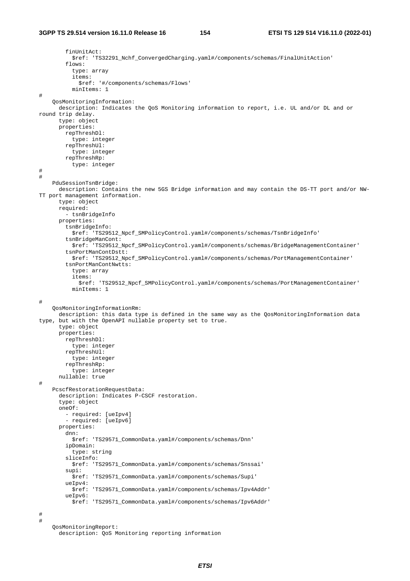```
 finUnitAct: 
            $ref: 'TS32291_Nchf_ConvergedCharging.yaml#/components/schemas/FinalUnitAction' 
         flows: 
           type: array 
            items: 
              $ref: '#/components/schemas/Flows' 
           minItems: 1 
# 
     QosMonitoringInformation: 
       description: Indicates the QoS Monitoring information to report, i.e. UL and/or DL and or 
round trip delay. 
       type: object 
       properties: 
         repThreshDl: 
           type: integer 
         repThreshUl: 
           type: integer 
         repThreshRp: 
           type: integer 
# 
# 
     PduSessionTsnBridge: 
       description: Contains the new 5GS Bridge information and may contain the DS-TT port and/or NW-
TT port management information. 
       type: object 
       required: 
         - tsnBridgeInfo 
       properties: 
         tsnBridgeInfo: 
           $ref: 'TS29512_Npcf_SMPolicyControl.yaml#/components/schemas/TsnBridgeInfo' 
         tsnBridgeManCont: 
           $ref: 'TS29512_Npcf_SMPolicyControl.yaml#/components/schemas/BridgeManagementContainer' 
         tsnPortManContDstt: 
           $ref: 'TS29512_Npcf_SMPolicyControl.yaml#/components/schemas/PortManagementContainer' 
         tsnPortManContNwtts: 
           type: array 
            items: 
              $ref: 'TS29512_Npcf_SMPolicyControl.yaml#/components/schemas/PortManagementContainer' 
           minItems: 1 
# 
     QosMonitoringInformationRm: 
       description: this data type is defined in the same way as the QosMonitoringInformation data 
type, but with the OpenAPI nullable property set to true. 
       type: object 
       properties: 
         repThreshDl: 
           type: integer 
         repThreshUl: 
           type: integer 
         repThreshRp: 
           type: integer 
       nullable: true 
# 
     PcscfRestorationRequestData: 
       description: Indicates P-CSCF restoration. 
       type: object 
       oneOf: 
         - required: [ueIpv4] 
         - required: [ueIpv6] 
       properties: 
         dnn: 
           $ref: 'TS29571_CommonData.yaml#/components/schemas/Dnn' 
         ipDomain: 
           type: string 
         sliceInfo: 
           $ref: 'TS29571_CommonData.yaml#/components/schemas/Snssai' 
          supi: 
           $ref: 'TS29571_CommonData.yaml#/components/schemas/Supi' 
         ueIpv4: 
           $ref: 'TS29571_CommonData.yaml#/components/schemas/Ipv4Addr' 
         ueIpv6: 
           $ref: 'TS29571_CommonData.yaml#/components/schemas/Ipv6Addr' 
# 
# 
     QosMonitoringReport:
```

```
 description: QoS Monitoring reporting information
```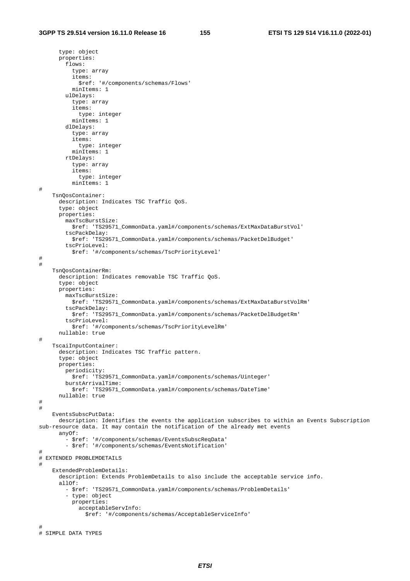type: object properties: flows: type: array items: \$ref: '#/components/schemas/Flows' minItems: 1 ulDelays: type: array items: type: integer minItems: 1 dlDelays: type: array items: type: integer minItems: 1 rtDelays: type: array items: type: integer minItems: 1 # TsnQosContainer: description: Indicates TSC Traffic QoS. type: object properties: maxTscBurstSize: \$ref: 'TS29571\_CommonData.yaml#/components/schemas/ExtMaxDataBurstVol' tscPackDelay: \$ref: 'TS29571\_CommonData.yaml#/components/schemas/PacketDelBudget' tscPrioLevel: \$ref: '#/components/schemas/TscPriorityLevel' # # TsnQosContainerRm: description: Indicates removable TSC Traffic QoS. type: object properties: maxTscBurstSize: \$ref: 'TS29571\_CommonData.yaml#/components/schemas/ExtMaxDataBurstVolRm' tscPackDelay: \$ref: 'TS29571\_CommonData.yaml#/components/schemas/PacketDelBudgetRm' tscPrioLevel: \$ref: '#/components/schemas/TscPriorityLevelRm' nullable: true # TscaiInputContainer: description: Indicates TSC Traffic pattern. type: object properties: periodicity: \$ref: 'TS29571\_CommonData.yaml#/components/schemas/Uinteger' burstArrivalTime: \$ref: 'TS29571\_CommonData.yaml#/components/schemas/DateTime' nullable: true # # EventsSubscPutData: description: Identifies the events the application subscribes to within an Events Subscription sub-resource data. It may contain the notification of the already met events anyOf: - \$ref: '#/components/schemas/EventsSubscReqData' - \$ref: '#/components/schemas/EventsNotification' # # EXTENDED PROBLEMDETAILS # ExtendedProblemDetails: description: Extends ProblemDetails to also include the acceptable service info. allOf: - \$ref: 'TS29571\_CommonData.yaml#/components/schemas/ProblemDetails' - type: object properties: acceptableServInfo: \$ref: '#/components/schemas/AcceptableServiceInfo' # # SIMPLE DATA TYPES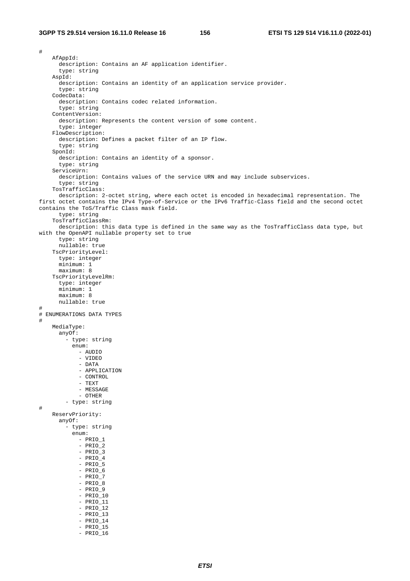# AfAppId: description: Contains an AF application identifier. type: string AspId: description: Contains an identity of an application service provider. type: string CodecData: description: Contains codec related information. type: string ContentVersion: description: Represents the content version of some content. type: integer FlowDescription: description: Defines a packet filter of an IP flow. type: string SponId: description: Contains an identity of a sponsor. type: string ServiceUrn: description: Contains values of the service URN and may include subservices. type: string TosTrafficClass: description: 2-octet string, where each octet is encoded in hexadecimal representation. The first octet contains the IPv4 Type-of-Service or the IPv6 Traffic-Class field and the second octet contains the ToS/Traffic Class mask field. type: string TosTrafficClassRm: description: this data type is defined in the same way as the TosTrafficClass data type, but with the OpenAPI nullable property set to true type: string nullable: true TscPriorityLevel: type: integer minimum: 1 maximum: 8 TscPriorityLevelRm: type: integer minimum: 1 maximum: 8 nullable: true # # ENUMERATIONS DATA TYPES # MediaType: anyOf: - type: string enum: - AUDIO - VIDEO - DATA - APPLICATION - CONTROL - TEXT - MESSAGE - OTHER - type: string # ReservPriority: anyOf: - type: string enum: - PRIO\_1 - PRIO\_2  $-$  PRIO $-3$  - PRIO\_4 - PRIO\_5 - PRIO\_6  $-$  PRIO 7 - PRIO\_8 - PRIO\_9 - PRIO\_10  $-$  PRIO\_11 - PRIO\_12 - PRIO\_13 - PRIO\_14 - PRIO\_15  $-$  PRIO\_16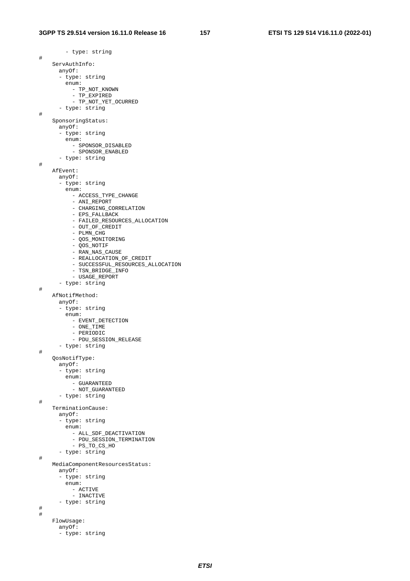- type: string # ServAuthInfo: anyOf: - type: string enum: - TP\_NOT\_KNOWN - TP\_EXPIRED - TP\_NOT\_YET\_OCURRED - type: string # SponsoringStatus: anyOf: - type: string enum: - SPONSOR\_DISABLED - SPONSOR\_ENABLED - type: string # AfEvent: anyOf: - type: string enum: - ACCESS\_TYPE\_CHANGE - ANI\_REPORT - CHARGING\_CORRELATION - EPS\_FALLBACK - FAILED\_RESOURCES\_ALLOCATION - OUT OF CREDIT - PLMN\_CHG - QOS\_MONITORING - QOS\_NOTIF - RAN\_NAS\_CAUSE - REALLOCATION OF CREDIT - SUCCESSFUL\_RESOURCES\_ALLOCATION - TSN\_BRIDGE\_INFO - USAGE\_REPORT - type: string # AfNotifMethod: anyOf: - type: string enum: - EVENT\_DETECTION - ONE\_TIME - PERIODIC - PDU\_SESSION\_RELEASE - type: string # QosNotifType: anyOf: - type: string enum: - GUARANTEED - NOT\_GUARANTEED - type: string # TerminationCause: anyOf: - type: string enum: - ALL\_SDF\_DEACTIVATION - PDU\_SESSION\_TERMINATION - PS\_TO\_CS\_HO - type: string # MediaComponentResourcesStatus: anyOf: - type: string enum: - ACTIVE - INACTIVE - type: string # # FlowUsage: anyOf:

- type: string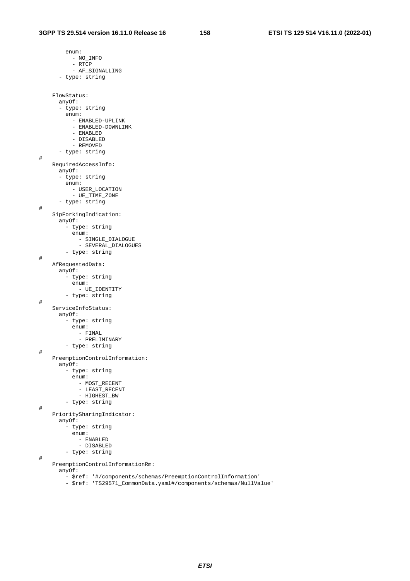enum: - NO\_INFO - RTCP - AF\_SIGNALLING - type: string FlowStatus: anyOf: - type: string enum: - ENABLED-UPLINK - ENABLED-DOWNLINK - ENABLED - DISABLED - REMOVED - type: string # RequiredAccessInfo: anyOf: - type: string enum: - USER\_LOCATION - UE\_TIME\_ZONE - type: string # SipForkingIndication: anyOf: - type: string enum: - SINGLE\_DIALOGUE - SEVERAL\_DIALOGUES - type: string # AfRequestedData: anyOf: - type: string enum: - UE\_IDENTITY - type: string # ServiceInfoStatus: anyOf: - type: string enum: - FINAL - PRELIMINARY - type: string # PreemptionControlInformation: anyOf: - type: string enum: - MOST\_RECENT - LEAST\_RECENT - HIGHEST\_BW - type: string # PrioritySharingIndicator: anyOf: - type: string enum: - ENABLED - DISABLED - type: string # PreemptionControlInformationRm: anyOf: - \$ref: '#/components/schemas/PreemptionControlInformation'

- \$ref: 'TS29571\_CommonData.yaml#/components/schemas/NullValue'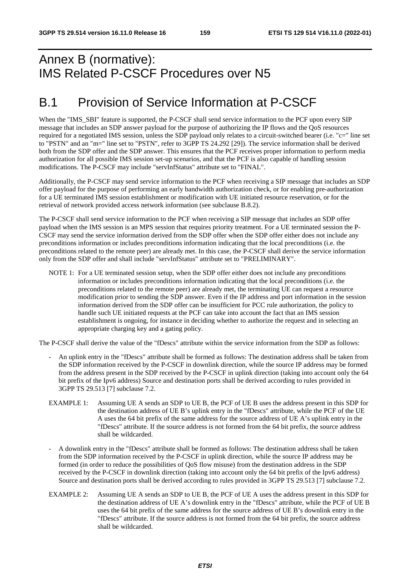## Annex B (normative): IMS Related P-CSCF Procedures over N5

## B.1 Provision of Service Information at P-CSCF

When the "IMS\_SBI" feature is supported, the P-CSCF shall send service information to the PCF upon every SIP message that includes an SDP answer payload for the purpose of authorizing the IP flows and the QoS resources required for a negotiated IMS session, unless the SDP payload only relates to a circuit-switched bearer (i.e. "c=" line set to "PSTN" and an "m=" line set to "PSTN", refer to 3GPP TS 24.292 [29]). The service information shall be derived both from the SDP offer and the SDP answer. This ensures that the PCF receives proper information to perform media authorization for all possible IMS session set-up scenarios, and that the PCF is also capable of handling session modifications. The P-CSCF may include "servInfStatus" attribute set to "FINAL".

Additionally, the P-CSCF may send service information to the PCF when receiving a SIP message that includes an SDP offer payload for the purpose of performing an early bandwidth authorization check, or for enabling pre-authorization for a UE terminated IMS session establishment or modification with UE initiated resource reservation, or for the retrieval of network provided access network information (see subclause B.8.2).

The P-CSCF shall send service information to the PCF when receiving a SIP message that includes an SDP offer payload when the IMS session is an MPS session that requires priority treatment. For a UE terminated session the P-CSCF may send the service information derived from the SDP offer when the SDP offer either does not include any preconditions information or includes preconditions information indicating that the local preconditions (i.e. the preconditions related to the remote peer) are already met. In this case, the P-CSCF shall derive the service information only from the SDP offer and shall include "servInfStatus" attribute set to "PRELIMINARY".

NOTE 1: For a UE terminated session setup, when the SDP offer either does not include any preconditions information or includes preconditions information indicating that the local preconditions (i.e. the preconditions related to the remote peer) are already met, the terminating UE can request a resource modification prior to sending the SDP answer. Even if the IP address and port information in the session information derived from the SDP offer can be insufficient for PCC rule authorization, the policy to handle such UE initiated requests at the PCF can take into account the fact that an IMS session establishment is ongoing, for instance in deciding whether to authorize the request and in selecting an appropriate charging key and a gating policy.

The P-CSCF shall derive the value of the "fDescs" attribute within the service information from the SDP as follows:

- An uplink entry in the "fDescs" attribute shall be formed as follows: The destination address shall be taken from the SDP information received by the P-CSCF in downlink direction, while the source IP address may be formed from the address present in the SDP received by the P-CSCF in uplink direction (taking into account only the 64 bit prefix of the Ipv6 address) Source and destination ports shall be derived according to rules provided in 3GPP TS 29.513 [7] subclause 7.2.
- EXAMPLE 1: Assuming UE A sends an SDP to UE B, the PCF of UE B uses the address present in this SDP for the destination address of UE B's uplink entry in the "fDescs" attribute, while the PCF of the UE A uses the 64 bit prefix of the same address for the source address of UE A's uplink entry in the "fDescs" attribute. If the source address is not formed from the 64 bit prefix, the source address shall be wildcarded.
- A downlink entry in the "fDescs" attribute shall be formed as follows: The destination address shall be taken from the SDP information received by the P-CSCF in uplink direction, while the source IP address may be formed (in order to reduce the possibilities of QoS flow misuse) from the destination address in the SDP received by the P-CSCF in downlink direction (taking into account only the 64 bit prefix of the Ipv6 address) Source and destination ports shall be derived according to rules provided in 3GPP TS 29.513 [7] subclause 7.2.
- EXAMPLE 2: Assuming UE A sends an SDP to UE B, the PCF of UE A uses the address present in this SDP for the destination address of UE A's downlink entry in the "fDescs" attribute, while the PCF of UE B uses the 64 bit prefix of the same address for the source address of UE B's downlink entry in the "fDescs" attribute. If the source address is not formed from the 64 bit prefix, the source address shall be wildcarded.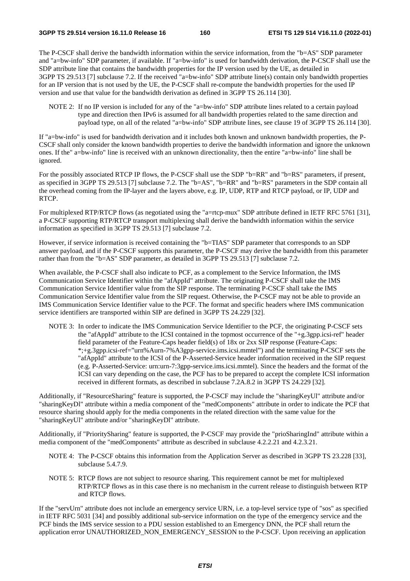The P-CSCF shall derive the bandwidth information within the service information, from the "b=AS" SDP parameter and "a=bw-info" SDP parameter, if available. If "a=bw-info" is used for bandwidth derivation, the P-CSCF shall use the SDP attribute line that contains the bandwidth properties for the IP version used by the UE, as detailed in 3GPP TS 29.513 [7] subclause 7.2. If the received "a=bw-info" SDP attribute line(s) contain only bandwidth properties for an IP version that is not used by the UE, the P-CSCF shall re-compute the bandwidth properties for the used IP version and use that value for the bandwidth derivation as defined in 3GPP TS 26.114 [30].

NOTE 2: If no IP version is included for any of the "a=bw-info" SDP attribute lines related to a certain payload type and direction then IPv6 is assumed for all bandwidth properties related to the same direction and payload type, on all of the related "a=bw-info" SDP attribute lines, see clause 19 of 3GPP TS 26.114 [30].

If "a=bw-info" is used for bandwidth derivation and it includes both known and unknown bandwidth properties, the P-CSCF shall only consider the known bandwidth properties to derive the bandwidth information and ignore the unknown ones. If the" a=bw-info" line is received with an unknown directionality, then the entire "a=bw-info" line shall be ignored.

For the possibly associated RTCP IP flows, the P-CSCF shall use the SDP "b=RR" and "b=RS" parameters, if present, as specified in 3GPP TS 29.513 [7] subclause 7.2. The "b=AS", "b=RR" and "b=RS" parameters in the SDP contain all the overhead coming from the IP-layer and the layers above, e.g. IP, UDP, RTP and RTCP payload, or IP, UDP and RTCP.

For multiplexed RTP/RTCP flows (as negotiated using the "a=rtcp-mux" SDP attribute defined in IETF RFC 5761 [31], a P-CSCF supporting RTP/RTCP transport multiplexing shall derive the bandwidth information within the service information as specified in 3GPP TS 29.513 [7] subclause 7.2.

However, if service information is received containing the "b=TIAS" SDP parameter that corresponds to an SDP answer payload, and if the P-CSCF supports this parameter, the P-CSCF may derive the bandwidth from this parameter rather than from the "b=AS" SDP parameter, as detailed in 3GPP TS 29.513 [7] subclause 7.2.

When available, the P-CSCF shall also indicate to PCF, as a complement to the Service Information, the IMS Communication Service Identifier within the "afAppId" attribute. The originating P-CSCF shall take the IMS Communication Service Identifier value from the SIP response. The terminating P-CSCF shall take the IMS Communication Service Identifier value from the SIP request. Otherwise, the P-CSCF may not be able to provide an IMS Communication Service Identifier value to the PCF. The format and specific headers where IMS communication service identifiers are transported within SIP are defined in 3GPP TS 24.229 [32].

NOTE 3: In order to indicate the IMS Communication Service Identifier to the PCF, the originating P-CSCF sets the "afAppId" attribute to the ICSI contained in the topmost occurrence of the "+g.3gpp.icsi-ref" header field parameter of the Feature-Caps header field(s) of 18x or 2xx SIP response (Feature-Caps: \*;+g.3gpp.icsi-ref="urn%Aurn-7%A3gpp-service.ims.icsi.mmtel") and the terminating P-CSCF sets the "afAppId" attribute to the ICSI of the P-Asserted-Service header information received in the SIP request (e.g. P-Asserted-Service: urn:urn-7:3gpp-service.ims.icsi.mmtel). Since the headers and the format of the ICSI can vary depending on the case, the PCF has to be prepared to accept the complete ICSI information received in different formats, as described in subclause 7.2A.8.2 in 3GPP TS 24.229 [32].

Additionally, if "ResourceSharing" feature is supported, the P-CSCF may include the "sharingKeyUl" attribute and/or "sharingKeyDl" attribute within a media component of the "medComponents" attribute in order to indicate the PCF that resource sharing should apply for the media components in the related direction with the same value for the "sharingKeyUl" attribute and/or "sharingKeyDl" attribute.

Additionally, if "PrioritySharing" feature is supported, the P-CSCF may provide the "prioSharingInd" attribute within a media component of the "medComponents" attribute as described in subclause 4.2.2.21 and 4.2.3.21.

- NOTE 4: The P-CSCF obtains this information from the Application Server as described in 3GPP TS 23.228 [33], subclause 5.4.7.9.
- NOTE 5: RTCP flows are not subject to resource sharing. This requirement cannot be met for multiplexed RTP/RTCP flows as in this case there is no mechanism in the current release to distinguish between RTP and RTCP flows.

If the "servUrn" attribute does not include an emergency service URN, i.e. a top-level service type of "sos" as specified in IETF RFC 5031 [34] and possibly additional sub-service information on the type of the emergency service and the PCF binds the IMS service session to a PDU session established to an Emergency DNN, the PCF shall return the application error UNAUTHORIZED\_NON\_EMERGENCY\_SESSION to the P-CSCF. Upon receiving an application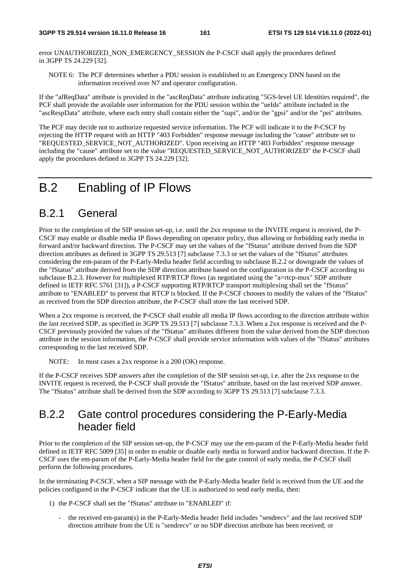error UNAUTHORIZED\_NON\_EMERGENCY\_SESSION the P-CSCF shall apply the procedures defined in 3GPP TS 24.229 [32].

NOTE 6: The PCF determines whether a PDU session is established to an Emergency DNN based on the information received over N7 and operator configuration.

If the "afReqData" attribute is provided in the "ascReqData" attribute indicating "5GS-level UE Identities required", the PCF shall provide the available user information for the PDU session within the "ueIds" attribute included in the "ascRespData" attribute, where each entry shall contain either the "supi", and/or the "gpsi" and/or the "pei" attributes.

The PCF may decide not to authorize requested service information. The PCF will indicate it to the P-CSCF by rejecting the HTTP request with an HTTP "403 Forbidden" response message including the "cause" attribute set to "REQUESTED\_SERVICE\_NOT\_AUTHORIZED". Upon receiving an HTTP "403 Forbidden" response message including the "cause" attribute set to the value "REQUESTED\_SERVICE\_NOT\_AUTHORIZED" the P-CSCF shall apply the procedures defined in 3GPP TS 24.229 [32].

### B.2 Enabling of IP Flows

### B.2.1 General

Prior to the completion of the SIP session set-up, i.e. until the 2xx response to the INVITE request is received, the P-CSCF may enable or disable media IP flows depending on operator policy, thus allowing or forbidding early media in forward and/or backward direction. The P-CSCF may set the values of the "fStatus" attribute derived from the SDP direction attributes as defined in 3GPP TS 29.513 [7] subclause 7.3.3 or set the values of the "fStatus" attributes considering the em-param of the P-Early-Media header field according to subclause B.2.2 or downgrade the values of the "fStatus" attribute derived from the SDP direction attribute based on the configuration in the P-CSCF according to subclause B.2.3. However for multiplexed RTP/RTCP flows (as negotiated using the "a=rtcp-mux" SDP attribute defined in IETF RFC 5761 [31]), a P-CSCF supporting RTP/RTCP transport multiplexing shall set the "fStatus" attribute to "ENABLED" to prevent that RTCP is blocked. If the P-CSCF chooses to modify the values of the "fStatus" as received from the SDP direction attribute, the P-CSCF shall store the last received SDP.

When a 2xx response is received, the P-CSCF shall enable all media IP flows according to the direction attribute within the last received SDP, as specified in 3GPP TS 29.513 [7] subclause 7.3.3. When a 2xx response is received and the P-CSCF previously provided the values of the "fStatus" attributes different from the value derived from the SDP direction attribute in the session information, the P-CSCF shall provide service information with values of the "fStatus" attributes corresponding to the last received SDP.

NOTE: In most cases a 2xx response is a 200 (OK) response.

If the P-CSCF receives SDP answers after the completion of the SIP session set-up, i.e. after the 2xx response to the INVITE request is received, the P-CSCF shall provide the "fStatus" attribute, based on the last received SDP answer. The "fStatus" attribute shall be derived from the SDP according to 3GPP TS 29.513 [7] subclause 7.3.3.

### B.2.2 Gate control procedures considering the P-Early-Media header field

Prior to the completion of the SIP session set-up, the P-CSCF may use the em-param of the P-Early-Media header field defined in IETF RFC 5009 [35] in order to enable or disable early media in forward and/or backward direction. If the P-CSCF uses the em-param of the P-Early-Media header field for the gate control of early media, the P-CSCF shall perform the following procedures.

In the terminating P-CSCF, when a SIP message with the P-Early-Media header field is received from the UE and the policies configured in the P-CSCF indicate that the UE is authorized to send early media, then:

- 1) the P-CSCF shall set the "fStatus" attribute to "ENABLED" if:
	- the received em-param(s) in the P-Early-Media header field includes "sendrecv" and the last received SDP direction attribute from the UE is "sendrecv" or no SDP direction attribute has been received; or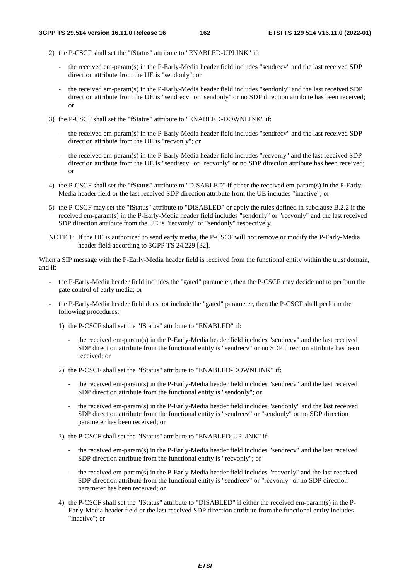- 2) the P-CSCF shall set the "fStatus" attribute to "ENABLED-UPLINK" if:
	- the received em-param(s) in the P-Early-Media header field includes "sendrecv" and the last received SDP direction attribute from the UE is "sendonly"; or
	- the received em-param(s) in the P-Early-Media header field includes "sendonly" and the last received SDP direction attribute from the UE is "sendrecv" or "sendonly" or no SDP direction attribute has been received; or
- 3) the P-CSCF shall set the "fStatus" attribute to "ENABLED-DOWNLINK" if:
	- the received em-param(s) in the P-Early-Media header field includes "sendrecv" and the last received SDP direction attribute from the UE is "recvonly"; or
	- the received em-param(s) in the P-Early-Media header field includes "recvonly" and the last received SDP direction attribute from the UE is "sendrecv" or "recvonly" or no SDP direction attribute has been received; or
- 4) the P-CSCF shall set the "fStatus" attribute to "DISABLED" if either the received em-param(s) in the P-Early-Media header field or the last received SDP direction attribute from the UE includes "inactive"; or
- 5) the P-CSCF may set the "fStatus" attribute to "DISABLED" or apply the rules defined in subclause B.2.2 if the received em-param(s) in the P-Early-Media header field includes "sendonly" or "recvonly" and the last received SDP direction attribute from the UE is "recvonly" or "sendonly" respectively.
- NOTE 1: If the UE is authorized to send early media, the P-CSCF will not remove or modify the P-Early-Media header field according to 3GPP TS 24.229 [32].

When a SIP message with the P-Early-Media header field is received from the functional entity within the trust domain, and if:

- the P-Early-Media header field includes the "gated" parameter, then the P-CSCF may decide not to perform the gate control of early media; or
- the P-Early-Media header field does not include the "gated" parameter, then the P-CSCF shall perform the following procedures:
	- 1) the P-CSCF shall set the "fStatus" attribute to "ENABLED" if:
		- the received em-param(s) in the P-Early-Media header field includes "sendrecv" and the last received SDP direction attribute from the functional entity is "sendrecv" or no SDP direction attribute has been received; or
	- 2) the P-CSCF shall set the "fStatus" attribute to "ENABLED-DOWNLINK" if:
		- the received em-param(s) in the P-Early-Media header field includes "sendrecv" and the last received SDP direction attribute from the functional entity is "sendonly"; or
		- the received em-param(s) in the P-Early-Media header field includes "sendonly" and the last received SDP direction attribute from the functional entity is "sendrecv" or "sendonly" or no SDP direction parameter has been received; or
	- 3) the P-CSCF shall set the "fStatus" attribute to "ENABLED-UPLINK" if:
		- the received em-param(s) in the P-Early-Media header field includes "sendrecv" and the last received SDP direction attribute from the functional entity is "recvonly"; or
		- the received em-param(s) in the P-Early-Media header field includes "recvonly" and the last received SDP direction attribute from the functional entity is "sendrecv" or "recvonly" or no SDP direction parameter has been received; or
	- 4) the P-CSCF shall set the "fStatus" attribute to "DISABLED" if either the received em-param(s) in the P-Early-Media header field or the last received SDP direction attribute from the functional entity includes "inactive"; or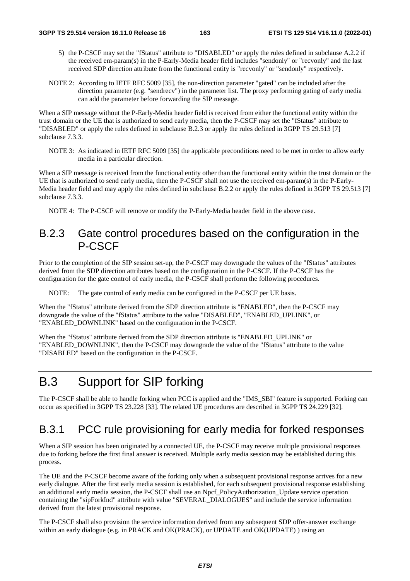- 5) the P-CSCF may set the "fStatus" attribute to "DISABLED" or apply the rules defined in subclause A.2.2 if the received em-param(s) in the P-Early-Media header field includes "sendonly" or "recvonly" and the last received SDP direction attribute from the functional entity is "recvonly" or "sendonly" respectively.
- NOTE 2: According to IETF RFC 5009 [35], the non-direction parameter "gated" can be included after the direction parameter (e.g. "sendrecv") in the parameter list. The proxy performing gating of early media can add the parameter before forwarding the SIP message.

When a SIP message without the P-Early-Media header field is received from either the functional entity within the trust domain or the UE that is authorized to send early media, then the P-CSCF may set the "fStatus" attribute to "DISABLED" or apply the rules defined in subclause B.2.3 or apply the rules defined in 3GPP TS 29.513 [7] subclause 7.3.3.

NOTE 3: As indicated in IETF RFC 5009 [35] the applicable preconditions need to be met in order to allow early media in a particular direction.

When a SIP message is received from the functional entity other than the functional entity within the trust domain or the UE that is authorized to send early media, then the P-CSCF shall not use the received em-param(s) in the P-Early-Media header field and may apply the rules defined in subclause B.2.2 or apply the rules defined in 3GPP TS 29.513 [7] subclause 7.3.3.

NOTE 4: The P-CSCF will remove or modify the P-Early-Media header field in the above case.

### B.2.3 Gate control procedures based on the configuration in the P-CSCF

Prior to the completion of the SIP session set-up, the P-CSCF may downgrade the values of the "fStatus" attributes derived from the SDP direction attributes based on the configuration in the P-CSCF. If the P-CSCF has the configuration for the gate control of early media, the P-CSCF shall perform the following procedures.

NOTE: The gate control of early media can be configured in the P-CSCF per UE basis.

When the "fStatus" attribute derived from the SDP direction attribute is "ENABLED", then the P-CSCF may downgrade the value of the "fStatus" attribute to the value "DISABLED", "ENABLED\_UPLINK", or "ENABLED\_DOWNLINK" based on the configuration in the P-CSCF.

When the "fStatus" attribute derived from the SDP direction attribute is "ENABLED\_UPLINK" or "ENABLED\_DOWNLINK", then the P-CSCF may downgrade the value of the "fStatus" attribute to the value "DISABLED" based on the configuration in the P-CSCF.

# B.3 Support for SIP forking

The P-CSCF shall be able to handle forking when PCC is applied and the "IMS\_SBI" feature is supported. Forking can occur as specified in 3GPP TS 23.228 [33]. The related UE procedures are described in 3GPP TS 24.229 [32].

### B.3.1 PCC rule provisioning for early media for forked responses

When a SIP session has been originated by a connected UE, the P-CSCF may receive multiple provisional responses due to forking before the first final answer is received. Multiple early media session may be established during this process.

The UE and the P-CSCF become aware of the forking only when a subsequent provisional response arrives for a new early dialogue. After the first early media session is established, for each subsequent provisional response establishing an additional early media session, the P-CSCF shall use an Npcf\_PolicyAuthorization\_Update service operation containing the "sipForkInd" attribute with value "SEVERAL\_DIALOGUES" and include the service information derived from the latest provisional response.

The P-CSCF shall also provision the service information derived from any subsequent SDP offer-answer exchange within an early dialogue (e.g. in PRACK and OK(PRACK), or UPDATE and OK(UPDATE) ) using an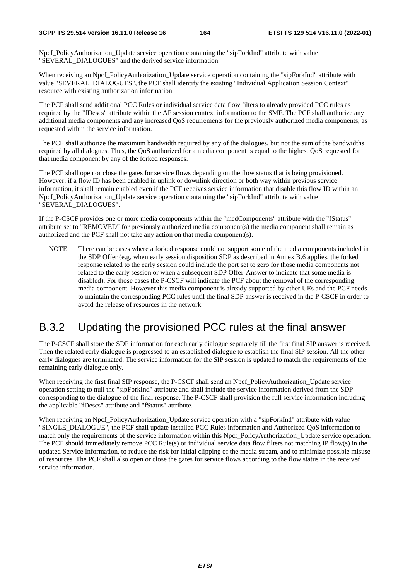Npcf\_PolicyAuthorization\_Update service operation containing the "sipForkInd" attribute with value "SEVERAL\_DIALOGUES" and the derived service information.

When receiving an Npcf\_PolicyAuthorization\_Update service operation containing the "sipForkInd" attribute with value "SEVERAL\_DIALOGUES", the PCF shall identify the existing "Individual Application Session Context" resource with existing authorization information.

The PCF shall send additional PCC Rules or individual service data flow filters to already provided PCC rules as required by the "fDescs" attribute within the AF session context information to the SMF. The PCF shall authorize any additional media components and any increased QoS requirements for the previously authorized media components, as requested within the service information.

The PCF shall authorize the maximum bandwidth required by any of the dialogues, but not the sum of the bandwidths required by all dialogues. Thus, the QoS authorized for a media component is equal to the highest QoS requested for that media component by any of the forked responses.

The PCF shall open or close the gates for service flows depending on the flow status that is being provisioned. However, if a flow ID has been enabled in uplink or downlink direction or both way within previous service information, it shall remain enabled even if the PCF receives service information that disable this flow ID within an Npcf\_PolicyAuthorization\_Update service operation containing the "sipForkInd" attribute with value "SEVERAL\_DIALOGUES".

If the P-CSCF provides one or more media components within the "medComponents" attribute with the "fStatus" attribute set to "REMOVED" for previously authorized media component(s) the media component shall remain as authorized and the PCF shall not take any action on that media component(s).

NOTE: There can be cases where a forked response could not support some of the media components included in the SDP Offer (e.g. when early session disposition SDP as described in Annex B.6 applies, the forked response related to the early session could include the port set to zero for those media components not related to the early session or when a subsequent SDP Offer-Answer to indicate that some media is disabled). For those cases the P-CSCF will indicate the PCF about the removal of the corresponding media component. However this media component is already supported by other UEs and the PCF needs to maintain the corresponding PCC rules until the final SDP answer is received in the P-CSCF in order to avoid the release of resources in the network.

### B.3.2 Updating the provisioned PCC rules at the final answer

The P-CSCF shall store the SDP information for each early dialogue separately till the first final SIP answer is received. Then the related early dialogue is progressed to an established dialogue to establish the final SIP session. All the other early dialogues are terminated. The service information for the SIP session is updated to match the requirements of the remaining early dialogue only.

When receiving the first final SIP response, the P-CSCF shall send an Npcf. PolicyAuthorization. Update service operation setting to null the "sipForkInd" attribute and shall include the service information derived from the SDP corresponding to the dialogue of the final response. The P-CSCF shall provision the full service information including the applicable "fDescs" attribute and "fStatus" attribute.

When receiving an Npcf\_PolicyAuthorization\_Update service operation with a "sipForkInd" attribute with value "SINGLE\_DIALOGUE", the PCF shall update installed PCC Rules information and Authorized-QoS information to match only the requirements of the service information within this Npcf\_PolicyAuthorization\_Update service operation. The PCF should immediately remove PCC Rule(s) or individual service data flow filters not matching IP flow(s) in the updated Service Information, to reduce the risk for initial clipping of the media stream, and to minimize possible misuse of resources. The PCF shall also open or close the gates for service flows according to the flow status in the received service information.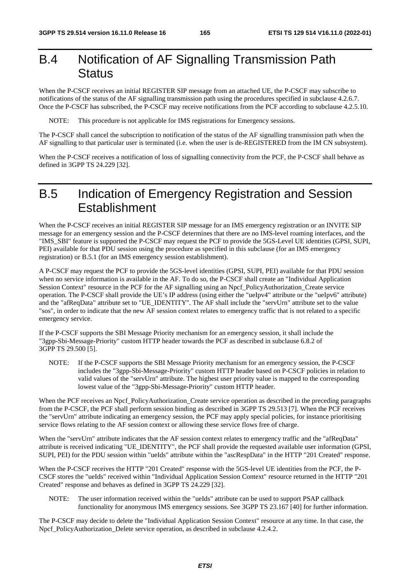## B.4 Notification of AF Signalling Transmission Path **Status**

When the P-CSCF receives an initial REGISTER SIP message from an attached UE, the P-CSCF may subscribe to notifications of the status of the AF signalling transmission path using the procedures specified in subclause 4.2.6.7. Once the P-CSCF has subscribed, the P-CSCF may receive notifications from the PCF according to subclause 4.2.5.10.

NOTE: This procedure is not applicable for IMS registrations for Emergency sessions.

The P-CSCF shall cancel the subscription to notification of the status of the AF signalling transmission path when the AF signalling to that particular user is terminated (i.e. when the user is de-REGISTERED from the IM CN subsystem).

When the P-CSCF receives a notification of loss of signalling connectivity from the PCF, the P-CSCF shall behave as defined in 3GPP TS 24.229 [32].

## B.5 Indication of Emergency Registration and Session **Establishment**

When the P-CSCF receives an initial REGISTER SIP message for an IMS emergency registration or an INVITE SIP message for an emergency session and the P-CSCF determines that there are no IMS-level roaming interfaces, and the "IMS\_SBI" feature is supported the P-CSCF may request the PCF to provide the 5GS-Level UE identities (GPSI, SUPI, PEI) available for that PDU session using the procedure as specified in this subclause (for an IMS emergency registration) or B.5.1 (for an IMS emergency session establishment).

A P-CSCF may request the PCF to provide the 5GS-level identities (GPSI, SUPI, PEI) available for that PDU session when no service information is available in the AF. To do so, the P-CSCF shall create an "Individual Application Session Context" resource in the PCF for the AF signalling using an Npcf\_PolicyAuthorization\_Create service operation. The P-CSCF shall provide the UE's IP address (using either the "ueIpv4" attribute or the "ueIpv6" attribute) and the "afReqData" attribute set to "UE\_IDENTITY". The AF shall include the "servUrn" attribute set to the value "sos", in order to indicate that the new AF session context relates to emergency traffic that is not related to a specific emergency service.

If the P-CSCF supports the SBI Message Priority mechanism for an emergency session, it shall include the "3gpp-Sbi-Message-Priority" custom HTTP header towards the PCF as described in subclause 6.8.2 of 3GPP TS 29.500 [5].

NOTE: If the P-CSCF supports the SBI Message Priority mechanism for an emergency session, the P-CSCF includes the "3gpp-Sbi-Message-Priority" custom HTTP header based on P-CSCF policies in relation to valid values of the "servUrn" attribute. The highest user priority value is mapped to the corresponding lowest value of the "3gpp-Sbi-Message-Priority" custom HTTP header.

When the PCF receives an Npcf\_PolicyAuthorization\_Create service operation as described in the preceding paragraphs from the P-CSCF, the PCF shall perform session binding as described in 3GPP TS 29.513 [7]. When the PCF receives the "servUrn" attribute indicating an emergency session, the PCF may apply special policies, for instance prioritising service flows relating to the AF session context or allowing these service flows free of charge.

When the "servUrn" attribute indicates that the AF session context relates to emergency traffic and the "afReqData" attribute is received indicating "UE\_IDENTITY", the PCF shall provide the requested available user information (GPSI, SUPI, PEI) for the PDU session within "ueIds" attribute within the "ascRespData" in the HTTP "201 Created" response.

When the P-CSCF receives the HTTP "201 Created" response with the 5GS-level UE identities from the PCF, the P-CSCF stores the "ueIds" received within "Individual Application Session Context" resource returned in the HTTP "201 Created" response and behaves as defined in 3GPP TS 24.229 [32].

NOTE: The user information received within the "ueIds" attribute can be used to support PSAP callback functionality for anonymous IMS emergency sessions. See 3GPP TS 23.167 [40] for further information.

The P-CSCF may decide to delete the "Individual Application Session Context" resource at any time. In that case, the Npcf\_PolicyAuthorization\_Delete service operation, as described in subclause 4.2.4.2.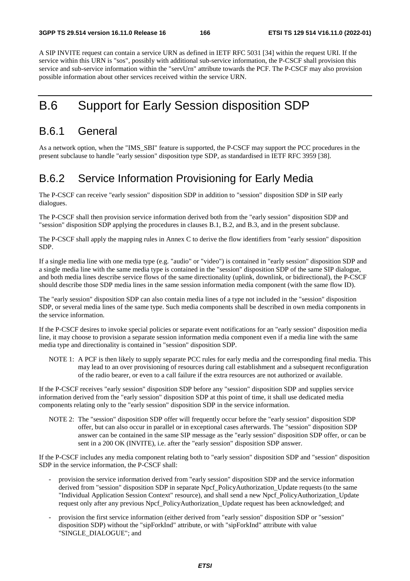A SIP INVITE request can contain a service URN as defined in IETF RFC 5031 [34] within the request URI. If the service within this URN is "sos", possibly with additional sub-service information, the P-CSCF shall provision this service and sub-service information within the "servUrn" attribute towards the PCF. The P-CSCF may also provision possible information about other services received within the service URN.

## B.6 Support for Early Session disposition SDP

### B.6.1 General

As a network option, when the "IMS\_SBI" feature is supported, the P-CSCF may support the PCC procedures in the present subclause to handle "early session" disposition type SDP, as standardised in IETF RFC 3959 [38].

### B.6.2 Service Information Provisioning for Early Media

The P-CSCF can receive "early session" disposition SDP in addition to "session" disposition SDP in SIP early dialogues.

The P-CSCF shall then provision service information derived both from the "early session" disposition SDP and "session" disposition SDP applying the procedures in clauses B.1, B.2, and B.3, and in the present subclause.

The P-CSCF shall apply the mapping rules in Annex C to derive the flow identifiers from "early session" disposition SDP.

If a single media line with one media type (e.g. "audio" or "video") is contained in "early session" disposition SDP and a single media line with the same media type is contained in the "session" disposition SDP of the same SIP dialogue, and both media lines describe service flows of the same directionality (uplink, downlink, or bidirectional), the P-CSCF should describe those SDP media lines in the same session information media component (with the same flow ID).

The "early session" disposition SDP can also contain media lines of a type not included in the "session" disposition SDP, or several media lines of the same type. Such media components shall be described in own media components in the service information.

If the P-CSCF desires to invoke special policies or separate event notifications for an "early session" disposition media line, it may choose to provision a separate session information media component even if a media line with the same media type and directionality is contained in "session" disposition SDP.

NOTE 1: A PCF is then likely to supply separate PCC rules for early media and the corresponding final media. This may lead to an over provisioning of resources during call establishment and a subsequent reconfiguration of the radio bearer, or even to a call failure if the extra resources are not authorized or available.

If the P-CSCF receives "early session" disposition SDP before any "session" disposition SDP and supplies service information derived from the "early session" disposition SDP at this point of time, it shall use dedicated media components relating only to the "early session" disposition SDP in the service information.

NOTE 2: The "session" disposition SDP offer will frequently occur before the "early session" disposition SDP offer, but can also occur in parallel or in exceptional cases afterwards. The "session" disposition SDP answer can be contained in the same SIP message as the "early session" disposition SDP offer, or can be sent in a 200 OK (INVITE), i.e. after the "early session" disposition SDP answer.

If the P-CSCF includes any media component relating both to "early session" disposition SDP and "session" disposition SDP in the service information, the P-CSCF shall:

- provision the service information derived from "early session" disposition SDP and the service information derived from "session" disposition SDP in separate Npcf\_PolicyAuthorization\_Update requests (to the same "Individual Application Session Context" resource), and shall send a new Npcf\_PolicyAuthorization\_Update request only after any previous Npcf\_PolicyAuthorization\_Update request has been acknowledged; and
- provision the first service information (either derived from "early session" disposition SDP or "session" disposition SDP) without the "sipForkInd" attribute, or with "sipForkInd" attribute with value "SINGLE\_DIALOGUE"; and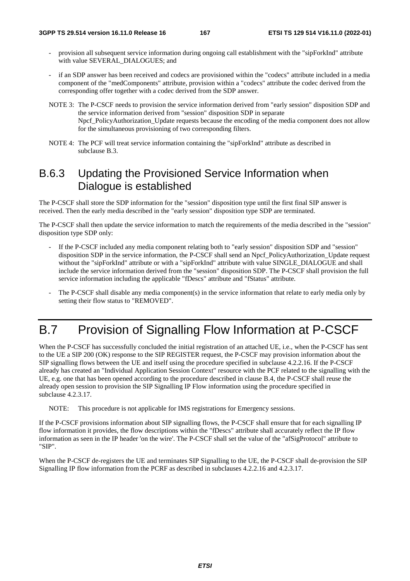- provision all subsequent service information during ongoing call establishment with the "sipForkInd" attribute with value SEVERAL\_DIALOGUES; and
- if an SDP answer has been received and codecs are provisioned within the "codecs" attribute included in a media component of the "medComponents" attribute, provision within a "codecs" attribute the codec derived from the corresponding offer together with a codec derived from the SDP answer.
- NOTE 3: The P-CSCF needs to provision the service information derived from "early session" disposition SDP and the service information derived from "session" disposition SDP in separate Npcf\_PolicyAuthorization\_Update requests because the encoding of the media component does not allow for the simultaneous provisioning of two corresponding filters.
- NOTE 4: The PCF will treat service information containing the "sipForkInd" attribute as described in subclause B.3.

### B.6.3 Updating the Provisioned Service Information when Dialogue is established

The P-CSCF shall store the SDP information for the "session" disposition type until the first final SIP answer is received. Then the early media described in the "early session" disposition type SDP are terminated.

The P-CSCF shall then update the service information to match the requirements of the media described in the "session" disposition type SDP only:

- If the P-CSCF included any media component relating both to "early session" disposition SDP and "session" disposition SDP in the service information, the P-CSCF shall send an Npcf\_PolicyAuthorization\_Update request without the "sipForkInd" attribute or with a "sipForkInd" attribute with value SINGLE\_DIALOGUE and shall include the service information derived from the "session" disposition SDP. The P-CSCF shall provision the full service information including the applicable "fDescs" attribute and "fStatus" attribute.
- The P-CSCF shall disable any media component(s) in the service information that relate to early media only by setting their flow status to "REMOVED".

## B.7 Provision of Signalling Flow Information at P-CSCF

When the P-CSCF has successfully concluded the initial registration of an attached UE, i.e., when the P-CSCF has sent to the UE a SIP 200 (OK) response to the SIP REGISTER request, the P-CSCF may provision information about the SIP signalling flows between the UE and itself using the procedure specified in subclause 4.2.2.16. If the P-CSCF already has created an "Individual Application Session Context" resource with the PCF related to the signalling with the UE, e.g. one that has been opened according to the procedure described in clause B.4, the P-CSCF shall reuse the already open session to provision the SIP Signalling IP Flow information using the procedure specified in subclause 4.2.3.17.

NOTE: This procedure is not applicable for IMS registrations for Emergency sessions.

If the P-CSCF provisions information about SIP signalling flows, the P-CSCF shall ensure that for each signalling IP flow information it provides, the flow descriptions within the "fDescs" attribute shall accurately reflect the IP flow information as seen in the IP header 'on the wire'. The P-CSCF shall set the value of the "afSigProtocol" attribute to "SIP".

When the P-CSCF de-registers the UE and terminates SIP Signalling to the UE, the P-CSCF shall de-provision the SIP Signalling IP flow information from the PCRF as described in subclauses 4.2.2.16 and 4.2.3.17.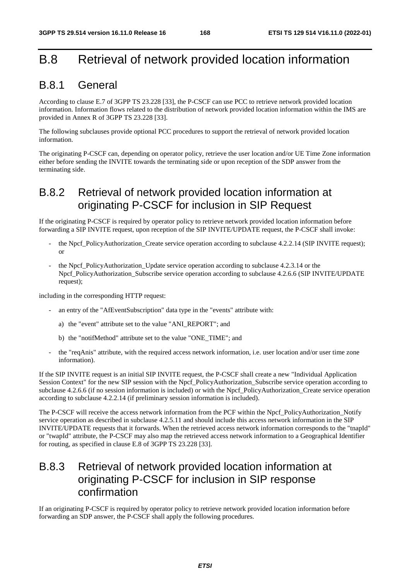## B.8 Retrieval of network provided location information

### B.8.1 General

According to clause E.7 of 3GPP TS 23.228 [33], the P-CSCF can use PCC to retrieve network provided location information. Information flows related to the distribution of network provided location information within the IMS are provided in Annex R of 3GPP TS 23.228 [33].

The following subclauses provide optional PCC procedures to support the retrieval of network provided location information.

The originating P-CSCF can, depending on operator policy, retrieve the user location and/or UE Time Zone information either before sending the INVITE towards the terminating side or upon reception of the SDP answer from the terminating side.

### B.8.2 Retrieval of network provided location information at originating P-CSCF for inclusion in SIP Request

If the originating P-CSCF is required by operator policy to retrieve network provided location information before forwarding a SIP INVITE request, upon reception of the SIP INVITE/UPDATE request, the P-CSCF shall invoke:

- the Npcf\_PolicyAuthorization\_Create service operation according to subclause 4.2.2.14 (SIP INVITE request); or
- the Npcf\_PolicyAuthorization\_Update service operation according to subclause 4.2.3.14 or the Npcf PolicyAuthorization Subscribe service operation according to subclause 4.2.6.6 (SIP INVITE/UPDATE request);

including in the corresponding HTTP request:

- an entry of the "AfEventSubscription" data type in the "events" attribute with:
	- a) the "event" attribute set to the value "ANI\_REPORT"; and
	- b) the "notifMethod" attribute set to the value "ONE\_TIME"; and
- the "reqAnis" attribute, with the required access network information, i.e. user location and/or user time zone information).

If the SIP INVITE request is an initial SIP INVITE request, the P-CSCF shall create a new "Individual Application Session Context" for the new SIP session with the Npcf\_PolicyAuthorization\_Subscribe service operation according to subclause 4.2.6.6 (if no session information is included) or with the Npcf\_PolicyAuthorization\_Create service operation according to subclause 4.2.2.14 (if preliminary session information is included).

The P-CSCF will receive the access network information from the PCF within the Npcf\_PolicyAuthorization\_Notify service operation as described in subclause 4.2.5.11 and should include this access network information in the SIP INVITE/UPDATE requests that it forwards. When the retrieved access network information corresponds to the "tnapId" or "twapId" attribute, the P-CSCF may also map the retrieved access network information to a Geographical Identifier for routing, as specified in clause E.8 of 3GPP TS 23.228 [33].

### B.8.3 Retrieval of network provided location information at originating P-CSCF for inclusion in SIP response confirmation

If an originating P-CSCF is required by operator policy to retrieve network provided location information before forwarding an SDP answer, the P-CSCF shall apply the following procedures.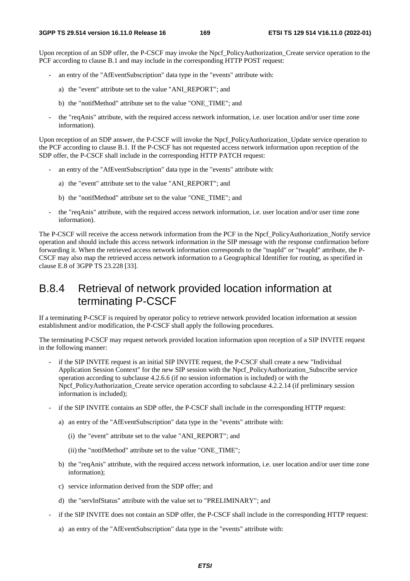Upon reception of an SDP offer, the P-CSCF may invoke the Npcf\_PolicyAuthorization\_Create service operation to the PCF according to clause B.1 and may include in the corresponding HTTP POST request:

- an entry of the "AfEventSubscription" data type in the "events" attribute with:
	- a) the "event" attribute set to the value "ANI\_REPORT"; and
	- b) the "notifMethod" attribute set to the value "ONE\_TIME"; and
- the "reqAnis" attribute, with the required access network information, i.e. user location and/or user time zone information).

Upon reception of an SDP answer, the P-CSCF will invoke the Npcf\_PolicyAuthorization\_Update service operation to the PCF according to clause B.1. If the P-CSCF has not requested access network information upon reception of the SDP offer, the P-CSCF shall include in the corresponding HTTP PATCH request:

- an entry of the "AfEventSubscription" data type in the "events" attribute with:
	- a) the "event" attribute set to the value "ANI\_REPORT"; and
	- b) the "notifMethod" attribute set to the value "ONE\_TIME"; and
- the "reqAnis" attribute, with the required access network information, i.e. user location and/or user time zone information).

The P-CSCF will receive the access network information from the PCF in the Npcf\_PolicyAuthorization\_Notify service operation and should include this access network information in the SIP message with the response confirmation before forwarding it. When the retrieved access network information corresponds to the "tnapId" or "twapId" attribute, the P-CSCF may also map the retrieved access network information to a Geographical Identifier for routing, as specified in clause E.8 of 3GPP TS 23.228 [33].

### B.8.4 Retrieval of network provided location information at terminating P-CSCF

If a terminating P-CSCF is required by operator policy to retrieve network provided location information at session establishment and/or modification, the P-CSCF shall apply the following procedures.

The terminating P-CSCF may request network provided location information upon reception of a SIP INVITE request in the following manner:

- if the SIP INVITE request is an initial SIP INVITE request, the P-CSCF shall create a new "Individual Application Session Context" for the new SIP session with the Npcf\_PolicyAuthorization\_Subscribe service operation according to subclause 4.2.6.6 (if no session information is included) or with the Npcf\_PolicyAuthorization\_Create service operation according to subclause 4.2.2.14 (if preliminary session information is included);
- if the SIP INVITE contains an SDP offer, the P-CSCF shall include in the corresponding HTTP request:
	- a) an entry of the "AfEventSubscription" data type in the "events" attribute with:
		- (i) the "event" attribute set to the value "ANI\_REPORT"; and
		- (ii) the "notifMethod" attribute set to the value "ONE\_TIME";
	- b) the "reqAnis" attribute, with the required access network information, i.e. user location and/or user time zone information);
	- c) service information derived from the SDP offer; and
	- d) the "servInfStatus" attribute with the value set to "PRELIMINARY"; and
- if the SIP INVITE does not contain an SDP offer, the P-CSCF shall include in the corresponding HTTP request:
	- a) an entry of the "AfEventSubscription" data type in the "events" attribute with: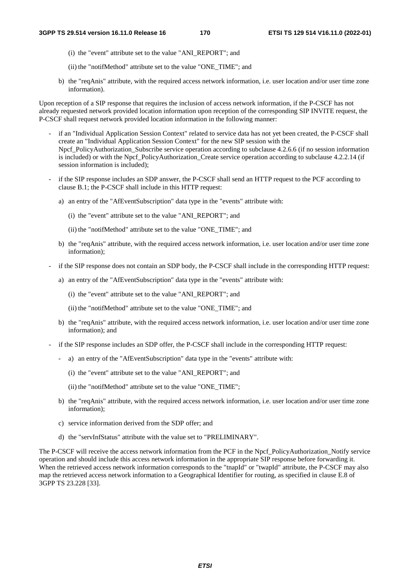- (i) the "event" attribute set to the value "ANI\_REPORT"; and
- (ii) the "notifMethod" attribute set to the value "ONE\_TIME"; and
- b) the "reqAnis" attribute, with the required access network information, i.e. user location and/or user time zone information).

Upon reception of a SIP response that requires the inclusion of access network information, if the P-CSCF has not already requested network provided location information upon reception of the corresponding SIP INVITE request, the P-CSCF shall request network provided location information in the following manner:

- if an "Individual Application Session Context" related to service data has not yet been created, the P-CSCF shall create an "Individual Application Session Context" for the new SIP session with the Npcf PolicyAuthorization Subscribe service operation according to subclause 4.2.6.6 (if no session information is included) or with the Npcf. PolicyAuthorization. Create service operation according to subclause 4.2.2.14 (if session information is included);
- if the SIP response includes an SDP answer, the P-CSCF shall send an HTTP request to the PCF according to clause B.1; the P-CSCF shall include in this HTTP request:
	- a) an entry of the "AfEventSubscription" data type in the "events" attribute with:
		- (i) the "event" attribute set to the value "ANI\_REPORT"; and
		- (ii) the "notifMethod" attribute set to the value "ONE\_TIME"; and
	- b) the "reqAnis" attribute, with the required access network information, i.e. user location and/or user time zone information);
- if the SIP response does not contain an SDP body, the P-CSCF shall include in the corresponding HTTP request:
	- a) an entry of the "AfEventSubscription" data type in the "events" attribute with:
		- (i) the "event" attribute set to the value "ANI\_REPORT"; and
		- (ii) the "notifMethod" attribute set to the value "ONE\_TIME"; and
	- b) the "reqAnis" attribute, with the required access network information, i.e. user location and/or user time zone information); and
- if the SIP response includes an SDP offer, the P-CSCF shall include in the corresponding HTTP request:
	- a) an entry of the "AfEventSubscription" data type in the "events" attribute with:
		- (i) the "event" attribute set to the value "ANI\_REPORT"; and
		- (ii) the "notifMethod" attribute set to the value "ONE\_TIME";
	- b) the "reqAnis" attribute, with the required access network information, i.e. user location and/or user time zone information);
	- c) service information derived from the SDP offer; and
	- d) the "servInfStatus" attribute with the value set to "PRELIMINARY".

The P-CSCF will receive the access network information from the PCF in the Npcf\_PolicyAuthorization\_Notify service operation and should include this access network information in the appropriate SIP response before forwarding it. When the retrieved access network information corresponds to the "tnapId" or "twapId" attribute, the P-CSCF may also map the retrieved access network information to a Geographical Identifier for routing, as specified in clause E.8 of 3GPP TS 23.228 [33].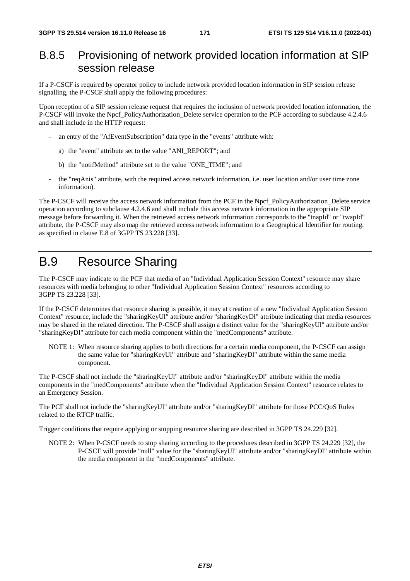### B.8.5 Provisioning of network provided location information at SIP session release

If a P-CSCF is required by operator policy to include network provided location information in SIP session release signalling, the P-CSCF shall apply the following procedures:

Upon reception of a SIP session release request that requires the inclusion of network provided location information, the P-CSCF will invoke the Npcf\_PolicyAuthorization\_Delete service operation to the PCF according to subclause 4.2.4.6 and shall include in the HTTP request:

- an entry of the "AfEventSubscription" data type in the "events" attribute with:
	- a) the "event" attribute set to the value "ANI\_REPORT"; and
	- b) the "notifMethod" attribute set to the value "ONE\_TIME"; and
- the "reqAnis" attribute, with the required access network information, i.e. user location and/or user time zone information).

The P-CSCF will receive the access network information from the PCF in the Npcf\_PolicyAuthorization\_Delete service operation according to subclause 4.2.4.6 and shall include this access network information in the appropriate SIP message before forwarding it. When the retrieved access network information corresponds to the "tnapId" or "twapId" attribute, the P-CSCF may also map the retrieved access network information to a Geographical Identifier for routing, as specified in clause E.8 of 3GPP TS 23.228 [33].

## B.9 Resource Sharing

The P-CSCF may indicate to the PCF that media of an "Individual Application Session Context" resource may share resources with media belonging to other "Individual Application Session Context" resources according to 3GPP TS 23.228 [33].

If the P-CSCF determines that resource sharing is possible, it may at creation of a new "Individual Application Session Context" resource, include the "sharingKeyUl" attribute and/or "sharingKeyDl" attribute indicating that media resources may be shared in the related direction. The P-CSCF shall assign a distinct value for the "sharingKeyUl" attribute and/or "sharingKeyDl" attribute for each media component within the "medComponents" attribute.

NOTE 1: When resource sharing applies to both directions for a certain media component, the P-CSCF can assign the same value for "sharingKeyUl" attribute and "sharingKeyDl" attribute within the same media component.

The P-CSCF shall not include the "sharingKeyUl" attribute and/or "sharingKeyDl" attribute within the media components in the "medComponents" attribute when the "Individual Application Session Context" resource relates to an Emergency Session.

The PCF shall not include the "sharingKeyUl" attribute and/or "sharingKeyDl" attribute for those PCC/QoS Rules related to the RTCP traffic.

Trigger conditions that require applying or stopping resource sharing are described in 3GPP TS 24.229 [32].

NOTE 2: When P-CSCF needs to stop sharing according to the procedures described in 3GPP TS 24.229 [32], the P-CSCF will provide "null" value for the "sharingKeyUl" attribute and/or "sharingKeyDl" attribute within the media component in the "medComponents" attribute.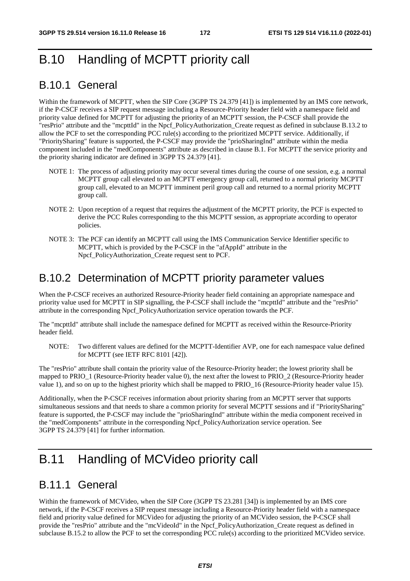# B.10 Handling of MCPTT priority call

## B.10.1 General

Within the framework of MCPTT, when the SIP Core (3GPP TS 24.379 [41]) is implemented by an IMS core network, if the P-CSCF receives a SIP request message including a Resource-Priority header field with a namespace field and priority value defined for MCPTT for adjusting the priority of an MCPTT session, the P-CSCF shall provide the "resPrio" attribute and the "mcpttId" in the Npcf\_PolicyAuthorization\_Create request as defined in subclause B.13.2 to allow the PCF to set the corresponding PCC rule(s) according to the prioritized MCPTT service. Additionally, if "PrioritySharing" feature is supported, the P-CSCF may provide the "prioSharingInd" attribute within the media component included in the "medComponents" attribute as described in clause B.1. For MCPTT the service priority and the priority sharing indicator are defined in 3GPP TS 24.379 [41].

- NOTE 1: The process of adjusting priority may occur several times during the course of one session, e.g. a normal MCPTT group call elevated to an MCPTT emergency group call, returned to a normal priority MCPTT group call, elevated to an MCPTT imminent peril group call and returned to a normal priority MCPTT group call.
- NOTE 2: Upon reception of a request that requires the adjustment of the MCPTT priority, the PCF is expected to derive the PCC Rules corresponding to the this MCPTT session, as appropriate according to operator policies.
- NOTE 3: The PCF can identify an MCPTT call using the IMS Communication Service Identifier specific to MCPTT, which is provided by the P-CSCF in the "afAppId" attribute in the Npcf PolicyAuthorization Create request sent to PCF.

### B.10.2 Determination of MCPTT priority parameter values

When the P-CSCF receives an authorized Resource-Priority header field containing an appropriate namespace and priority value used for MCPTT in SIP signalling, the P-CSCF shall include the "mcpttId" attribute and the "resPrio" attribute in the corresponding Npcf\_PolicyAuthorization service operation towards the PCF.

The "mcpttId" attribute shall include the namespace defined for MCPTT as received within the Resource-Priority header field.

NOTE: Two different values are defined for the MCPTT-Identifier AVP, one for each namespace value defined for MCPTT (see IETF RFC 8101 [42]).

The "resPrio" attribute shall contain the priority value of the Resource-Priority header; the lowest priority shall be mapped to PRIO\_1 (Resource-Priority header value 0), the next after the lowest to PRIO\_2 (Resource-Priority header value 1), and so on up to the highest priority which shall be mapped to PRIO\_16 (Resource-Priority header value 15).

Additionally, when the P-CSCF receives information about priority sharing from an MCPTT server that supports simultaneous sessions and that needs to share a common priority for several MCPTT sessions and if "PrioritySharing" feature is supported, the P-CSCF may include the "prioSharingInd" attribute within the media component received in the "medComponents" attribute in the corresponding Npcf\_PolicyAuthorization service operation. See 3GPP TS 24.379 [41] for further information.

## B.11 Handling of MCVideo priority call

### B.11.1 General

Within the framework of MCVideo, when the SIP Core (3GPP TS 23.281 [34]) is implemented by an IMS core network, if the P-CSCF receives a SIP request message including a Resource-Priority header field with a namespace field and priority value defined for MCVideo for adjusting the priority of an MCVideo session, the P-CSCF shall provide the "resPrio" attribute and the "mcVideoId" in the Npcf\_PolicyAuthorization\_Create request as defined in subclause B.15.2 to allow the PCF to set the corresponding PCC rule(s) according to the prioritized MCVideo service.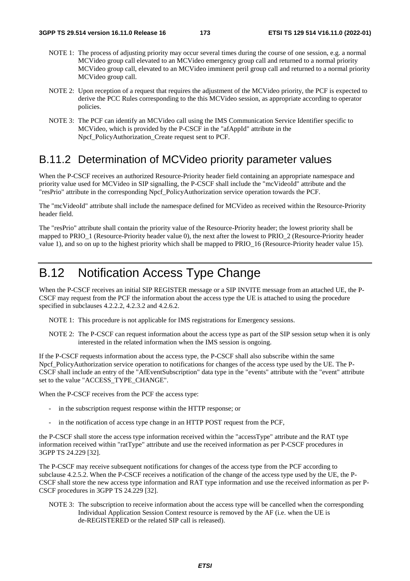- NOTE 1: The process of adjusting priority may occur several times during the course of one session, e.g. a normal MCVideo group call elevated to an MCVideo emergency group call and returned to a normal priority MCVideo group call, elevated to an MCVideo imminent peril group call and returned to a normal priority MCVideo group call.
- NOTE 2: Upon reception of a request that requires the adjustment of the MCVideo priority, the PCF is expected to derive the PCC Rules corresponding to the this MCVideo session, as appropriate according to operator policies.
- NOTE 3: The PCF can identify an MCVideo call using the IMS Communication Service Identifier specific to MCVideo, which is provided by the P-CSCF in the "afAppId" attribute in the Npcf PolicyAuthorization Create request sent to PCF.

### B.11.2 Determination of MCVideo priority parameter values

When the P-CSCF receives an authorized Resource-Priority header field containing an appropriate namespace and priority value used for MCVideo in SIP signalling, the P-CSCF shall include the "mcVideoId" attribute and the "resPrio" attribute in the corresponding Npcf\_PolicyAuthorization service operation towards the PCF.

The "mcVideoId" attribute shall include the namespace defined for MCVideo as received within the Resource-Priority header field.

The "resPrio" attribute shall contain the priority value of the Resource-Priority header; the lowest priority shall be mapped to PRIO 1 (Resource-Priority header value 0), the next after the lowest to PRIO 2 (Resource-Priority header value 1), and so on up to the highest priority which shall be mapped to PRIO\_16 (Resource-Priority header value 15).

# B.12 Notification Access Type Change

When the P-CSCF receives an initial SIP REGISTER message or a SIP INVITE message from an attached UE, the P-CSCF may request from the PCF the information about the access type the UE is attached to using the procedure specified in subclauses 4.2.2.2, 4.2.3.2 and 4.2.6.2.

NOTE 1: This procedure is not applicable for IMS registrations for Emergency sessions.

NOTE 2: The P-CSCF can request information about the access type as part of the SIP session setup when it is only interested in the related information when the IMS session is ongoing.

If the P-CSCF requests information about the access type, the P-CSCF shall also subscribe within the same Npcf. PolicyAuthorization service operation to notifications for changes of the access type used by the UE. The P-CSCF shall include an entry of the "AfEventSubscription" data type in the "events" attribute with the "event" attribute set to the value "ACCESS\_TYPE\_CHANGE".

When the P-CSCF receives from the PCF the access type:

- in the subscription request response within the HTTP response; or
- in the notification of access type change in an HTTP POST request from the PCF,

the P-CSCF shall store the access type information received within the "accessType" attribute and the RAT type information received within "ratType" attribute and use the received information as per P-CSCF procedures in 3GPP TS 24.229 [32].

The P-CSCF may receive subsequent notifications for changes of the access type from the PCF according to subclause 4.2.5.2. When the P-CSCF receives a notification of the change of the access type used by the UE, the P-CSCF shall store the new access type information and RAT type information and use the received information as per P-CSCF procedures in 3GPP TS 24.229 [32].

NOTE 3: The subscription to receive information about the access type will be cancelled when the corresponding Individual Application Session Context resource is removed by the AF (i.e. when the UE is de-REGISTERED or the related SIP call is released).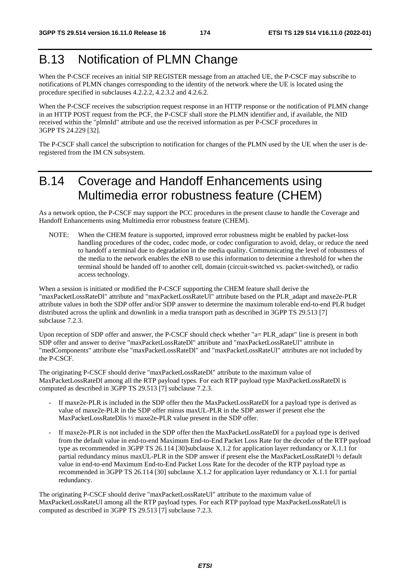## B.13 Notification of PLMN Change

When the P-CSCF receives an initial SIP REGISTER message from an attached UE, the P-CSCF may subscribe to notifications of PLMN changes corresponding to the identity of the network where the UE is located using the procedure specified in subclauses 4.2.2.2, 4.2.3.2 and 4.2.6.2.

When the P-CSCF receives the subscription request response in an HTTP response or the notification of PLMN change in an HTTP POST request from the PCF, the P-CSCF shall store the PLMN identifier and, if available, the NID received within the "plmnId" attribute and use the received information as per P-CSCF procedures in 3GPP TS 24.229 [32].

The P-CSCF shall cancel the subscription to notification for changes of the PLMN used by the UE when the user is deregistered from the IM CN subsystem.

## B.14 Coverage and Handoff Enhancements using Multimedia error robustness feature (CHEM)

As a network option, the P-CSCF may support the PCC procedures in the present clause to handle the Coverage and Handoff Enhancements using Multimedia error robustness feature (CHEM).

NOTE: When the CHEM feature is supported, improved error robustness might be enabled by packet-loss handling procedures of the codec, codec mode, or codec configuration to avoid, delay, or reduce the need to handoff a terminal due to degradation in the media quality. Communicating the level of robustness of the media to the network enables the eNB to use this information to determine a threshold for when the terminal should be handed off to another cell, domain (circuit-switched vs. packet-switched), or radio access technology.

When a session is initiated or modified the P-CSCF supporting the CHEM feature shall derive the "maxPacketLossRateDl" attribute and "maxPacketLossRateUl" attribute based on the PLR\_adapt and maxe2e-PLR attribute values in both the SDP offer and/or SDP answer to determine the maximum tolerable end-to-end PLR budget distributed across the uplink and downlink in a media transport path as described in 3GPP TS 29.513 [7] subclause 7.2.3.

Upon reception of SDP offer and answer, the P-CSCF should check whether "a= PLR\_adapt" line is present in both SDP offer and answer to derive "maxPacketLossRateDl" attribute and "maxPacketLossRateUl" attribute in "medComponents" attribute else "maxPacketLossRateDl" and "maxPacketLossRateUl" attributes are not included by the P-CSCF.

The originating P-CSCF should derive "maxPacketLossRateDl" attribute to the maximum value of MaxPacketLossRateDl among all the RTP payload types. For each RTP payload type MaxPacketLossRateDl is computed as described in 3GPP TS 29.513 [7] subclause 7.2.3.

- If maxe2e-PLR is included in the SDP offer then the MaxPacketLossRateDl for a payload type is derived as value of maxe2e-PLR in the SDP offer minus maxUL-PLR in the SDP answer if present else the MaxPacketLossRateDlis ½ maxe2e-PLR value present in the SDP offer.
- If maxe2e-PLR is not included in the SDP offer then the MaxPacketLossRateDl for a payload type is derived from the default value in end-to-end Maximum End-to-End Packet Loss Rate for the decoder of the RTP payload type as recommended in 3GPP TS 26.114 [30]subclause  $X.1.2$  for application layer redundancy or  $X.1.1$  for partial redundancy minus maxUL-PLR in the SDP answer if present else the MaxPacketLossRateDl ½ default value in end-to-end Maximum End-to-End Packet Loss Rate for the decoder of the RTP payload type as recommended in 3GPP TS 26.114 [30] subclause X.1.2 for application layer redundancy or X.1.1 for partial redundancy.

The originating P-CSCF should derive "maxPacketLossRateUl" attribute to the maximum value of MaxPacketLossRateUl among all the RTP payload types. For each RTP payload type MaxPacketLossRateUl is computed as described in 3GPP TS 29.513 [7] subclause 7.2.3.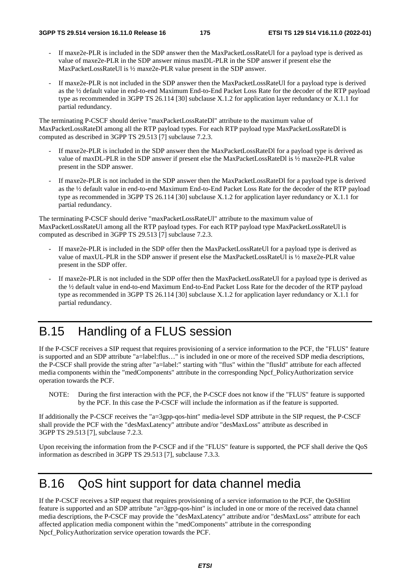- If maxe2e-PLR is included in the SDP answer then the MaxPacketLossRateUl for a payload type is derived as value of maxe2e-PLR in the SDP answer minus maxDL-PLR in the SDP answer if present else the MaxPacketLossRateUl is ½ maxe2e-PLR value present in the SDP answer.
- If maxe2e-PLR is not included in the SDP answer then the MaxPacketLossRateUl for a payload type is derived as the ½ default value in end-to-end Maximum End-to-End Packet Loss Rate for the decoder of the RTP payload type as recommended in 3GPP TS 26.114 [30] subclause X.1.2 for application layer redundancy or X.1.1 for partial redundancy.

The terminating P-CSCF should derive "maxPacketLossRateDl" attribute to the maximum value of MaxPacketLossRateDl among all the RTP payload types. For each RTP payload type MaxPacketLossRateDl is computed as described in 3GPP TS 29.513 [7] subclause 7.2.3.

- If maxe2e-PLR is included in the SDP answer then the MaxPacketLossRateDI for a payload type is derived as value of maxDL-PLR in the SDP answer if present else the MaxPacketLossRateDl is ½ maxe2e-PLR value present in the SDP answer.
- If maxe2e-PLR is not included in the SDP answer then the MaxPacketLossRateDl for a payload type is derived as the ½ default value in end-to-end Maximum End-to-End Packet Loss Rate for the decoder of the RTP payload type as recommended in 3GPP TS 26.114 [30] subclause X.1.2 for application layer redundancy or X.1.1 for partial redundancy.

The terminating P-CSCF should derive "maxPacketLossRateUl" attribute to the maximum value of MaxPacketLossRateUl among all the RTP payload types. For each RTP payload type MaxPacketLossRateUl is computed as described in 3GPP TS 29.513 [7] subclause 7.2.3.

- If maxe2e-PLR is included in the SDP offer then the MaxPacketLossRateUl for a payload type is derived as value of maxUL-PLR in the SDP answer if present else the MaxPacketLossRateUl is ½ maxe2e-PLR value present in the SDP offer.
- If maxe2e-PLR is not included in the SDP offer then the MaxPacketLossRateUl for a payload type is derived as the ½ default value in end-to-end Maximum End-to-End Packet Loss Rate for the decoder of the RTP payload type as recommended in 3GPP TS 26.114 [30] subclause X.1.2 for application layer redundancy or X.1.1 for partial redundancy.

# B.15 Handling of a FLUS session

If the P-CSCF receives a SIP request that requires provisioning of a service information to the PCF, the "FLUS" feature is supported and an SDP attribute "a=label:flus…" is included in one or more of the received SDP media descriptions, the P-CSCF shall provide the string after "a=label:" starting with "flus" within the "flusId" attribute for each affected media components within the "medComponents" attribute in the corresponding Npcf\_PolicyAuthorization service operation towards the PCF.

NOTE: During the first interaction with the PCF, the P-CSCF does not know if the "FLUS" feature is supported by the PCF. In this case the P-CSCF will include the information as if the feature is supported.

If additionally the P-CSCF receives the "a=3gpp-qos-hint" media-level SDP attribute in the SIP request, the P-CSCF shall provide the PCF with the "desMaxLatency" attribute and/or "desMaxLoss" attribute as described in 3GPP TS 29.513 [7], subclause 7.2.3.

Upon receiving the information from the P-CSCF and if the "FLUS" feature is supported, the PCF shall derive the QoS information as described in 3GPP TS 29.513 [7], subclause 7.3.3.

## B.16 QoS hint support for data channel media

If the P-CSCF receives a SIP request that requires provisioning of a service information to the PCF, the QoSHint feature is supported and an SDP attribute "a=3gpp-qos-hint" is included in one or more of the received data channel media descriptions, the P-CSCF may provide the "desMaxLatency" attribute and/or "desMaxLoss" attribute for each affected application media component within the "medComponents" attribute in the corresponding Npcf\_PolicyAuthorization service operation towards the PCF.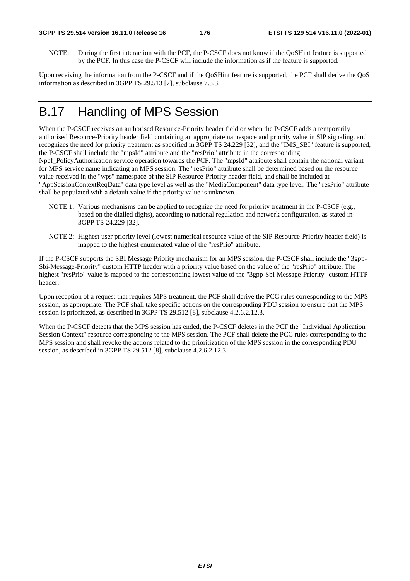NOTE: During the first interaction with the PCF, the P-CSCF does not know if the QoSHint feature is supported by the PCF. In this case the P-CSCF will include the information as if the feature is supported.

Upon receiving the information from the P-CSCF and if the QoSHint feature is supported, the PCF shall derive the QoS information as described in 3GPP TS 29.513 [7], subclause 7.3.3.

## B.17 Handling of MPS Session

When the P-CSCF receives an authorised Resource-Priority header field or when the P-CSCF adds a temporarily authorised Resource-Priority header field containing an appropriate namespace and priority value in SIP signaling, and recognizes the need for priority treatment as specified in 3GPP TS 24.229 [32], and the "IMS\_SBI" feature is supported, the P-CSCF shall include the "mpsId" attribute and the "resPrio" attribute in the corresponding Npcf PolicyAuthorization service operation towards the PCF. The "mpsId" attribute shall contain the national variant for MPS service name indicating an MPS session. The "resPrio" attribute shall be determined based on the resource value received in the "wps" namespace of the SIP Resource-Priority header field, and shall be included at "AppSessionContextReqData" data type level as well as the "MediaComponent" data type level. The "resPrio" attribute shall be populated with a default value if the priority value is unknown.

- NOTE 1: Various mechanisms can be applied to recognize the need for priority treatment in the P-CSCF (e.g., based on the dialled digits), according to national regulation and network configuration, as stated in 3GPP TS 24.229 [32].
- NOTE 2: Highest user priority level (lowest numerical resource value of the SIP Resource-Priority header field) is mapped to the highest enumerated value of the "resPrio" attribute.

If the P-CSCF supports the SBI Message Priority mechanism for an MPS session, the P-CSCF shall include the "3gpp-Sbi-Message-Priority" custom HTTP header with a priority value based on the value of the "resPrio" attribute. The highest "resPrio" value is mapped to the corresponding lowest value of the "3gpp-Sbi-Message-Priority" custom HTTP header.

Upon reception of a request that requires MPS treatment, the PCF shall derive the PCC rules corresponding to the MPS session, as appropriate. The PCF shall take specific actions on the corresponding PDU session to ensure that the MPS session is prioritized, as described in 3GPP TS 29.512 [8], subclause 4.2.6.2.12.3.

When the P-CSCF detects that the MPS session has ended, the P-CSCF deletes in the PCF the "Individual Application Session Context" resource corresponding to the MPS session. The PCF shall delete the PCC rules corresponding to the MPS session and shall revoke the actions related to the prioritization of the MPS session in the corresponding PDU session, as described in 3GPP TS 29.512 [8], subclause 4.2.6.2.12.3.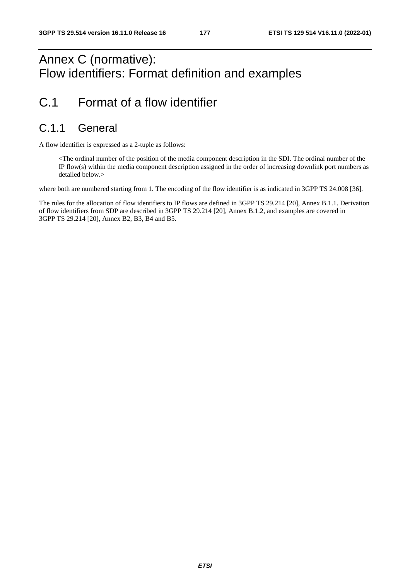## Annex C (normative): Flow identifiers: Format definition and examples

## C.1 Format of a flow identifier

### C.1.1 General

A flow identifier is expressed as a 2-tuple as follows:

 <The ordinal number of the position of the media component description in the SDI. The ordinal number of the IP flow(s) within the media component description assigned in the order of increasing downlink port numbers as detailed below.>

where both are numbered starting from 1. The encoding of the flow identifier is as indicated in 3GPP TS 24.008 [36].

The rules for the allocation of flow identifiers to IP flows are defined in 3GPP TS 29.214 [20], Annex B.1.1. Derivation of flow identifiers from SDP are described in 3GPP TS 29.214 [20], Annex B.1.2, and examples are covered in 3GPP TS 29.214 [20], Annex B2, B3, B4 and B5.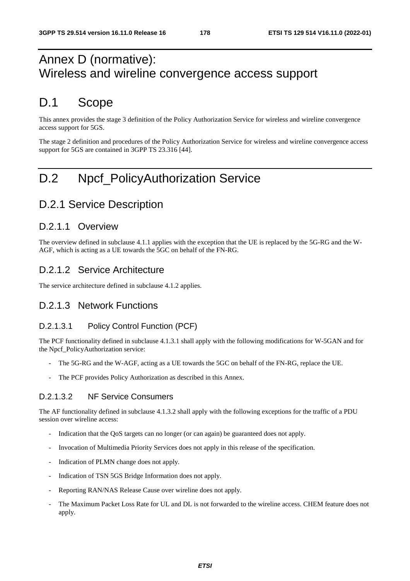## Annex D (normative): Wireless and wireline convergence access support

### D.1 Scope

This annex provides the stage 3 definition of the Policy Authorization Service for wireless and wireline convergence access support for 5GS.

The stage 2 definition and procedures of the Policy Authorization Service for wireless and wireline convergence access support for 5GS are contained in 3GPP TS 23.316 [44].

# D.2 Npcf\_PolicyAuthorization Service

### D.2.1 Service Description

#### D.2.1.1 Overview

The overview defined in subclause 4.1.1 applies with the exception that the UE is replaced by the 5G-RG and the W-AGF, which is acting as a UE towards the 5GC on behalf of the FN-RG.

#### D.2.1.2 Service Architecture

The service architecture defined in subclause 4.1.2 applies.

#### D.2.1.3 Network Functions

#### D.2.1.3.1 Policy Control Function (PCF)

The PCF functionality defined in subclause 4.1.3.1 shall apply with the following modifications for W-5GAN and for the Npcf\_PolicyAuthorization service:

- The 5G-RG and the W-AGF, acting as a UE towards the 5GC on behalf of the FN-RG, replace the UE.
- The PCF provides Policy Authorization as described in this Annex.

#### D.2.1.3.2 NF Service Consumers

The AF functionality defined in subclause 4.1.3.2 shall apply with the following exceptions for the traffic of a PDU session over wireline access:

- Indication that the QoS targets can no longer (or can again) be guaranteed does not apply.
- Invocation of Multimedia Priority Services does not apply in this release of the specification.
- Indication of PLMN change does not apply.
- Indication of TSN 5GS Bridge Information does not apply.
- Reporting RAN/NAS Release Cause over wireline does not apply.
- The Maximum Packet Loss Rate for UL and DL is not forwarded to the wireline access. CHEM feature does not apply.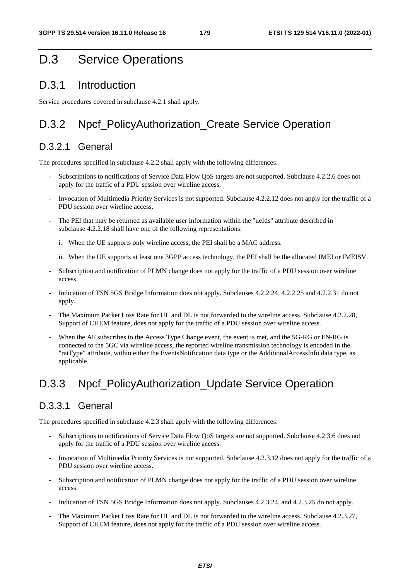### D.3 Service Operations

### D.3.1 Introduction

Service procedures covered in subclause 4.2.1 shall apply.

### D.3.2 Npcf PolicyAuthorization Create Service Operation

#### D.3.2.1 General

The procedures specified in subclause 4.2.2 shall apply with the following differences:

- Subscriptions to notifications of Service Data Flow QoS targets are not supported. Subclause 4.2.2.6 does not apply for the traffic of a PDU session over wireline access.
- Invocation of Multimedia Priority Services is not supported. Subclause 4.2.2.12 does not apply for the traffic of a PDU session over wireline access.
- The PEI that may be returned as available user information within the "ueIds" attribute described in subclause 4.2.2.18 shall have one of the following representations:
	- i. When the UE supports only wireline access, the PEI shall be a MAC address.
	- ii. When the UE supports at least one 3GPP access technology, the PEI shall be the allocated IMEI or IMEISV.
- Subscription and notification of PLMN change does not apply for the traffic of a PDU session over wireline access.
- Indication of TSN 5GS Bridge Information does not apply. Subclauses 4.2.2.24, 4.2.2.25 and 4.2.2.31 do not apply.
- The Maximum Packet Loss Rate for UL and DL is not forwarded to the wireline access. Subclause 4.2.2.28, Support of CHEM feature, does not apply for the traffic of a PDU session over wireline access.
- When the AF subscribes to the Access Type Change event, the event is met, and the 5G-RG or FN-RG is connected to the 5GC via wireline access, the reported wireline transmission technology is encoded in the "ratType" attribute, within either the EventsNotification data type or the AdditionalAccessInfo data type, as applicable.

### D.3.3 Npcf\_PolicyAuthorization\_Update Service Operation

#### D.3.3.1 General

The procedures specified in subclause 4.2.3 shall apply with the following differences:

- Subscriptions to notifications of Service Data Flow QoS targets are not supported. Subclause 4.2.3.6 does not apply for the traffic of a PDU session over wireline access.
- Invocation of Multimedia Priority Services is not supported. Subclause 4.2.3.12 does not apply for the traffic of a PDU session over wireline access.
- Subscription and notification of PLMN change does not apply for the traffic of a PDU session over wireline access.
- Indication of TSN 5GS Bridge Information does not apply. Subclauses 4.2.3.24, and 4.2.3.25 do not apply.
- The Maximum Packet Loss Rate for UL and DL is not forwarded to the wireline access. Subclause 4.2.3.27, Support of CHEM feature, does not apply for the traffic of a PDU session over wireline access.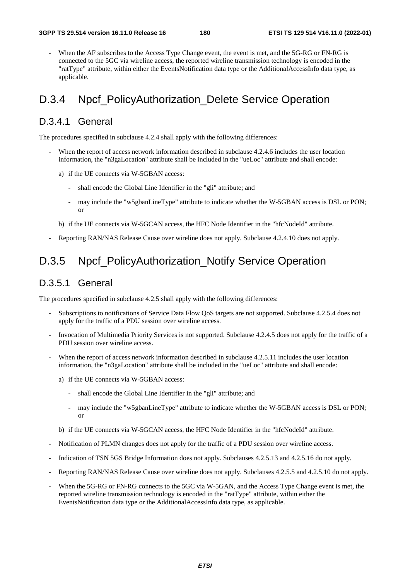When the AF subscribes to the Access Type Change event, the event is met, and the 5G-RG or FN-RG is connected to the 5GC via wireline access, the reported wireline transmission technology is encoded in the "ratType" attribute, within either the EventsNotification data type or the AdditionalAccessInfo data type, as applicable.

## D.3.4 Npcf\_PolicyAuthorization\_Delete Service Operation

#### D.3.4.1 General

The procedures specified in subclause 4.2.4 shall apply with the following differences:

- When the report of access network information described in subclause 4.2.4.6 includes the user location information, the "n3gaLocation" attribute shall be included in the "ueLoc" attribute and shall encode:
	- a) if the UE connects via W-5GBAN access:
		- shall encode the Global Line Identifier in the "gli" attribute; and
		- may include the "w5gbanLineType" attribute to indicate whether the W-5GBAN access is DSL or PON; or
	- b) if the UE connects via W-5GCAN access, the HFC Node Identifier in the "hfcNodeId" attribute.
- Reporting RAN/NAS Release Cause over wireline does not apply. Subclause 4.2.4.10 does not apply.

## D.3.5 Npcf\_PolicyAuthorization\_Notify Service Operation

#### D.3.5.1 General

The procedures specified in subclause 4.2.5 shall apply with the following differences:

- Subscriptions to notifications of Service Data Flow QoS targets are not supported. Subclause 4.2.5.4 does not apply for the traffic of a PDU session over wireline access.
- Invocation of Multimedia Priority Services is not supported. Subclause 4.2.4.5 does not apply for the traffic of a PDU session over wireline access.
- When the report of access network information described in subclause 4.2.5.11 includes the user location information, the "n3gaLocation" attribute shall be included in the "ueLoc" attribute and shall encode:
	- a) if the UE connects via W-5GBAN access:
		- shall encode the Global Line Identifier in the "gli" attribute; and
		- may include the "w5gbanLineType" attribute to indicate whether the W-5GBAN access is DSL or PON; or
	- b) if the UE connects via W-5GCAN access, the HFC Node Identifier in the "hfcNodeId" attribute.
- Notification of PLMN changes does not apply for the traffic of a PDU session over wireline access.
- Indication of TSN 5GS Bridge Information does not apply. Subclauses 4.2.5.13 and 4.2.5.16 do not apply.
- Reporting RAN/NAS Release Cause over wireline does not apply. Subclauses 4.2.5.5 and 4.2.5.10 do not apply.
- When the 5G-RG or FN-RG connects to the 5GC via W-5GAN, and the Access Type Change event is met, the reported wireline transmission technology is encoded in the "ratType" attribute, within either the EventsNotification data type or the AdditionalAccessInfo data type, as applicable.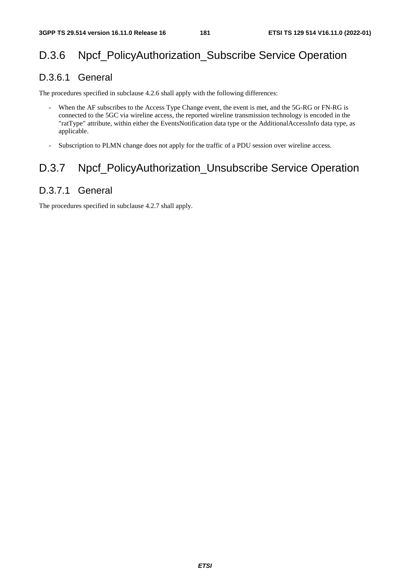## D.3.6 Npcf PolicyAuthorization Subscribe Service Operation

#### D.3.6.1 General

The procedures specified in subclause 4.2.6 shall apply with the following differences:

- When the AF subscribes to the Access Type Change event, the event is met, and the 5G-RG or FN-RG is connected to the 5GC via wireline access, the reported wireline transmission technology is encoded in the "ratType" attribute, within either the EventsNotification data type or the AdditionalAccessInfo data type, as applicable.
- Subscription to PLMN change does not apply for the traffic of a PDU session over wireline access.

## D.3.7 Npcf\_PolicyAuthorization\_Unsubscribe Service Operation

### D.3.7.1 General

The procedures specified in subclause 4.2.7 shall apply.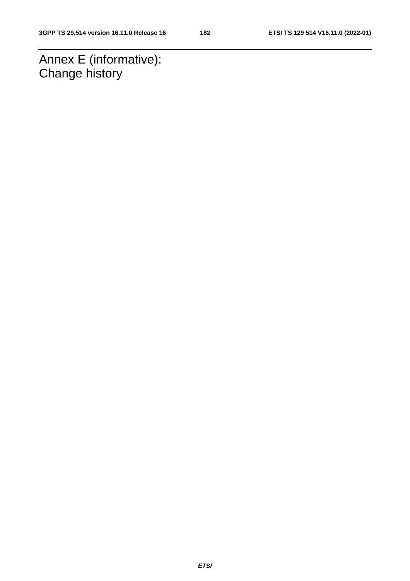Annex E (informative): Change history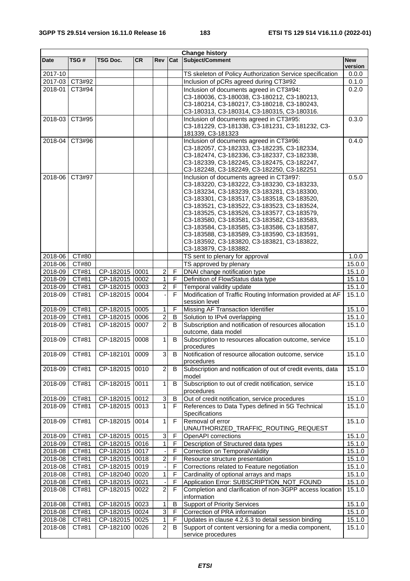|                    | <b>Change history</b> |                 |           |                           |                |                                                                   |                  |
|--------------------|-----------------------|-----------------|-----------|---------------------------|----------------|-------------------------------------------------------------------|------------------|
| <b>Date</b>        | TSG#                  | <b>TSG Doc.</b> | <b>CR</b> | <b>Rev</b>                | Cat            | Subject/Comment                                                   | <b>New</b>       |
|                    |                       |                 |           |                           |                |                                                                   | version          |
| 2017-10            |                       |                 |           |                           |                | TS skeleton of Policy Authorization Service specification         | 0.0.0            |
| 2017-03            | CT3#92                |                 |           |                           |                | Inclusion of pCRs agreed during CT3#92                            | 0.1.0            |
| 2018-01            | CT3#94                |                 |           |                           |                | Inclusion of documents agreed in CT3#94:                          | 0.2.0            |
|                    |                       |                 |           |                           |                | C3-180036, C3-180038, C3-180212, C3-180213,                       |                  |
|                    |                       |                 |           |                           |                | C3-180214, C3-180217, C3-180218, C3-180243,                       |                  |
|                    |                       |                 |           |                           |                | C3-180313, C3-180314, C3-180315, C3-180316.                       |                  |
| 2018-03            | CT3#95                |                 |           |                           |                | Inclusion of documents agreed in CT3#95:                          | 0.3.0            |
|                    |                       |                 |           |                           |                | C3-181229, C3-181338, C3-181231, C3-181232, C3-                   |                  |
|                    | CT3#96                |                 |           |                           |                | 181339, C3-181323<br>Inclusion of documents agreed in CT3#96:     |                  |
| 2018-04            |                       |                 |           |                           |                | C3-182057, C3-182333, C3-182235, C3-182334,                       | 0.4.0            |
|                    |                       |                 |           |                           |                | C3-182474, C3-182336, C3-182337, C3-182338,                       |                  |
|                    |                       |                 |           |                           |                | C3-182339, C3-182245, C3-182475, C3-182247,                       |                  |
|                    |                       |                 |           |                           |                | C3-182248, C3-182249, C3-182250, C3-182251                        |                  |
| 2018-06            | CT3#97                |                 |           |                           |                | Inclusion of documents agreed in CT3#97:                          | 0.5.0            |
|                    |                       |                 |           |                           |                | C3-183220, C3-183222, C3-183230, C3-183233,                       |                  |
|                    |                       |                 |           |                           |                | C3-183234, C3-183239, C3-183281, C3-183300,                       |                  |
|                    |                       |                 |           |                           |                | C3-183301, C3-183517, C3-183518, C3-183520,                       |                  |
|                    |                       |                 |           |                           |                | C3-183521, C3-183522, C3-183523, C3-183524,                       |                  |
|                    |                       |                 |           |                           |                | C3-183525, C3-183526, C3-183577, C3-183579,                       |                  |
|                    |                       |                 |           |                           |                | C3-183580, C3-183581, C3-183582, C3-183583,                       |                  |
|                    |                       |                 |           |                           |                | C3-183584, C3-183585, C3-183586, C3-183587,                       |                  |
|                    |                       |                 |           |                           |                | C3-183588, C3-183589, C3-183590, C3-183591,                       |                  |
|                    |                       |                 |           |                           |                | C3-183592, C3-183820, C3-183821, C3-183822,                       |                  |
|                    |                       |                 |           |                           |                | C3-183879, C3-183882.                                             |                  |
| 2018-06            | CT#80                 |                 |           |                           |                | TS sent to plenary for approval                                   | 1.0.0            |
| 2018-06<br>2018-09 | CT#80<br>CT#81        | CP-182015 0001  |           | $\boldsymbol{2}$          | $\mathsf F$    | TS approved by plenary<br>DNAI change notification type           | 15.0.0<br>15.1.0 |
| $2018 - 09$        | CT#81                 | CP-182015 0002  |           | $\mathbf{1}$              | $\mathsf F$    | Definition of FlowStatus data type                                | 15.1.0           |
| 2018-09            | CT#81                 | CP-182015 0003  |           | $\overline{\mathbf{c}}$   | $\overline{F}$ | Temporal validity update                                          | 15.1.0           |
| 2018-09            | CT#81                 | CP-182015       | 0004      |                           | F              | Modification of Traffic Routing Information provided at AF        | 15.1.0           |
|                    |                       |                 |           |                           |                | session level                                                     |                  |
| 2018-09            | CT#81                 | CP-182015 0005  |           | $\mathbf{1}$              | $\mathsf F$    | Missing AF Transaction Identifier                                 | 15.1.0           |
| 2018-09            | CT#81                 | CP-182015 0006  |           | $\overline{c}$            | B              | Solution to IPv4 overlapping                                      | 15.1.0           |
| 2018-09            | CT#81                 | CP-182015 0007  |           | $\overline{2}$            | B              | Subscription and notification of resources allocation             | 15.1.0           |
|                    |                       |                 |           |                           |                | outcome, data model                                               |                  |
| 2018-09            | CT#81                 | CP-182015       | 0008      | 1                         | B              | Subscription to resources allocation outcome, service             | 15.1.0           |
|                    |                       |                 |           |                           |                | procedures                                                        |                  |
| 2018-09            | CT#81                 | CP-182101       | 0009      | 3                         | $\overline{B}$ | Notification of resource allocation outcome, service              | 15.1.0           |
|                    |                       |                 |           |                           |                | procedures                                                        |                  |
| 2018-09            | CT#81                 | CP-182015       | 0010      | $\overline{c}$            | B              | Subscription and notification of out of credit events, data       | 15.1.0           |
|                    |                       |                 |           |                           |                | model                                                             |                  |
| 2018-09            | CT#81                 | CP-182015       | 0011      | $\mathbf{1}$              | $\sf B$        | Subscription to out of credit notification, service<br>procedures | 15.1.0           |
| 2018-09            | CT#81                 | CP-182015       | 0012      | $\ensuremath{\mathsf{3}}$ | B              | Out of credit notification, service procedures                    | 15.1.0           |
| 2018-09            | CT#81                 | CP-182015       | 0013      | $\mathbf{1}$              | F              | References to Data Types defined in 5G Technical                  | 15.1.0           |
|                    |                       |                 |           |                           |                | Specifications                                                    |                  |
| 2018-09            | CT#81                 | CP-182015       | 0014      | $\mathbf{1}$              | $\mathsf F$    | Removal of error                                                  | 15.1.0           |
|                    |                       |                 |           |                           |                | UNAUTHORIZED_TRAFFIC_ROUTING_REQUEST                              |                  |
| 2018-09            | CT#81                 | CP-182015       | 0015      | 3                         | F              | OpenAPI corrections                                               | 15.1.0           |
| 2018-09            | CT#81                 | CP-182015 0016  |           | $\mathbf{1}$              | $\overline{F}$ | Description of Structured data types                              | 15.1.0           |
| 2018-08            | CT#81                 | CP-182015 0017  |           |                           | F              | Correction on TemporalValidity                                    | 15.1.0           |
| 2018-08            | CT#81                 | CP-182015 0018  |           | $\overline{\mathbf{c}}$   | $\mathsf F$    | Resource structure presentation                                   | 15.1.0           |
| 2018-08            | CT#81                 | CP-182015 0019  |           |                           | $\overline{F}$ | Corrections related to Feature negotiation                        | 15.1.0           |
| 2018-08            | CT#81                 | CP-182040       | 0020      | $\mathbf 1$               | $\overline{F}$ | Cardinality of optional arrays and maps                           | 15.1.0           |
| 2018-08            | $\overline{C}$ T#81   | CP-182015       | 0021      |                           | $\mathsf F$    | Application Error: SUBSCRIPTION_NOT_FOUND                         | 15.1.0           |
| 2018-08            | CT#81                 | CP-182015       | 0022      | $\overline{2}$            | F              | Completion and clarification of non-3GPP access location          | 15.1.0           |
|                    |                       |                 |           |                           |                | information                                                       |                  |
| 2018-08            | CT#81                 | CP-182015       | 0023      | $\mathbf{1}$              | $\sf B$        | <b>Support of Priority Services</b>                               | 15.1.0           |
| 2018-08            | CT#81                 | CP-182015 0024  |           | $\overline{3}$            | $\overline{F}$ | Correction of PRA information                                     | 15.1.0           |
| 2018-08            | CT#81                 | CP-182015 0025  |           | $\mathbf 1$               | $\mathsf F$    | Updates in clause 4.2.6.3 to detail session binding               | 15.1.0           |
| 2018-08            | CT#81                 | CP-182100       | 0026      | $\overline{2}$            | B              | Support of content versioning for a media component,              | 15.1.0           |
|                    |                       |                 |           |                           |                | service procedures                                                |                  |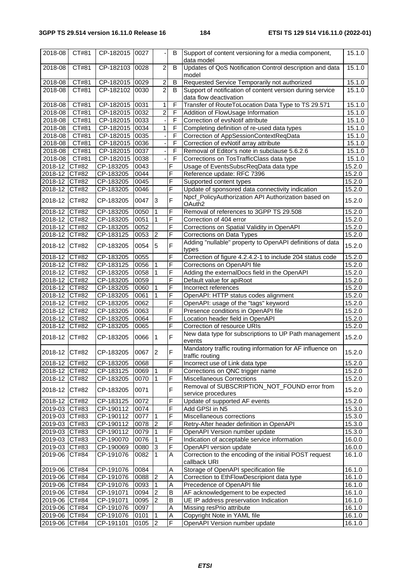| 2018-08       | CT#81 | CP-182015 0027 |      |                          | В                       | Support of content versioning for a media component,<br>data model                  | 15.1.0 |
|---------------|-------|----------------|------|--------------------------|-------------------------|-------------------------------------------------------------------------------------|--------|
| 2018-08       | CT#81 | CP-182103      | 0028 | $\overline{c}$           | B                       | Updates of QoS Notification Control description and data<br>model                   | 15.1.0 |
| 2018-08       | CT#81 | CP-182015      | 0029 | $\overline{\mathbf{c}}$  | B                       | Requested Service Temporarily not authorized                                        | 15.1.0 |
| 2018-08       | CT#81 | CP-182102      | 0030 | $\overline{2}$           | B                       | Support of notification of content version during service<br>data flow deactivation | 15.1.0 |
| 2018-08       | CT#81 | CP-182015 0031 |      | $\mathbf{1}$             | F                       | Transfer of RouteToLocation Data Type to TS 29.571                                  | 15.1.0 |
| 2018-08       | CT#81 | CP-182015      | 0032 | $\overline{c}$           | F                       | Addition of FlowUsage Information                                                   | 15.1.0 |
| 2018-08       | CT#81 | CP-182015      | 0033 | $\overline{\phantom{a}}$ | F                       | Correction of evsNotif attribute                                                    | 15.1.0 |
| 2018-08       | CT#81 | CP-182015      | 0034 | 1                        | F                       | Completing definition of re-used data types                                         | 15.1.0 |
| 2018-08       | CT#81 | CP-182015 0035 |      |                          | F                       | Correction of AppSessionContextReqData                                              | 15.1.0 |
| 2018-08 CT#81 |       | CP-182015 0036 |      | $\overline{\phantom{a}}$ | F                       | Correction of evNotif array attribute                                               | 15.1.0 |
| 2018-08       | CT#81 | CP-182015      | 0037 |                          | F                       | Removal of Editor's note in subclause 5.6.2.6                                       | 15.1.0 |
| 2018-08 CT#81 |       | CP-182015      | 0038 |                          | $\overline{\mathsf{F}}$ | Corrections on TosTrafficClass data type                                            | 15.1.0 |
|               |       |                |      |                          | F                       |                                                                                     |        |
| 2018-12 CT#82 |       | CP-183205      | 0043 |                          |                         | Usage of EventsSubscReqData data type                                               | 15.2.0 |
| 2018-12 CT#82 |       | CP-183205      | 0044 |                          | F                       | Reference update: RFC 7396                                                          | 15.2.0 |
| 2018-12 CT#82 |       | CP-183205      | 0045 |                          | F                       | Supported content types                                                             | 15.2.0 |
| 2018-12       | CT#82 | CP-183205      | 0046 |                          | F                       | Update of sponsored data connectivity indication                                    | 15.2.0 |
| 2018-12 CT#82 |       | CP-183205      | 0047 | 3                        | F                       | Npcf_PolicyAuthorization API Authorization based on<br>OAuth <sub>2</sub>           | 15.2.0 |
| 2018-12 CT#82 |       | CP-183205      | 0050 | $\mathbf{1}$             | F                       | Removal of references to 3GPP TS 29.508                                             | 15.2.0 |
| 2018-12 CT#82 |       | CP-183205      | 0051 | $\mathbf{1}$             | F                       | Correction of 404 error                                                             | 15.2.0 |
| 2018-12 CT#82 |       | CP-183205      | 0052 |                          | F                       | Corrections on Spatial Validity in OpenAPI                                          | 15.2.0 |
| 2018-12 CT#82 |       | CP-183125      | 0053 | $\overline{2}$           | F                       | Corrections on Data Types                                                           | 15.2.0 |
| 2018-12 CT#82 |       | CP-183205      | 0054 | 5                        | F                       | Adding "nullable" property to OpenAPI definitions of data<br>types                  | 15.2.0 |
| 2018-12 CT#82 |       | CP-183205      | 0055 |                          | F                       | Correction of figure 4.2.4.2-1 to include 204 status code                           | 15.2.0 |
| 2018-12 CT#82 |       | CP-183125      | 0056 | $\mathbf 1$              | F                       | Corrections on OpenAPI file                                                         | 15.2.0 |
| 2018-12 CT#82 |       | CP-183205      | 0058 |                          | F                       | Adding the externalDocs field in the OpenAPI                                        | 15.2.0 |
| 2018-12 CT#82 |       | CP-183205      | 0059 |                          | F                       | Default value for apiRoot                                                           | 15.2.0 |
| 2018-12 CT#82 |       | CP-183205      | 0060 |                          | F                       | Incorrect references                                                                | 15.2.0 |
| 2018-12 CT#82 |       |                |      | $\mathbf 1$              | F                       |                                                                                     |        |
|               |       | CP-183205      | 0061 |                          | F                       | OpenAPI: HTTP status codes alignment                                                | 15.2.0 |
| 2018-12 CT#82 |       | CP-183205      | 0062 |                          | F                       | OpenAPI: usage of the "tags" keyword                                                | 15.2.0 |
| 2018-12 CT#82 |       | CP-183205      | 0063 |                          |                         | Presence conditions in OpenAPI file                                                 | 15.2.0 |
| 2018-12 CT#82 |       | CP-183205      | 0064 |                          | F                       | Location header field in OpenAPI                                                    | 15.2.0 |
| 2018-12 CT#82 |       | CP-183205      | 0065 |                          | F                       | Correction of resource URIs                                                         | 15.2.0 |
| 2018-12       | CT#82 | CP-183205      | 0066 | 1                        | F                       | New data type for subscriptions to UP Path management<br>events                     | 15.2.0 |
| 2018-12 CT#82 |       | CP-183205      | 0067 | $\overline{2}$           | F                       | Mandatory traffic routing information for AF influence on<br>traffic routing        | 15.2.0 |
| 2018-12 CT#82 |       | CP-183205      | 0068 |                          | $\overline{F}$          | Incorrect use of Link data type                                                     | 15.2.0 |
| 2018-12 CT#82 |       | CP-183125      | 0069 |                          | F                       | Corrections on QNC trigger name                                                     | 15.2.0 |
| 2018-12       | CT#82 | CP-183205      | 0070 | $\overline{1}$           | $\overline{\mathsf{F}}$ | <b>Miscellaneous Corrections</b>                                                    | 15.2.0 |
| 2018-12       | CT#82 | CP-183205      | 0071 |                          | F                       | Removal of SUBSCRIPTION_NOT_FOUND error from<br>service procedures                  | 15.2.0 |
| 2018-12 CT#82 |       | CP-183125      | 0072 |                          | F                       | Update of supported AF events                                                       | 15.2.0 |
| 2019-03 CT#83 |       | CP-190112      | 0074 |                          | F                       | Add GPSI in N5                                                                      | 15.3.0 |
| 2019-03 CT#83 |       | CP-190112      | 0077 | l 1                      | F                       | Miscellaneous corrections                                                           | 15.3.0 |
| 2019-03 CT#83 |       | CP-190112      | 0078 | $\overline{2}$           | F                       | Retry-After header definition in OpenAPI                                            | 15.3.0 |
| 2019-03       | CT#83 | CP-190112      | 0079 | $\mathbf{1}$             | F                       | OpenAPI Version number update                                                       | 15.3.0 |
| 2019-03       |       | CP-190070      | 0076 | $\vert$ 1                | F                       | Indication of acceptable service information                                        | 16.0.0 |
|               | CT#83 |                |      |                          |                         |                                                                                     |        |
| 2019-03 CT#83 |       | CP-190069      | 0080 | $\vert$ 3                | F                       | OpenAPI version update                                                              | 16.0.0 |
| 2019-06       | CT#84 | CP-191076      | 0082 | $\overline{1}$           | Α                       | Correction to the encoding of the initial POST request<br>callback URI              | 16.1.0 |
| 2019-06 CT#84 |       | CP-191076      | 0084 |                          | A                       | Storage of OpenAPI specification file                                               | 16.1.0 |
| 2019-06 CT#84 |       | CP-191076      | 0088 | $\overline{2}$           | A                       | Correction to EthFlowDescripiont data type                                          | 16.1.0 |
| 2019-06 CT#84 |       | CP-191076      | 0093 | $\vert$ 1                | A                       | Precedence of OpenAPI file                                                          | 16.1.0 |
| 2019-06 CT#84 |       | CP-191071      | 0094 | $\overline{2}$           | B                       | AF acknowledgement to be expected                                                   | 16.1.0 |
| 2019-06 CT#84 |       | CP-191071      | 0095 | $\overline{2}$           | B                       | UE IP address preservation Indication                                               | 16.1.0 |
| 2019-06 CT#84 |       | CP-191076      | 0097 |                          | A                       | Missing resPrio attribute                                                           | 16.1.0 |
| 2019-06 CT#84 |       | CP-191076      | 0101 | -1                       | A                       | Copyright Note in YAML file                                                         | 16.1.0 |
| 2019-06       | CT#84 | CP-191101      | 0105 | $\overline{2}$           | F                       | OpenAPI Version number update                                                       | 16.1.0 |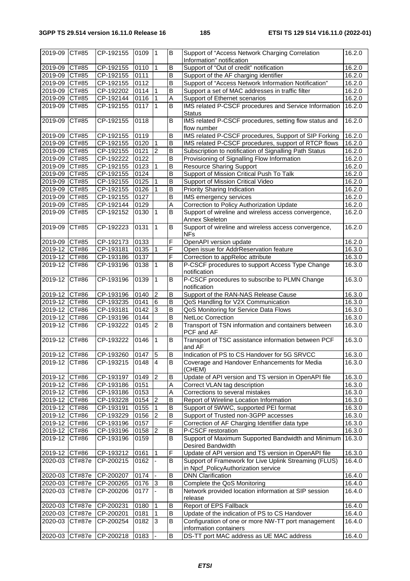| 2019-09        | CT#85         | CP-192155      | 0109     | l 1            | B              | Support of "Access Network Charging Correlation<br>Information" notification                 | 16.2.0 |
|----------------|---------------|----------------|----------|----------------|----------------|----------------------------------------------------------------------------------------------|--------|
| 2019-09 CT#85  |               | CP-192155      | 0110     | $\mathbf{1}$   | B              | Support of "Out of credit" notification                                                      | 16.2.0 |
| 2019-09 CT#85  |               | CP-192155      | 0111     |                | B              | Support of the AF charging identifier                                                        | 16.2.0 |
| 2019-09        | CT#85         | CP-192155      | 0112     |                | B              | Support of "Access Network Information Notification"                                         | 16.2.0 |
| 2019-09        | CT#85         | CP-192202      | 0114     | $\mathbf 1$    | B              | Support a set of MAC addresses in traffic filter                                             | 16.2.0 |
| 2019-09        | CT#85         | CP-192144      | 0116     |                | A              | Support of Ethernet scenarios                                                                | 16.2.0 |
| 2019-09        | CT#85         | CP-192155      | 0117     | $\mathbf{1}$   | B              | IMS related P-CSCF procedures and Service Information                                        | 16.2.0 |
|                |               |                |          |                |                | <b>Status</b>                                                                                |        |
| 2019-09        | CT#85         | CP-192155      | 0118     |                | B              | IMS related P-CSCF procedures, setting flow status and<br>flow number                        | 16.2.0 |
| 2019-09 CT#85  |               | CP-192155      | 0119     |                | B              | IMS related P-CSCF procedures, Support of SIP Forking                                        | 16.2.0 |
| 2019-09 CT#85  |               | CP-192155      | 0120     | ∣1             | B              | IMS related P-CSCF procedures, support of RTCP flows                                         | 16.2.0 |
| 2019-09 CT#85  |               | CP-192155      | 0121     | $\overline{c}$ | B              | Subscription to notification of Signalling Path Status                                       | 16.2.0 |
| 2019-09 CT#85  |               | CP-192222      | 0122     |                | $\overline{B}$ | Provisioning of Signalling Flow Information                                                  | 16.2.0 |
| 2019-09        | CT#85         | $C P - 192155$ | 0123     | 1              | B              | <b>Resource Sharing Support</b>                                                              | 16.2.0 |
| $2019-09$      |               | $C P - 192155$ | 0124     |                | B              |                                                                                              |        |
|                | CT#85         |                |          |                |                | Support of Mission Critical Push To Talk                                                     | 16.2.0 |
| 2019-09        | CT#85         | CP-192155      | 0125     |                | B              | Support of Mission Critical Video                                                            | 16.2.0 |
| 2019-09        | CT#85         | CP-192155      | 0126     | 1              | B              | Priority Sharing Indication                                                                  | 16.2.0 |
| 2019-09        | CT#85         | CP-192155      | 0127     |                | $\overline{B}$ | IMS emergency services                                                                       | 16.2.0 |
| 2019-09        | CT#85         | CP-192144      | 0129     |                | A              | Correction to Policy Authorization Update                                                    | 16.2.0 |
| 2019-09        | CT#85         | CP-192152      | 0130     | ∣1             | B              | Support of wireline and wireless access convergence,                                         | 16.2.0 |
|                |               |                |          |                |                | Annex Skeleton                                                                               |        |
| 2019-09        | CT#85         | CP-192223      | 0131     | $\overline{1}$ | B              | Support of wireline and wireless access convergence,<br><b>NFs</b>                           | 16.2.0 |
| 2019-09 CT#85  |               | CP-192173      | 0133     |                | F              | OpenAPI version update                                                                       | 16.2.0 |
| 2019-12 CT#86  |               | CP-193181      | 0135     | $\mathbf 1$    | F              | Open issue for AddrReservation feature                                                       | 16.3.0 |
| 2019-12 CT#86  |               | CP-193186      | 0137     |                | F              | Correction to appReloc attribute                                                             | 16.3.0 |
| 2019-12        | CT#86         | CP-193196      | 0138     | $\mathbf{1}$   | B              | P-CSCF procedures to support Access Type Change<br>notification                              | 16.3.0 |
| 2019-12        | CT#86         | CP-193196      | 0139     | $\mathbf{1}$   | B              | P-CSCF procedures to subscribe to PLMN Change<br>notification                                | 16.3.0 |
| 2019-12 CT#86  |               | CP-193196      | 0140     | $\overline{2}$ | B              | Support of the RAN-NAS Release Cause                                                         | 16.3.0 |
| 2019-12 CT#86  |               | CP-193235      | 0141     | 6              | B              | QoS Handling for V2X Communication                                                           | 16.3.0 |
| 2019-12 CT#86  |               | CP-193181      | 0142     | 3              | B              | QoS Monitoring for Service Data Flows                                                        | 16.3.0 |
| 2019-12 CT#86  |               | CP-193196      | 0144     |                | B              | <b>NetLoc Correction</b>                                                                     | 16.3.0 |
| 2019-12        | CT#86         | CP-193222      | 0145     | $\overline{2}$ | B              | Transport of TSN information and containers between<br>PCF and AF                            | 16.3.0 |
| 2019-12        | CT#86         | CP-193222      | 0146     | $\overline{1}$ | $\overline{B}$ | Transport of TSC assistance information between PCF<br>and AF                                | 16.3.0 |
| 2019-12 CT#86  |               | CP-193260      | $0147$ 5 |                | $\sf B$        | Indication of PS to CS Handover for 5G SRVCC                                                 | 16.3.0 |
| 2019-12        | CT#86         | CP-193215      | 0148     | $\overline{4}$ | B              | Coverage and Handover Enhancements for Media<br>(CHEM)                                       | 16.3.0 |
| 2019-12        | CT#86         | CP-193197      | 0149     | $\overline{2}$ | $\overline{B}$ | Update of API version and TS version in OpenAPI file                                         | 16.3.0 |
| 2019-12 CT#86  |               | CP-193186      | 0151     |                | A              | Correct VLAN tag description                                                                 | 16.3.0 |
| 2019-12 CT#86  |               | CP-193186      | 0153     |                | A              | Corrections to several mistakes                                                              | 16.3.0 |
| 2019-12 CT#86  |               | CP-193228      | 0154     | $\overline{2}$ | B              | Report of Wireline Location Information                                                      | 16.3.0 |
| 2019-12        | CT#86         | CP-193191      | 0155     |                | B              | Support of 5WWC, supported PEI format                                                        | 16.3.0 |
| 2019-12        | CT#86         | CP-193229      | 0156     | $\overline{2}$ | B              | Support of Trusted non-3GPP accesses                                                         | 16.3.0 |
| 2019-12 CT#86  |               | CP-193196      | 0157     |                | F              | Correction of AF Charging Identifier data type                                               | 16.3.0 |
|                |               |                |          |                | B              |                                                                                              |        |
| 2019-12 CT#86  |               | CP-193196      | 0158     | $\overline{2}$ |                | P-CSCF restoration                                                                           | 16.3.0 |
| 2019-12        | CT#86         | CP-193196      | 0159     |                | B              | Support of Maximum Supported Bandwidth and Minimum<br>Desired Bandwidth                      | 16.3.0 |
| 2019-12        | CT#86         | CP-193212      | 0161     |                | F              | Update of API version and TS version in OpenAPI file                                         | 16.3.0 |
| 2020-03        | <b>CT#87e</b> | CP-200215      | 0162     |                | B              | Support of Framework for Live Uplink Streaming (FLUS)<br>in Npcf_PolicyAuthorization service | 16.4.0 |
| 2020-03 CT#87e |               | CP-200207      | 0174     |                | B              | <b>DNN Clarification</b>                                                                     | 16.4.0 |
| 2020-03        | CT#87e        | CP-200265      | 0176     | 3              | B              | Complete the QoS Monitoring                                                                  | 16.4.0 |
| 2020-03        | <b>CT#87e</b> | CP-200206      | 0177     |                | B              | Network provided location information at SIP session<br>release                              | 16.4.0 |
| 2020-03        | <b>CT#87e</b> | CP-200231      | 0180     | $\overline{1}$ | B              | Report of EPS Fallback                                                                       | 16.4.0 |
| 2020-03        | CT#87e        | CP-200201      | 0181     | $\vert$ 1      | B              | Update of the indication of PS to CS Handover                                                | 16.4.0 |
| 2020-03        | CT#87e        | CP-200254      | 0182     | 3              | B              | Configuration of one or more NW-TT port management                                           | 16.4.0 |
|                |               |                |          |                | B              | information containers                                                                       |        |
| 2020-03        | CT#87e        | CP-200218      | 0183     |                |                | DS-TT port MAC address as UE MAC address                                                     | 16.4.0 |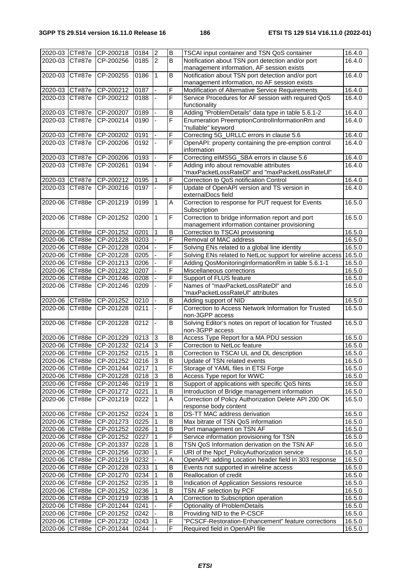| 2020-03 CT#87e CP-200218<br>0184<br>$\overline{c}$<br>B<br>TSCAI input container and TSN QoS container<br>16.4.0<br>$\overline{2}$<br>$\overline{B}$<br>0185<br>Notification about TSN port detection and/or port<br>2020-03<br>CT#87e<br>CP-200256<br>16.4.0<br>management information, AF session exists<br>$\overline{B}$<br>Notification about TSN port detection and/or port<br>CT#87e<br>CP-200255<br>0186<br>$\mathbf 1$<br>16.4.0<br>2020-03<br>management information, no AF session exists<br>$\overline{\mathsf{F}}$<br>0187<br>2020-03 CT#87e<br>$CF-200212$<br>Modification of Alternative Service Requirements<br>16.4.0<br>F<br>$\overline{\text{CT#87e}}$<br>CP-200212<br>0188<br>Service Procedures for AF session with required QoS<br>2020-03<br>16.4.0<br>functionality<br>Adding "ProblemDetails" data type in table 5.6.1-2<br>0189<br>$\mathsf B$<br>2020-03<br>CT#87e<br>CP-200207<br>16.4.0<br>$\overline{\mathsf{F}}$<br><b>CT#87e</b><br>CP-200214<br>0190<br>Enumeration PreemptionControlInformationRm and<br>16.4.0<br>2020-03<br>"nullable" keyword<br>F<br>Correcting 5G_URLLC errors in clause 5.6<br>2020-03 CT#87e CP-200202<br>0191<br>16.4.0<br>F<br>CT#87e<br>CP-200206<br>0192<br>OpenAPI: property containing the pre-emption control<br>2020-03<br>16.4.0<br>information<br>F<br>0193<br>Correcting eIMS5G_SBA errors in clause 5.6<br>CT#87e<br>16.4.0<br>2020-03<br>CP-200206<br>$\overline{\mathsf{F}}$<br>Adding info about removable attributes<br>CP-200261<br>0194<br>16.4.0<br>2020-03<br><b>CT#87e</b><br>"maxPacketLossRateDI" and "maxPacketLossRateUI"<br>F<br>0195<br>Correction to QoS notification Control<br>2020-03<br>CT#87e<br>CP-200212<br>16.4.0<br>F<br>0197<br>Update of OpenAPI version and TS version in<br>16.4.0<br>2020-03<br>CT#87e<br>CP-200216<br>externalDocs field<br>Correction to response for PUT request for Events<br>CT#88e<br>CP-201219<br>0199<br>$\mathbf{1}$<br>A<br>16.5.0<br>2020-06<br>Subscription<br>F<br>$\mathbf{1}$<br>Correction to bridge information report and port<br><b>CT#88e</b><br>CP-201252<br>0200<br>16.5.0<br>2020-06<br>management information container provisioning<br>B<br>2020-06 CT#88e<br>CP-201252<br>0201<br>$\mathbf{1}$<br>Correction to TSCAI provisioning<br>16.5.0<br>$\overline{F}$<br>2020-06 CT#88e<br>CP-201228<br>0203<br>Removal of MAC address<br>16.5.0<br>F<br>2020-06 CT#88e<br>CP-201228<br>0204<br>16.5.0<br>Solving ENs related to a global line identity<br>F<br>2020-06<br>0205<br>Solving ENs related to NetLoc support for wireline access<br><b>CT#88e</b><br>CP-201228<br>16.5.0<br>F<br>2020-06<br>CT#88e<br>0206<br>Adding QosMonitoringInformationRm in table 5.6.1-1<br>CP-201213<br>16.5.0<br>F<br>0207<br>2020-06 CT#88e<br>CP-201232<br>Miscellaneous corrections<br>16.5.0<br>F<br>CP-201246<br>0208<br>2020-06<br>CT#88e<br>Support of FLUS feature<br>16.5.0<br>$\overline{\mathsf{F}}$<br>CP-201246<br>Names of "maxPacketLossRateDI" and<br>2020-06<br><b>CT#88e</b><br>0209<br>16.5.0<br>"maxPacketLossRateUI" attributes<br>0210<br>Adding support of NID<br>16.5.0<br>2020-06 CT#88e<br>CP-201252<br>B<br>F<br>Correction to Access Network Information for Trusted<br>CP-201228<br>16.5.0<br>2020-06<br>CT#88e<br>0211<br>non-3GPP access<br>$\overline{B}$<br>16.5.0<br><b>CT#88e</b><br>CP-201228<br>0212<br>Solving Editor's notes on report of location for Trusted<br>2020-06<br>non-3GPP access<br>Access Type Report for a MA PDU session<br>2020-06 CT#88e<br>CP-201229<br>0213<br>B<br>16.5.0<br>3<br>F<br>$\overline{3}$<br>Correction to NetLoc feature<br>2020-06 CT#88e<br>CP-201232<br>0214<br>16.5.0<br>$\overline{B}$<br>$\vert$ 1<br>2020-06 CT#88e<br>CP-201252<br>0215<br>Correction to TSCAI UL and DL description<br>16.5.0<br>B<br>2020-06 CT#88e<br>CP-201252<br>0216<br>3<br>Update of TSN related events<br>16.5.0<br>F<br>$\mathbf{1}$<br>Storage of YAML files in ETSI Forge<br>16.5.0<br>2020-06<br>CT#88e<br>CP-201244<br>0217<br>3<br>B<br>2020-06 CT#88e<br>CP-201228<br>0218<br>Access Type report for WWC<br>16.5.0<br>2020-06 CT#88e<br>B<br>Support of applications with specific QoS hints<br>CP-201246<br>0219<br>1<br>16.5.0<br>B<br>2020-06 CT#88e<br>CP-201272<br>0221<br>Introduction of Bridge management information<br>16.5.0<br>A<br>Correction of Policy Authorization Delete API 200 OK<br>CP-201219<br>0222<br>2020-06<br>CT#88e<br>1<br>16.5.0<br>response body content<br>$\mathbf{1}$<br>B<br>CT#88e<br>CP-201252<br>0224<br>DS-TT MAC address derivation<br>16.5.0<br>2020-06<br>$\mathbf{1}$<br>B<br>2020-06 CT#88e<br>0225<br>Max bitrate of TSN QoS information<br>16.5.0<br>CP-201273<br>$\mathsf B$<br>2020-06 CT#88e<br>0226<br>16.5.0<br>CP-201252<br>1<br>Port management on TSN AF<br>$\overline{F}$<br>2020-06 CT#88e<br>CP-201252<br>0227<br>Service information provisioning for TSN<br>1<br>16.5.0<br>$\sf B$<br>0228<br>TSN QoS Information derivation on the TSN AF<br>2020-06 CT#88e<br>CP-201337<br>1<br>16.5.0<br>$\overline{\mathsf{F}}$<br>2020-06 CT#88e<br>CP-201256<br>0230<br>URI of the Npcf_PolicyAuthorization service<br>1<br>16.5.0<br>CP-201219<br>0232<br>A<br>OpenAPI: adding Location header field in 303 response<br>16.5.0<br>2020-06 CT#88e<br>$\mathsf B$<br>$\mathbf{1}$<br>2020-06 CT#88e<br>CP-201228<br>0233<br>Events not supported in wireline access<br>16.5.0<br>B<br>2020-06 CT#88e<br>CP-201270<br>0234<br>$\mathbf{1}$<br>Reallocation of credit<br>16.5.0<br>$\overline{B}$<br>2020-06 CT#88e<br>CP-201252<br>0235<br>16.5.0<br>Indication of Application Sessions resource<br>B<br>TSN AF selection by PCF<br>2020-06<br>CT#88e<br>CP-201252<br>0236<br>16.5.0<br>A<br>2020-06 CT#88e<br>CP-201219<br>0238<br>Correction to Subscription operation<br>16.5.0<br>$\overline{\mathsf{F}}$<br>2020-06<br>CT#88e<br>CP-201244<br>0241<br>Optionality of ProblemDetails<br>16.5.0<br>$\mathsf B$<br>Providing NID to the P-CSCF<br>2020-06 CT#88e<br>CP-201252<br>0242<br>16.5.0<br>$\overline{F}$<br>2020-06 CT#88e<br>CP-201232<br>0243<br>$\mathbf{1}$<br>"PCSCF-Restoration-Enhancement" feature corrections<br>16.5.0<br>2020-06 CT#88e |  |           |      |             |                                |        |
|---------------------------------------------------------------------------------------------------------------------------------------------------------------------------------------------------------------------------------------------------------------------------------------------------------------------------------------------------------------------------------------------------------------------------------------------------------------------------------------------------------------------------------------------------------------------------------------------------------------------------------------------------------------------------------------------------------------------------------------------------------------------------------------------------------------------------------------------------------------------------------------------------------------------------------------------------------------------------------------------------------------------------------------------------------------------------------------------------------------------------------------------------------------------------------------------------------------------------------------------------------------------------------------------------------------------------------------------------------------------------------------------------------------------------------------------------------------------------------------------------------------------------------------------------------------------------------------------------------------------------------------------------------------------------------------------------------------------------------------------------------------------------------------------------------------------------------------------------------------------------------------------------------------------------------------------------------------------------------------------------------------------------------------------------------------------------------------------------------------------------------------------------------------------------------------------------------------------------------------------------------------------------------------------------------------------------------------------------------------------------------------------------------------------------------------------------------------------------------------------------------------------------------------------------------------------------------------------------------------------------------------------------------------------------------------------------------------------------------------------------------------------------------------------------------------------------------------------------------------------------------------------------------------------------------------------------------------------------------------------------------------------------------------------------------------------------------------------------------------------------------------------------------------------------------------------------------------------------------------------------------------------------------------------------------------------------------------------------------------------------------------------------------------------------------------------------------------------------------------------------------------------------------------------------------------------------------------------------------------------------------------------------------------------------------------------------------------------------------------------------------------------------------------------------------------------------------------------------------------------------------------------------------------------------------------------------------------------------------------------------------------------------------------------------------------------------------------------------------------------------------------------------------------------------------------------------------------------------------------------------------------------------------------------------------------------------------------------------------------------------------------------------------------------------------------------------------------------------------------------------------------------------------------------------------------------------------------------------------------------------------------------------------------------------------------------------------------------------------------------------------------------------------------------------------------------------------------------------------------------------------------------------------------------------------------------------------------------------------------------------------------------------------------------------------------------------------------------------------------------------------------------------------------------------------------------------------------------------------------------------------------------------------------------------------------------------------------------------------------------------------------------------------------------------------------------------------------------------------------------------------------------------------------------------------------------------------------------------------------------------------------------------------------------------------------------------------------------------------------------------------------------------------------------------------------------------------------------------------------------------------------------------------------------------------------------------------------------------------------------------------------------------------------------------------------------------------------------------------------------------------------------------------------------------------------------------------|--|-----------|------|-------------|--------------------------------|--------|
|                                                                                                                                                                                                                                                                                                                                                                                                                                                                                                                                                                                                                                                                                                                                                                                                                                                                                                                                                                                                                                                                                                                                                                                                                                                                                                                                                                                                                                                                                                                                                                                                                                                                                                                                                                                                                                                                                                                                                                                                                                                                                                                                                                                                                                                                                                                                                                                                                                                                                                                                                                                                                                                                                                                                                                                                                                                                                                                                                                                                                                                                                                                                                                                                                                                                                                                                                                                                                                                                                                                                                                                                                                                                                                                                                                                                                                                                                                                                                                                                                                                                                                                                                                                                                                                                                                                                                                                                                                                                                                                                                                                                                                                                                                                                                                                                                                                                                                                                                                                                                                                                                                                                                                                                                                                                                                                                                                                                                                                                                                                                                                                                                                                                                                                                                                                                                                                                                                                                                                                                                                                                                                                                                                                                         |  |           |      |             |                                |        |
|                                                                                                                                                                                                                                                                                                                                                                                                                                                                                                                                                                                                                                                                                                                                                                                                                                                                                                                                                                                                                                                                                                                                                                                                                                                                                                                                                                                                                                                                                                                                                                                                                                                                                                                                                                                                                                                                                                                                                                                                                                                                                                                                                                                                                                                                                                                                                                                                                                                                                                                                                                                                                                                                                                                                                                                                                                                                                                                                                                                                                                                                                                                                                                                                                                                                                                                                                                                                                                                                                                                                                                                                                                                                                                                                                                                                                                                                                                                                                                                                                                                                                                                                                                                                                                                                                                                                                                                                                                                                                                                                                                                                                                                                                                                                                                                                                                                                                                                                                                                                                                                                                                                                                                                                                                                                                                                                                                                                                                                                                                                                                                                                                                                                                                                                                                                                                                                                                                                                                                                                                                                                                                                                                                                                         |  |           |      |             |                                |        |
|                                                                                                                                                                                                                                                                                                                                                                                                                                                                                                                                                                                                                                                                                                                                                                                                                                                                                                                                                                                                                                                                                                                                                                                                                                                                                                                                                                                                                                                                                                                                                                                                                                                                                                                                                                                                                                                                                                                                                                                                                                                                                                                                                                                                                                                                                                                                                                                                                                                                                                                                                                                                                                                                                                                                                                                                                                                                                                                                                                                                                                                                                                                                                                                                                                                                                                                                                                                                                                                                                                                                                                                                                                                                                                                                                                                                                                                                                                                                                                                                                                                                                                                                                                                                                                                                                                                                                                                                                                                                                                                                                                                                                                                                                                                                                                                                                                                                                                                                                                                                                                                                                                                                                                                                                                                                                                                                                                                                                                                                                                                                                                                                                                                                                                                                                                                                                                                                                                                                                                                                                                                                                                                                                                                                         |  |           |      |             |                                |        |
|                                                                                                                                                                                                                                                                                                                                                                                                                                                                                                                                                                                                                                                                                                                                                                                                                                                                                                                                                                                                                                                                                                                                                                                                                                                                                                                                                                                                                                                                                                                                                                                                                                                                                                                                                                                                                                                                                                                                                                                                                                                                                                                                                                                                                                                                                                                                                                                                                                                                                                                                                                                                                                                                                                                                                                                                                                                                                                                                                                                                                                                                                                                                                                                                                                                                                                                                                                                                                                                                                                                                                                                                                                                                                                                                                                                                                                                                                                                                                                                                                                                                                                                                                                                                                                                                                                                                                                                                                                                                                                                                                                                                                                                                                                                                                                                                                                                                                                                                                                                                                                                                                                                                                                                                                                                                                                                                                                                                                                                                                                                                                                                                                                                                                                                                                                                                                                                                                                                                                                                                                                                                                                                                                                                                         |  |           |      |             |                                |        |
|                                                                                                                                                                                                                                                                                                                                                                                                                                                                                                                                                                                                                                                                                                                                                                                                                                                                                                                                                                                                                                                                                                                                                                                                                                                                                                                                                                                                                                                                                                                                                                                                                                                                                                                                                                                                                                                                                                                                                                                                                                                                                                                                                                                                                                                                                                                                                                                                                                                                                                                                                                                                                                                                                                                                                                                                                                                                                                                                                                                                                                                                                                                                                                                                                                                                                                                                                                                                                                                                                                                                                                                                                                                                                                                                                                                                                                                                                                                                                                                                                                                                                                                                                                                                                                                                                                                                                                                                                                                                                                                                                                                                                                                                                                                                                                                                                                                                                                                                                                                                                                                                                                                                                                                                                                                                                                                                                                                                                                                                                                                                                                                                                                                                                                                                                                                                                                                                                                                                                                                                                                                                                                                                                                                                         |  |           |      |             |                                |        |
|                                                                                                                                                                                                                                                                                                                                                                                                                                                                                                                                                                                                                                                                                                                                                                                                                                                                                                                                                                                                                                                                                                                                                                                                                                                                                                                                                                                                                                                                                                                                                                                                                                                                                                                                                                                                                                                                                                                                                                                                                                                                                                                                                                                                                                                                                                                                                                                                                                                                                                                                                                                                                                                                                                                                                                                                                                                                                                                                                                                                                                                                                                                                                                                                                                                                                                                                                                                                                                                                                                                                                                                                                                                                                                                                                                                                                                                                                                                                                                                                                                                                                                                                                                                                                                                                                                                                                                                                                                                                                                                                                                                                                                                                                                                                                                                                                                                                                                                                                                                                                                                                                                                                                                                                                                                                                                                                                                                                                                                                                                                                                                                                                                                                                                                                                                                                                                                                                                                                                                                                                                                                                                                                                                                                         |  |           |      |             |                                |        |
|                                                                                                                                                                                                                                                                                                                                                                                                                                                                                                                                                                                                                                                                                                                                                                                                                                                                                                                                                                                                                                                                                                                                                                                                                                                                                                                                                                                                                                                                                                                                                                                                                                                                                                                                                                                                                                                                                                                                                                                                                                                                                                                                                                                                                                                                                                                                                                                                                                                                                                                                                                                                                                                                                                                                                                                                                                                                                                                                                                                                                                                                                                                                                                                                                                                                                                                                                                                                                                                                                                                                                                                                                                                                                                                                                                                                                                                                                                                                                                                                                                                                                                                                                                                                                                                                                                                                                                                                                                                                                                                                                                                                                                                                                                                                                                                                                                                                                                                                                                                                                                                                                                                                                                                                                                                                                                                                                                                                                                                                                                                                                                                                                                                                                                                                                                                                                                                                                                                                                                                                                                                                                                                                                                                                         |  |           |      |             |                                |        |
|                                                                                                                                                                                                                                                                                                                                                                                                                                                                                                                                                                                                                                                                                                                                                                                                                                                                                                                                                                                                                                                                                                                                                                                                                                                                                                                                                                                                                                                                                                                                                                                                                                                                                                                                                                                                                                                                                                                                                                                                                                                                                                                                                                                                                                                                                                                                                                                                                                                                                                                                                                                                                                                                                                                                                                                                                                                                                                                                                                                                                                                                                                                                                                                                                                                                                                                                                                                                                                                                                                                                                                                                                                                                                                                                                                                                                                                                                                                                                                                                                                                                                                                                                                                                                                                                                                                                                                                                                                                                                                                                                                                                                                                                                                                                                                                                                                                                                                                                                                                                                                                                                                                                                                                                                                                                                                                                                                                                                                                                                                                                                                                                                                                                                                                                                                                                                                                                                                                                                                                                                                                                                                                                                                                                         |  |           |      |             |                                |        |
|                                                                                                                                                                                                                                                                                                                                                                                                                                                                                                                                                                                                                                                                                                                                                                                                                                                                                                                                                                                                                                                                                                                                                                                                                                                                                                                                                                                                                                                                                                                                                                                                                                                                                                                                                                                                                                                                                                                                                                                                                                                                                                                                                                                                                                                                                                                                                                                                                                                                                                                                                                                                                                                                                                                                                                                                                                                                                                                                                                                                                                                                                                                                                                                                                                                                                                                                                                                                                                                                                                                                                                                                                                                                                                                                                                                                                                                                                                                                                                                                                                                                                                                                                                                                                                                                                                                                                                                                                                                                                                                                                                                                                                                                                                                                                                                                                                                                                                                                                                                                                                                                                                                                                                                                                                                                                                                                                                                                                                                                                                                                                                                                                                                                                                                                                                                                                                                                                                                                                                                                                                                                                                                                                                                                         |  |           |      |             |                                |        |
|                                                                                                                                                                                                                                                                                                                                                                                                                                                                                                                                                                                                                                                                                                                                                                                                                                                                                                                                                                                                                                                                                                                                                                                                                                                                                                                                                                                                                                                                                                                                                                                                                                                                                                                                                                                                                                                                                                                                                                                                                                                                                                                                                                                                                                                                                                                                                                                                                                                                                                                                                                                                                                                                                                                                                                                                                                                                                                                                                                                                                                                                                                                                                                                                                                                                                                                                                                                                                                                                                                                                                                                                                                                                                                                                                                                                                                                                                                                                                                                                                                                                                                                                                                                                                                                                                                                                                                                                                                                                                                                                                                                                                                                                                                                                                                                                                                                                                                                                                                                                                                                                                                                                                                                                                                                                                                                                                                                                                                                                                                                                                                                                                                                                                                                                                                                                                                                                                                                                                                                                                                                                                                                                                                                                         |  |           |      |             |                                |        |
|                                                                                                                                                                                                                                                                                                                                                                                                                                                                                                                                                                                                                                                                                                                                                                                                                                                                                                                                                                                                                                                                                                                                                                                                                                                                                                                                                                                                                                                                                                                                                                                                                                                                                                                                                                                                                                                                                                                                                                                                                                                                                                                                                                                                                                                                                                                                                                                                                                                                                                                                                                                                                                                                                                                                                                                                                                                                                                                                                                                                                                                                                                                                                                                                                                                                                                                                                                                                                                                                                                                                                                                                                                                                                                                                                                                                                                                                                                                                                                                                                                                                                                                                                                                                                                                                                                                                                                                                                                                                                                                                                                                                                                                                                                                                                                                                                                                                                                                                                                                                                                                                                                                                                                                                                                                                                                                                                                                                                                                                                                                                                                                                                                                                                                                                                                                                                                                                                                                                                                                                                                                                                                                                                                                                         |  |           |      |             |                                |        |
|                                                                                                                                                                                                                                                                                                                                                                                                                                                                                                                                                                                                                                                                                                                                                                                                                                                                                                                                                                                                                                                                                                                                                                                                                                                                                                                                                                                                                                                                                                                                                                                                                                                                                                                                                                                                                                                                                                                                                                                                                                                                                                                                                                                                                                                                                                                                                                                                                                                                                                                                                                                                                                                                                                                                                                                                                                                                                                                                                                                                                                                                                                                                                                                                                                                                                                                                                                                                                                                                                                                                                                                                                                                                                                                                                                                                                                                                                                                                                                                                                                                                                                                                                                                                                                                                                                                                                                                                                                                                                                                                                                                                                                                                                                                                                                                                                                                                                                                                                                                                                                                                                                                                                                                                                                                                                                                                                                                                                                                                                                                                                                                                                                                                                                                                                                                                                                                                                                                                                                                                                                                                                                                                                                                                         |  |           |      |             |                                |        |
|                                                                                                                                                                                                                                                                                                                                                                                                                                                                                                                                                                                                                                                                                                                                                                                                                                                                                                                                                                                                                                                                                                                                                                                                                                                                                                                                                                                                                                                                                                                                                                                                                                                                                                                                                                                                                                                                                                                                                                                                                                                                                                                                                                                                                                                                                                                                                                                                                                                                                                                                                                                                                                                                                                                                                                                                                                                                                                                                                                                                                                                                                                                                                                                                                                                                                                                                                                                                                                                                                                                                                                                                                                                                                                                                                                                                                                                                                                                                                                                                                                                                                                                                                                                                                                                                                                                                                                                                                                                                                                                                                                                                                                                                                                                                                                                                                                                                                                                                                                                                                                                                                                                                                                                                                                                                                                                                                                                                                                                                                                                                                                                                                                                                                                                                                                                                                                                                                                                                                                                                                                                                                                                                                                                                         |  |           |      |             |                                |        |
|                                                                                                                                                                                                                                                                                                                                                                                                                                                                                                                                                                                                                                                                                                                                                                                                                                                                                                                                                                                                                                                                                                                                                                                                                                                                                                                                                                                                                                                                                                                                                                                                                                                                                                                                                                                                                                                                                                                                                                                                                                                                                                                                                                                                                                                                                                                                                                                                                                                                                                                                                                                                                                                                                                                                                                                                                                                                                                                                                                                                                                                                                                                                                                                                                                                                                                                                                                                                                                                                                                                                                                                                                                                                                                                                                                                                                                                                                                                                                                                                                                                                                                                                                                                                                                                                                                                                                                                                                                                                                                                                                                                                                                                                                                                                                                                                                                                                                                                                                                                                                                                                                                                                                                                                                                                                                                                                                                                                                                                                                                                                                                                                                                                                                                                                                                                                                                                                                                                                                                                                                                                                                                                                                                                                         |  |           |      |             |                                |        |
|                                                                                                                                                                                                                                                                                                                                                                                                                                                                                                                                                                                                                                                                                                                                                                                                                                                                                                                                                                                                                                                                                                                                                                                                                                                                                                                                                                                                                                                                                                                                                                                                                                                                                                                                                                                                                                                                                                                                                                                                                                                                                                                                                                                                                                                                                                                                                                                                                                                                                                                                                                                                                                                                                                                                                                                                                                                                                                                                                                                                                                                                                                                                                                                                                                                                                                                                                                                                                                                                                                                                                                                                                                                                                                                                                                                                                                                                                                                                                                                                                                                                                                                                                                                                                                                                                                                                                                                                                                                                                                                                                                                                                                                                                                                                                                                                                                                                                                                                                                                                                                                                                                                                                                                                                                                                                                                                                                                                                                                                                                                                                                                                                                                                                                                                                                                                                                                                                                                                                                                                                                                                                                                                                                                                         |  |           |      |             |                                |        |
|                                                                                                                                                                                                                                                                                                                                                                                                                                                                                                                                                                                                                                                                                                                                                                                                                                                                                                                                                                                                                                                                                                                                                                                                                                                                                                                                                                                                                                                                                                                                                                                                                                                                                                                                                                                                                                                                                                                                                                                                                                                                                                                                                                                                                                                                                                                                                                                                                                                                                                                                                                                                                                                                                                                                                                                                                                                                                                                                                                                                                                                                                                                                                                                                                                                                                                                                                                                                                                                                                                                                                                                                                                                                                                                                                                                                                                                                                                                                                                                                                                                                                                                                                                                                                                                                                                                                                                                                                                                                                                                                                                                                                                                                                                                                                                                                                                                                                                                                                                                                                                                                                                                                                                                                                                                                                                                                                                                                                                                                                                                                                                                                                                                                                                                                                                                                                                                                                                                                                                                                                                                                                                                                                                                                         |  |           |      |             |                                |        |
|                                                                                                                                                                                                                                                                                                                                                                                                                                                                                                                                                                                                                                                                                                                                                                                                                                                                                                                                                                                                                                                                                                                                                                                                                                                                                                                                                                                                                                                                                                                                                                                                                                                                                                                                                                                                                                                                                                                                                                                                                                                                                                                                                                                                                                                                                                                                                                                                                                                                                                                                                                                                                                                                                                                                                                                                                                                                                                                                                                                                                                                                                                                                                                                                                                                                                                                                                                                                                                                                                                                                                                                                                                                                                                                                                                                                                                                                                                                                                                                                                                                                                                                                                                                                                                                                                                                                                                                                                                                                                                                                                                                                                                                                                                                                                                                                                                                                                                                                                                                                                                                                                                                                                                                                                                                                                                                                                                                                                                                                                                                                                                                                                                                                                                                                                                                                                                                                                                                                                                                                                                                                                                                                                                                                         |  |           |      |             |                                |        |
|                                                                                                                                                                                                                                                                                                                                                                                                                                                                                                                                                                                                                                                                                                                                                                                                                                                                                                                                                                                                                                                                                                                                                                                                                                                                                                                                                                                                                                                                                                                                                                                                                                                                                                                                                                                                                                                                                                                                                                                                                                                                                                                                                                                                                                                                                                                                                                                                                                                                                                                                                                                                                                                                                                                                                                                                                                                                                                                                                                                                                                                                                                                                                                                                                                                                                                                                                                                                                                                                                                                                                                                                                                                                                                                                                                                                                                                                                                                                                                                                                                                                                                                                                                                                                                                                                                                                                                                                                                                                                                                                                                                                                                                                                                                                                                                                                                                                                                                                                                                                                                                                                                                                                                                                                                                                                                                                                                                                                                                                                                                                                                                                                                                                                                                                                                                                                                                                                                                                                                                                                                                                                                                                                                                                         |  |           |      |             |                                |        |
|                                                                                                                                                                                                                                                                                                                                                                                                                                                                                                                                                                                                                                                                                                                                                                                                                                                                                                                                                                                                                                                                                                                                                                                                                                                                                                                                                                                                                                                                                                                                                                                                                                                                                                                                                                                                                                                                                                                                                                                                                                                                                                                                                                                                                                                                                                                                                                                                                                                                                                                                                                                                                                                                                                                                                                                                                                                                                                                                                                                                                                                                                                                                                                                                                                                                                                                                                                                                                                                                                                                                                                                                                                                                                                                                                                                                                                                                                                                                                                                                                                                                                                                                                                                                                                                                                                                                                                                                                                                                                                                                                                                                                                                                                                                                                                                                                                                                                                                                                                                                                                                                                                                                                                                                                                                                                                                                                                                                                                                                                                                                                                                                                                                                                                                                                                                                                                                                                                                                                                                                                                                                                                                                                                                                         |  |           |      |             |                                |        |
|                                                                                                                                                                                                                                                                                                                                                                                                                                                                                                                                                                                                                                                                                                                                                                                                                                                                                                                                                                                                                                                                                                                                                                                                                                                                                                                                                                                                                                                                                                                                                                                                                                                                                                                                                                                                                                                                                                                                                                                                                                                                                                                                                                                                                                                                                                                                                                                                                                                                                                                                                                                                                                                                                                                                                                                                                                                                                                                                                                                                                                                                                                                                                                                                                                                                                                                                                                                                                                                                                                                                                                                                                                                                                                                                                                                                                                                                                                                                                                                                                                                                                                                                                                                                                                                                                                                                                                                                                                                                                                                                                                                                                                                                                                                                                                                                                                                                                                                                                                                                                                                                                                                                                                                                                                                                                                                                                                                                                                                                                                                                                                                                                                                                                                                                                                                                                                                                                                                                                                                                                                                                                                                                                                                                         |  |           |      |             |                                |        |
|                                                                                                                                                                                                                                                                                                                                                                                                                                                                                                                                                                                                                                                                                                                                                                                                                                                                                                                                                                                                                                                                                                                                                                                                                                                                                                                                                                                                                                                                                                                                                                                                                                                                                                                                                                                                                                                                                                                                                                                                                                                                                                                                                                                                                                                                                                                                                                                                                                                                                                                                                                                                                                                                                                                                                                                                                                                                                                                                                                                                                                                                                                                                                                                                                                                                                                                                                                                                                                                                                                                                                                                                                                                                                                                                                                                                                                                                                                                                                                                                                                                                                                                                                                                                                                                                                                                                                                                                                                                                                                                                                                                                                                                                                                                                                                                                                                                                                                                                                                                                                                                                                                                                                                                                                                                                                                                                                                                                                                                                                                                                                                                                                                                                                                                                                                                                                                                                                                                                                                                                                                                                                                                                                                                                         |  |           |      |             |                                |        |
|                                                                                                                                                                                                                                                                                                                                                                                                                                                                                                                                                                                                                                                                                                                                                                                                                                                                                                                                                                                                                                                                                                                                                                                                                                                                                                                                                                                                                                                                                                                                                                                                                                                                                                                                                                                                                                                                                                                                                                                                                                                                                                                                                                                                                                                                                                                                                                                                                                                                                                                                                                                                                                                                                                                                                                                                                                                                                                                                                                                                                                                                                                                                                                                                                                                                                                                                                                                                                                                                                                                                                                                                                                                                                                                                                                                                                                                                                                                                                                                                                                                                                                                                                                                                                                                                                                                                                                                                                                                                                                                                                                                                                                                                                                                                                                                                                                                                                                                                                                                                                                                                                                                                                                                                                                                                                                                                                                                                                                                                                                                                                                                                                                                                                                                                                                                                                                                                                                                                                                                                                                                                                                                                                                                                         |  |           |      |             |                                |        |
|                                                                                                                                                                                                                                                                                                                                                                                                                                                                                                                                                                                                                                                                                                                                                                                                                                                                                                                                                                                                                                                                                                                                                                                                                                                                                                                                                                                                                                                                                                                                                                                                                                                                                                                                                                                                                                                                                                                                                                                                                                                                                                                                                                                                                                                                                                                                                                                                                                                                                                                                                                                                                                                                                                                                                                                                                                                                                                                                                                                                                                                                                                                                                                                                                                                                                                                                                                                                                                                                                                                                                                                                                                                                                                                                                                                                                                                                                                                                                                                                                                                                                                                                                                                                                                                                                                                                                                                                                                                                                                                                                                                                                                                                                                                                                                                                                                                                                                                                                                                                                                                                                                                                                                                                                                                                                                                                                                                                                                                                                                                                                                                                                                                                                                                                                                                                                                                                                                                                                                                                                                                                                                                                                                                                         |  |           |      |             |                                |        |
|                                                                                                                                                                                                                                                                                                                                                                                                                                                                                                                                                                                                                                                                                                                                                                                                                                                                                                                                                                                                                                                                                                                                                                                                                                                                                                                                                                                                                                                                                                                                                                                                                                                                                                                                                                                                                                                                                                                                                                                                                                                                                                                                                                                                                                                                                                                                                                                                                                                                                                                                                                                                                                                                                                                                                                                                                                                                                                                                                                                                                                                                                                                                                                                                                                                                                                                                                                                                                                                                                                                                                                                                                                                                                                                                                                                                                                                                                                                                                                                                                                                                                                                                                                                                                                                                                                                                                                                                                                                                                                                                                                                                                                                                                                                                                                                                                                                                                                                                                                                                                                                                                                                                                                                                                                                                                                                                                                                                                                                                                                                                                                                                                                                                                                                                                                                                                                                                                                                                                                                                                                                                                                                                                                                                         |  |           |      |             |                                |        |
|                                                                                                                                                                                                                                                                                                                                                                                                                                                                                                                                                                                                                                                                                                                                                                                                                                                                                                                                                                                                                                                                                                                                                                                                                                                                                                                                                                                                                                                                                                                                                                                                                                                                                                                                                                                                                                                                                                                                                                                                                                                                                                                                                                                                                                                                                                                                                                                                                                                                                                                                                                                                                                                                                                                                                                                                                                                                                                                                                                                                                                                                                                                                                                                                                                                                                                                                                                                                                                                                                                                                                                                                                                                                                                                                                                                                                                                                                                                                                                                                                                                                                                                                                                                                                                                                                                                                                                                                                                                                                                                                                                                                                                                                                                                                                                                                                                                                                                                                                                                                                                                                                                                                                                                                                                                                                                                                                                                                                                                                                                                                                                                                                                                                                                                                                                                                                                                                                                                                                                                                                                                                                                                                                                                                         |  |           |      |             |                                |        |
|                                                                                                                                                                                                                                                                                                                                                                                                                                                                                                                                                                                                                                                                                                                                                                                                                                                                                                                                                                                                                                                                                                                                                                                                                                                                                                                                                                                                                                                                                                                                                                                                                                                                                                                                                                                                                                                                                                                                                                                                                                                                                                                                                                                                                                                                                                                                                                                                                                                                                                                                                                                                                                                                                                                                                                                                                                                                                                                                                                                                                                                                                                                                                                                                                                                                                                                                                                                                                                                                                                                                                                                                                                                                                                                                                                                                                                                                                                                                                                                                                                                                                                                                                                                                                                                                                                                                                                                                                                                                                                                                                                                                                                                                                                                                                                                                                                                                                                                                                                                                                                                                                                                                                                                                                                                                                                                                                                                                                                                                                                                                                                                                                                                                                                                                                                                                                                                                                                                                                                                                                                                                                                                                                                                                         |  |           |      |             |                                |        |
|                                                                                                                                                                                                                                                                                                                                                                                                                                                                                                                                                                                                                                                                                                                                                                                                                                                                                                                                                                                                                                                                                                                                                                                                                                                                                                                                                                                                                                                                                                                                                                                                                                                                                                                                                                                                                                                                                                                                                                                                                                                                                                                                                                                                                                                                                                                                                                                                                                                                                                                                                                                                                                                                                                                                                                                                                                                                                                                                                                                                                                                                                                                                                                                                                                                                                                                                                                                                                                                                                                                                                                                                                                                                                                                                                                                                                                                                                                                                                                                                                                                                                                                                                                                                                                                                                                                                                                                                                                                                                                                                                                                                                                                                                                                                                                                                                                                                                                                                                                                                                                                                                                                                                                                                                                                                                                                                                                                                                                                                                                                                                                                                                                                                                                                                                                                                                                                                                                                                                                                                                                                                                                                                                                                                         |  |           |      |             |                                |        |
|                                                                                                                                                                                                                                                                                                                                                                                                                                                                                                                                                                                                                                                                                                                                                                                                                                                                                                                                                                                                                                                                                                                                                                                                                                                                                                                                                                                                                                                                                                                                                                                                                                                                                                                                                                                                                                                                                                                                                                                                                                                                                                                                                                                                                                                                                                                                                                                                                                                                                                                                                                                                                                                                                                                                                                                                                                                                                                                                                                                                                                                                                                                                                                                                                                                                                                                                                                                                                                                                                                                                                                                                                                                                                                                                                                                                                                                                                                                                                                                                                                                                                                                                                                                                                                                                                                                                                                                                                                                                                                                                                                                                                                                                                                                                                                                                                                                                                                                                                                                                                                                                                                                                                                                                                                                                                                                                                                                                                                                                                                                                                                                                                                                                                                                                                                                                                                                                                                                                                                                                                                                                                                                                                                                                         |  |           |      |             |                                |        |
|                                                                                                                                                                                                                                                                                                                                                                                                                                                                                                                                                                                                                                                                                                                                                                                                                                                                                                                                                                                                                                                                                                                                                                                                                                                                                                                                                                                                                                                                                                                                                                                                                                                                                                                                                                                                                                                                                                                                                                                                                                                                                                                                                                                                                                                                                                                                                                                                                                                                                                                                                                                                                                                                                                                                                                                                                                                                                                                                                                                                                                                                                                                                                                                                                                                                                                                                                                                                                                                                                                                                                                                                                                                                                                                                                                                                                                                                                                                                                                                                                                                                                                                                                                                                                                                                                                                                                                                                                                                                                                                                                                                                                                                                                                                                                                                                                                                                                                                                                                                                                                                                                                                                                                                                                                                                                                                                                                                                                                                                                                                                                                                                                                                                                                                                                                                                                                                                                                                                                                                                                                                                                                                                                                                                         |  |           |      |             |                                |        |
|                                                                                                                                                                                                                                                                                                                                                                                                                                                                                                                                                                                                                                                                                                                                                                                                                                                                                                                                                                                                                                                                                                                                                                                                                                                                                                                                                                                                                                                                                                                                                                                                                                                                                                                                                                                                                                                                                                                                                                                                                                                                                                                                                                                                                                                                                                                                                                                                                                                                                                                                                                                                                                                                                                                                                                                                                                                                                                                                                                                                                                                                                                                                                                                                                                                                                                                                                                                                                                                                                                                                                                                                                                                                                                                                                                                                                                                                                                                                                                                                                                                                                                                                                                                                                                                                                                                                                                                                                                                                                                                                                                                                                                                                                                                                                                                                                                                                                                                                                                                                                                                                                                                                                                                                                                                                                                                                                                                                                                                                                                                                                                                                                                                                                                                                                                                                                                                                                                                                                                                                                                                                                                                                                                                                         |  |           |      |             |                                |        |
|                                                                                                                                                                                                                                                                                                                                                                                                                                                                                                                                                                                                                                                                                                                                                                                                                                                                                                                                                                                                                                                                                                                                                                                                                                                                                                                                                                                                                                                                                                                                                                                                                                                                                                                                                                                                                                                                                                                                                                                                                                                                                                                                                                                                                                                                                                                                                                                                                                                                                                                                                                                                                                                                                                                                                                                                                                                                                                                                                                                                                                                                                                                                                                                                                                                                                                                                                                                                                                                                                                                                                                                                                                                                                                                                                                                                                                                                                                                                                                                                                                                                                                                                                                                                                                                                                                                                                                                                                                                                                                                                                                                                                                                                                                                                                                                                                                                                                                                                                                                                                                                                                                                                                                                                                                                                                                                                                                                                                                                                                                                                                                                                                                                                                                                                                                                                                                                                                                                                                                                                                                                                                                                                                                                                         |  |           |      |             |                                |        |
|                                                                                                                                                                                                                                                                                                                                                                                                                                                                                                                                                                                                                                                                                                                                                                                                                                                                                                                                                                                                                                                                                                                                                                                                                                                                                                                                                                                                                                                                                                                                                                                                                                                                                                                                                                                                                                                                                                                                                                                                                                                                                                                                                                                                                                                                                                                                                                                                                                                                                                                                                                                                                                                                                                                                                                                                                                                                                                                                                                                                                                                                                                                                                                                                                                                                                                                                                                                                                                                                                                                                                                                                                                                                                                                                                                                                                                                                                                                                                                                                                                                                                                                                                                                                                                                                                                                                                                                                                                                                                                                                                                                                                                                                                                                                                                                                                                                                                                                                                                                                                                                                                                                                                                                                                                                                                                                                                                                                                                                                                                                                                                                                                                                                                                                                                                                                                                                                                                                                                                                                                                                                                                                                                                                                         |  |           |      |             |                                |        |
|                                                                                                                                                                                                                                                                                                                                                                                                                                                                                                                                                                                                                                                                                                                                                                                                                                                                                                                                                                                                                                                                                                                                                                                                                                                                                                                                                                                                                                                                                                                                                                                                                                                                                                                                                                                                                                                                                                                                                                                                                                                                                                                                                                                                                                                                                                                                                                                                                                                                                                                                                                                                                                                                                                                                                                                                                                                                                                                                                                                                                                                                                                                                                                                                                                                                                                                                                                                                                                                                                                                                                                                                                                                                                                                                                                                                                                                                                                                                                                                                                                                                                                                                                                                                                                                                                                                                                                                                                                                                                                                                                                                                                                                                                                                                                                                                                                                                                                                                                                                                                                                                                                                                                                                                                                                                                                                                                                                                                                                                                                                                                                                                                                                                                                                                                                                                                                                                                                                                                                                                                                                                                                                                                                                                         |  |           |      |             |                                |        |
|                                                                                                                                                                                                                                                                                                                                                                                                                                                                                                                                                                                                                                                                                                                                                                                                                                                                                                                                                                                                                                                                                                                                                                                                                                                                                                                                                                                                                                                                                                                                                                                                                                                                                                                                                                                                                                                                                                                                                                                                                                                                                                                                                                                                                                                                                                                                                                                                                                                                                                                                                                                                                                                                                                                                                                                                                                                                                                                                                                                                                                                                                                                                                                                                                                                                                                                                                                                                                                                                                                                                                                                                                                                                                                                                                                                                                                                                                                                                                                                                                                                                                                                                                                                                                                                                                                                                                                                                                                                                                                                                                                                                                                                                                                                                                                                                                                                                                                                                                                                                                                                                                                                                                                                                                                                                                                                                                                                                                                                                                                                                                                                                                                                                                                                                                                                                                                                                                                                                                                                                                                                                                                                                                                                                         |  |           |      |             |                                |        |
|                                                                                                                                                                                                                                                                                                                                                                                                                                                                                                                                                                                                                                                                                                                                                                                                                                                                                                                                                                                                                                                                                                                                                                                                                                                                                                                                                                                                                                                                                                                                                                                                                                                                                                                                                                                                                                                                                                                                                                                                                                                                                                                                                                                                                                                                                                                                                                                                                                                                                                                                                                                                                                                                                                                                                                                                                                                                                                                                                                                                                                                                                                                                                                                                                                                                                                                                                                                                                                                                                                                                                                                                                                                                                                                                                                                                                                                                                                                                                                                                                                                                                                                                                                                                                                                                                                                                                                                                                                                                                                                                                                                                                                                                                                                                                                                                                                                                                                                                                                                                                                                                                                                                                                                                                                                                                                                                                                                                                                                                                                                                                                                                                                                                                                                                                                                                                                                                                                                                                                                                                                                                                                                                                                                                         |  |           |      |             |                                |        |
|                                                                                                                                                                                                                                                                                                                                                                                                                                                                                                                                                                                                                                                                                                                                                                                                                                                                                                                                                                                                                                                                                                                                                                                                                                                                                                                                                                                                                                                                                                                                                                                                                                                                                                                                                                                                                                                                                                                                                                                                                                                                                                                                                                                                                                                                                                                                                                                                                                                                                                                                                                                                                                                                                                                                                                                                                                                                                                                                                                                                                                                                                                                                                                                                                                                                                                                                                                                                                                                                                                                                                                                                                                                                                                                                                                                                                                                                                                                                                                                                                                                                                                                                                                                                                                                                                                                                                                                                                                                                                                                                                                                                                                                                                                                                                                                                                                                                                                                                                                                                                                                                                                                                                                                                                                                                                                                                                                                                                                                                                                                                                                                                                                                                                                                                                                                                                                                                                                                                                                                                                                                                                                                                                                                                         |  |           |      |             |                                |        |
|                                                                                                                                                                                                                                                                                                                                                                                                                                                                                                                                                                                                                                                                                                                                                                                                                                                                                                                                                                                                                                                                                                                                                                                                                                                                                                                                                                                                                                                                                                                                                                                                                                                                                                                                                                                                                                                                                                                                                                                                                                                                                                                                                                                                                                                                                                                                                                                                                                                                                                                                                                                                                                                                                                                                                                                                                                                                                                                                                                                                                                                                                                                                                                                                                                                                                                                                                                                                                                                                                                                                                                                                                                                                                                                                                                                                                                                                                                                                                                                                                                                                                                                                                                                                                                                                                                                                                                                                                                                                                                                                                                                                                                                                                                                                                                                                                                                                                                                                                                                                                                                                                                                                                                                                                                                                                                                                                                                                                                                                                                                                                                                                                                                                                                                                                                                                                                                                                                                                                                                                                                                                                                                                                                                                         |  |           |      |             |                                |        |
|                                                                                                                                                                                                                                                                                                                                                                                                                                                                                                                                                                                                                                                                                                                                                                                                                                                                                                                                                                                                                                                                                                                                                                                                                                                                                                                                                                                                                                                                                                                                                                                                                                                                                                                                                                                                                                                                                                                                                                                                                                                                                                                                                                                                                                                                                                                                                                                                                                                                                                                                                                                                                                                                                                                                                                                                                                                                                                                                                                                                                                                                                                                                                                                                                                                                                                                                                                                                                                                                                                                                                                                                                                                                                                                                                                                                                                                                                                                                                                                                                                                                                                                                                                                                                                                                                                                                                                                                                                                                                                                                                                                                                                                                                                                                                                                                                                                                                                                                                                                                                                                                                                                                                                                                                                                                                                                                                                                                                                                                                                                                                                                                                                                                                                                                                                                                                                                                                                                                                                                                                                                                                                                                                                                                         |  |           |      |             |                                |        |
|                                                                                                                                                                                                                                                                                                                                                                                                                                                                                                                                                                                                                                                                                                                                                                                                                                                                                                                                                                                                                                                                                                                                                                                                                                                                                                                                                                                                                                                                                                                                                                                                                                                                                                                                                                                                                                                                                                                                                                                                                                                                                                                                                                                                                                                                                                                                                                                                                                                                                                                                                                                                                                                                                                                                                                                                                                                                                                                                                                                                                                                                                                                                                                                                                                                                                                                                                                                                                                                                                                                                                                                                                                                                                                                                                                                                                                                                                                                                                                                                                                                                                                                                                                                                                                                                                                                                                                                                                                                                                                                                                                                                                                                                                                                                                                                                                                                                                                                                                                                                                                                                                                                                                                                                                                                                                                                                                                                                                                                                                                                                                                                                                                                                                                                                                                                                                                                                                                                                                                                                                                                                                                                                                                                                         |  |           |      |             |                                |        |
|                                                                                                                                                                                                                                                                                                                                                                                                                                                                                                                                                                                                                                                                                                                                                                                                                                                                                                                                                                                                                                                                                                                                                                                                                                                                                                                                                                                                                                                                                                                                                                                                                                                                                                                                                                                                                                                                                                                                                                                                                                                                                                                                                                                                                                                                                                                                                                                                                                                                                                                                                                                                                                                                                                                                                                                                                                                                                                                                                                                                                                                                                                                                                                                                                                                                                                                                                                                                                                                                                                                                                                                                                                                                                                                                                                                                                                                                                                                                                                                                                                                                                                                                                                                                                                                                                                                                                                                                                                                                                                                                                                                                                                                                                                                                                                                                                                                                                                                                                                                                                                                                                                                                                                                                                                                                                                                                                                                                                                                                                                                                                                                                                                                                                                                                                                                                                                                                                                                                                                                                                                                                                                                                                                                                         |  |           |      |             |                                |        |
|                                                                                                                                                                                                                                                                                                                                                                                                                                                                                                                                                                                                                                                                                                                                                                                                                                                                                                                                                                                                                                                                                                                                                                                                                                                                                                                                                                                                                                                                                                                                                                                                                                                                                                                                                                                                                                                                                                                                                                                                                                                                                                                                                                                                                                                                                                                                                                                                                                                                                                                                                                                                                                                                                                                                                                                                                                                                                                                                                                                                                                                                                                                                                                                                                                                                                                                                                                                                                                                                                                                                                                                                                                                                                                                                                                                                                                                                                                                                                                                                                                                                                                                                                                                                                                                                                                                                                                                                                                                                                                                                                                                                                                                                                                                                                                                                                                                                                                                                                                                                                                                                                                                                                                                                                                                                                                                                                                                                                                                                                                                                                                                                                                                                                                                                                                                                                                                                                                                                                                                                                                                                                                                                                                                                         |  |           |      |             |                                |        |
|                                                                                                                                                                                                                                                                                                                                                                                                                                                                                                                                                                                                                                                                                                                                                                                                                                                                                                                                                                                                                                                                                                                                                                                                                                                                                                                                                                                                                                                                                                                                                                                                                                                                                                                                                                                                                                                                                                                                                                                                                                                                                                                                                                                                                                                                                                                                                                                                                                                                                                                                                                                                                                                                                                                                                                                                                                                                                                                                                                                                                                                                                                                                                                                                                                                                                                                                                                                                                                                                                                                                                                                                                                                                                                                                                                                                                                                                                                                                                                                                                                                                                                                                                                                                                                                                                                                                                                                                                                                                                                                                                                                                                                                                                                                                                                                                                                                                                                                                                                                                                                                                                                                                                                                                                                                                                                                                                                                                                                                                                                                                                                                                                                                                                                                                                                                                                                                                                                                                                                                                                                                                                                                                                                                                         |  |           |      |             |                                |        |
|                                                                                                                                                                                                                                                                                                                                                                                                                                                                                                                                                                                                                                                                                                                                                                                                                                                                                                                                                                                                                                                                                                                                                                                                                                                                                                                                                                                                                                                                                                                                                                                                                                                                                                                                                                                                                                                                                                                                                                                                                                                                                                                                                                                                                                                                                                                                                                                                                                                                                                                                                                                                                                                                                                                                                                                                                                                                                                                                                                                                                                                                                                                                                                                                                                                                                                                                                                                                                                                                                                                                                                                                                                                                                                                                                                                                                                                                                                                                                                                                                                                                                                                                                                                                                                                                                                                                                                                                                                                                                                                                                                                                                                                                                                                                                                                                                                                                                                                                                                                                                                                                                                                                                                                                                                                                                                                                                                                                                                                                                                                                                                                                                                                                                                                                                                                                                                                                                                                                                                                                                                                                                                                                                                                                         |  |           |      |             |                                |        |
|                                                                                                                                                                                                                                                                                                                                                                                                                                                                                                                                                                                                                                                                                                                                                                                                                                                                                                                                                                                                                                                                                                                                                                                                                                                                                                                                                                                                                                                                                                                                                                                                                                                                                                                                                                                                                                                                                                                                                                                                                                                                                                                                                                                                                                                                                                                                                                                                                                                                                                                                                                                                                                                                                                                                                                                                                                                                                                                                                                                                                                                                                                                                                                                                                                                                                                                                                                                                                                                                                                                                                                                                                                                                                                                                                                                                                                                                                                                                                                                                                                                                                                                                                                                                                                                                                                                                                                                                                                                                                                                                                                                                                                                                                                                                                                                                                                                                                                                                                                                                                                                                                                                                                                                                                                                                                                                                                                                                                                                                                                                                                                                                                                                                                                                                                                                                                                                                                                                                                                                                                                                                                                                                                                                                         |  |           |      |             |                                |        |
|                                                                                                                                                                                                                                                                                                                                                                                                                                                                                                                                                                                                                                                                                                                                                                                                                                                                                                                                                                                                                                                                                                                                                                                                                                                                                                                                                                                                                                                                                                                                                                                                                                                                                                                                                                                                                                                                                                                                                                                                                                                                                                                                                                                                                                                                                                                                                                                                                                                                                                                                                                                                                                                                                                                                                                                                                                                                                                                                                                                                                                                                                                                                                                                                                                                                                                                                                                                                                                                                                                                                                                                                                                                                                                                                                                                                                                                                                                                                                                                                                                                                                                                                                                                                                                                                                                                                                                                                                                                                                                                                                                                                                                                                                                                                                                                                                                                                                                                                                                                                                                                                                                                                                                                                                                                                                                                                                                                                                                                                                                                                                                                                                                                                                                                                                                                                                                                                                                                                                                                                                                                                                                                                                                                                         |  |           |      |             |                                |        |
|                                                                                                                                                                                                                                                                                                                                                                                                                                                                                                                                                                                                                                                                                                                                                                                                                                                                                                                                                                                                                                                                                                                                                                                                                                                                                                                                                                                                                                                                                                                                                                                                                                                                                                                                                                                                                                                                                                                                                                                                                                                                                                                                                                                                                                                                                                                                                                                                                                                                                                                                                                                                                                                                                                                                                                                                                                                                                                                                                                                                                                                                                                                                                                                                                                                                                                                                                                                                                                                                                                                                                                                                                                                                                                                                                                                                                                                                                                                                                                                                                                                                                                                                                                                                                                                                                                                                                                                                                                                                                                                                                                                                                                                                                                                                                                                                                                                                                                                                                                                                                                                                                                                                                                                                                                                                                                                                                                                                                                                                                                                                                                                                                                                                                                                                                                                                                                                                                                                                                                                                                                                                                                                                                                                                         |  |           |      |             |                                |        |
|                                                                                                                                                                                                                                                                                                                                                                                                                                                                                                                                                                                                                                                                                                                                                                                                                                                                                                                                                                                                                                                                                                                                                                                                                                                                                                                                                                                                                                                                                                                                                                                                                                                                                                                                                                                                                                                                                                                                                                                                                                                                                                                                                                                                                                                                                                                                                                                                                                                                                                                                                                                                                                                                                                                                                                                                                                                                                                                                                                                                                                                                                                                                                                                                                                                                                                                                                                                                                                                                                                                                                                                                                                                                                                                                                                                                                                                                                                                                                                                                                                                                                                                                                                                                                                                                                                                                                                                                                                                                                                                                                                                                                                                                                                                                                                                                                                                                                                                                                                                                                                                                                                                                                                                                                                                                                                                                                                                                                                                                                                                                                                                                                                                                                                                                                                                                                                                                                                                                                                                                                                                                                                                                                                                                         |  |           |      |             |                                |        |
|                                                                                                                                                                                                                                                                                                                                                                                                                                                                                                                                                                                                                                                                                                                                                                                                                                                                                                                                                                                                                                                                                                                                                                                                                                                                                                                                                                                                                                                                                                                                                                                                                                                                                                                                                                                                                                                                                                                                                                                                                                                                                                                                                                                                                                                                                                                                                                                                                                                                                                                                                                                                                                                                                                                                                                                                                                                                                                                                                                                                                                                                                                                                                                                                                                                                                                                                                                                                                                                                                                                                                                                                                                                                                                                                                                                                                                                                                                                                                                                                                                                                                                                                                                                                                                                                                                                                                                                                                                                                                                                                                                                                                                                                                                                                                                                                                                                                                                                                                                                                                                                                                                                                                                                                                                                                                                                                                                                                                                                                                                                                                                                                                                                                                                                                                                                                                                                                                                                                                                                                                                                                                                                                                                                                         |  |           |      |             |                                |        |
|                                                                                                                                                                                                                                                                                                                                                                                                                                                                                                                                                                                                                                                                                                                                                                                                                                                                                                                                                                                                                                                                                                                                                                                                                                                                                                                                                                                                                                                                                                                                                                                                                                                                                                                                                                                                                                                                                                                                                                                                                                                                                                                                                                                                                                                                                                                                                                                                                                                                                                                                                                                                                                                                                                                                                                                                                                                                                                                                                                                                                                                                                                                                                                                                                                                                                                                                                                                                                                                                                                                                                                                                                                                                                                                                                                                                                                                                                                                                                                                                                                                                                                                                                                                                                                                                                                                                                                                                                                                                                                                                                                                                                                                                                                                                                                                                                                                                                                                                                                                                                                                                                                                                                                                                                                                                                                                                                                                                                                                                                                                                                                                                                                                                                                                                                                                                                                                                                                                                                                                                                                                                                                                                                                                                         |  |           |      |             |                                |        |
|                                                                                                                                                                                                                                                                                                                                                                                                                                                                                                                                                                                                                                                                                                                                                                                                                                                                                                                                                                                                                                                                                                                                                                                                                                                                                                                                                                                                                                                                                                                                                                                                                                                                                                                                                                                                                                                                                                                                                                                                                                                                                                                                                                                                                                                                                                                                                                                                                                                                                                                                                                                                                                                                                                                                                                                                                                                                                                                                                                                                                                                                                                                                                                                                                                                                                                                                                                                                                                                                                                                                                                                                                                                                                                                                                                                                                                                                                                                                                                                                                                                                                                                                                                                                                                                                                                                                                                                                                                                                                                                                                                                                                                                                                                                                                                                                                                                                                                                                                                                                                                                                                                                                                                                                                                                                                                                                                                                                                                                                                                                                                                                                                                                                                                                                                                                                                                                                                                                                                                                                                                                                                                                                                                                                         |  |           |      |             |                                |        |
|                                                                                                                                                                                                                                                                                                                                                                                                                                                                                                                                                                                                                                                                                                                                                                                                                                                                                                                                                                                                                                                                                                                                                                                                                                                                                                                                                                                                                                                                                                                                                                                                                                                                                                                                                                                                                                                                                                                                                                                                                                                                                                                                                                                                                                                                                                                                                                                                                                                                                                                                                                                                                                                                                                                                                                                                                                                                                                                                                                                                                                                                                                                                                                                                                                                                                                                                                                                                                                                                                                                                                                                                                                                                                                                                                                                                                                                                                                                                                                                                                                                                                                                                                                                                                                                                                                                                                                                                                                                                                                                                                                                                                                                                                                                                                                                                                                                                                                                                                                                                                                                                                                                                                                                                                                                                                                                                                                                                                                                                                                                                                                                                                                                                                                                                                                                                                                                                                                                                                                                                                                                                                                                                                                                                         |  |           |      |             |                                |        |
|                                                                                                                                                                                                                                                                                                                                                                                                                                                                                                                                                                                                                                                                                                                                                                                                                                                                                                                                                                                                                                                                                                                                                                                                                                                                                                                                                                                                                                                                                                                                                                                                                                                                                                                                                                                                                                                                                                                                                                                                                                                                                                                                                                                                                                                                                                                                                                                                                                                                                                                                                                                                                                                                                                                                                                                                                                                                                                                                                                                                                                                                                                                                                                                                                                                                                                                                                                                                                                                                                                                                                                                                                                                                                                                                                                                                                                                                                                                                                                                                                                                                                                                                                                                                                                                                                                                                                                                                                                                                                                                                                                                                                                                                                                                                                                                                                                                                                                                                                                                                                                                                                                                                                                                                                                                                                                                                                                                                                                                                                                                                                                                                                                                                                                                                                                                                                                                                                                                                                                                                                                                                                                                                                                                                         |  |           |      |             |                                |        |
|                                                                                                                                                                                                                                                                                                                                                                                                                                                                                                                                                                                                                                                                                                                                                                                                                                                                                                                                                                                                                                                                                                                                                                                                                                                                                                                                                                                                                                                                                                                                                                                                                                                                                                                                                                                                                                                                                                                                                                                                                                                                                                                                                                                                                                                                                                                                                                                                                                                                                                                                                                                                                                                                                                                                                                                                                                                                                                                                                                                                                                                                                                                                                                                                                                                                                                                                                                                                                                                                                                                                                                                                                                                                                                                                                                                                                                                                                                                                                                                                                                                                                                                                                                                                                                                                                                                                                                                                                                                                                                                                                                                                                                                                                                                                                                                                                                                                                                                                                                                                                                                                                                                                                                                                                                                                                                                                                                                                                                                                                                                                                                                                                                                                                                                                                                                                                                                                                                                                                                                                                                                                                                                                                                                                         |  |           |      |             |                                |        |
|                                                                                                                                                                                                                                                                                                                                                                                                                                                                                                                                                                                                                                                                                                                                                                                                                                                                                                                                                                                                                                                                                                                                                                                                                                                                                                                                                                                                                                                                                                                                                                                                                                                                                                                                                                                                                                                                                                                                                                                                                                                                                                                                                                                                                                                                                                                                                                                                                                                                                                                                                                                                                                                                                                                                                                                                                                                                                                                                                                                                                                                                                                                                                                                                                                                                                                                                                                                                                                                                                                                                                                                                                                                                                                                                                                                                                                                                                                                                                                                                                                                                                                                                                                                                                                                                                                                                                                                                                                                                                                                                                                                                                                                                                                                                                                                                                                                                                                                                                                                                                                                                                                                                                                                                                                                                                                                                                                                                                                                                                                                                                                                                                                                                                                                                                                                                                                                                                                                                                                                                                                                                                                                                                                                                         |  |           |      |             |                                |        |
|                                                                                                                                                                                                                                                                                                                                                                                                                                                                                                                                                                                                                                                                                                                                                                                                                                                                                                                                                                                                                                                                                                                                                                                                                                                                                                                                                                                                                                                                                                                                                                                                                                                                                                                                                                                                                                                                                                                                                                                                                                                                                                                                                                                                                                                                                                                                                                                                                                                                                                                                                                                                                                                                                                                                                                                                                                                                                                                                                                                                                                                                                                                                                                                                                                                                                                                                                                                                                                                                                                                                                                                                                                                                                                                                                                                                                                                                                                                                                                                                                                                                                                                                                                                                                                                                                                                                                                                                                                                                                                                                                                                                                                                                                                                                                                                                                                                                                                                                                                                                                                                                                                                                                                                                                                                                                                                                                                                                                                                                                                                                                                                                                                                                                                                                                                                                                                                                                                                                                                                                                                                                                                                                                                                                         |  |           |      |             |                                |        |
|                                                                                                                                                                                                                                                                                                                                                                                                                                                                                                                                                                                                                                                                                                                                                                                                                                                                                                                                                                                                                                                                                                                                                                                                                                                                                                                                                                                                                                                                                                                                                                                                                                                                                                                                                                                                                                                                                                                                                                                                                                                                                                                                                                                                                                                                                                                                                                                                                                                                                                                                                                                                                                                                                                                                                                                                                                                                                                                                                                                                                                                                                                                                                                                                                                                                                                                                                                                                                                                                                                                                                                                                                                                                                                                                                                                                                                                                                                                                                                                                                                                                                                                                                                                                                                                                                                                                                                                                                                                                                                                                                                                                                                                                                                                                                                                                                                                                                                                                                                                                                                                                                                                                                                                                                                                                                                                                                                                                                                                                                                                                                                                                                                                                                                                                                                                                                                                                                                                                                                                                                                                                                                                                                                                                         |  |           |      |             |                                |        |
|                                                                                                                                                                                                                                                                                                                                                                                                                                                                                                                                                                                                                                                                                                                                                                                                                                                                                                                                                                                                                                                                                                                                                                                                                                                                                                                                                                                                                                                                                                                                                                                                                                                                                                                                                                                                                                                                                                                                                                                                                                                                                                                                                                                                                                                                                                                                                                                                                                                                                                                                                                                                                                                                                                                                                                                                                                                                                                                                                                                                                                                                                                                                                                                                                                                                                                                                                                                                                                                                                                                                                                                                                                                                                                                                                                                                                                                                                                                                                                                                                                                                                                                                                                                                                                                                                                                                                                                                                                                                                                                                                                                                                                                                                                                                                                                                                                                                                                                                                                                                                                                                                                                                                                                                                                                                                                                                                                                                                                                                                                                                                                                                                                                                                                                                                                                                                                                                                                                                                                                                                                                                                                                                                                                                         |  |           |      |             |                                |        |
|                                                                                                                                                                                                                                                                                                                                                                                                                                                                                                                                                                                                                                                                                                                                                                                                                                                                                                                                                                                                                                                                                                                                                                                                                                                                                                                                                                                                                                                                                                                                                                                                                                                                                                                                                                                                                                                                                                                                                                                                                                                                                                                                                                                                                                                                                                                                                                                                                                                                                                                                                                                                                                                                                                                                                                                                                                                                                                                                                                                                                                                                                                                                                                                                                                                                                                                                                                                                                                                                                                                                                                                                                                                                                                                                                                                                                                                                                                                                                                                                                                                                                                                                                                                                                                                                                                                                                                                                                                                                                                                                                                                                                                                                                                                                                                                                                                                                                                                                                                                                                                                                                                                                                                                                                                                                                                                                                                                                                                                                                                                                                                                                                                                                                                                                                                                                                                                                                                                                                                                                                                                                                                                                                                                                         |  |           |      |             |                                |        |
|                                                                                                                                                                                                                                                                                                                                                                                                                                                                                                                                                                                                                                                                                                                                                                                                                                                                                                                                                                                                                                                                                                                                                                                                                                                                                                                                                                                                                                                                                                                                                                                                                                                                                                                                                                                                                                                                                                                                                                                                                                                                                                                                                                                                                                                                                                                                                                                                                                                                                                                                                                                                                                                                                                                                                                                                                                                                                                                                                                                                                                                                                                                                                                                                                                                                                                                                                                                                                                                                                                                                                                                                                                                                                                                                                                                                                                                                                                                                                                                                                                                                                                                                                                                                                                                                                                                                                                                                                                                                                                                                                                                                                                                                                                                                                                                                                                                                                                                                                                                                                                                                                                                                                                                                                                                                                                                                                                                                                                                                                                                                                                                                                                                                                                                                                                                                                                                                                                                                                                                                                                                                                                                                                                                                         |  |           |      |             |                                |        |
|                                                                                                                                                                                                                                                                                                                                                                                                                                                                                                                                                                                                                                                                                                                                                                                                                                                                                                                                                                                                                                                                                                                                                                                                                                                                                                                                                                                                                                                                                                                                                                                                                                                                                                                                                                                                                                                                                                                                                                                                                                                                                                                                                                                                                                                                                                                                                                                                                                                                                                                                                                                                                                                                                                                                                                                                                                                                                                                                                                                                                                                                                                                                                                                                                                                                                                                                                                                                                                                                                                                                                                                                                                                                                                                                                                                                                                                                                                                                                                                                                                                                                                                                                                                                                                                                                                                                                                                                                                                                                                                                                                                                                                                                                                                                                                                                                                                                                                                                                                                                                                                                                                                                                                                                                                                                                                                                                                                                                                                                                                                                                                                                                                                                                                                                                                                                                                                                                                                                                                                                                                                                                                                                                                                                         |  |           |      |             |                                |        |
|                                                                                                                                                                                                                                                                                                                                                                                                                                                                                                                                                                                                                                                                                                                                                                                                                                                                                                                                                                                                                                                                                                                                                                                                                                                                                                                                                                                                                                                                                                                                                                                                                                                                                                                                                                                                                                                                                                                                                                                                                                                                                                                                                                                                                                                                                                                                                                                                                                                                                                                                                                                                                                                                                                                                                                                                                                                                                                                                                                                                                                                                                                                                                                                                                                                                                                                                                                                                                                                                                                                                                                                                                                                                                                                                                                                                                                                                                                                                                                                                                                                                                                                                                                                                                                                                                                                                                                                                                                                                                                                                                                                                                                                                                                                                                                                                                                                                                                                                                                                                                                                                                                                                                                                                                                                                                                                                                                                                                                                                                                                                                                                                                                                                                                                                                                                                                                                                                                                                                                                                                                                                                                                                                                                                         |  | CP-201244 | 0244 | $\mathsf F$ | Required field in OpenAPI file | 16.5.0 |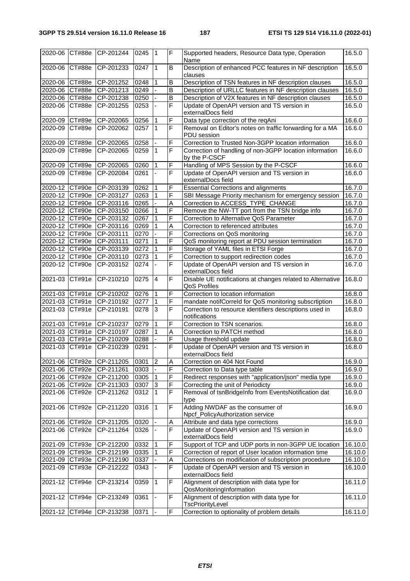| 2020-06        | CT#88e        | CP-201244      | 0245 | l 1            | $\overline{F}$          | Supported headers, Resource Data type, Operation<br>Name                   | 16.5.0  |
|----------------|---------------|----------------|------|----------------|-------------------------|----------------------------------------------------------------------------|---------|
| 2020-06        | CT#88e        | CP-201233      | 0247 | $\overline{1}$ | B                       | Description of enhanced PCC features in NF description<br>clauses          | 16.5.0  |
| 2020-06 CT#88e |               | CP-201252      | 0248 | 1              | B                       | Description of TSN features in NF description clauses                      | 16.5.0  |
| 2020-06 CT#88e |               | CP-201213      | 0249 |                | B                       | Description of URLLC features in NF description clauses                    | 16.5.0  |
| 2020-06 CT#88e |               | CP-201238      | 0250 |                | $\overline{B}$          | Description of V2X features in NF description clauses                      | 16.5.0  |
| 2020-06        | CT#88e        | CP-201255      | 0253 |                | F                       | Update of OpenAPI version and TS version in<br>externalDocs field          | 16.5.0  |
| 2020-09 CT#89e |               | CP-202065      | 0256 | $\mathbf 1$    | F                       | Data type correction of the reqAni                                         | 16.6.0  |
| 2020-09        | CT#89e        | CP-202062      | 0257 | $\mathbf{1}$   | F                       | Removal on Editor's notes on traffic forwarding for a MA<br>PDU session    | 16.6.0  |
| 2020-09        | CT#89e        | CP-202065      | 0258 |                | F                       | Correction to Trusted Non-3GPP location information                        | 16.6.0  |
| 2020-09        | CT#89e        | CP-202065      | 0259 | $\mathbf{1}$   | F                       | Correction of handling of non-3GPP location information<br>by the P-CSCF   | 16.6.0  |
| 2020-09 CT#89e |               | CP-202065      | 0260 | 1              | F                       | Handling of MPS Session by the P-CSCF                                      | 16.6.0  |
| 2020-09        | <b>CT#89e</b> | CP-202084      | 0261 |                | F                       | Update of OpenAPI version and TS version in<br>externalDocs field          | 16.6.0  |
| 2020-12 CT#90e |               | CP-203139      | 0262 | 1              | F                       | <b>Essential Corrections and alignments</b>                                | 16.7.0  |
| 2020-12 CT#90e |               | CP-203127      | 0263 | $\overline{1}$ | F                       | SBI Message Priority mechanism for emergency session                       | 16.7.0  |
| 2020-12 CT#90e |               | CP-203116      | 0265 |                | A                       | Correction to ACCESS_TYPE_CHANGE                                           | 16.7.0  |
| 2020-12 CT#90e |               | CP-203150      | 0266 |                | F                       | Remove the NW-TT port from the TSN bridge info                             | 16.7.0  |
| 2020-12 CT#90e |               | CP-203132      | 0267 | $\mathbf{1}$   | F                       | Correction to Alternative QoS Parameter                                    | 16.7.0  |
| 2020-12 CT#90e |               | CP-203116      | 0269 |                | Α                       | Correction to referenced attributes                                        | 16.7.0  |
| 2020-12 CT#90e |               | CP-203111      | 0270 |                | F                       | Corrections on QoS monitoring                                              | 16.7.0  |
| 2020-12 CT#90e |               | CP-203111      | 0271 | $\mathbf{1}$   | F                       | QoS monitoring report at PDU session termination                           | 16.7.0  |
| 2020-12 CT#90e |               | CP-203139      | 0272 | $\mathbf{1}$   | F                       | Storage of YAML files in ETSI Forge                                        | 16.7.0  |
| 2020-12 CT#90e |               | CP-203110      | 0273 |                | F                       | Correction to support redirection codes                                    | 16.7.0  |
| 2020-12        | CT#90e        | CP-203152      | 0274 |                | F                       | Update of OpenAPI version and TS version in                                | 16.7.0  |
|                |               |                |      |                |                         | externalDocs field                                                         |         |
| 2021-03        | CT#91e        | CP-210210      | 0275 | $\overline{4}$ | $\overline{\mathsf{F}}$ | Disable UE notifications at changes related to Alternative<br>QoS Profiles | 16.8.0  |
| 2021-03 CT#91e |               | CP-210202      | 0276 | $\vert$ 1      | F                       | Correction to location information                                         | 16.8.0  |
| 2021-03 CT#91e |               | CP-210192      | 0277 | $\mathbf{1}$   | F                       | mandate notifCorreld for QoS monitoring subscrtiption                      | 16.8.0  |
| 2021-03        | CT#91e        | CP-210191      | 0278 | 3              | F                       | Correction to resource identifiers descriptions used in<br>notifications   | 16.8.0  |
| 2021-03 CT#91e |               | CP-210237      | 0279 | $\mathbf{1}$   | F                       | Correction to TSN scenarios.                                               | 16.8.0  |
| 2021-03 CT#91e |               | CP-210197      | 0287 | $\mathbf{1}$   | A                       | Correction to PATCH method                                                 | 16.8.0  |
| 2021-03        | CT#91e        | CP-210209      | 0288 |                | F                       | Usage threshold update                                                     | 16.8.0  |
| 2021-03        | CT#91e        | CP-210239      | 0291 |                | F                       | Update of OpenAPI version and TS version in<br>externalDocs field          | 16.8.0  |
| 2021-06 CT#92e |               | CP-211205      | 0301 | 2              | A                       | Correction on 404 Not Found                                                | 16.9.0  |
| 2021-06        | CT#92e        | $C P - 211261$ | 0303 | $\blacksquare$ | F                       | Correction to Data type table                                              | 16.9.0  |
| 2021-06 CT#92e |               | CP-211200      | 0305 | ∣1             | F                       | Redirect responses with "application/json" media type                      | 16.9.0  |
| 2021-06 CT#92e |               | CP-211303      | 0307 | 3              | F                       | Correcting the unit of Periodicty                                          | 16.9.0  |
| 2021-06        | CT#92e        | CP-211262      | 0312 | 1              | F                       | Removal of tsnBridgeInfo from EventsNotification dat<br>type               | 16.9.0  |
| 2021-06        | CT#92e        | CP-211220      | 0316 | $\overline{1}$ | F                       | Adding NWDAF as the consumer of<br>Npcf_PolicyAuthorization service        | 16.9.0  |
| 2021-06 CT#92e |               | CP-211205      | 0320 |                | Α                       | Attribute and data type corrections                                        | 16.9.0  |
| 2021-06        | CT#92e        | CP-211264      | 0326 |                | F                       | Update of OpenAPI version and TS version in<br>externalDocs field          | 16.9.0  |
| 2021-09        | CT#93e        | CP-212200      | 0332 | $\mathbf{1}$   | F                       | Support of TCP and UDP ports in non-3GPP UE location                       | 16.10.0 |
| 2021-09 CT#93e |               | CP-212199      | 0335 | $\mathbf{1}$   | F                       | Correction of report of User location information time                     | 16.10.0 |
| 2021-09        | CT#93e        | CP-212190      | 0337 |                | Α                       | Corrections on modification of subscription procedure                      | 16.10.0 |
| 2021-09        | CT#93e        | CP-212222      | 0343 |                | F                       | Update of OpenAPI version and TS version in<br>externalDocs field          | 16.10.0 |
| 2021-12        | CT#94e        | CP-213214      | 0359 | l 1            | F                       | Alignment of description with data type for<br>QosMonitoringInformation    | 16.11.0 |
| 2021-12        | CT#94e        | CP-213249      | 0361 |                | F                       | Alignment of description with data type for<br>TscPriorityLevel            | 16.11.0 |
| 2021-12 CT#94e |               | CP-213238      | 0371 |                | F                       | Correction to optionality of problem details                               | 16.11.0 |